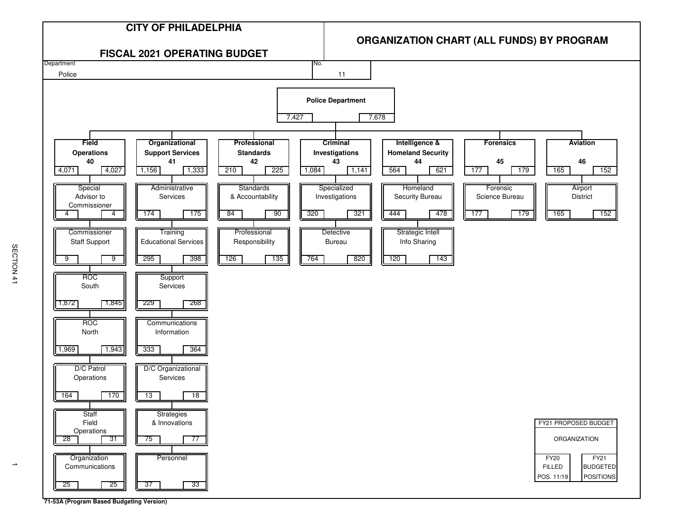

**71-53A (Program Based Budgeting Version)**

 $\rightarrow$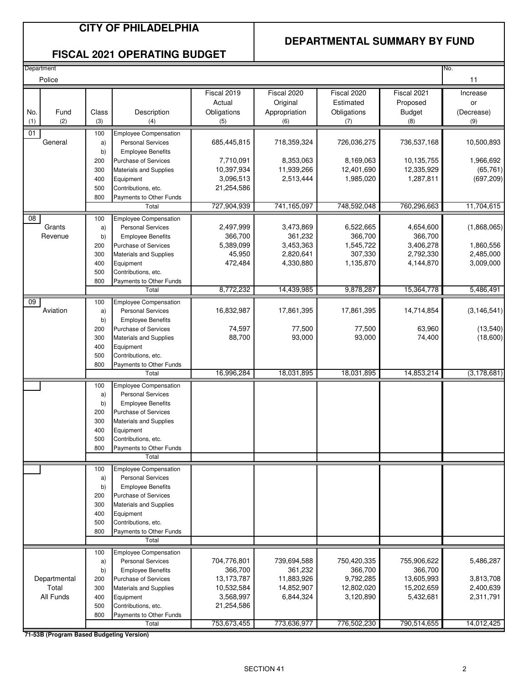#### **CITY OF PHILADELPHIA**

#### **DEPARTMENTAL SUMMARY BY FUND**

#### **FISCAL 2021 OPERATING BUDGET**

| Department      |            |                                                          |                     |                        |                      |                        | No.                    |
|-----------------|------------|----------------------------------------------------------|---------------------|------------------------|----------------------|------------------------|------------------------|
| Police          |            |                                                          |                     |                        |                      |                        | 11                     |
|                 |            |                                                          | Fiscal 2019         | Fiscal 2020            | Fiscal 2020          | Fiscal 2021            | Increase               |
|                 |            |                                                          | Actual              | Original               | Estimated            | Proposed               | or                     |
| No.<br>Fund     | Class      | Description                                              | Obligations         | Appropriation          | Obligations          | <b>Budget</b>          | (Decrease)             |
| (2)<br>(1)      | (3)        | (4)                                                      | (5)                 | (6)                    | (7)                  | (8)                    | (9)                    |
| 01              | 100        | <b>Employee Compensation</b>                             |                     |                        |                      |                        |                        |
| General         | a)         | <b>Personal Services</b>                                 | 685,445,815         | 718,359,324            | 726,036,275          | 736,537,168            | 10,500,893             |
|                 | b)         | <b>Employee Benefits</b>                                 |                     |                        |                      |                        |                        |
|                 | 200        | Purchase of Services                                     | 7,710,091           | 8,353,063              | 8,169,063            | 10,135,755             | 1,966,692              |
|                 | 300        | Materials and Supplies                                   | 10,397,934          | 11,939,266             | 12,401,690           | 12,335,929             | (65, 761)              |
|                 | 400        | Equipment                                                | 3,096,513           | 2,513,444              | 1,985,020            | 1,287,811              | (697, 209)             |
|                 | 500        | Contributions, etc.                                      | 21,254,586          |                        |                      |                        |                        |
|                 | 800        | Payments to Other Funds                                  |                     |                        |                      |                        |                        |
|                 |            | Total                                                    | 727,904,939         | 741,165,097            | 748,592,048          | 760,296,663            | 11,704,615             |
| $\overline{08}$ | 100        | <b>Employee Compensation</b>                             |                     |                        |                      |                        |                        |
| Grants          | a)         | <b>Personal Services</b>                                 | 2,497,999           | 3,473,869              | 6,522,665            | 4,654,600              | (1,868,065)            |
| Revenue         | b)         | <b>Employee Benefits</b>                                 | 366,700             | 361,232                | 366,700              | 366,700                |                        |
|                 | 200<br>300 | Purchase of Services<br><b>Materials and Supplies</b>    | 5,389,099<br>45,950 | 3,453,363<br>2,820,641 | 1,545,722<br>307,330 | 3,406,278<br>2,792,330 | 1,860,556<br>2,485,000 |
|                 | 400        | Equipment                                                | 472,484             | 4,330,880              | 1,135,870            | 4,144,870              | 3,009,000              |
|                 | 500        | Contributions, etc.                                      |                     |                        |                      |                        |                        |
|                 | 800        | Payments to Other Funds                                  |                     |                        |                      |                        |                        |
|                 |            | Total                                                    | 8,772,232           | 14,439,985             | 9,878,287            | 15,364,778             | 5,486,491              |
| 09              | 100        | Employee Compensation                                    |                     |                        |                      |                        |                        |
| Aviation        | a)         | <b>Personal Services</b>                                 | 16,832,987          | 17,861,395             | 17,861,395           | 14,714,854             | (3, 146, 541)          |
|                 | b)         | <b>Employee Benefits</b>                                 |                     |                        |                      |                        |                        |
|                 | 200        | Purchase of Services                                     | 74,597              | 77,500                 | 77,500               | 63,960                 | (13,540)               |
|                 | 300        | Materials and Supplies                                   | 88,700              | 93,000                 | 93,000               | 74,400                 | (18,600)               |
|                 | 400        | Equipment                                                |                     |                        |                      |                        |                        |
|                 | 500        | Contributions, etc.                                      |                     |                        |                      |                        |                        |
|                 | 800        | Payments to Other Funds<br>Total                         | 16,996,284          | 18,031,895             | 18,031,895           | 14,853,214             | (3, 178, 681)          |
|                 |            |                                                          |                     |                        |                      |                        |                        |
|                 | 100<br>a)  | <b>Employee Compensation</b><br><b>Personal Services</b> |                     |                        |                      |                        |                        |
|                 | b)         | <b>Employee Benefits</b>                                 |                     |                        |                      |                        |                        |
|                 | 200        | Purchase of Services                                     |                     |                        |                      |                        |                        |
|                 | 300        | Materials and Supplies                                   |                     |                        |                      |                        |                        |
|                 | 400        | Equipment                                                |                     |                        |                      |                        |                        |
|                 | 500        | Contributions, etc.                                      |                     |                        |                      |                        |                        |
|                 | 800        | Payments to Other Funds                                  |                     |                        |                      |                        |                        |
|                 |            | Total                                                    |                     |                        |                      |                        |                        |
|                 | 100        | <b>Employee Compensation</b>                             |                     |                        |                      |                        |                        |
|                 | a)         | <b>Personal Services</b>                                 |                     |                        |                      |                        |                        |
|                 | b)         | <b>Employee Benefits</b>                                 |                     |                        |                      |                        |                        |
|                 | 200        | Purchase of Services                                     |                     |                        |                      |                        |                        |
|                 | 300<br>400 | <b>Materials and Supplies</b><br>Equipment               |                     |                        |                      |                        |                        |
|                 | 500        | Contributions, etc.                                      |                     |                        |                      |                        |                        |
|                 | 800        | Payments to Other Funds                                  |                     |                        |                      |                        |                        |
|                 |            | Total                                                    |                     |                        |                      |                        |                        |
|                 | 100        | <b>Employee Compensation</b>                             |                     |                        |                      |                        |                        |
|                 | a)         | <b>Personal Services</b>                                 | 704,776,801         | 739,694,588            | 750,420,335          | 755,906,622            | 5,486,287              |
|                 | b)         | <b>Employee Benefits</b>                                 | 366,700             | 361,232                | 366,700              | 366,700                |                        |
| Departmental    | 200        | Purchase of Services                                     | 13,173,787          | 11,883,926             | 9,792,285            | 13,605,993             | 3,813,708              |
| Total           | 300        | <b>Materials and Supplies</b>                            | 10,532,584          | 14,852,907             | 12,802,020           | 15,202,659             | 2,400,639              |
| All Funds       | 400        | Equipment                                                | 3,568,997           | 6,844,324              | 3,120,890            | 5,432,681              | 2,311,791              |
|                 | 500<br>800 | Contributions, etc.<br>Payments to Other Funds           | 21,254,586          |                        |                      |                        |                        |
|                 |            | Total                                                    | 753,673,455         | 773,636,977            | 776,502,230          | 790,514,655            | 14,012,425             |
|                 |            |                                                          |                     |                        |                      |                        |                        |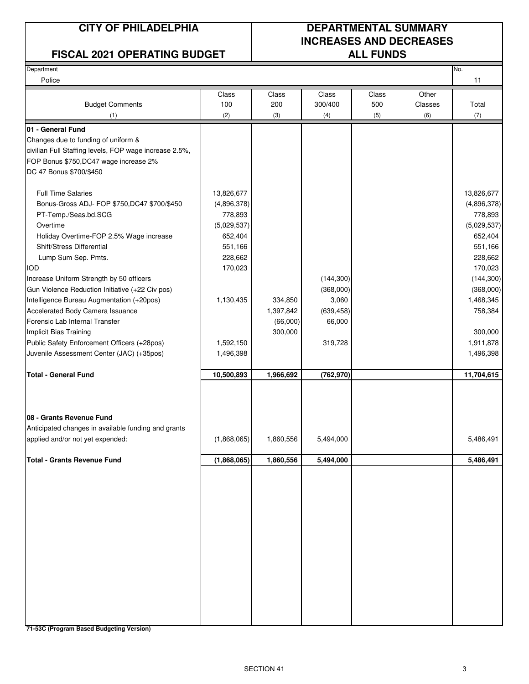#### **FISCAL 2021 OPERATING BUDGET ALL FUNDS**

### **CITY OF PHILADELPHIA DEPARTMENTAL SUMMARY INCREASES AND DECREASES**

| Department                                             |             |           |            |       |         | No.         |
|--------------------------------------------------------|-------------|-----------|------------|-------|---------|-------------|
| Police                                                 |             |           |            |       |         | 11          |
|                                                        | Class       | Class     | Class      | Class | Other   |             |
| <b>Budget Comments</b>                                 | 100         | 200       | 300/400    | 500   | Classes | Total       |
| (1)                                                    | (2)         | (3)       | (4)        | (5)   | (6)     | (7)         |
| 01 - General Fund                                      |             |           |            |       |         |             |
| Changes due to funding of uniform &                    |             |           |            |       |         |             |
| civilian Full Staffing levels, FOP wage increase 2.5%, |             |           |            |       |         |             |
| FOP Bonus \$750, DC47 wage increase 2%                 |             |           |            |       |         |             |
| DC 47 Bonus \$700/\$450                                |             |           |            |       |         |             |
| <b>Full Time Salaries</b>                              | 13,826,677  |           |            |       |         | 13,826,677  |
| Bonus-Gross ADJ- FOP \$750, DC47 \$700/\$450           | (4,896,378) |           |            |       |         | (4,896,378) |
| PT-Temp./Seas.bd.SCG                                   | 778,893     |           |            |       |         | 778,893     |
| Overtime                                               | (5,029,537) |           |            |       |         | (5,029,537) |
| Holiday Overtime-FOP 2.5% Wage increase                | 652,404     |           |            |       |         | 652,404     |
| Shift/Stress Differential                              | 551,166     |           |            |       |         | 551,166     |
| Lump Sum Sep. Pmts.                                    | 228,662     |           |            |       |         | 228,662     |
| <b>IOD</b>                                             | 170,023     |           |            |       |         | 170,023     |
| Increase Uniform Strength by 50 officers               |             |           | (144, 300) |       |         | (144, 300)  |
| Gun Violence Reduction Initiative (+22 Civ pos)        |             |           | (368,000)  |       |         | (368,000)   |
| Intelligence Bureau Augmentation (+20pos)              | 1,130,435   | 334,850   | 3,060      |       |         | 1,468,345   |
| Accelerated Body Camera Issuance                       |             | 1,397,842 | (639, 458) |       |         | 758,384     |
| Forensic Lab Internal Transfer                         |             | (66,000)  | 66,000     |       |         |             |
| Implicit Bias Training                                 |             | 300,000   |            |       |         | 300,000     |
| Public Safety Enforcement Officers (+28pos)            | 1,592,150   |           | 319,728    |       |         | 1,911,878   |
| Juvenile Assessment Center (JAC) (+35pos)              | 1,496,398   |           |            |       |         | 1,496,398   |
| <b>Total - General Fund</b>                            | 10,500,893  | 1,966,692 | (762, 970) |       |         | 11,704,615  |
|                                                        |             |           |            |       |         |             |
| 08 - Grants Revenue Fund                               |             |           |            |       |         |             |
| Anticipated changes in available funding and grants    |             |           |            |       |         |             |
| applied and/or not yet expended:                       | (1,868,065) | 1,860,556 | 5,494,000  |       |         | 5,486,491   |
| <b>Total - Grants Revenue Fund</b>                     |             |           |            |       |         |             |
|                                                        | (1,868,065) | 1,860,556 | 5,494,000  |       |         | 5,486,491   |
|                                                        |             |           |            |       |         |             |
|                                                        |             |           |            |       |         |             |
|                                                        |             |           |            |       |         |             |
|                                                        |             |           |            |       |         |             |
|                                                        |             |           |            |       |         |             |
|                                                        |             |           |            |       |         |             |
|                                                        |             |           |            |       |         |             |
|                                                        |             |           |            |       |         |             |
|                                                        |             |           |            |       |         |             |
|                                                        |             |           |            |       |         |             |
|                                                        |             |           |            |       |         |             |
|                                                        |             |           |            |       |         |             |
|                                                        |             |           |            |       |         |             |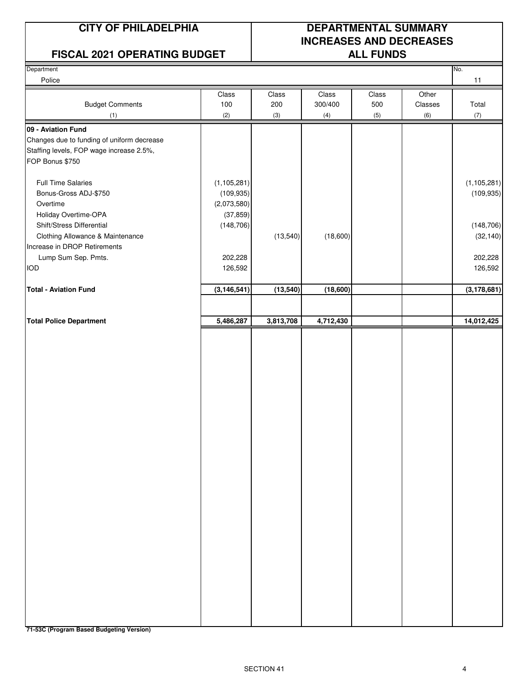#### **FISCAL 2021 OPERATING BUDGET ALL FUNDS**

### **CITY OF PHILADELPHIA DEPARTMENTAL SUMMARY INCREASES AND DECREASES**

| Department                                 |               |           |           |       |         | No.           |
|--------------------------------------------|---------------|-----------|-----------|-------|---------|---------------|
| Police                                     |               |           |           |       |         | 11            |
|                                            | Class         | Class     | Class     | Class | Other   |               |
| <b>Budget Comments</b>                     | 100           | 200       | 300/400   | 500   | Classes | Total         |
| (1)                                        | (2)           | (3)       | (4)       | (5)   | (6)     | (7)           |
| 09 - Aviation Fund                         |               |           |           |       |         |               |
| Changes due to funding of uniform decrease |               |           |           |       |         |               |
| Staffing levels, FOP wage increase 2.5%,   |               |           |           |       |         |               |
| FOP Bonus \$750                            |               |           |           |       |         |               |
|                                            |               |           |           |       |         |               |
| <b>Full Time Salaries</b>                  | (1, 105, 281) |           |           |       |         | (1, 105, 281) |
| Bonus-Gross ADJ-\$750                      | (109, 935)    |           |           |       |         | (109, 935)    |
| Overtime                                   | (2,073,580)   |           |           |       |         |               |
| Holiday Overtime-OPA                       | (37, 859)     |           |           |       |         |               |
| Shift/Stress Differential                  | (148, 706)    |           |           |       |         | (148, 706)    |
| Clothing Allowance & Maintenance           |               | (13, 540) | (18,600)  |       |         | (32, 140)     |
| Increase in DROP Retirements               |               |           |           |       |         |               |
|                                            |               |           |           |       |         |               |
| Lump Sum Sep. Pmts.                        | 202,228       |           |           |       |         | 202,228       |
| <b>IOD</b>                                 | 126,592       |           |           |       |         | 126,592       |
| <b>Total - Aviation Fund</b>               | (3, 146, 541) | (13, 540) | (18,600)  |       |         | (3, 178, 681) |
|                                            |               |           |           |       |         |               |
|                                            |               |           |           |       |         |               |
| <b>Total Police Department</b>             | 5,486,287     | 3,813,708 | 4,712,430 |       |         | 14,012,425    |
|                                            |               |           |           |       |         |               |
|                                            |               |           |           |       |         |               |
|                                            |               |           |           |       |         |               |
|                                            |               |           |           |       |         |               |
|                                            |               |           |           |       |         |               |
|                                            |               |           |           |       |         |               |
|                                            |               |           |           |       |         |               |
|                                            |               |           |           |       |         |               |
|                                            |               |           |           |       |         |               |
|                                            |               |           |           |       |         |               |
|                                            |               |           |           |       |         |               |
|                                            |               |           |           |       |         |               |
|                                            |               |           |           |       |         |               |
|                                            |               |           |           |       |         |               |
|                                            |               |           |           |       |         |               |
|                                            |               |           |           |       |         |               |
|                                            |               |           |           |       |         |               |
|                                            |               |           |           |       |         |               |
|                                            |               |           |           |       |         |               |
|                                            |               |           |           |       |         |               |
|                                            |               |           |           |       |         |               |
|                                            |               |           |           |       |         |               |
|                                            |               |           |           |       |         |               |
|                                            |               |           |           |       |         |               |
|                                            |               |           |           |       |         |               |
|                                            |               |           |           |       |         |               |
|                                            |               |           |           |       |         |               |
|                                            |               |           |           |       |         |               |
|                                            |               |           |           |       |         |               |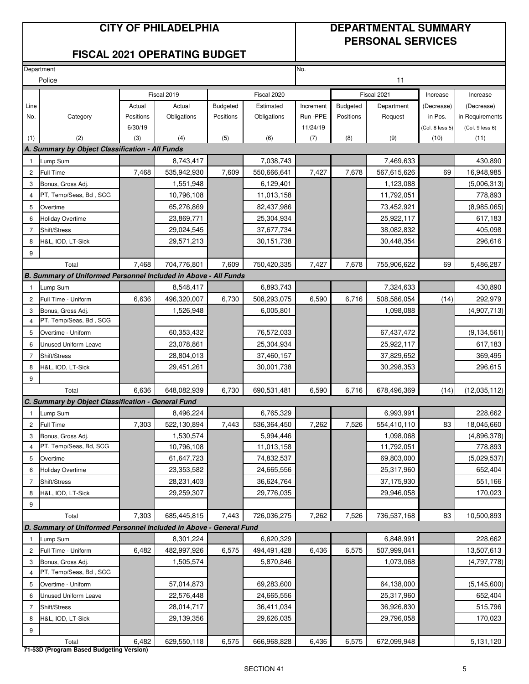#### **CITY OF PHILADELPHIA DEPARTMENTAL SUMMARY PERSONAL SERVICES**

#### **FISCAL 2021 OPERATING BUDGET**

|                | Department                                                         |           |             |                 |             | No.       |                 |             |                 |                 |
|----------------|--------------------------------------------------------------------|-----------|-------------|-----------------|-------------|-----------|-----------------|-------------|-----------------|-----------------|
|                | Police                                                             |           |             |                 |             |           |                 | 11          |                 |                 |
|                |                                                                    |           | Fiscal 2019 |                 | Fiscal 2020 |           |                 | Fiscal 2021 | Increase        | Increase        |
| Line           |                                                                    | Actual    | Actual      | <b>Budgeted</b> | Estimated   | Increment | <b>Budgeted</b> | Department  | (Decrease)      | (Decrease)      |
| No.            | Category                                                           | Positions | Obligations | Positions       | Obligations | Run -PPE  | Positions       | Request     | in Pos.         | in Requirements |
|                |                                                                    | 6/30/19   |             |                 |             | 11/24/19  |                 |             | (Col. 8 less 5) | (Col. 9 less 6) |
| (1)            | (2)                                                                | (3)       | (4)         | (5)             | (6)         | (7)       | (8)             | (9)         | (10)            | (11)            |
|                | A. Summary by Object Classification - All Funds                    |           |             |                 |             |           |                 |             |                 |                 |
| 1              | Lump Sum                                                           |           | 8,743,417   |                 | 7,038,743   |           |                 | 7,469,633   |                 | 430,890         |
| $\mathbf{2}$   | Full Time                                                          | 7,468     | 535,942,930 | 7,609           | 550,666,641 | 7,427     | 7,678           | 567,615,626 | 69              | 16,948,985      |
| 3              | Bonus, Gross Adj.                                                  |           | 1,551,948   |                 | 6,129,401   |           |                 | 1,123,088   |                 | (5,006,313)     |
| $\overline{4}$ | PT, Temp/Seas, Bd, SCG                                             |           | 10,796,108  |                 | 11,013,158  |           |                 | 11,792,051  |                 | 778,893         |
| 5              | Overtime                                                           |           | 65,276,869  |                 | 82,437,986  |           |                 | 73,452,921  |                 | (8,985,065)     |
| 6              | <b>Holiday Overtime</b>                                            |           | 23,869,771  |                 | 25,304,934  |           |                 | 25,922,117  |                 | 617,183         |
| 7              | Shift/Stress                                                       |           | 29,024,545  |                 | 37,677,734  |           |                 | 38,082,832  |                 | 405,098         |
| 8              | H&L, IOD, LT-Sick                                                  |           | 29,571,213  |                 | 30,151,738  |           |                 | 30,448,354  |                 | 296,616         |
| 9              |                                                                    |           |             |                 |             |           |                 |             |                 |                 |
|                | Total                                                              | 7,468     | 704,776,801 | 7,609           | 750,420,335 | 7,427     | 7,678           | 755,906,622 | 69              | 5,486,287       |
|                | B. Summary of Uniformed Personnel Included in Above - All Funds    |           |             |                 |             |           |                 |             |                 |                 |
| $\mathbf{1}$   | Lump Sum                                                           |           | 8,548,417   |                 | 6,893,743   |           |                 | 7,324,633   |                 | 430,890         |
| $\mathbf{2}$   | Full Time - Uniform                                                | 6,636     | 496,320,007 | 6,730           | 508,293,075 | 6,590     | 6,716           | 508,586,054 | (14)            | 292,979         |
| 3              | Bonus, Gross Adj.                                                  |           | 1,526,948   |                 | 6,005,801   |           |                 | 1,098,088   |                 | (4,907,713)     |
| $\overline{4}$ | PT, Temp/Seas, Bd, SCG                                             |           |             |                 |             |           |                 |             |                 |                 |
| 5              | Overtime - Uniform                                                 |           | 60,353,432  |                 | 76,572,033  |           |                 | 67,437,472  |                 | (9, 134, 561)   |
| 6              | <b>Unused Uniform Leave</b>                                        |           | 23,078,861  |                 | 25,304,934  |           |                 | 25,922,117  |                 | 617,183         |
| $\overline{7}$ | Shift/Stress                                                       |           | 28,804,013  |                 | 37,460,157  |           |                 | 37,829,652  |                 | 369,495         |
| 8              | H&L, IOD, LT-Sick                                                  |           | 29,451,261  |                 | 30,001,738  |           |                 | 30,298,353  |                 | 296,615         |
| 9              |                                                                    |           |             |                 |             |           |                 |             |                 |                 |
|                | Total                                                              | 6,636     | 648,082,939 | 6,730           | 690,531,481 | 6,590     | 6,716           | 678,496,369 | (14)            | (12,035,112)    |
|                | C. Summary by Object Classification - General Fund                 |           |             |                 |             |           |                 |             |                 |                 |
| $\mathbf{1}$   | Lump Sum                                                           |           | 8,496,224   |                 | 6,765,329   |           |                 | 6,993,991   |                 | 228,662         |
| $\overline{2}$ | Full Time                                                          | 7,303     | 522,130,894 | 7,443           | 536,364,450 | 7,262     | 7,526           | 554,410,110 | 83              | 18,045,660      |
| 3              | Bonus, Gross Adj.                                                  |           | 1,530,574   |                 | 5,994,446   |           |                 | 1,098,068   |                 | (4,896,378)     |
| $\overline{4}$ | PT, Temp/Seas, Bd, SCG                                             |           | 10,796,108  |                 | 11,013,158  |           |                 | 11,792,051  |                 | 778,893         |
| 5              | Overtime                                                           |           | 61,647,723  |                 | 74,832,537  |           |                 | 69,803,000  |                 | (5,029,537)     |
| 6              | <b>Holiday Overtime</b>                                            |           | 23,353,582  |                 | 24,665,556  |           |                 | 25,317,960  |                 | 652,404         |
| $\overline{7}$ | Shift/Stress                                                       |           | 28,231,403  |                 | 36,624,764  |           |                 | 37,175,930  |                 | 551,166         |
| 8              | H&L, IOD, LT-Sick                                                  |           | 29,259,307  |                 | 29,776,035  |           |                 | 29,946,058  |                 | 170,023         |
| 9              |                                                                    |           |             |                 |             |           |                 |             |                 |                 |
|                | Total                                                              | 7,303     | 685,445,815 | 7,443           | 726,036,275 | 7,262     | 7,526           | 736,537,168 | 83              | 10,500,893      |
|                | D. Summary of Uniformed Personnel Included in Above - General Fund |           |             |                 |             |           |                 |             |                 |                 |
| $\mathbf{1}$   | Lump Sum                                                           |           | 8,301,224   |                 | 6,620,329   |           |                 | 6,848,991   |                 | 228,662         |
| $\overline{c}$ | Full Time - Uniform                                                | 6,482     | 482,997,926 | 6,575           | 494,491,428 | 6,436     | 6,575           | 507,999,041 |                 | 13,507,613      |
| 3              | Bonus, Gross Adj.                                                  |           | 1,505,574   |                 | 5,870,846   |           |                 | 1,073,068   |                 | (4,797,778)     |
| $\overline{4}$ | PT, Temp/Seas, Bd, SCG                                             |           |             |                 |             |           |                 |             |                 |                 |
| 5              | Overtime - Uniform                                                 |           | 57,014,873  |                 | 69,283,600  |           |                 | 64,138,000  |                 | (5, 145, 600)   |
| 6              | Unused Uniform Leave                                               |           | 22,576,448  |                 | 24,665,556  |           |                 | 25,317,960  |                 | 652,404         |
| $\overline{7}$ | Shift/Stress                                                       |           | 28,014,717  |                 | 36,411,034  |           |                 | 36,926,830  |                 | 515,796         |
| 8              | H&L, IOD, LT-Sick                                                  |           | 29,139,356  |                 | 29,626,035  |           |                 | 29,796,058  |                 | 170,023         |
| 9              |                                                                    |           |             |                 |             |           |                 |             |                 |                 |
|                | Total<br>71-53D (Program Based Budgeting Version)                  | 6,482     | 629,550,118 | 6,575           | 666,968,828 | 6,436     | 6,575           | 672,099,948 |                 | 5,131,120       |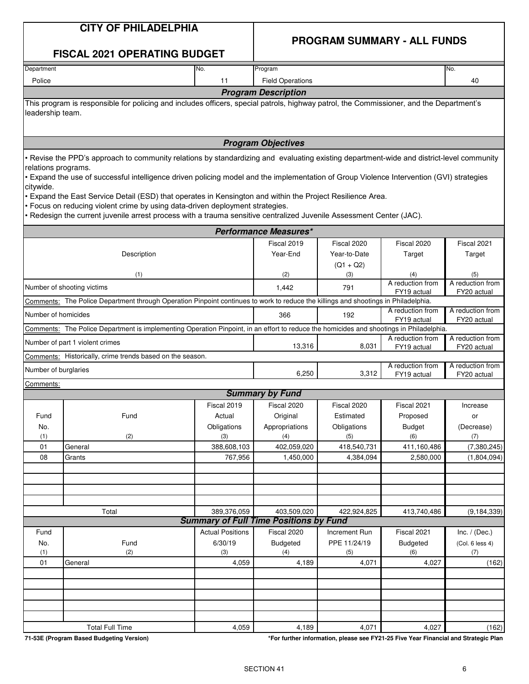#### **PROGRAM SUMMARY - ALL FUNDS**

#### **FISCAL 2021 OPERATING BUDGET**

| Department                 | No. | Program                                                                                                                                 | No. |  |  |  |  |  |  |
|----------------------------|-----|-----------------------------------------------------------------------------------------------------------------------------------------|-----|--|--|--|--|--|--|
| Police                     | 11  | <b>Field Operations</b>                                                                                                                 |     |  |  |  |  |  |  |
| <b>Program Description</b> |     |                                                                                                                                         |     |  |  |  |  |  |  |
| leadership team.           |     | This program is responsible for policing and includes officers, special patrols, highway patrol, the Commissioner, and the Department's |     |  |  |  |  |  |  |
|                            |     |                                                                                                                                         |     |  |  |  |  |  |  |

**Program Objectives**

• Revise the PPD's approach to community relations by standardizing and evaluating existing department-wide and district-level community relations programs.

• Expand the use of successful intelligence driven policing model and the implementation of Group Violence Intervention (GVI) strategies citywide.

• Expand the East Service Detail (ESD) that operates in Kensington and within the Project Resilience Area.

• Focus on reducing violent crime by using data-driven deployment strategies.

• Redesign the current juvenile arrest process with a trauma sensitive centralized Juvenile Assessment Center (JAC).

|                                   |                                                                                                                                         |                         | <b>Performance Measures*</b>                  |               |                                 |                                 |
|-----------------------------------|-----------------------------------------------------------------------------------------------------------------------------------------|-------------------------|-----------------------------------------------|---------------|---------------------------------|---------------------------------|
|                                   |                                                                                                                                         |                         | Fiscal 2019                                   | Fiscal 2020   | Fiscal 2020                     | Fiscal 2021                     |
|                                   | Description                                                                                                                             |                         | Year-End                                      | Year-to-Date  | Target                          | Target                          |
|                                   |                                                                                                                                         |                         |                                               | $(Q1 + Q2)$   |                                 |                                 |
|                                   | (1)                                                                                                                                     |                         | (2)                                           | (3)           | (4)                             | (5)                             |
|                                   | Number of shooting victims                                                                                                              |                         | 1,442                                         | 791           | A reduction from<br>FY19 actual | A reduction from<br>FY20 actual |
|                                   | Comments: The Police Department through Operation Pinpoint continues to work to reduce the killings and shootings in Philadelphia.      |                         |                                               |               |                                 |                                 |
| Number of homicides               |                                                                                                                                         |                         | 366                                           | 192           | A reduction from<br>FY19 actual | A reduction from<br>FY20 actual |
|                                   | Comments: The Police Department is implementing Operation Pinpoint, in an effort to reduce the homicides and shootings in Philadelphia. |                         |                                               |               |                                 |                                 |
|                                   | Number of part 1 violent crimes                                                                                                         |                         | 13,316                                        | 8,031         | A reduction from                | A reduction from                |
|                                   | Comments: Historically, crime trends based on the season.                                                                               |                         |                                               |               | FY19 actual                     | FY20 actual                     |
| Number of burglaries              |                                                                                                                                         |                         | 6,250                                         | 3,312         | A reduction from<br>FY19 actual | A reduction from<br>FY20 actual |
| Comments:                         |                                                                                                                                         |                         |                                               |               |                                 |                                 |
|                                   |                                                                                                                                         |                         | <b>Summary by Fund</b>                        |               |                                 |                                 |
|                                   |                                                                                                                                         | Fiscal 2019             | Fiscal 2020                                   | Fiscal 2020   | Fiscal 2021                     | Increase                        |
| Fund                              | Fund                                                                                                                                    | Actual                  | Original                                      | Estimated     | Proposed                        | or                              |
| No.                               |                                                                                                                                         | Obligations             | Appropriations                                | Obligations   | <b>Budget</b>                   | (Decrease)                      |
| (1)                               | (2)                                                                                                                                     | (3)                     | (4)                                           | (5)           | (6)                             | (7)                             |
| 01                                | General                                                                                                                                 | 388,608,103             | 402,059,020                                   | 418,540,731   | 411,160,486                     | (7, 380, 245)                   |
| 08                                | Grants                                                                                                                                  | 767,956                 | 1,450,000                                     | 4,384,094     | 2,580,000                       | (1,804,094)                     |
|                                   |                                                                                                                                         |                         |                                               |               |                                 |                                 |
|                                   |                                                                                                                                         |                         |                                               |               |                                 |                                 |
|                                   | Total                                                                                                                                   | 389,376,059             | 403,509,020                                   | 422,924,825   | 413,740,486                     | (9, 184, 339)                   |
|                                   |                                                                                                                                         |                         | <b>Summary of Full Time Positions by Fund</b> |               |                                 |                                 |
| Fund                              |                                                                                                                                         | <b>Actual Positions</b> | Fiscal 2020                                   | Increment Run | Fiscal 2021                     | Inc. $/$ (Dec.)                 |
| No.                               | Fund                                                                                                                                    | 6/30/19                 | <b>Budgeted</b>                               | PPE 11/24/19  | <b>Budgeted</b>                 | (Col. 6 less 4)                 |
| (1)                               | (2)                                                                                                                                     | (3)                     | (4)                                           | (5)           | (6)                             | (7)                             |
| 01                                | General                                                                                                                                 | 4,059                   | 4,189                                         | 4,071         | 4,027                           | (162)                           |
|                                   |                                                                                                                                         |                         |                                               |               |                                 |                                 |
|                                   |                                                                                                                                         |                         |                                               |               |                                 |                                 |
|                                   |                                                                                                                                         |                         |                                               |               |                                 |                                 |
|                                   |                                                                                                                                         |                         |                                               |               |                                 |                                 |
| $\overline{a}$ cor $\overline{b}$ | <b>Total Full Time</b><br>$B - C$<br>all Properties and the                                                                             | 4,059                   | 4,189<br><b>All and Accounts and S</b>        | 4,071         | 4,027<br>EVOL OF ESSA VARD      | (162)<br>$-10$<br>$-12$         |

**71-53E (Program Based Budgeting Version) \*For further information, please see FY21-25 Five Year Financial and Strategic Plan**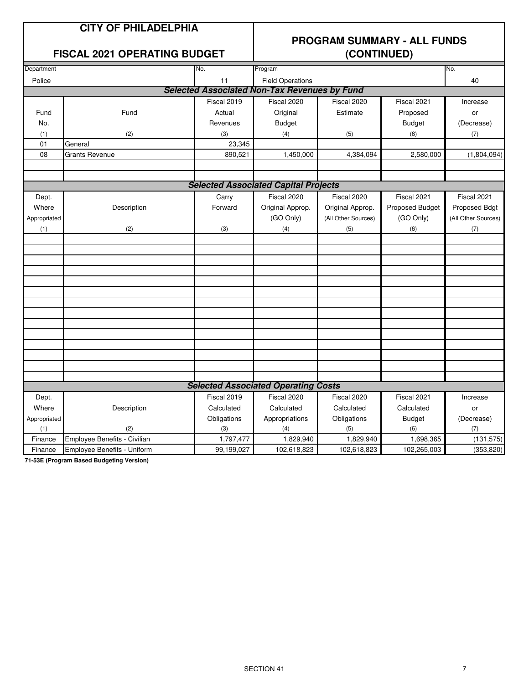### **CITY OF PHILADELPHIA**

#### **FISCAL 2021 OPERATING BUDGET**

## **PROGRAM SUMMARY - ALL FUNDS**

|              |                              |             | $\sqrt{2211111224}$                                 |                     |                 |                     |  |  |
|--------------|------------------------------|-------------|-----------------------------------------------------|---------------------|-----------------|---------------------|--|--|
| Department   |                              | No.         | Program                                             |                     |                 | No.                 |  |  |
| Police       |                              | 11          | <b>Field Operations</b>                             |                     |                 | 40                  |  |  |
|              |                              |             | <b>Selected Associated Non-Tax Revenues by Fund</b> |                     |                 |                     |  |  |
|              |                              | Fiscal 2019 | Fiscal 2020                                         | Fiscal 2020         | Fiscal 2021     | Increase            |  |  |
| Fund         | Fund                         | Actual      | Original                                            | Estimate            | Proposed        | or                  |  |  |
| No.          |                              | Revenues    | <b>Budget</b>                                       |                     | <b>Budget</b>   | (Decrease)          |  |  |
| (1)          | (2)                          | (3)         | (4)                                                 | (5)                 | (6)             | (7)                 |  |  |
| 01           | General                      | 23,345      |                                                     |                     |                 |                     |  |  |
| 08           | <b>Grants Revenue</b>        | 890,521     | 1,450,000                                           | 4,384,094           | 2,580,000       | (1,804,094)         |  |  |
|              |                              |             |                                                     |                     |                 |                     |  |  |
|              |                              |             |                                                     |                     |                 |                     |  |  |
|              |                              |             | <b>Selected Associated Capital Projects</b>         |                     |                 |                     |  |  |
| Dept.        |                              | Carry       | Fiscal 2020                                         | Fiscal 2020         | Fiscal 2021     | Fiscal 2021         |  |  |
| Where        | Description                  | Forward     | Original Approp.                                    | Original Approp.    | Proposed Budget | Proposed Bdgt       |  |  |
| Appropriated |                              |             | (GO Only)                                           | (All Other Sources) | (GO Only)       | (All Other Sources) |  |  |
| (1)          | (2)                          | (3)         | (4)                                                 | (5)                 | (6)             | (7)                 |  |  |
|              |                              |             |                                                     |                     |                 |                     |  |  |
|              |                              |             |                                                     |                     |                 |                     |  |  |
|              |                              |             |                                                     |                     |                 |                     |  |  |
|              |                              |             |                                                     |                     |                 |                     |  |  |
|              |                              |             |                                                     |                     |                 |                     |  |  |
|              |                              |             |                                                     |                     |                 |                     |  |  |
|              |                              |             |                                                     |                     |                 |                     |  |  |
|              |                              |             |                                                     |                     |                 |                     |  |  |
|              |                              |             |                                                     |                     |                 |                     |  |  |
|              |                              |             |                                                     |                     |                 |                     |  |  |
|              |                              |             |                                                     |                     |                 |                     |  |  |
|              |                              |             |                                                     |                     |                 |                     |  |  |
|              |                              |             |                                                     |                     |                 |                     |  |  |
|              |                              |             |                                                     |                     |                 |                     |  |  |
|              |                              |             | <b>Selected Associated Operating Costs</b>          |                     |                 |                     |  |  |
| Dept.        |                              | Fiscal 2019 | Fiscal 2020                                         | Fiscal 2020         | Fiscal 2021     | Increase            |  |  |
| Where        | Description                  | Calculated  | Calculated                                          | Calculated          | Calculated      | or                  |  |  |
| Appropriated |                              | Obligations | Appropriations                                      | Obligations         | <b>Budget</b>   | (Decrease)          |  |  |
| (1)          | (2)                          | (3)         | (4)                                                 | (5)                 | (6)             | (7)                 |  |  |
| Finance      | Employee Benefits - Civilian | 1,797,477   | 1,829,940                                           | 1,829,940           | 1,698,365       | (131, 575)          |  |  |
| Finance      | Employee Benefits - Uniform  | 99,199,027  | 102,618,823                                         | 102,618,823         | 102,265,003     | (353, 820)          |  |  |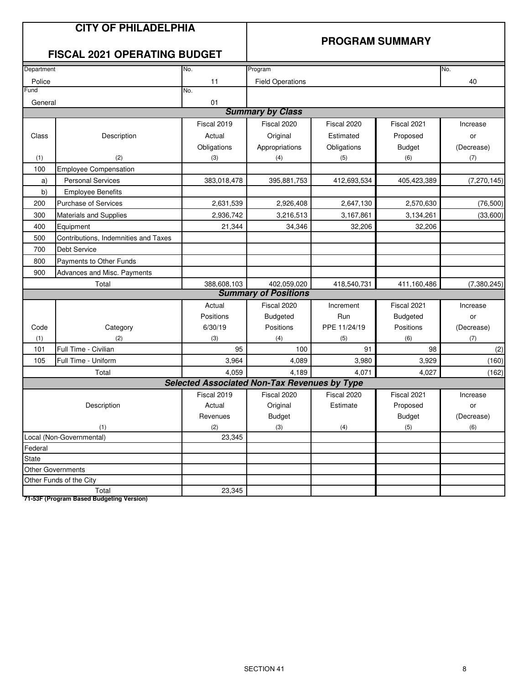### **CITY OF PHILADELPHIA**

#### **PROGRAM SUMMARY**

### **FISCAL 2021 OPERATING BUDGET**

| Department |                                      | No.                                                 | Program                     |              |                 | No.           |
|------------|--------------------------------------|-----------------------------------------------------|-----------------------------|--------------|-----------------|---------------|
| Police     |                                      | 11                                                  | <b>Field Operations</b>     |              |                 | 40            |
| Fund       |                                      | No.                                                 |                             |              |                 |               |
| General    |                                      | 01                                                  |                             |              |                 |               |
|            |                                      |                                                     | <b>Summary by Class</b>     |              |                 |               |
|            |                                      | Fiscal 2019                                         | Fiscal 2020                 | Fiscal 2020  | Fiscal 2021     | Increase      |
| Class      | Description                          | Actual                                              | Original                    | Estimated    | Proposed        | or            |
|            |                                      | Obligations                                         | Appropriations              | Obligations  | <b>Budget</b>   | (Decrease)    |
| (1)        | (2)                                  | (3)                                                 | (4)                         | (5)          | (6)             | (7)           |
| 100        | <b>Employee Compensation</b>         |                                                     |                             |              |                 |               |
| a)         | <b>Personal Services</b>             | 383,018,478                                         | 395,881,753                 | 412,693,534  | 405,423,389     | (7, 270, 145) |
| b)         | <b>Employee Benefits</b>             |                                                     |                             |              |                 |               |
| 200        | <b>Purchase of Services</b>          | 2,631,539                                           | 2,926,408                   | 2,647,130    | 2,570,630       | (76, 500)     |
| 300        | <b>Materials and Supplies</b>        | 2,936,742                                           | 3,216,513                   | 3,167,861    | 3,134,261       | (33,600)      |
| 400        | Equipment                            | 21,344                                              | 34,346                      | 32,206       | 32,206          |               |
| 500        | Contributions, Indemnities and Taxes |                                                     |                             |              |                 |               |
| 700        | <b>Debt Service</b>                  |                                                     |                             |              |                 |               |
| 800        | Payments to Other Funds              |                                                     |                             |              |                 |               |
| 900        | Advances and Misc. Payments          |                                                     |                             |              |                 |               |
|            | Total                                | 388,608,103                                         | 402.059.020                 | 418,540,731  | 411,160,486     | (7,380,245)   |
|            |                                      |                                                     | <b>Summary of Positions</b> |              |                 |               |
|            |                                      | Actual                                              | Fiscal 2020                 | Increment    | Fiscal 2021     | Increase      |
|            |                                      | Positions                                           | <b>Budgeted</b>             | Run          | <b>Budgeted</b> | or            |
| Code       | Category                             | 6/30/19                                             | Positions                   | PPE 11/24/19 | Positions       | (Decrease)    |
| (1)        | (2)                                  | (3)                                                 | (4)                         | (5)          | (6)             | (7)           |
| 101        | Full Time - Civilian                 | 95                                                  | 100                         | 91           | 98              | (2)           |
| 105        | Full Time - Uniform                  | 3,964                                               | 4,089                       | 3,980        | 3,929           | (160)         |
|            | Total                                | 4,059                                               | 4,189                       | 4,071        | 4,027           | (162)         |
|            |                                      | <b>Selected Associated Non-Tax Revenues by Type</b> |                             |              |                 |               |
|            |                                      | Fiscal 2019                                         | Fiscal 2020                 | Fiscal 2020  | Fiscal 2021     | Increase      |
|            | Description                          | Actual                                              | Original                    | Estimate     | Proposed        | or            |
|            |                                      | Revenues                                            | <b>Budget</b>               |              | <b>Budget</b>   | (Decrease)    |
|            | (1)                                  | (2)                                                 | (3)                         | (4)          | (5)             | (6)           |
|            | Local (Non-Governmental)             | 23,345                                              |                             |              |                 |               |
| Federal    |                                      |                                                     |                             |              |                 |               |
| State      |                                      |                                                     |                             |              |                 |               |
|            | Other Governments                    |                                                     |                             |              |                 |               |
|            | Other Funds of the City              |                                                     |                             |              |                 |               |
|            | Total                                | 23,345                                              |                             |              |                 |               |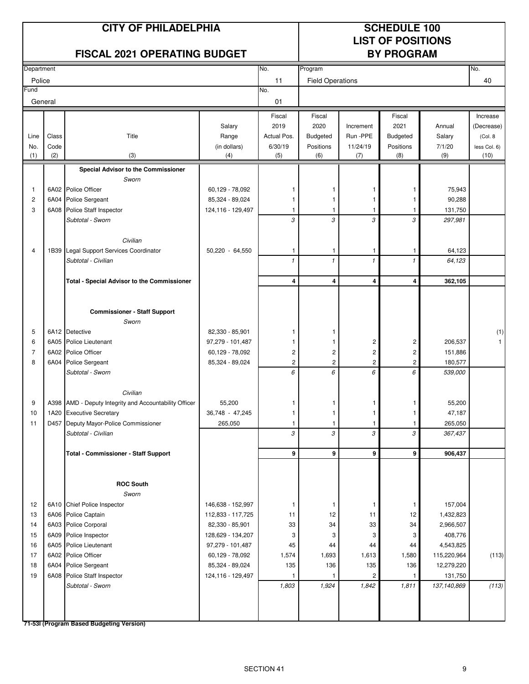# **LIST OF POSITIONS**

| Department<br>No.<br>Program<br>No.<br>11<br><b>Field Operations</b><br>40<br>Police<br>No.<br>01<br>General<br>Fiscal<br>Fiscal<br>Fiscal<br>Increase<br>2019<br>2020<br>2021<br>Salary<br>Increment<br>Annual<br>(Decrease)<br>Class<br>Run -PPE<br>Line<br>Title<br>Range<br>Actual Pos.<br>Budgeted<br><b>Budgeted</b><br>Salary<br>(Col. 8)<br>No.<br>Code<br>(in dollars)<br>6/30/19<br>Positions<br>11/24/19<br>Positions<br>7/1/20<br>less Col. 6)<br>(2)<br>(3)<br>(5)<br>(6)<br>(9)<br>(1)<br>(4)<br>(7)<br>(8)<br>(10)<br>Special Advisor to the Commissioner<br>Sworn<br>6A02 Police Officer<br>75,943<br>60,129 - 78,092<br>1<br>$\mathbf{1}$<br>1<br>-1<br>1<br>90,288<br>$\overline{c}$<br>6A04<br><b>Police Sergeant</b><br>85,324 - 89,024<br>1<br>$\mathbf{1}$<br>1<br>$\mathbf{1}$<br>3<br>6A08<br>Police Staff Inspector<br>124,116 - 129,497<br>131,750<br>$\mathbf{1}$<br>1<br>1<br>-1<br>3<br>3<br>3<br>3<br>Subtotal - Sworn<br>297,981<br>Civilian<br>1B39 Legal Support Services Coordinator<br>50,220 - 64,550<br>64,123<br>4<br>1<br>1<br>$\mathbf{1}$<br>$\mathbf{1}$<br>$\mathbf{1}$<br>$\mathbf{1}$<br>Subtotal - Civilian<br>$\mathbf{1}$<br>$\mathbf{1}$<br>64,123<br>4<br>4<br>4<br>4<br>362,105<br><b>Total - Special Advisor to the Commissioner</b><br><b>Commissioner - Staff Support</b><br>Sworn<br>6A12 Detective<br>82,330 - 85,901<br>5<br>1<br>-1<br>6A05 Police Lieutenant<br>2<br>$\overline{\mathbf{c}}$<br>206,537<br>6<br>97,279 - 101,487<br>$\mathbf{1}$<br>1<br>$\overline{\mathbf{c}}$<br>$\overline{\mathbf{c}}$<br>$\overline{\mathbf{c}}$<br>7<br>6A02 Police Officer<br>60,129 - 78,092<br>$\overline{c}$<br>151,886<br>$\overline{c}$<br>$\overline{c}$<br>$\overline{\mathbf{c}}$<br>8<br>6A04 Police Sergeant<br>85,324 - 89,024<br>2<br>180,577<br>6<br>6<br>6<br>6<br>539,000<br>Subtotal - Sworn<br>Civilian<br>A398 AMD - Deputy Integrity and Accountability Officer<br>55,200<br>55,200<br>9<br>1<br>1<br>$\mathbf{1}$<br>1<br>47,187<br>1A20 Executive Secretary<br>36,748 - 47,245<br>10<br>1<br>$\mathbf{1}$<br>1<br>D457 Deputy Mayor-Police Commissioner<br>265,050<br>265,050<br>11<br>1<br>1<br>1<br>$\mathcal{L}$<br>$\mathcal{E}$<br>$\mathcal{L}$<br>3<br>367,437<br>Subtotal - Civilian<br>9<br>9<br>9<br>9<br>906,437<br><b>Total - Commissioner - Staff Support</b><br><b>ROC South</b><br>Sworn<br>12<br>6A10 Chief Police Inspector<br>146,638 - 152,997<br>157,004<br>$\mathbf{1}$<br>1<br>$\mathbf{1}$<br>$\mathbf{1}$<br>12<br>13<br>6A06<br>Police Captain<br>112,833 - 117,725<br>11<br>12<br>1,432,823<br>11<br>33<br>14<br>6A03 Police Corporal<br>82,330 - 85,901<br>33<br>34<br>2,966,507<br>34<br>15<br>6A09 Police Inspector<br>128,629 - 134,207<br>3<br>3<br>3<br>408,776<br>3<br>16<br>6A05 Police Lieutenant<br>97,279 - 101,487<br>4,543,825<br>45<br>44<br>44<br>44<br>1,613<br>17<br>6A02 Police Officer<br>60,129 - 78,092<br>1,574<br>1,693<br>1,580<br>(113)<br>115,220,964<br>135<br>136<br>135<br>18<br>6A04 Police Sergeant<br>85,324 - 89,024<br>136<br>12,279,220<br>19<br>6A08 Police Staff Inspector<br>124,116 - 129,497<br>2<br>131,750<br>1<br>1<br>$\mathbf{1}$<br>1,803<br>1,924<br>1,842<br>(113)<br>Subtotal - Sworn<br>1,811<br>137,140,869 |      | <b>FISCAL 2021 OPERATING BUDGET</b> |  |  | <b>BY PROGRAM</b> |  |              |  |
|------------------------------------------------------------------------------------------------------------------------------------------------------------------------------------------------------------------------------------------------------------------------------------------------------------------------------------------------------------------------------------------------------------------------------------------------------------------------------------------------------------------------------------------------------------------------------------------------------------------------------------------------------------------------------------------------------------------------------------------------------------------------------------------------------------------------------------------------------------------------------------------------------------------------------------------------------------------------------------------------------------------------------------------------------------------------------------------------------------------------------------------------------------------------------------------------------------------------------------------------------------------------------------------------------------------------------------------------------------------------------------------------------------------------------------------------------------------------------------------------------------------------------------------------------------------------------------------------------------------------------------------------------------------------------------------------------------------------------------------------------------------------------------------------------------------------------------------------------------------------------------------------------------------------------------------------------------------------------------------------------------------------------------------------------------------------------------------------------------------------------------------------------------------------------------------------------------------------------------------------------------------------------------------------------------------------------------------------------------------------------------------------------------------------------------------------------------------------------------------------------------------------------------------------------------------------------------------------------------------------------------------------------------------------------------------------------------------------------------------------------------------------------------------------------------------------------------------------------------------------------------------------------------------------------------------------------------------------------------------------------------------------------------------------------------------------------------------------------------------------------------------------------------------------------------------------------------------------------------------------------------------|------|-------------------------------------|--|--|-------------------|--|--------------|--|
|                                                                                                                                                                                                                                                                                                                                                                                                                                                                                                                                                                                                                                                                                                                                                                                                                                                                                                                                                                                                                                                                                                                                                                                                                                                                                                                                                                                                                                                                                                                                                                                                                                                                                                                                                                                                                                                                                                                                                                                                                                                                                                                                                                                                                                                                                                                                                                                                                                                                                                                                                                                                                                                                                                                                                                                                                                                                                                                                                                                                                                                                                                                                                                                                                                                                  |      |                                     |  |  |                   |  |              |  |
|                                                                                                                                                                                                                                                                                                                                                                                                                                                                                                                                                                                                                                                                                                                                                                                                                                                                                                                                                                                                                                                                                                                                                                                                                                                                                                                                                                                                                                                                                                                                                                                                                                                                                                                                                                                                                                                                                                                                                                                                                                                                                                                                                                                                                                                                                                                                                                                                                                                                                                                                                                                                                                                                                                                                                                                                                                                                                                                                                                                                                                                                                                                                                                                                                                                                  |      |                                     |  |  |                   |  |              |  |
|                                                                                                                                                                                                                                                                                                                                                                                                                                                                                                                                                                                                                                                                                                                                                                                                                                                                                                                                                                                                                                                                                                                                                                                                                                                                                                                                                                                                                                                                                                                                                                                                                                                                                                                                                                                                                                                                                                                                                                                                                                                                                                                                                                                                                                                                                                                                                                                                                                                                                                                                                                                                                                                                                                                                                                                                                                                                                                                                                                                                                                                                                                                                                                                                                                                                  | Fund |                                     |  |  |                   |  |              |  |
|                                                                                                                                                                                                                                                                                                                                                                                                                                                                                                                                                                                                                                                                                                                                                                                                                                                                                                                                                                                                                                                                                                                                                                                                                                                                                                                                                                                                                                                                                                                                                                                                                                                                                                                                                                                                                                                                                                                                                                                                                                                                                                                                                                                                                                                                                                                                                                                                                                                                                                                                                                                                                                                                                                                                                                                                                                                                                                                                                                                                                                                                                                                                                                                                                                                                  |      |                                     |  |  |                   |  |              |  |
|                                                                                                                                                                                                                                                                                                                                                                                                                                                                                                                                                                                                                                                                                                                                                                                                                                                                                                                                                                                                                                                                                                                                                                                                                                                                                                                                                                                                                                                                                                                                                                                                                                                                                                                                                                                                                                                                                                                                                                                                                                                                                                                                                                                                                                                                                                                                                                                                                                                                                                                                                                                                                                                                                                                                                                                                                                                                                                                                                                                                                                                                                                                                                                                                                                                                  |      |                                     |  |  |                   |  |              |  |
|                                                                                                                                                                                                                                                                                                                                                                                                                                                                                                                                                                                                                                                                                                                                                                                                                                                                                                                                                                                                                                                                                                                                                                                                                                                                                                                                                                                                                                                                                                                                                                                                                                                                                                                                                                                                                                                                                                                                                                                                                                                                                                                                                                                                                                                                                                                                                                                                                                                                                                                                                                                                                                                                                                                                                                                                                                                                                                                                                                                                                                                                                                                                                                                                                                                                  |      |                                     |  |  |                   |  |              |  |
|                                                                                                                                                                                                                                                                                                                                                                                                                                                                                                                                                                                                                                                                                                                                                                                                                                                                                                                                                                                                                                                                                                                                                                                                                                                                                                                                                                                                                                                                                                                                                                                                                                                                                                                                                                                                                                                                                                                                                                                                                                                                                                                                                                                                                                                                                                                                                                                                                                                                                                                                                                                                                                                                                                                                                                                                                                                                                                                                                                                                                                                                                                                                                                                                                                                                  |      |                                     |  |  |                   |  |              |  |
|                                                                                                                                                                                                                                                                                                                                                                                                                                                                                                                                                                                                                                                                                                                                                                                                                                                                                                                                                                                                                                                                                                                                                                                                                                                                                                                                                                                                                                                                                                                                                                                                                                                                                                                                                                                                                                                                                                                                                                                                                                                                                                                                                                                                                                                                                                                                                                                                                                                                                                                                                                                                                                                                                                                                                                                                                                                                                                                                                                                                                                                                                                                                                                                                                                                                  |      |                                     |  |  |                   |  |              |  |
|                                                                                                                                                                                                                                                                                                                                                                                                                                                                                                                                                                                                                                                                                                                                                                                                                                                                                                                                                                                                                                                                                                                                                                                                                                                                                                                                                                                                                                                                                                                                                                                                                                                                                                                                                                                                                                                                                                                                                                                                                                                                                                                                                                                                                                                                                                                                                                                                                                                                                                                                                                                                                                                                                                                                                                                                                                                                                                                                                                                                                                                                                                                                                                                                                                                                  |      |                                     |  |  |                   |  |              |  |
|                                                                                                                                                                                                                                                                                                                                                                                                                                                                                                                                                                                                                                                                                                                                                                                                                                                                                                                                                                                                                                                                                                                                                                                                                                                                                                                                                                                                                                                                                                                                                                                                                                                                                                                                                                                                                                                                                                                                                                                                                                                                                                                                                                                                                                                                                                                                                                                                                                                                                                                                                                                                                                                                                                                                                                                                                                                                                                                                                                                                                                                                                                                                                                                                                                                                  |      |                                     |  |  |                   |  |              |  |
|                                                                                                                                                                                                                                                                                                                                                                                                                                                                                                                                                                                                                                                                                                                                                                                                                                                                                                                                                                                                                                                                                                                                                                                                                                                                                                                                                                                                                                                                                                                                                                                                                                                                                                                                                                                                                                                                                                                                                                                                                                                                                                                                                                                                                                                                                                                                                                                                                                                                                                                                                                                                                                                                                                                                                                                                                                                                                                                                                                                                                                                                                                                                                                                                                                                                  |      |                                     |  |  |                   |  |              |  |
|                                                                                                                                                                                                                                                                                                                                                                                                                                                                                                                                                                                                                                                                                                                                                                                                                                                                                                                                                                                                                                                                                                                                                                                                                                                                                                                                                                                                                                                                                                                                                                                                                                                                                                                                                                                                                                                                                                                                                                                                                                                                                                                                                                                                                                                                                                                                                                                                                                                                                                                                                                                                                                                                                                                                                                                                                                                                                                                                                                                                                                                                                                                                                                                                                                                                  |      |                                     |  |  |                   |  |              |  |
|                                                                                                                                                                                                                                                                                                                                                                                                                                                                                                                                                                                                                                                                                                                                                                                                                                                                                                                                                                                                                                                                                                                                                                                                                                                                                                                                                                                                                                                                                                                                                                                                                                                                                                                                                                                                                                                                                                                                                                                                                                                                                                                                                                                                                                                                                                                                                                                                                                                                                                                                                                                                                                                                                                                                                                                                                                                                                                                                                                                                                                                                                                                                                                                                                                                                  |      |                                     |  |  |                   |  |              |  |
|                                                                                                                                                                                                                                                                                                                                                                                                                                                                                                                                                                                                                                                                                                                                                                                                                                                                                                                                                                                                                                                                                                                                                                                                                                                                                                                                                                                                                                                                                                                                                                                                                                                                                                                                                                                                                                                                                                                                                                                                                                                                                                                                                                                                                                                                                                                                                                                                                                                                                                                                                                                                                                                                                                                                                                                                                                                                                                                                                                                                                                                                                                                                                                                                                                                                  |      |                                     |  |  |                   |  |              |  |
|                                                                                                                                                                                                                                                                                                                                                                                                                                                                                                                                                                                                                                                                                                                                                                                                                                                                                                                                                                                                                                                                                                                                                                                                                                                                                                                                                                                                                                                                                                                                                                                                                                                                                                                                                                                                                                                                                                                                                                                                                                                                                                                                                                                                                                                                                                                                                                                                                                                                                                                                                                                                                                                                                                                                                                                                                                                                                                                                                                                                                                                                                                                                                                                                                                                                  |      |                                     |  |  |                   |  |              |  |
|                                                                                                                                                                                                                                                                                                                                                                                                                                                                                                                                                                                                                                                                                                                                                                                                                                                                                                                                                                                                                                                                                                                                                                                                                                                                                                                                                                                                                                                                                                                                                                                                                                                                                                                                                                                                                                                                                                                                                                                                                                                                                                                                                                                                                                                                                                                                                                                                                                                                                                                                                                                                                                                                                                                                                                                                                                                                                                                                                                                                                                                                                                                                                                                                                                                                  |      |                                     |  |  |                   |  |              |  |
|                                                                                                                                                                                                                                                                                                                                                                                                                                                                                                                                                                                                                                                                                                                                                                                                                                                                                                                                                                                                                                                                                                                                                                                                                                                                                                                                                                                                                                                                                                                                                                                                                                                                                                                                                                                                                                                                                                                                                                                                                                                                                                                                                                                                                                                                                                                                                                                                                                                                                                                                                                                                                                                                                                                                                                                                                                                                                                                                                                                                                                                                                                                                                                                                                                                                  |      |                                     |  |  |                   |  |              |  |
|                                                                                                                                                                                                                                                                                                                                                                                                                                                                                                                                                                                                                                                                                                                                                                                                                                                                                                                                                                                                                                                                                                                                                                                                                                                                                                                                                                                                                                                                                                                                                                                                                                                                                                                                                                                                                                                                                                                                                                                                                                                                                                                                                                                                                                                                                                                                                                                                                                                                                                                                                                                                                                                                                                                                                                                                                                                                                                                                                                                                                                                                                                                                                                                                                                                                  |      |                                     |  |  |                   |  |              |  |
|                                                                                                                                                                                                                                                                                                                                                                                                                                                                                                                                                                                                                                                                                                                                                                                                                                                                                                                                                                                                                                                                                                                                                                                                                                                                                                                                                                                                                                                                                                                                                                                                                                                                                                                                                                                                                                                                                                                                                                                                                                                                                                                                                                                                                                                                                                                                                                                                                                                                                                                                                                                                                                                                                                                                                                                                                                                                                                                                                                                                                                                                                                                                                                                                                                                                  |      |                                     |  |  |                   |  |              |  |
|                                                                                                                                                                                                                                                                                                                                                                                                                                                                                                                                                                                                                                                                                                                                                                                                                                                                                                                                                                                                                                                                                                                                                                                                                                                                                                                                                                                                                                                                                                                                                                                                                                                                                                                                                                                                                                                                                                                                                                                                                                                                                                                                                                                                                                                                                                                                                                                                                                                                                                                                                                                                                                                                                                                                                                                                                                                                                                                                                                                                                                                                                                                                                                                                                                                                  |      |                                     |  |  |                   |  |              |  |
|                                                                                                                                                                                                                                                                                                                                                                                                                                                                                                                                                                                                                                                                                                                                                                                                                                                                                                                                                                                                                                                                                                                                                                                                                                                                                                                                                                                                                                                                                                                                                                                                                                                                                                                                                                                                                                                                                                                                                                                                                                                                                                                                                                                                                                                                                                                                                                                                                                                                                                                                                                                                                                                                                                                                                                                                                                                                                                                                                                                                                                                                                                                                                                                                                                                                  |      |                                     |  |  |                   |  |              |  |
|                                                                                                                                                                                                                                                                                                                                                                                                                                                                                                                                                                                                                                                                                                                                                                                                                                                                                                                                                                                                                                                                                                                                                                                                                                                                                                                                                                                                                                                                                                                                                                                                                                                                                                                                                                                                                                                                                                                                                                                                                                                                                                                                                                                                                                                                                                                                                                                                                                                                                                                                                                                                                                                                                                                                                                                                                                                                                                                                                                                                                                                                                                                                                                                                                                                                  |      |                                     |  |  |                   |  |              |  |
|                                                                                                                                                                                                                                                                                                                                                                                                                                                                                                                                                                                                                                                                                                                                                                                                                                                                                                                                                                                                                                                                                                                                                                                                                                                                                                                                                                                                                                                                                                                                                                                                                                                                                                                                                                                                                                                                                                                                                                                                                                                                                                                                                                                                                                                                                                                                                                                                                                                                                                                                                                                                                                                                                                                                                                                                                                                                                                                                                                                                                                                                                                                                                                                                                                                                  |      |                                     |  |  |                   |  |              |  |
|                                                                                                                                                                                                                                                                                                                                                                                                                                                                                                                                                                                                                                                                                                                                                                                                                                                                                                                                                                                                                                                                                                                                                                                                                                                                                                                                                                                                                                                                                                                                                                                                                                                                                                                                                                                                                                                                                                                                                                                                                                                                                                                                                                                                                                                                                                                                                                                                                                                                                                                                                                                                                                                                                                                                                                                                                                                                                                                                                                                                                                                                                                                                                                                                                                                                  |      |                                     |  |  |                   |  |              |  |
|                                                                                                                                                                                                                                                                                                                                                                                                                                                                                                                                                                                                                                                                                                                                                                                                                                                                                                                                                                                                                                                                                                                                                                                                                                                                                                                                                                                                                                                                                                                                                                                                                                                                                                                                                                                                                                                                                                                                                                                                                                                                                                                                                                                                                                                                                                                                                                                                                                                                                                                                                                                                                                                                                                                                                                                                                                                                                                                                                                                                                                                                                                                                                                                                                                                                  |      |                                     |  |  |                   |  | (1)          |  |
|                                                                                                                                                                                                                                                                                                                                                                                                                                                                                                                                                                                                                                                                                                                                                                                                                                                                                                                                                                                                                                                                                                                                                                                                                                                                                                                                                                                                                                                                                                                                                                                                                                                                                                                                                                                                                                                                                                                                                                                                                                                                                                                                                                                                                                                                                                                                                                                                                                                                                                                                                                                                                                                                                                                                                                                                                                                                                                                                                                                                                                                                                                                                                                                                                                                                  |      |                                     |  |  |                   |  | $\mathbf{1}$ |  |
|                                                                                                                                                                                                                                                                                                                                                                                                                                                                                                                                                                                                                                                                                                                                                                                                                                                                                                                                                                                                                                                                                                                                                                                                                                                                                                                                                                                                                                                                                                                                                                                                                                                                                                                                                                                                                                                                                                                                                                                                                                                                                                                                                                                                                                                                                                                                                                                                                                                                                                                                                                                                                                                                                                                                                                                                                                                                                                                                                                                                                                                                                                                                                                                                                                                                  |      |                                     |  |  |                   |  |              |  |
|                                                                                                                                                                                                                                                                                                                                                                                                                                                                                                                                                                                                                                                                                                                                                                                                                                                                                                                                                                                                                                                                                                                                                                                                                                                                                                                                                                                                                                                                                                                                                                                                                                                                                                                                                                                                                                                                                                                                                                                                                                                                                                                                                                                                                                                                                                                                                                                                                                                                                                                                                                                                                                                                                                                                                                                                                                                                                                                                                                                                                                                                                                                                                                                                                                                                  |      |                                     |  |  |                   |  |              |  |
|                                                                                                                                                                                                                                                                                                                                                                                                                                                                                                                                                                                                                                                                                                                                                                                                                                                                                                                                                                                                                                                                                                                                                                                                                                                                                                                                                                                                                                                                                                                                                                                                                                                                                                                                                                                                                                                                                                                                                                                                                                                                                                                                                                                                                                                                                                                                                                                                                                                                                                                                                                                                                                                                                                                                                                                                                                                                                                                                                                                                                                                                                                                                                                                                                                                                  |      |                                     |  |  |                   |  |              |  |
|                                                                                                                                                                                                                                                                                                                                                                                                                                                                                                                                                                                                                                                                                                                                                                                                                                                                                                                                                                                                                                                                                                                                                                                                                                                                                                                                                                                                                                                                                                                                                                                                                                                                                                                                                                                                                                                                                                                                                                                                                                                                                                                                                                                                                                                                                                                                                                                                                                                                                                                                                                                                                                                                                                                                                                                                                                                                                                                                                                                                                                                                                                                                                                                                                                                                  |      |                                     |  |  |                   |  |              |  |
|                                                                                                                                                                                                                                                                                                                                                                                                                                                                                                                                                                                                                                                                                                                                                                                                                                                                                                                                                                                                                                                                                                                                                                                                                                                                                                                                                                                                                                                                                                                                                                                                                                                                                                                                                                                                                                                                                                                                                                                                                                                                                                                                                                                                                                                                                                                                                                                                                                                                                                                                                                                                                                                                                                                                                                                                                                                                                                                                                                                                                                                                                                                                                                                                                                                                  |      |                                     |  |  |                   |  |              |  |
|                                                                                                                                                                                                                                                                                                                                                                                                                                                                                                                                                                                                                                                                                                                                                                                                                                                                                                                                                                                                                                                                                                                                                                                                                                                                                                                                                                                                                                                                                                                                                                                                                                                                                                                                                                                                                                                                                                                                                                                                                                                                                                                                                                                                                                                                                                                                                                                                                                                                                                                                                                                                                                                                                                                                                                                                                                                                                                                                                                                                                                                                                                                                                                                                                                                                  |      |                                     |  |  |                   |  |              |  |
|                                                                                                                                                                                                                                                                                                                                                                                                                                                                                                                                                                                                                                                                                                                                                                                                                                                                                                                                                                                                                                                                                                                                                                                                                                                                                                                                                                                                                                                                                                                                                                                                                                                                                                                                                                                                                                                                                                                                                                                                                                                                                                                                                                                                                                                                                                                                                                                                                                                                                                                                                                                                                                                                                                                                                                                                                                                                                                                                                                                                                                                                                                                                                                                                                                                                  |      |                                     |  |  |                   |  |              |  |
|                                                                                                                                                                                                                                                                                                                                                                                                                                                                                                                                                                                                                                                                                                                                                                                                                                                                                                                                                                                                                                                                                                                                                                                                                                                                                                                                                                                                                                                                                                                                                                                                                                                                                                                                                                                                                                                                                                                                                                                                                                                                                                                                                                                                                                                                                                                                                                                                                                                                                                                                                                                                                                                                                                                                                                                                                                                                                                                                                                                                                                                                                                                                                                                                                                                                  |      |                                     |  |  |                   |  |              |  |
|                                                                                                                                                                                                                                                                                                                                                                                                                                                                                                                                                                                                                                                                                                                                                                                                                                                                                                                                                                                                                                                                                                                                                                                                                                                                                                                                                                                                                                                                                                                                                                                                                                                                                                                                                                                                                                                                                                                                                                                                                                                                                                                                                                                                                                                                                                                                                                                                                                                                                                                                                                                                                                                                                                                                                                                                                                                                                                                                                                                                                                                                                                                                                                                                                                                                  |      |                                     |  |  |                   |  |              |  |
|                                                                                                                                                                                                                                                                                                                                                                                                                                                                                                                                                                                                                                                                                                                                                                                                                                                                                                                                                                                                                                                                                                                                                                                                                                                                                                                                                                                                                                                                                                                                                                                                                                                                                                                                                                                                                                                                                                                                                                                                                                                                                                                                                                                                                                                                                                                                                                                                                                                                                                                                                                                                                                                                                                                                                                                                                                                                                                                                                                                                                                                                                                                                                                                                                                                                  |      |                                     |  |  |                   |  |              |  |
|                                                                                                                                                                                                                                                                                                                                                                                                                                                                                                                                                                                                                                                                                                                                                                                                                                                                                                                                                                                                                                                                                                                                                                                                                                                                                                                                                                                                                                                                                                                                                                                                                                                                                                                                                                                                                                                                                                                                                                                                                                                                                                                                                                                                                                                                                                                                                                                                                                                                                                                                                                                                                                                                                                                                                                                                                                                                                                                                                                                                                                                                                                                                                                                                                                                                  |      |                                     |  |  |                   |  |              |  |
|                                                                                                                                                                                                                                                                                                                                                                                                                                                                                                                                                                                                                                                                                                                                                                                                                                                                                                                                                                                                                                                                                                                                                                                                                                                                                                                                                                                                                                                                                                                                                                                                                                                                                                                                                                                                                                                                                                                                                                                                                                                                                                                                                                                                                                                                                                                                                                                                                                                                                                                                                                                                                                                                                                                                                                                                                                                                                                                                                                                                                                                                                                                                                                                                                                                                  |      |                                     |  |  |                   |  |              |  |
|                                                                                                                                                                                                                                                                                                                                                                                                                                                                                                                                                                                                                                                                                                                                                                                                                                                                                                                                                                                                                                                                                                                                                                                                                                                                                                                                                                                                                                                                                                                                                                                                                                                                                                                                                                                                                                                                                                                                                                                                                                                                                                                                                                                                                                                                                                                                                                                                                                                                                                                                                                                                                                                                                                                                                                                                                                                                                                                                                                                                                                                                                                                                                                                                                                                                  |      |                                     |  |  |                   |  |              |  |
|                                                                                                                                                                                                                                                                                                                                                                                                                                                                                                                                                                                                                                                                                                                                                                                                                                                                                                                                                                                                                                                                                                                                                                                                                                                                                                                                                                                                                                                                                                                                                                                                                                                                                                                                                                                                                                                                                                                                                                                                                                                                                                                                                                                                                                                                                                                                                                                                                                                                                                                                                                                                                                                                                                                                                                                                                                                                                                                                                                                                                                                                                                                                                                                                                                                                  |      |                                     |  |  |                   |  |              |  |
|                                                                                                                                                                                                                                                                                                                                                                                                                                                                                                                                                                                                                                                                                                                                                                                                                                                                                                                                                                                                                                                                                                                                                                                                                                                                                                                                                                                                                                                                                                                                                                                                                                                                                                                                                                                                                                                                                                                                                                                                                                                                                                                                                                                                                                                                                                                                                                                                                                                                                                                                                                                                                                                                                                                                                                                                                                                                                                                                                                                                                                                                                                                                                                                                                                                                  |      |                                     |  |  |                   |  |              |  |
|                                                                                                                                                                                                                                                                                                                                                                                                                                                                                                                                                                                                                                                                                                                                                                                                                                                                                                                                                                                                                                                                                                                                                                                                                                                                                                                                                                                                                                                                                                                                                                                                                                                                                                                                                                                                                                                                                                                                                                                                                                                                                                                                                                                                                                                                                                                                                                                                                                                                                                                                                                                                                                                                                                                                                                                                                                                                                                                                                                                                                                                                                                                                                                                                                                                                  |      |                                     |  |  |                   |  |              |  |
|                                                                                                                                                                                                                                                                                                                                                                                                                                                                                                                                                                                                                                                                                                                                                                                                                                                                                                                                                                                                                                                                                                                                                                                                                                                                                                                                                                                                                                                                                                                                                                                                                                                                                                                                                                                                                                                                                                                                                                                                                                                                                                                                                                                                                                                                                                                                                                                                                                                                                                                                                                                                                                                                                                                                                                                                                                                                                                                                                                                                                                                                                                                                                                                                                                                                  |      |                                     |  |  |                   |  |              |  |
|                                                                                                                                                                                                                                                                                                                                                                                                                                                                                                                                                                                                                                                                                                                                                                                                                                                                                                                                                                                                                                                                                                                                                                                                                                                                                                                                                                                                                                                                                                                                                                                                                                                                                                                                                                                                                                                                                                                                                                                                                                                                                                                                                                                                                                                                                                                                                                                                                                                                                                                                                                                                                                                                                                                                                                                                                                                                                                                                                                                                                                                                                                                                                                                                                                                                  |      |                                     |  |  |                   |  |              |  |
|                                                                                                                                                                                                                                                                                                                                                                                                                                                                                                                                                                                                                                                                                                                                                                                                                                                                                                                                                                                                                                                                                                                                                                                                                                                                                                                                                                                                                                                                                                                                                                                                                                                                                                                                                                                                                                                                                                                                                                                                                                                                                                                                                                                                                                                                                                                                                                                                                                                                                                                                                                                                                                                                                                                                                                                                                                                                                                                                                                                                                                                                                                                                                                                                                                                                  |      |                                     |  |  |                   |  |              |  |
|                                                                                                                                                                                                                                                                                                                                                                                                                                                                                                                                                                                                                                                                                                                                                                                                                                                                                                                                                                                                                                                                                                                                                                                                                                                                                                                                                                                                                                                                                                                                                                                                                                                                                                                                                                                                                                                                                                                                                                                                                                                                                                                                                                                                                                                                                                                                                                                                                                                                                                                                                                                                                                                                                                                                                                                                                                                                                                                                                                                                                                                                                                                                                                                                                                                                  |      |                                     |  |  |                   |  |              |  |
|                                                                                                                                                                                                                                                                                                                                                                                                                                                                                                                                                                                                                                                                                                                                                                                                                                                                                                                                                                                                                                                                                                                                                                                                                                                                                                                                                                                                                                                                                                                                                                                                                                                                                                                                                                                                                                                                                                                                                                                                                                                                                                                                                                                                                                                                                                                                                                                                                                                                                                                                                                                                                                                                                                                                                                                                                                                                                                                                                                                                                                                                                                                                                                                                                                                                  |      |                                     |  |  |                   |  |              |  |
|                                                                                                                                                                                                                                                                                                                                                                                                                                                                                                                                                                                                                                                                                                                                                                                                                                                                                                                                                                                                                                                                                                                                                                                                                                                                                                                                                                                                                                                                                                                                                                                                                                                                                                                                                                                                                                                                                                                                                                                                                                                                                                                                                                                                                                                                                                                                                                                                                                                                                                                                                                                                                                                                                                                                                                                                                                                                                                                                                                                                                                                                                                                                                                                                                                                                  |      |                                     |  |  |                   |  |              |  |
|                                                                                                                                                                                                                                                                                                                                                                                                                                                                                                                                                                                                                                                                                                                                                                                                                                                                                                                                                                                                                                                                                                                                                                                                                                                                                                                                                                                                                                                                                                                                                                                                                                                                                                                                                                                                                                                                                                                                                                                                                                                                                                                                                                                                                                                                                                                                                                                                                                                                                                                                                                                                                                                                                                                                                                                                                                                                                                                                                                                                                                                                                                                                                                                                                                                                  |      |                                     |  |  |                   |  |              |  |
|                                                                                                                                                                                                                                                                                                                                                                                                                                                                                                                                                                                                                                                                                                                                                                                                                                                                                                                                                                                                                                                                                                                                                                                                                                                                                                                                                                                                                                                                                                                                                                                                                                                                                                                                                                                                                                                                                                                                                                                                                                                                                                                                                                                                                                                                                                                                                                                                                                                                                                                                                                                                                                                                                                                                                                                                                                                                                                                                                                                                                                                                                                                                                                                                                                                                  |      |                                     |  |  |                   |  |              |  |
|                                                                                                                                                                                                                                                                                                                                                                                                                                                                                                                                                                                                                                                                                                                                                                                                                                                                                                                                                                                                                                                                                                                                                                                                                                                                                                                                                                                                                                                                                                                                                                                                                                                                                                                                                                                                                                                                                                                                                                                                                                                                                                                                                                                                                                                                                                                                                                                                                                                                                                                                                                                                                                                                                                                                                                                                                                                                                                                                                                                                                                                                                                                                                                                                                                                                  |      |                                     |  |  |                   |  |              |  |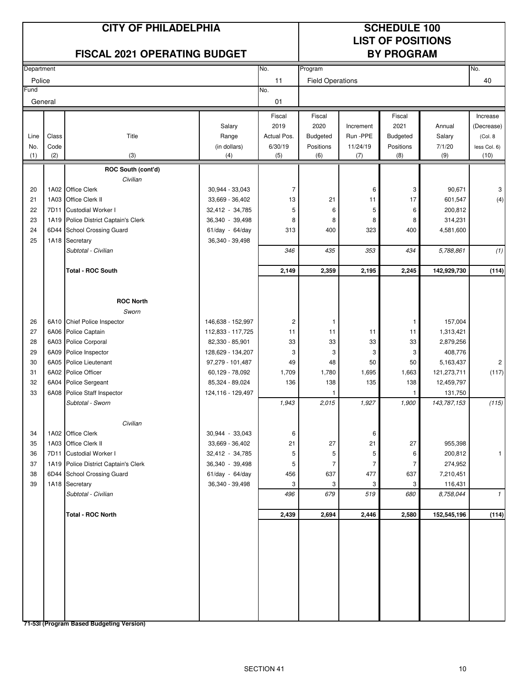# **LIST OF POSITIONS**

|            |       | <b>FISCAL 2021 OPERATING BUDGET</b>           |                                       |             |                         |           | <b>BY PROGRAM</b> |                      |                |
|------------|-------|-----------------------------------------------|---------------------------------------|-------------|-------------------------|-----------|-------------------|----------------------|----------------|
| Department |       |                                               |                                       | No.         | Program                 |           |                   |                      | No.            |
| Police     |       |                                               |                                       | 11          | <b>Field Operations</b> |           |                   |                      | 40             |
| Fund       |       |                                               |                                       | No.         |                         |           |                   |                      |                |
| General    |       |                                               |                                       | 01          |                         |           |                   |                      |                |
|            |       |                                               |                                       | Fiscal      | Fiscal                  |           | Fiscal            |                      | Increase       |
|            |       |                                               | Salary                                | 2019        | 2020                    | Increment | 2021              | Annual               | (Decrease)     |
| Line       | Class | Title                                         | Range                                 | Actual Pos. | Budgeted                | Run -PPE  | <b>Budgeted</b>   | Salary               | (Col. 8)       |
| No.        | Code  |                                               | (in dollars)                          | 6/30/19     | Positions               | 11/24/19  | Positions         | 7/1/20               | less Col. 6)   |
| (1)        | (2)   | (3)                                           | (4)                                   | (5)         | (6)                     | (7)       | (8)               | (9)                  | (10)           |
|            |       | ROC South (cont'd)                            |                                       |             |                         |           |                   |                      |                |
|            |       | Civilian                                      |                                       |             |                         |           |                   |                      |                |
| 20         |       | 1A02 Office Clerk                             | 30,944 - 33,043                       | 7           |                         | 6         | 3                 | 90,671               | 3              |
| 21         | 1A03  | Office Clerk II                               | 33,669 - 36,402                       | 13          | 21                      | 11        | 17                | 601,547              | (4)            |
| 22         | 7D11  | <b>Custodial Worker I</b>                     | 32,412 - 34,785                       | 5           | 6                       | 5         | 6                 | 200,812              |                |
| 23         | 1A19  | Police District Captain's Clerk               | 36,340 - 39,498                       | 8           | 8                       | 8         | 8                 | 314,231              |                |
| 24         | 6D44  | <b>School Crossing Guard</b>                  | 61/day - 64/day                       | 313         | 400                     | 323       | 400               | 4,581,600            |                |
| 25         | 1A18  | Secretary                                     | 36,340 - 39,498                       |             |                         |           |                   |                      |                |
|            |       | Subtotal - Civilian                           |                                       | 346         | 435                     | 353       | 434               | 5,788,861            | (1)            |
|            |       | <b>Total - ROC South</b>                      |                                       | 2,149       | 2,359                   | 2,195     | 2,245             | 142,929,730          | (114)          |
|            |       |                                               |                                       |             |                         |           |                   |                      |                |
|            |       |                                               |                                       |             |                         |           |                   |                      |                |
|            |       | <b>ROC North</b>                              |                                       |             |                         |           |                   |                      |                |
|            |       | Sworn                                         |                                       |             |                         |           |                   |                      |                |
| 26         |       | 6A10 Chief Police Inspector                   | 146,638 - 152,997                     | 2           | 1                       |           | 1                 | 157,004              |                |
| 27         |       | 6A06 Police Captain                           | 112,833 - 117,725                     | 11          | 11                      | 11<br>33  | 11                | 1,313,421            |                |
| 28<br>29   |       | 6A03 Police Corporal<br>6A09 Police Inspector | 82,330 - 85,901                       | 33<br>3     | 33<br>3                 | 3         | 33                | 2,879,256<br>408,776 |                |
| 30         |       | 6A05 Police Lieutenant                        | 128,629 - 134,207<br>97,279 - 101,487 | 49          | 48                      | 50        | 3<br>50           | 5,163,437            | $\overline{c}$ |
| 31         |       | 6A02 Police Officer                           | 60,129 - 78,092                       | 1,709       | 1,780                   | 1,695     | 1,663             | 121,273,711          | (117)          |
| 32         | 6A04  | <b>Police Sergeant</b>                        | 85,324 - 89,024                       | 136         | 138                     | 135       | 138               | 12,459,797           |                |
| 33         | 6A08  | Police Staff Inspector                        | 124, 116 - 129, 497                   |             |                         |           | 1                 | 131,750              |                |
|            |       | Subtotal - Sworn                              |                                       | 1,943       | 2,015                   | 1,927     | 1,900             | 143,787,153          | (115)          |
|            |       |                                               |                                       |             |                         |           |                   |                      |                |
|            |       | Civilian                                      |                                       |             |                         |           |                   |                      |                |
| 34         |       | 1A02 Office Clerk                             | 30,944 - 33,043                       | 6           |                         | 6         |                   |                      |                |
| 35         |       | 1A03 Office Clerk II                          | 33,669 - 36,402                       | 21          | 27                      | 21        | 27                | 955,398              |                |
| 36         | 7D11  | Custodial Worker I                            | 32,412 - 34,785                       | 5           | 5                       | 5         | 6                 | 200,812              | 1              |
| 37         |       | 1A19 Police District Captain's Clerk          | 36,340 - 39,498                       | 5           | 7                       | 7         | 7                 | 274,952              |                |
| 38         |       | 6D44 School Crossing Guard                    | 61/day - 64/day                       | 456         | 637                     | 477       | 637               | 7,210,451            |                |
| 39         | 1A18  | Secretary                                     | 36,340 - 39,498                       | 3           | 3                       | 3         | 3                 | 116,431              |                |
|            |       | Subtotal - Civilian                           |                                       | 496         | 679                     | 519       | 680               | 8,758,044            | $\mathcal{I}$  |
|            |       | Total - ROC North                             |                                       | 2,439       | 2,694                   | 2,446     | 2,580             | 152,545,196          | (114)          |
|            |       |                                               |                                       |             |                         |           |                   |                      |                |
|            |       |                                               |                                       |             |                         |           |                   |                      |                |
|            |       |                                               |                                       |             |                         |           |                   |                      |                |
|            |       |                                               |                                       |             |                         |           |                   |                      |                |
|            |       |                                               |                                       |             |                         |           |                   |                      |                |
|            |       |                                               |                                       |             |                         |           |                   |                      |                |
|            |       |                                               |                                       |             |                         |           |                   |                      |                |
|            |       |                                               |                                       |             |                         |           |                   |                      |                |
|            |       |                                               |                                       |             |                         |           |                   |                      |                |
|            |       | 71-53I (Program Based Budgeting Version)      |                                       |             |                         |           |                   |                      |                |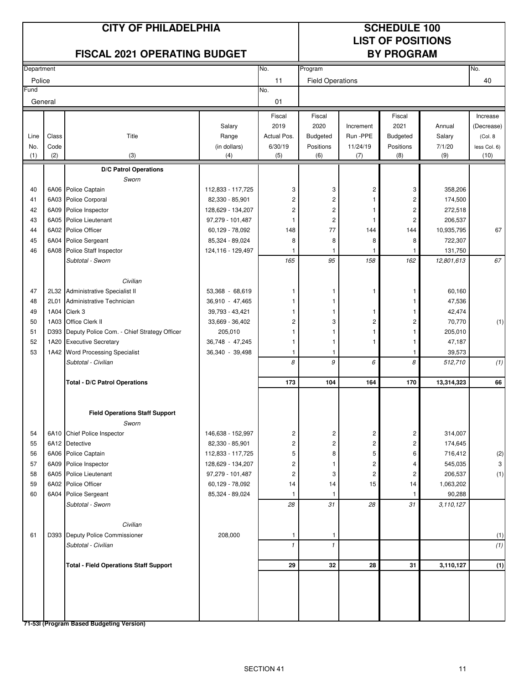## **LIST OF POSITIONS**

|            |       | <b>FISCAL 2021 OPERATING BUDGET</b>           |                   |              |                         |                | <b>BY PROGRAM</b> |            |              |
|------------|-------|-----------------------------------------------|-------------------|--------------|-------------------------|----------------|-------------------|------------|--------------|
| Department |       |                                               |                   | No.          | Program                 |                |                   |            | No.          |
| Police     |       |                                               |                   | 11           | <b>Field Operations</b> |                |                   |            | 40           |
| Fund       |       |                                               |                   | No.          |                         |                |                   |            |              |
| General    |       |                                               |                   | 01           |                         |                |                   |            |              |
|            |       |                                               |                   | Fiscal       | Fiscal                  |                | Fiscal            |            | Increase     |
|            |       |                                               | Salary            | 2019         | 2020                    | Increment      | 2021              | Annual     | (Decrease)   |
| Line       | Class | Title                                         | Range             | Actual Pos.  | Budgeted                | Run -PPE       | <b>Budgeted</b>   | Salary     | (Col. 8      |
| No.        | Code  |                                               | (in dollars)      | 6/30/19      | Positions               | 11/24/19       | Positions         | 7/1/20     | less Col. 6) |
| (1)        | (2)   | (3)                                           | (4)               | (5)          | (6)                     | (7)            | (8)               | (9)        | (10)         |
|            |       | <b>D/C Patrol Operations</b>                  |                   |              |                         |                |                   |            |              |
|            |       | Sworn                                         |                   |              |                         |                |                   |            |              |
| 40         |       | 6A06 Police Captain                           | 112,833 - 117,725 | 3            | 3                       | 2              | 3                 | 358,206    |              |
| 41         |       | 6A03 Police Corporal                          | 82,330 - 85,901   | 2            | 2                       |                | 2                 | 174,500    |              |
| 42         | 6A09  | Police Inspector                              | 128,629 - 134,207 | 2            | 2                       | 1              | 2                 | 272,518    |              |
| 43         | 6A05  | Police Lieutenant                             | 97,279 - 101,487  | 1            | $\overline{c}$          | 1              | 2                 | 206,537    |              |
| 44         | 6A02  | Police Officer                                | 60,129 - 78,092   | 148          | 77                      | 144            | 144               | 10,935,795 | 67           |
| 45         |       | 6A04 Police Sergeant                          | 85,324 - 89,024   | 8            | 8                       | 8              | 8                 | 722,307    |              |
| 46         |       | 6A08 Police Staff Inspector                   | 124,116 - 129,497 | 1            | 1                       | 1              | -1                | 131,750    |              |
|            |       | Subtotal - Sworn                              |                   | 165          | 95                      | 158            | 162               | 12,801,613 | 67           |
|            |       |                                               |                   |              |                         |                |                   |            |              |
|            |       | Civilian                                      |                   |              |                         |                |                   |            |              |
| 47         | 2L32  | <b>Administrative Specialist II</b>           | 53,368 - 68,619   | 1            | 1                       | 1              | 1                 | 60,160     |              |
| 48         | 2L01  | Administrative Technician                     | 36,910 - 47,465   | 1            | 1                       |                |                   | 47,536     |              |
| 49         | 1A04  | Clerk 3                                       | 39,793 - 43,421   | 1            | 1                       | 1              |                   | 42,474     |              |
| 50         | 1A03  | Office Clerk II                               | 33,669 - 36,402   | 2            | 3                       | 2              | 2                 | 70,770     | (1)          |
| 51         | D393  | Deputy Police Com. - Chief Strategy Officer   | 205,010           | 1            |                         | 1              |                   | 205,010    |              |
| 52         | 1A20  | <b>Executive Secretary</b>                    | 36,748 - 47,245   | 1            | 1                       | 1              |                   | 47,187     |              |
| 53         | 1A42  | <b>Word Processing Specialist</b>             | 36,340 - 39,498   | 1            | 1<br>9                  |                | 1                 | 39,573     |              |
|            |       | Subtotal - Civilian                           |                   | 8            |                         | 6              | 8                 | 512,710    | (1)          |
|            |       | <b>Total - D/C Patrol Operations</b>          |                   | 173          | 104                     | 164            | 170               | 13,314,323 | 66           |
|            |       | <b>Field Operations Staff Support</b>         |                   |              |                         |                |                   |            |              |
|            |       | Sworn                                         |                   |              |                         |                |                   |            |              |
| 54         |       | 6A10 Chief Police Inspector                   | 146,638 - 152,997 | 2            | 2                       | 2              | $\overline{c}$    | 314,007    |              |
| 55         |       | 6A12 Detective                                | 82,330 - 85,901   | 2            | 2                       | 2              | 2                 | 174,645    |              |
| 56         |       | 6A06 Police Captain                           | 112,833 - 117,725 | 5            | 8                       | 5              | 6                 | 716,412    | (2)          |
| 57         |       | 6A09 Police Inspector                         | 128,629 - 134,207 | 2            |                         | 2              | 4                 | 545,035    | 3            |
| 58         |       | 6A05 Police Lieutenant                        | 97,279 - 101,487  | 2            | 3                       | $\overline{c}$ | 2                 | 206,537    | (1)          |
| 59         |       | 6A02 Police Officer                           | 60,129 - 78,092   | 14           | 14                      | 15             | 14                | 1,063,202  |              |
| 60         |       | 6A04 Police Sergeant                          | 85,324 - 89,024   | 1            | 1                       |                | -1                | 90,288     |              |
|            |       | Subtotal - Sworn                              |                   | 28           | 31                      | 28             | 31                | 3,110,127  |              |
|            |       |                                               |                   |              |                         |                |                   |            |              |
|            |       | Civilian                                      |                   |              |                         |                |                   |            |              |
| 61         |       | D393 Deputy Police Commissioner               | 208,000           | 1            | 1                       |                |                   |            | (1)          |
|            |       | Subtotal - Civilian                           |                   | $\mathbf{1}$ | $\mathbf{1}$            |                |                   |            | (1)          |
|            |       | <b>Total - Field Operations Staff Support</b> |                   | 29           | 32                      | 28             | 31                | 3,110,127  | (1)          |
|            |       |                                               |                   |              |                         |                |                   |            |              |
|            |       |                                               |                   |              |                         |                |                   |            |              |
|            |       | 71-53I (Program Based Budgeting Version)      |                   |              |                         |                |                   |            |              |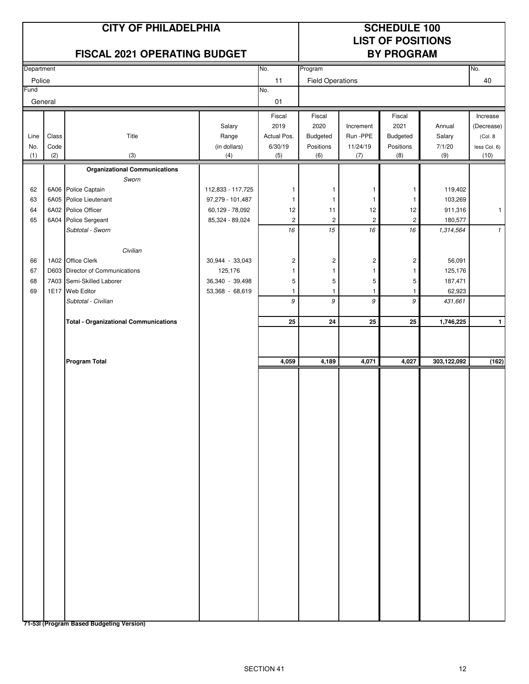# **LIST OF POSITIONS**

| FISCAL 2021 OPERATING BUDGET |       |                                                      |                            |                         |                             | <b>BY PROGRAM</b> |                |                   |              |  |
|------------------------------|-------|------------------------------------------------------|----------------------------|-------------------------|-----------------------------|-------------------|----------------|-------------------|--------------|--|
| Department                   |       |                                                      |                            | No.                     | Program                     |                   |                |                   | No.          |  |
| Police                       |       |                                                      |                            | 11                      | <b>Field Operations</b>     |                   |                |                   | 40           |  |
| Fund                         |       |                                                      |                            | No.                     |                             |                   |                |                   |              |  |
| General                      |       |                                                      |                            | 01                      |                             |                   |                |                   |              |  |
|                              |       |                                                      |                            | Fiscal                  | Fiscal                      |                   | Fiscal         |                   | Increase     |  |
|                              |       |                                                      | Salary                     | 2019                    | 2020                        | Increment         | 2021           | Annual            | (Decrease)   |  |
| Line                         | Class | Title                                                | Range                      | Actual Pos.             | Budgeted                    | Run -PPE          | Budgeted       | Salary            | (Col. 8      |  |
| No.                          | Code  |                                                      | (in dollars)               | 6/30/19                 | Positions                   | 11/24/19          | Positions      | 7/1/20            | less Col. 6) |  |
| (1)                          | (2)   | (3)                                                  | (4)                        | (5)                     | (6)                         | (7)               | (8)            | (9)               | (10)         |  |
|                              |       | <b>Organizational Communications</b>                 |                            |                         |                             |                   |                |                   |              |  |
|                              |       | Sworn                                                |                            |                         |                             |                   |                |                   |              |  |
| 62                           |       | 6A06 Police Captain                                  | 112,833 - 117,725          | 1                       | 1                           | 1                 | 1              | 119,402           |              |  |
| 63                           |       | 6A05 Police Lieutenant                               | 97,279 - 101,487           | 1                       | 1                           | 1                 | 1              | 103,269           |              |  |
| 64                           |       | 6A02 Police Officer                                  | 60,129 - 78,092            | 12                      | 11                          | 12                | 12             | 911,316           | $\mathbf{1}$ |  |
| 65                           |       | 6A04 Police Sergeant                                 | 85,324 - 89,024            | $\overline{\mathbf{c}}$ | $\overline{\mathbf{c}}$     | $\overline{c}$    | $\overline{c}$ | 180,577           |              |  |
|                              |       | Subtotal - Sworn                                     |                            | $16\,$                  | $15\,$                      | $16\,$            | $16\,$         | 1,314,564         | $\mathbf{1}$ |  |
|                              |       |                                                      |                            |                         |                             |                   |                |                   |              |  |
| 66                           |       | Civilian                                             |                            |                         |                             |                   |                |                   |              |  |
| 67                           |       | 1A02 Office Clerk<br>D603 Director of Communications | 30,944 - 33,043<br>125,176 | 2<br>1                  | $\mathbf 2$<br>$\mathbf{1}$ | 2<br>1            | 2<br>1         | 56,091<br>125,176 |              |  |
| 68                           |       | 7A03 Semi-Skilled Laborer                            | 36,340 - 39,498            | 5                       | 5                           | 5                 | 5              | 187,471           |              |  |
| 69                           |       | 1E17 Web Editor                                      | 53,368 - 68,619            | 1                       | $\mathbf{1}$                | 1                 | 1              | 62,923            |              |  |
|                              |       | Subtotal - Civilian                                  |                            | 9                       | 9                           | 9                 | 9              | 431,661           |              |  |
|                              |       |                                                      |                            |                         |                             |                   |                |                   |              |  |
|                              |       | <b>Total - Organizational Communications</b>         |                            | 25                      | 24                          | 25                | 25             | 1,746,225         | $\mathbf{1}$ |  |
|                              |       |                                                      |                            |                         |                             |                   |                |                   |              |  |
|                              |       | <b>Program Total</b>                                 |                            | 4,059                   | 4,189                       | 4,071             | 4,027          | 303,122,092       | (162)        |  |
|                              |       |                                                      |                            |                         |                             |                   |                |                   |              |  |
|                              |       |                                                      |                            |                         |                             |                   |                |                   |              |  |
|                              |       |                                                      |                            |                         |                             |                   |                |                   |              |  |
|                              |       |                                                      |                            |                         |                             |                   |                |                   |              |  |
|                              |       |                                                      |                            |                         |                             |                   |                |                   |              |  |
|                              |       |                                                      |                            |                         |                             |                   |                |                   |              |  |
|                              |       |                                                      |                            |                         |                             |                   |                |                   |              |  |
|                              |       |                                                      |                            |                         |                             |                   |                |                   |              |  |
|                              |       |                                                      |                            |                         |                             |                   |                |                   |              |  |
|                              |       |                                                      |                            |                         |                             |                   |                |                   |              |  |
|                              |       |                                                      |                            |                         |                             |                   |                |                   |              |  |
|                              |       |                                                      |                            |                         |                             |                   |                |                   |              |  |
|                              |       |                                                      |                            |                         |                             |                   |                |                   |              |  |
|                              |       |                                                      |                            |                         |                             |                   |                |                   |              |  |
|                              |       |                                                      |                            |                         |                             |                   |                |                   |              |  |
|                              |       |                                                      |                            |                         |                             |                   |                |                   |              |  |
|                              |       |                                                      |                            |                         |                             |                   |                |                   |              |  |
|                              |       |                                                      |                            |                         |                             |                   |                |                   |              |  |
|                              |       |                                                      |                            |                         |                             |                   |                |                   |              |  |
|                              |       |                                                      |                            |                         |                             |                   |                |                   |              |  |
|                              |       |                                                      |                            |                         |                             |                   |                |                   |              |  |
|                              |       |                                                      |                            |                         |                             |                   |                |                   |              |  |
|                              |       |                                                      |                            |                         |                             |                   |                |                   |              |  |
|                              |       | 71-53I (Program Based Budgeting Version)             |                            |                         |                             |                   |                |                   |              |  |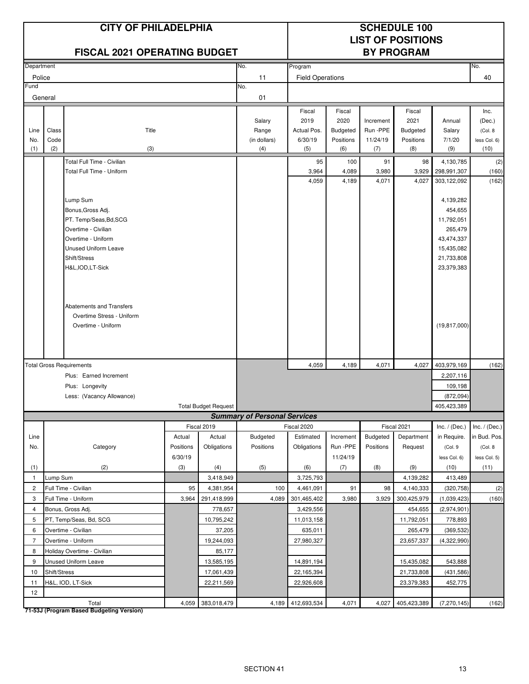|                |               | <b>CITY OF PHILADELPHIA</b><br><b>FISCAL 2021 OPERATING BUDGET</b> |                     |                       |                                     | <b>SCHEDULE 100</b><br><b>LIST OF POSITIONS</b><br><b>BY PROGRAM</b> |                              |                      |                           |                                |                               |
|----------------|---------------|--------------------------------------------------------------------|---------------------|-----------------------|-------------------------------------|----------------------------------------------------------------------|------------------------------|----------------------|---------------------------|--------------------------------|-------------------------------|
| Department     |               |                                                                    |                     |                       | No.                                 | Program                                                              |                              |                      |                           |                                | No.                           |
| Police         |               |                                                                    |                     |                       | 11                                  | <b>Field Operations</b>                                              |                              |                      |                           |                                | 40                            |
| Fund           |               |                                                                    |                     |                       | No.                                 |                                                                      |                              |                      |                           |                                |                               |
|                | General       |                                                                    |                     |                       | 01                                  |                                                                      |                              |                      |                           |                                |                               |
|                |               |                                                                    |                     |                       |                                     | Fiscal                                                               | Fiscal                       |                      | Fiscal                    |                                | Inc.                          |
|                |               |                                                                    |                     |                       | Salary                              | 2019                                                                 | 2020                         | Increment            | 2021                      | Annual                         | (Dec.)                        |
| Line<br>No.    | Class<br>Code | Title                                                              |                     |                       | Range<br>(in dollars)               | Actual Pos.<br>6/30/19                                               | <b>Budgeted</b><br>Positions | Run -PPE<br>11/24/19 | Budgeted<br>Positions     | Salary<br>7/1/20               | (Col. 8)<br>less Col. 6)      |
| (1)            | (2)           | (3)                                                                |                     |                       | (4)                                 | (5)                                                                  | (6)                          | (7)                  | (8)                       | (9)                            | (10)                          |
|                |               | Total Full Time - Civilian                                         |                     |                       |                                     | 95                                                                   | 100                          | 91                   | 98                        | 4,130,785                      | (2)                           |
|                |               | Total Full Time - Uniform                                          |                     |                       |                                     | 3,964                                                                | 4,089                        | 3,980                | 3,929                     | 298,991,307                    | (160)                         |
|                |               |                                                                    |                     |                       |                                     | 4,059                                                                | 4,189                        | 4,071                | 4,027                     | 303,122,092                    | (162)                         |
|                |               |                                                                    |                     |                       |                                     |                                                                      |                              |                      |                           |                                |                               |
|                |               | Lump Sum                                                           |                     |                       |                                     |                                                                      |                              |                      |                           | 4,139,282                      |                               |
|                |               | Bonus, Gross Adj.                                                  |                     |                       |                                     |                                                                      |                              |                      |                           | 454,655                        |                               |
|                |               | PT. Temp/Seas, Bd, SCG<br>Overtime - Civilian                      |                     |                       |                                     |                                                                      |                              |                      |                           | 11,792,051<br>265,479          |                               |
|                |               | Overtime - Uniform                                                 |                     |                       |                                     |                                                                      |                              |                      |                           | 43,474,337                     |                               |
|                |               | <b>Unused Uniform Leave</b>                                        |                     |                       |                                     |                                                                      |                              |                      |                           | 15,435,082                     |                               |
|                |               | Shift/Stress                                                       |                     |                       |                                     |                                                                      |                              |                      |                           | 21,733,808                     |                               |
|                |               | H&L, IOD, LT-Sick                                                  |                     |                       |                                     |                                                                      |                              |                      |                           | 23,379,383                     |                               |
|                |               |                                                                    |                     |                       |                                     |                                                                      |                              |                      |                           |                                |                               |
|                |               |                                                                    |                     |                       |                                     |                                                                      |                              |                      |                           |                                |                               |
|                |               |                                                                    |                     |                       |                                     |                                                                      |                              |                      |                           |                                |                               |
|                |               | Abatements and Transfers                                           |                     |                       |                                     |                                                                      |                              |                      |                           |                                |                               |
|                |               | Overtime Stress - Uniform                                          |                     |                       |                                     |                                                                      |                              |                      |                           |                                |                               |
|                |               | Overtime - Uniform                                                 |                     |                       |                                     |                                                                      |                              |                      |                           | (19, 817, 000)                 |                               |
|                |               |                                                                    |                     |                       |                                     |                                                                      |                              |                      |                           |                                |                               |
|                |               |                                                                    |                     |                       |                                     |                                                                      |                              |                      |                           |                                |                               |
|                |               | <b>Total Gross Requirements</b>                                    |                     |                       |                                     | 4,059                                                                | 4,189                        | 4,071                | 4,027                     | 403,979,169                    | (162)                         |
|                |               | Plus: Earned Increment                                             |                     |                       |                                     |                                                                      |                              |                      |                           | 2,207,116                      |                               |
|                |               | Plus: Longevity                                                    |                     |                       |                                     |                                                                      |                              |                      |                           | 109,198                        |                               |
|                |               | Less: (Vacancy Allowance)                                          |                     |                       |                                     |                                                                      |                              |                      |                           | (872, 094)                     |                               |
|                |               |                                                                    |                     | Total Budget Request  |                                     |                                                                      |                              |                      |                           | 405,423,389                    |                               |
|                |               |                                                                    |                     |                       | <b>Summary of Personal Services</b> |                                                                      |                              |                      |                           |                                |                               |
|                |               |                                                                    |                     | Fiscal 2019           | Budgeted                            | Fiscal 2020<br>Estimated                                             |                              | <b>Budgeted</b>      | Fiscal 2021<br>Department | Inc. $/$ (Dec.)<br>in Require. | Inc. / (Dec.)<br>in Bud. Pos. |
| Line<br>No.    |               | Category                                                           | Actual<br>Positions | Actual<br>Obligations | Positions                           | Obligations                                                          | Increment<br>Run -PPE        | Positions            | Request                   | (Col. 9                        | (Col. 8                       |
|                |               |                                                                    | 6/30/19             |                       |                                     |                                                                      | 11/24/19                     |                      |                           | less Col. 6)                   | less Col. 5)                  |
| (1)            |               | (2)                                                                | (3)                 | (4)                   | (5)                                 | (6)                                                                  | (7)                          | (8)                  | (9)                       | (10)                           | (11)                          |
| $\mathbf{1}$   | Lump Sum      |                                                                    |                     | 3,418,949             |                                     | 3,725,793                                                            |                              |                      | 4,139,282                 | 413,489                        |                               |
| $\overline{c}$ |               | Full Time - Civilian                                               | 95                  | 4,381,954             | 100                                 | 4,461,091                                                            | 91                           | 98                   | 4,140,333                 | (320, 758)                     | (2)                           |
| 3              |               | Full Time - Uniform                                                | 3,964               | 291,418,999           | 4,089                               | 301,465,402                                                          | 3,980                        | 3,929                | 300,425,979               | (1,039,423)                    | (160)                         |
| $\overline{4}$ |               | Bonus, Gross Adj.                                                  |                     | 778,657               |                                     | 3,429,556                                                            |                              |                      | 454,655                   | (2,974,901)                    |                               |
| 5              |               | PT, Temp/Seas, Bd, SCG                                             |                     | 10,795,242            |                                     | 11,013,158                                                           |                              |                      | 11,792,051                | 778,893                        |                               |
| 6              |               | Overtime - Civilian                                                |                     | 37,205                |                                     | 635,011                                                              |                              |                      | 265,479                   | (369, 532)                     |                               |
| $\overline{7}$ |               | Overtime - Uniform                                                 |                     | 19,244,093            |                                     | 27,980,327                                                           |                              |                      | 23,657,337                | (4,322,990)                    |                               |
| 8              |               | Holiday Overtime - Civilian                                        |                     | 85,177                |                                     |                                                                      |                              |                      |                           |                                |                               |
| 9              |               | Unused Uniform Leave                                               |                     | 13,585,195            |                                     | 14,891,194                                                           |                              |                      | 15,435,082                | 543,888                        |                               |
| 10             | Shift/Stress  |                                                                    |                     | 17,061,439            |                                     | 22,165,394                                                           |                              |                      | 21,733,808                | (431, 586)                     |                               |
| 11             |               | H&L, IOD, LT-Sick                                                  |                     | 22,211,569            |                                     | 22,926,608                                                           |                              |                      | 23,379,383                | 452,775                        |                               |
| 12             |               |                                                                    |                     |                       |                                     |                                                                      |                              |                      |                           |                                |                               |
|                |               | Total                                                              |                     | 4,059 383,018,479     | 4,189                               | 412,693,534                                                          | 4,071                        | 4,027                | 405,423,389               | (7, 270, 145)                  | (162)                         |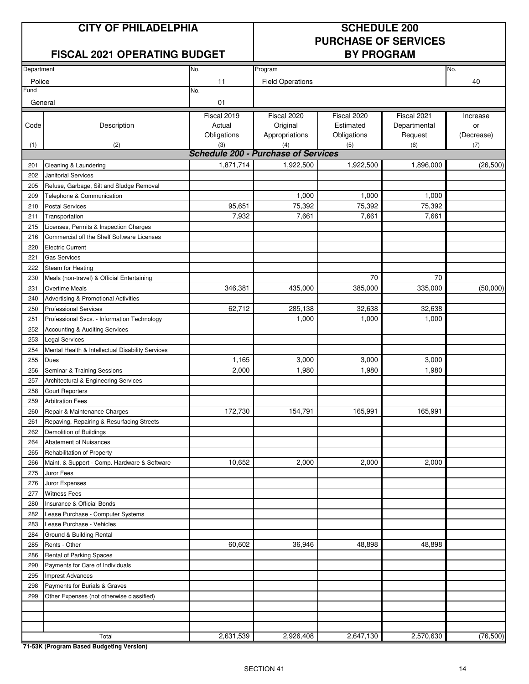#### **FISCAL 2021 OPERATING BUDGET BY PROGRAM**

# **PURCHASE OF SERVICES**

| Department     |                                                  | No.         | Program                                    |             |              | No.        |
|----------------|--------------------------------------------------|-------------|--------------------------------------------|-------------|--------------|------------|
|                |                                                  |             |                                            |             |              |            |
| Police<br>Fund |                                                  | 11<br>No.   | <b>Field Operations</b>                    |             |              | 40         |
|                |                                                  |             |                                            |             |              |            |
| General        |                                                  | 01          |                                            |             |              |            |
|                |                                                  | Fiscal 2019 | Fiscal 2020                                | Fiscal 2020 | Fiscal 2021  | Increase   |
| Code           | Description                                      | Actual      | Original                                   | Estimated   | Departmental | or         |
|                |                                                  | Obligations | Appropriations                             | Obligations | Request      | (Decrease) |
| (1)            | (2)                                              | (3)         | (4)                                        | (5)         | (6)          | (7)        |
|                |                                                  |             | <b>Schedule 200 - Purchase of Services</b> |             |              |            |
| 201            | Cleaning & Laundering                            | 1,871,714   | 1,922,500                                  | 1,922,500   | 1,896,000    | (26, 500)  |
| 202            | <b>Janitorial Services</b>                       |             |                                            |             |              |            |
| 205            | Refuse, Garbage, Silt and Sludge Removal         |             |                                            |             |              |            |
| 209            | Telephone & Communication                        |             | 1,000                                      | 1,000       | 1,000        |            |
| 210            | <b>Postal Services</b>                           | 95,651      | 75,392                                     | 75,392      | 75,392       |            |
| 211            | Transportation                                   | 7,932       | 7,661                                      | 7,661       | 7,661        |            |
| 215            | Licenses, Permits & Inspection Charges           |             |                                            |             |              |            |
| 216            | Commercial off the Shelf Software Licenses       |             |                                            |             |              |            |
| 220            | <b>Electric Current</b>                          |             |                                            |             |              |            |
| 221            | <b>Gas Services</b>                              |             |                                            |             |              |            |
| 222            | Steam for Heating                                |             |                                            |             |              |            |
| 230            | Meals (non-travel) & Official Entertaining       |             |                                            | 70          | 70           |            |
| 231            | Overtime Meals                                   | 346,381     | 435,000                                    | 385,000     | 335,000      | (50,000)   |
| 240            | <b>Advertising &amp; Promotional Activities</b>  |             |                                            |             |              |            |
| 250            | <b>Professional Services</b>                     | 62,712      | 285,138                                    | 32,638      | 32,638       |            |
| 251            | Professional Svcs. - Information Technology      |             | 1,000                                      | 1,000       | 1,000        |            |
| 252            | Accounting & Auditing Services                   |             |                                            |             |              |            |
| 253            | <b>Legal Services</b>                            |             |                                            |             |              |            |
| 254            | Mental Health & Intellectual Disability Services |             |                                            |             |              |            |
| 255            | Dues                                             | 1,165       | 3,000                                      | 3,000       | 3,000        |            |
| 256            | Seminar & Training Sessions                      | 2,000       | 1,980                                      | 1,980       | 1,980        |            |
| 257            | Architectural & Engineering Services             |             |                                            |             |              |            |
| 258            | <b>Court Reporters</b>                           |             |                                            |             |              |            |
| 259            | <b>Arbitration Fees</b>                          |             |                                            |             |              |            |
| 260            | Repair & Maintenance Charges                     | 172,730     | 154,791                                    | 165,991     | 165,991      |            |
| 261            | Repaving, Repairing & Resurfacing Streets        |             |                                            |             |              |            |
| 262            | Demolition of Buildings                          |             |                                            |             |              |            |
| 264            | <b>Abatement of Nuisances</b>                    |             |                                            |             |              |            |
| 265            | Rehabilitation of Property                       |             |                                            |             |              |            |
| 266            | Maint. & Support - Comp. Hardware & Software     | 10,652      | 2,000                                      | 2,000       | 2,000        |            |
| 275            | Juror Fees                                       |             |                                            |             |              |            |
| 276            | Juror Expenses                                   |             |                                            |             |              |            |
| 277            | <b>Witness Fees</b>                              |             |                                            |             |              |            |
| 280            | Insurance & Official Bonds                       |             |                                            |             |              |            |
| 282            | ease Purchase - Computer Systems                 |             |                                            |             |              |            |
| 283            | Lease Purchase - Vehicles                        |             |                                            |             |              |            |
| 284            | Ground & Building Rental                         |             |                                            |             |              |            |
| 285            | Rents - Other                                    | 60,602      | 36,946                                     | 48,898      | 48,898       |            |
| 286            | Rental of Parking Spaces                         |             |                                            |             |              |            |
| 290            | Payments for Care of Individuals                 |             |                                            |             |              |            |
| 295            | <b>Imprest Advances</b>                          |             |                                            |             |              |            |
| 298            | Payments for Burials & Graves                    |             |                                            |             |              |            |
| 299            | Other Expenses (not otherwise classified)        |             |                                            |             |              |            |
|                |                                                  |             |                                            |             |              |            |
|                |                                                  |             |                                            |             |              |            |
|                |                                                  |             |                                            |             |              |            |
|                | Total                                            | 2,631,539   | 2,926,408                                  | 2,647,130   | 2,570,630    | (76, 500)  |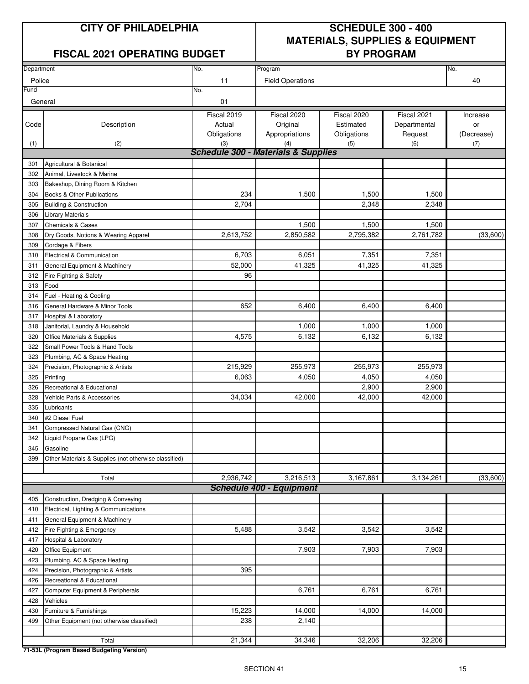#### **FISCAL 2021 OPERATING BUDGET BY PROGRAM**

## **CITY OF PHILADELPHIA SCHEDULE 300 - 400 MATERIALS, SUPPLIES & EQUIPMENT**

| Department |                                                       | No.                                            | Program                         |             |              | No.        |
|------------|-------------------------------------------------------|------------------------------------------------|---------------------------------|-------------|--------------|------------|
|            |                                                       |                                                |                                 |             |              |            |
| Police     |                                                       | 11                                             | <b>Field Operations</b>         |             |              | 40         |
| Fund       |                                                       | No.                                            |                                 |             |              |            |
| General    |                                                       | 01                                             |                                 |             |              |            |
|            |                                                       | Fiscal 2019                                    | Fiscal 2020                     | Fiscal 2020 | Fiscal 2021  | Increase   |
| Code       | Description                                           | Actual                                         | Original                        | Estimated   | Departmental | or         |
|            |                                                       | Obligations                                    | Appropriations                  | Obligations | Request      | (Decrease) |
| (1)        | (2)                                                   | (3)                                            | (4)                             | (5)         | (6)          | (7)        |
|            |                                                       | <b>Schedule 300 - Materials &amp; Supplies</b> |                                 |             |              |            |
| 301        | Agricultural & Botanical                              |                                                |                                 |             |              |            |
| 302        | Animal, Livestock & Marine                            |                                                |                                 |             |              |            |
| 303        | Bakeshop, Dining Room & Kitchen                       |                                                |                                 |             |              |            |
| 304        | Books & Other Publications                            | 234                                            | 1,500                           | 1,500       | 1,500        |            |
| 305        | <b>Building &amp; Construction</b>                    | 2,704                                          |                                 | 2,348       | 2,348        |            |
| 306        | <b>Library Materials</b>                              |                                                |                                 |             |              |            |
| 307        | <b>Chemicals &amp; Gases</b>                          |                                                | 1,500                           | 1,500       | 1,500        |            |
| 308        | Dry Goods, Notions & Wearing Apparel                  | 2,613,752                                      | 2,850,582                       | 2,795,382   | 2,761,782    | (33,600)   |
| 309        | Cordage & Fibers                                      |                                                |                                 |             |              |            |
| 310        | Electrical & Communication                            | 6,703                                          | 6,051                           | 7,351       | 7,351        |            |
| 311        | General Equipment & Machinery                         | 52,000                                         | 41,325                          | 41,325      | 41,325       |            |
| 312        | Fire Fighting & Safety                                | 96                                             |                                 |             |              |            |
| 313        | Food                                                  |                                                |                                 |             |              |            |
| 314        | Fuel - Heating & Cooling                              |                                                |                                 |             |              |            |
| 316        | General Hardware & Minor Tools                        | 652                                            | 6,400                           | 6,400       | 6,400        |            |
| 317        | Hospital & Laboratory                                 |                                                |                                 |             |              |            |
| 318        | Janitorial, Laundry & Household                       |                                                | 1,000                           | 1,000       | 1,000        |            |
| 320        | Office Materials & Supplies                           | 4,575                                          | 6,132                           | 6,132       | 6,132        |            |
| 322        | Small Power Tools & Hand Tools                        |                                                |                                 |             |              |            |
| 323        | Plumbing, AC & Space Heating                          |                                                |                                 |             |              |            |
| 324        | Precision, Photographic & Artists                     | 215,929                                        | 255,973                         | 255,973     | 255,973      |            |
| 325        | Printing                                              | 6,063                                          | 4,050                           | 4,050       | 4,050        |            |
| 326        | Recreational & Educational                            |                                                |                                 | 2,900       | 2,900        |            |
| 328        | Vehicle Parts & Accessories                           | 34,034                                         | 42,000                          | 42,000      | 42,000       |            |
| 335        | Lubricants                                            |                                                |                                 |             |              |            |
| 340        | #2 Diesel Fuel                                        |                                                |                                 |             |              |            |
| 341        | Compressed Natural Gas (CNG)                          |                                                |                                 |             |              |            |
| 342        | Liquid Propane Gas (LPG)                              |                                                |                                 |             |              |            |
| 345        | Gasoline                                              |                                                |                                 |             |              |            |
| 399        | Other Materials & Supplies (not otherwise classified) |                                                |                                 |             |              |            |
|            |                                                       |                                                |                                 |             |              |            |
|            | Total                                                 | 2,936,742                                      | 3,216,513                       | 3,167,861   | 3,134,261    | (33,600)   |
|            |                                                       |                                                | <b>Schedule 400 - Equipment</b> |             |              |            |
| 405        | Construction, Dredging & Conveying                    |                                                |                                 |             |              |            |
| 410        | Electrical, Lighting & Communications                 |                                                |                                 |             |              |            |
| 411        | General Equipment & Machinery                         |                                                |                                 |             |              |            |
| 412        | Fire Fighting & Emergency                             | 5,488                                          | 3,542                           | 3,542       | 3,542        |            |
| 417        | Hospital & Laboratory                                 |                                                |                                 |             |              |            |
| 420        | Office Equipment                                      |                                                | 7,903                           | 7,903       | 7,903        |            |
| 423        | Plumbing, AC & Space Heating                          |                                                |                                 |             |              |            |
| 424        | Precision, Photographic & Artists                     | 395                                            |                                 |             |              |            |
| 426        | Recreational & Educational                            |                                                |                                 |             |              |            |
| 427        | Computer Equipment & Peripherals                      |                                                | 6,761                           | 6,761       | 6,761        |            |
| 428        | Vehicles                                              |                                                |                                 |             |              |            |
| 430        | Furniture & Furnishings                               | 15,223                                         | 14,000                          | 14,000      | 14,000       |            |
| 499        | Other Equipment (not otherwise classified)            | 238                                            | 2,140                           |             |              |            |
|            |                                                       |                                                |                                 |             |              |            |
|            | Total                                                 | 21,344                                         | 34,346                          | 32,206      | 32,206       |            |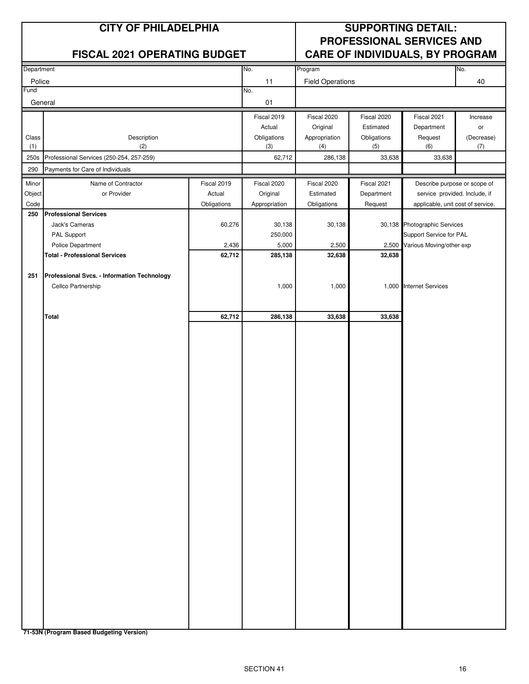|                | <b>CITY OF PHILADELPHIA</b>                 |             |                    | <b>SUPPORTING DETAIL:</b><br>PROFESSIONAL SERVICES AND |                    |                                                         |                   |  |  |
|----------------|---------------------------------------------|-------------|--------------------|--------------------------------------------------------|--------------------|---------------------------------------------------------|-------------------|--|--|
|                | <b>FISCAL 2021 OPERATING BUDGET</b>         |             |                    |                                                        |                    | <b>CARE OF INDIVIDUALS, BY PROGRAM</b>                  |                   |  |  |
| Department     |                                             |             | No.                | Program                                                |                    |                                                         | No.               |  |  |
| Police<br>Fund |                                             |             | 11<br>No.          | <b>Field Operations</b>                                |                    |                                                         | 40                |  |  |
| General        |                                             |             | 01                 |                                                        |                    |                                                         |                   |  |  |
|                |                                             |             | Fiscal 2019        | Fiscal 2020                                            | Fiscal 2020        | Fiscal 2021                                             | Increase          |  |  |
|                |                                             |             | Actual             | Original                                               | Estimated          | Department                                              | or                |  |  |
| Class<br>(1)   | Description<br>(2)                          |             | Obligations<br>(3) | Appropriation<br>(4)                                   | Obligations<br>(5) | Request<br>(6)                                          | (Decrease)<br>(7) |  |  |
| 250s           | Professional Services (250-254, 257-259)    |             | 62,712             | 286,138                                                | 33,638             | 33,638                                                  |                   |  |  |
| 290            | Payments for Care of Individuals            |             |                    |                                                        |                    |                                                         |                   |  |  |
| Minor          | Name of Contractor                          | Fiscal 2019 | Fiscal 2020        | Fiscal 2020                                            | Fiscal 2021        | Describe purpose or scope of                            |                   |  |  |
| Object         | or Provider                                 | Actual      | Original           | Estimated                                              | Department         | service provided. Include, if                           |                   |  |  |
| Code           |                                             | Obligations | Appropriation      | Obligations                                            | Request            | applicable, unit cost of service.                       |                   |  |  |
| 250            | <b>Professional Services</b>                |             |                    |                                                        |                    |                                                         |                   |  |  |
|                | Jack's Cameras<br>PAL Support               | 60,276      | 30,138<br>250,000  | 30,138                                                 |                    | 30,138 Photographic Services<br>Support Service for PAL |                   |  |  |
|                | Police Department                           | 2,436       | 5,000              | 2,500                                                  |                    | 2,500 Various Moving/other exp                          |                   |  |  |
|                | <b>Total - Professional Services</b>        | 62,712      | 285,138            | 32,638                                                 | 32,638             |                                                         |                   |  |  |
|                |                                             |             |                    |                                                        |                    |                                                         |                   |  |  |
| 251            | Professional Svcs. - Information Technology |             |                    |                                                        |                    |                                                         |                   |  |  |
|                | Cellco Partnership                          |             | 1,000              | 1,000                                                  |                    | 1,000 Internet Services                                 |                   |  |  |
|                |                                             |             |                    |                                                        |                    |                                                         |                   |  |  |
|                | <b>Total</b>                                | 62,712      | 286,138            | 33,638                                                 | 33,638             |                                                         |                   |  |  |
|                |                                             |             |                    |                                                        |                    |                                                         |                   |  |  |
|                |                                             |             |                    |                                                        |                    |                                                         |                   |  |  |
|                |                                             |             |                    |                                                        |                    |                                                         |                   |  |  |
|                |                                             |             |                    |                                                        |                    |                                                         |                   |  |  |
|                |                                             |             |                    |                                                        |                    |                                                         |                   |  |  |
|                |                                             |             |                    |                                                        |                    |                                                         |                   |  |  |
|                |                                             |             |                    |                                                        |                    |                                                         |                   |  |  |
|                |                                             |             |                    |                                                        |                    |                                                         |                   |  |  |
|                |                                             |             |                    |                                                        |                    |                                                         |                   |  |  |
|                |                                             |             |                    |                                                        |                    |                                                         |                   |  |  |
|                |                                             |             |                    |                                                        |                    |                                                         |                   |  |  |
|                |                                             |             |                    |                                                        |                    |                                                         |                   |  |  |
|                |                                             |             |                    |                                                        |                    |                                                         |                   |  |  |
|                |                                             |             |                    |                                                        |                    |                                                         |                   |  |  |
|                |                                             |             |                    |                                                        |                    |                                                         |                   |  |  |
|                |                                             |             |                    |                                                        |                    |                                                         |                   |  |  |
|                |                                             |             |                    |                                                        |                    |                                                         |                   |  |  |
|                |                                             |             |                    |                                                        |                    |                                                         |                   |  |  |
|                |                                             |             |                    |                                                        |                    |                                                         |                   |  |  |
|                |                                             |             |                    |                                                        |                    |                                                         |                   |  |  |
|                |                                             |             |                    |                                                        |                    |                                                         |                   |  |  |
|                |                                             |             |                    |                                                        |                    |                                                         |                   |  |  |
|                |                                             |             |                    |                                                        |                    |                                                         |                   |  |  |
|                |                                             |             |                    |                                                        |                    |                                                         |                   |  |  |
|                |                                             |             |                    |                                                        |                    |                                                         |                   |  |  |
|                |                                             |             |                    |                                                        |                    |                                                         |                   |  |  |
|                |                                             |             |                    |                                                        |                    |                                                         |                   |  |  |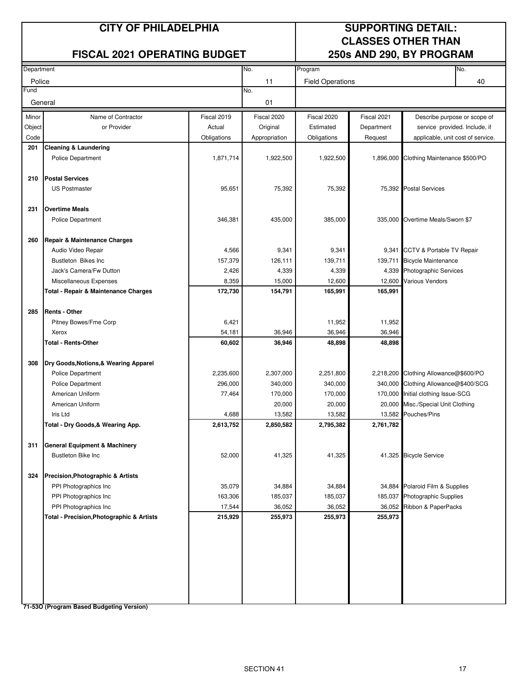#### **FISCAL 2021 OPERATING BUDGET 250s AND 290, BY PROGRAM**

## **CITY OF PHILADELPHIA SUPPORTING DETAIL: CLASSES OTHER THAN**

| Department |                                                      |             | No.               | Program                 |                  |                                                           | No. |
|------------|------------------------------------------------------|-------------|-------------------|-------------------------|------------------|-----------------------------------------------------------|-----|
| Police     |                                                      |             | 11                | <b>Field Operations</b> |                  |                                                           | 40  |
| Fund       |                                                      |             | No.               |                         |                  |                                                           |     |
| General    |                                                      |             | 01                |                         |                  |                                                           |     |
| Minor      | Name of Contractor                                   | Fiscal 2019 | Fiscal 2020       | Fiscal 2020             | Fiscal 2021      | Describe purpose or scope of                              |     |
| Object     | or Provider                                          | Actual      | Original          | Estimated               | Department       | service provided. Include, if                             |     |
| Code       |                                                      | Obligations | Appropriation     | Obligations             | Request          | applicable, unit cost of service.                         |     |
| 201        | <b>Cleaning &amp; Laundering</b>                     |             |                   |                         |                  |                                                           |     |
|            | <b>Police Department</b>                             | 1,871,714   | 1,922,500         | 1,922,500               | 1,896,000        | Clothing Maintenance \$500/PO                             |     |
| 210        | <b>Postal Services</b>                               |             |                   |                         |                  |                                                           |     |
|            | <b>US Postmaster</b>                                 | 95,651      | 75,392            | 75,392                  |                  | 75,392 Postal Services                                    |     |
|            |                                                      |             |                   |                         |                  |                                                           |     |
| 231        | <b>Overtime Meals</b>                                |             |                   |                         |                  |                                                           |     |
|            | <b>Police Department</b>                             | 346,381     | 435,000           | 385,000                 | 335,000          | Overtime Meals/Sworn \$7                                  |     |
|            |                                                      |             |                   |                         |                  |                                                           |     |
| 260        | Repair & Maintenance Charges                         |             |                   |                         |                  |                                                           |     |
|            | Audio Video Repair                                   | 4,566       | 9,341             | 9,341                   | 9,341            | CCTV & Portable TV Repair                                 |     |
|            | Bustleton Bikes Inc                                  | 157,379     | 126,111           | 139,711                 | 139,711          | <b>Bicycle Maintenance</b>                                |     |
|            | Jack's Camera/Fw Dutton                              | 2,426       | 4,339             | 4,339                   | 4,339            | <b>Photographic Services</b>                              |     |
|            | Miscellaneous Expenses                               | 8,359       | 15,000            | 12,600                  | 12,600           | <b>Various Vendors</b>                                    |     |
|            | Total - Repair & Maintenance Charges                 | 172,730     | 154,791           | 165,991                 | 165,991          |                                                           |     |
| 285        | <b>Rents - Other</b>                                 |             |                   |                         |                  |                                                           |     |
|            | Pitney Bowes/Fme Corp                                | 6,421       |                   | 11,952                  | 11,952           |                                                           |     |
|            | Xerox                                                | 54,181      | 36,946            | 36,946                  | 36,946           |                                                           |     |
|            | Total - Rents-Other                                  | 60,602      | 36,946            | 48,898                  | 48,898           |                                                           |     |
|            |                                                      |             |                   |                         |                  |                                                           |     |
| 308        | Dry Goods, Notions, & Wearing Apparel                |             |                   |                         |                  |                                                           |     |
|            | <b>Police Department</b>                             | 2,235,600   | 2,307,000         | 2,251,800               |                  | 2,218,200 Clothing Allowance@\$600/PO                     |     |
|            | <b>Police Department</b>                             | 296,000     | 340,000           | 340,000                 | 340,000          | Clothing Allowance@\$400/SCG                              |     |
|            | American Uniform<br>American Uniform                 | 77,464      | 170,000<br>20,000 | 170,000<br>20,000       | 170,000          | Initial clothing Issue-SCG<br>Misc./Special Unit Clothing |     |
|            | Iris Ltd                                             | 4,688       | 13,582            | 13,582                  | 20,000<br>13,582 | Pouches/Pins                                              |     |
|            | Total - Dry Goods,& Wearing App.                     | 2,613,752   | 2,850,582         | 2,795,382               | 2,761,782        |                                                           |     |
|            |                                                      |             |                   |                         |                  |                                                           |     |
| 311        | <b>General Equipment &amp; Machinery</b>             |             |                   |                         |                  |                                                           |     |
|            | Bustleton Bike Inc                                   | 52,000      | 41,325            | 41,325                  |                  | 41,325 Bicycle Service                                    |     |
|            |                                                      |             |                   |                         |                  |                                                           |     |
| 324        | <b>Precision, Photographic &amp; Artists</b>         |             |                   |                         |                  |                                                           |     |
|            | PPI Photographics Inc                                | 35,079      | 34,884            | 34,884                  |                  | 34,884 Polaroid Film & Supplies                           |     |
|            | PPI Photographics Inc                                | 163,306     | 185,037           | 185,037                 | 185,037          | Photographic Supplies                                     |     |
|            | PPI Photographics Inc                                | 17,544      | 36,052            | 36,052                  | 36,052           | Ribbon & PaperPacks                                       |     |
|            | <b>Total - Precision, Photographic &amp; Artists</b> | 215,929     | 255,973           | 255,973                 | 255,973          |                                                           |     |
|            |                                                      |             |                   |                         |                  |                                                           |     |
|            |                                                      |             |                   |                         |                  |                                                           |     |
|            |                                                      |             |                   |                         |                  |                                                           |     |
|            |                                                      |             |                   |                         |                  |                                                           |     |
|            |                                                      |             |                   |                         |                  |                                                           |     |
|            |                                                      |             |                   |                         |                  |                                                           |     |
|            |                                                      |             |                   |                         |                  |                                                           |     |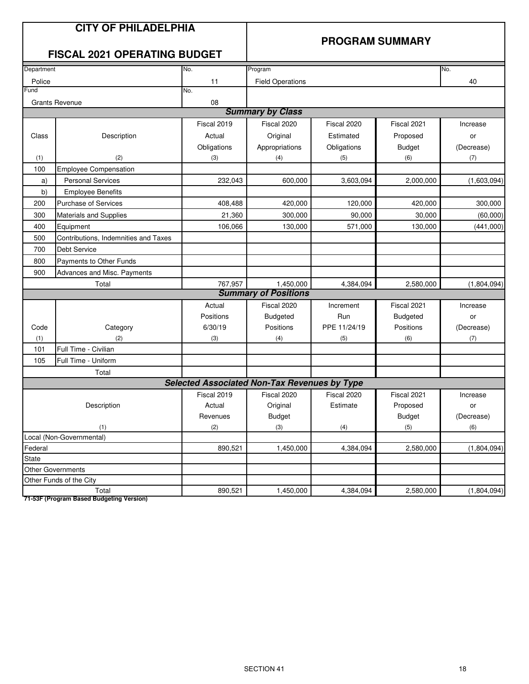### **CITY OF PHILADELPHIA**

#### **PROGRAM SUMMARY**

### **FISCAL 2021 OPERATING BUDGET**

| Department   |                                      | No.                                                 | Program                     |              |                 | No.         |
|--------------|--------------------------------------|-----------------------------------------------------|-----------------------------|--------------|-----------------|-------------|
| Police       |                                      | 11                                                  | <b>Field Operations</b>     |              |                 | 40          |
| Fund         |                                      | No.                                                 |                             |              |                 |             |
|              | <b>Grants Revenue</b>                | 08                                                  |                             |              |                 |             |
|              |                                      |                                                     | <b>Summary by Class</b>     |              |                 |             |
|              |                                      | Fiscal 2019                                         | Fiscal 2020                 | Fiscal 2020  | Fiscal 2021     | Increase    |
| Class        | Description                          | Actual                                              | Original                    | Estimated    | Proposed        | or          |
|              |                                      | Obligations                                         | Appropriations              | Obligations  | <b>Budget</b>   | (Decrease)  |
| (1)          | (2)                                  | (3)                                                 | (4)                         | (5)          | (6)             | (7)         |
| 100          | <b>Employee Compensation</b>         |                                                     |                             |              |                 |             |
| a)           | <b>Personal Services</b>             | 232,043                                             | 600,000                     | 3,603,094    | 2,000,000       | (1,603,094) |
| b)           | <b>Employee Benefits</b>             |                                                     |                             |              |                 |             |
| 200          | <b>Purchase of Services</b>          | 408,488                                             | 420,000                     | 120,000      | 420,000         | 300,000     |
| 300          | Materials and Supplies               | 21,360                                              | 300,000                     | 90,000       | 30,000          | (60,000)    |
| 400          | Equipment                            | 106,066                                             | 130,000                     | 571,000      | 130,000         | (441,000)   |
| 500          | Contributions, Indemnities and Taxes |                                                     |                             |              |                 |             |
| 700          | <b>Debt Service</b>                  |                                                     |                             |              |                 |             |
| 800          | Payments to Other Funds              |                                                     |                             |              |                 |             |
| 900          | <b>Advances and Misc. Payments</b>   |                                                     |                             |              |                 |             |
|              | Total                                | 767,957                                             | 1,450,000                   | 4,384,094    | 2,580,000       | (1,804,094) |
|              |                                      |                                                     | <b>Summary of Positions</b> |              |                 |             |
|              |                                      | Actual                                              | Fiscal 2020                 | Increment    | Fiscal 2021     | Increase    |
|              |                                      | Positions                                           | <b>Budgeted</b>             | Run          | <b>Budgeted</b> | or          |
| Code         | Category                             | 6/30/19                                             | Positions                   | PPE 11/24/19 | Positions       | (Decrease)  |
| (1)          | (2)                                  | (3)                                                 | (4)                         | (5)          | (6)             | (7)         |
| 101          | Full Time - Civilian                 |                                                     |                             |              |                 |             |
| 105          | Full Time - Uniform                  |                                                     |                             |              |                 |             |
|              | Total                                |                                                     |                             |              |                 |             |
|              |                                      | <b>Selected Associated Non-Tax Revenues by Type</b> |                             |              |                 |             |
|              |                                      | Fiscal 2019                                         | Fiscal 2020                 | Fiscal 2020  | Fiscal 2021     | Increase    |
|              | Description                          | Actual                                              | Original                    | Estimate     | Proposed        | or          |
|              |                                      | Revenues                                            | <b>Budget</b>               |              | <b>Budget</b>   | (Decrease)  |
|              | (1)                                  | (2)                                                 | (3)                         | (4)          | (5)             | (6)         |
|              | Local (Non-Governmental)             |                                                     |                             |              |                 |             |
| Federal      |                                      | 890,521                                             | 1,450,000                   | 4,384,094    | 2,580,000       | (1,804,094) |
| <b>State</b> |                                      |                                                     |                             |              |                 |             |
|              | Other Governments                    |                                                     |                             |              |                 |             |
|              | Other Funds of the City              |                                                     |                             |              |                 |             |
|              | Total                                | 890,521                                             | 1,450,000                   | 4,384,094    | 2,580,000       | (1,804,094) |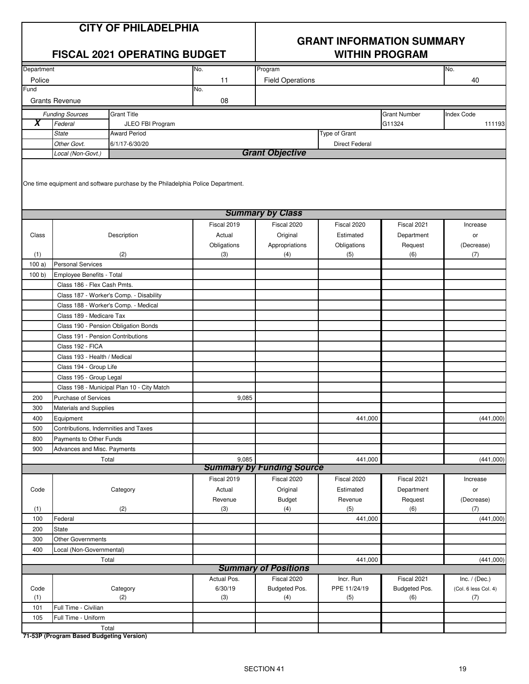## **GRANT INFORMATION SUMMARY**

|            |                                                                           | <b>FISCAL 2021 OPERATING BUDGET</b>                                             |             | <b>WITHIN PROGRAM</b>            |                       |                     |                      |  |
|------------|---------------------------------------------------------------------------|---------------------------------------------------------------------------------|-------------|----------------------------------|-----------------------|---------------------|----------------------|--|
| Department |                                                                           |                                                                                 | No.         | Program                          |                       |                     | No.                  |  |
| Police     |                                                                           |                                                                                 | 11          | <b>Field Operations</b>          |                       |                     | 40                   |  |
| Fund       |                                                                           |                                                                                 | No.         |                                  |                       |                     |                      |  |
|            | <b>Grants Revenue</b>                                                     |                                                                                 | 08          |                                  |                       |                     |                      |  |
|            | <b>Funding Sources</b>                                                    | <b>Grant Title</b>                                                              |             |                                  |                       | <b>Grant Number</b> | <b>Index Code</b>    |  |
| X          | Federal                                                                   | JLEO FBI Program                                                                |             |                                  |                       | G11324              | 111193               |  |
|            | <b>State</b>                                                              | <b>Award Period</b>                                                             |             |                                  | Type of Grant         |                     |                      |  |
|            | Other Govt.                                                               | 6/1/17-6/30/20                                                                  |             |                                  | <b>Direct Federal</b> |                     |                      |  |
|            | Local (Non-Govt.)                                                         |                                                                                 |             | <b>Grant Objective</b>           |                       |                     |                      |  |
|            |                                                                           | One time equipment and software purchase by the Philadelphia Police Department. |             |                                  |                       |                     |                      |  |
|            |                                                                           |                                                                                 |             | <b>Summary by Class</b>          |                       |                     |                      |  |
|            |                                                                           |                                                                                 | Fiscal 2019 | Fiscal 2020                      | Fiscal 2020           | Fiscal 2021         | Increase             |  |
| Class      |                                                                           | Description                                                                     | Actual      | Original                         | Estimated             | Department          | or                   |  |
|            |                                                                           |                                                                                 | Obligations | Appropriations                   | Obligations           | Request             | (Decrease)           |  |
| (1)        |                                                                           | (2)                                                                             | (3)         | (4)                              | (5)                   | (6)                 | (7)                  |  |
| 100a)      | <b>Personal Services</b>                                                  |                                                                                 |             |                                  |                       |                     |                      |  |
| 100 b)     | Employee Benefits - Total                                                 |                                                                                 |             |                                  |                       |                     |                      |  |
|            | Class 186 - Flex Cash Pmts.                                               |                                                                                 |             |                                  |                       |                     |                      |  |
|            |                                                                           | Class 187 - Worker's Comp. - Disability                                         |             |                                  |                       |                     |                      |  |
|            |                                                                           | Class 188 - Worker's Comp. - Medical                                            |             |                                  |                       |                     |                      |  |
|            | Class 189 - Medicare Tax                                                  |                                                                                 |             |                                  |                       |                     |                      |  |
|            | Class 190 - Pension Obligation Bonds<br>Class 191 - Pension Contributions |                                                                                 |             |                                  |                       |                     |                      |  |
|            | Class 192 - FICA                                                          |                                                                                 |             |                                  |                       |                     |                      |  |
|            | Class 193 - Health / Medical                                              |                                                                                 |             |                                  |                       |                     |                      |  |
|            | Class 194 - Group Life                                                    |                                                                                 |             |                                  |                       |                     |                      |  |
|            | Class 195 - Group Legal                                                   |                                                                                 |             |                                  |                       |                     |                      |  |
|            |                                                                           | Class 198 - Municipal Plan 10 - City Match                                      |             |                                  |                       |                     |                      |  |
| 200        | Purchase of Services                                                      |                                                                                 | 9,085       |                                  |                       |                     |                      |  |
| 300        | Materials and Supplies                                                    |                                                                                 |             |                                  |                       |                     |                      |  |
| 400        | Equipment                                                                 |                                                                                 |             |                                  | 441,000               |                     | (441,000)            |  |
| 500        | Contributions, Indemnities and Taxes                                      |                                                                                 |             |                                  |                       |                     |                      |  |
| 800        | Payments to Other Funds                                                   |                                                                                 |             |                                  |                       |                     |                      |  |
| 900        | Advances and Misc. Payments                                               |                                                                                 |             |                                  |                       |                     |                      |  |
|            | Total                                                                     |                                                                                 | 9,085       |                                  | 441,000               |                     | (441,000)            |  |
|            |                                                                           |                                                                                 |             | <b>Summary by Funding Source</b> |                       |                     |                      |  |
|            |                                                                           |                                                                                 | Fiscal 2019 | Fiscal 2020                      | Fiscal 2020           | Fiscal 2021         | Increase             |  |
| Code       |                                                                           | Category                                                                        | Actual      | Original                         | Estimated             | Department          | or                   |  |
|            |                                                                           |                                                                                 | Revenue     | <b>Budget</b>                    | Revenue               | Request             | (Decrease)           |  |
| (1)        |                                                                           | (2)                                                                             | (3)         | (4)                              | (5)                   | (6)                 | (7)                  |  |
| 100        | Federal                                                                   |                                                                                 |             |                                  | 441,000               |                     | (441,000)            |  |
| 200        | State<br><b>Other Governments</b>                                         |                                                                                 |             |                                  |                       |                     |                      |  |
| 300<br>400 |                                                                           |                                                                                 |             |                                  |                       |                     |                      |  |
|            | Local (Non-Governmental)                                                  |                                                                                 |             |                                  |                       |                     |                      |  |
|            |                                                                           | Total                                                                           |             | <b>Summary of Positions</b>      | 441,000               |                     | (441,000)            |  |
|            |                                                                           |                                                                                 | Actual Pos. | Fiscal 2020                      | Incr. Run             | Fiscal 2021         | Inc. $/$ (Dec.)      |  |
| Code       |                                                                           | Category                                                                        | 6/30/19     | Budgeted Pos.                    | PPE 11/24/19          | Budgeted Pos.       | (Col. 6 less Col. 4) |  |
| (1)        |                                                                           | (2)                                                                             | (3)         | (4)                              | (5)                   | (6)                 | (7)                  |  |
| 101        | Full Time - Civilian                                                      |                                                                                 |             |                                  |                       |                     |                      |  |
| 105        | Full Time - Uniform                                                       |                                                                                 |             |                                  |                       |                     |                      |  |
|            | Total                                                                     |                                                                                 |             |                                  |                       |                     |                      |  |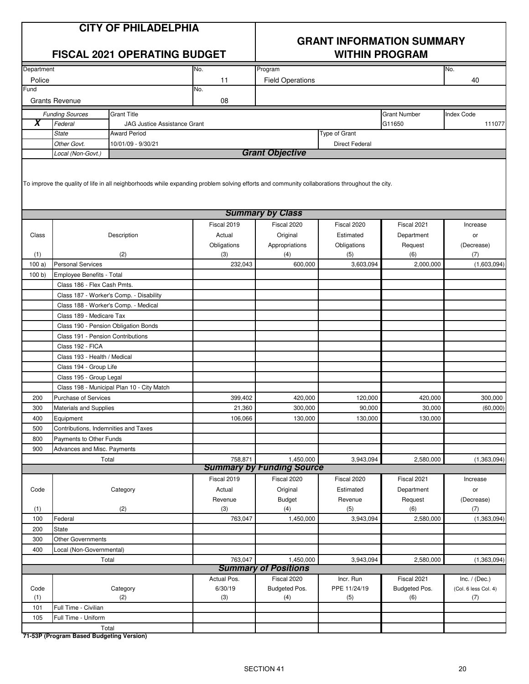|            |                               | <b>CITY OF PHILADELPHIA</b><br><b>FISCAL 2021 OPERATING BUDGET</b>                                                                            |             | <b>GRANT INFORMATION SUMMARY</b><br><b>WITHIN PROGRAM</b> |                       |                     |                      |  |
|------------|-------------------------------|-----------------------------------------------------------------------------------------------------------------------------------------------|-------------|-----------------------------------------------------------|-----------------------|---------------------|----------------------|--|
| Department |                               |                                                                                                                                               | No.         | Program                                                   |                       |                     | No.                  |  |
| Police     |                               |                                                                                                                                               | 11          | <b>Field Operations</b>                                   |                       |                     | 40                   |  |
| Fund       |                               |                                                                                                                                               | No.         |                                                           |                       |                     |                      |  |
|            | <b>Grants Revenue</b>         |                                                                                                                                               | 08          |                                                           |                       |                     |                      |  |
|            | <b>Funding Sources</b>        | <b>Grant Title</b>                                                                                                                            |             |                                                           |                       | <b>Grant Number</b> | <b>Index Code</b>    |  |
| X          | Federal                       | <b>JAG Justice Assistance Grant</b>                                                                                                           |             |                                                           |                       | G11650              | 111077               |  |
|            | State                         | <b>Award Period</b>                                                                                                                           |             |                                                           | <b>Type of Grant</b>  |                     |                      |  |
|            | Other Govt.                   | 10/01/09 - 9/30/21                                                                                                                            |             |                                                           | <b>Direct Federal</b> |                     |                      |  |
|            | Local (Non-Govt.)             |                                                                                                                                               |             | <b>Grant Objective</b>                                    |                       |                     |                      |  |
|            |                               | To improve the quality of life in all neighborhoods while expanding problem solving efforts and community collaborations throughout the city. |             |                                                           |                       |                     |                      |  |
|            |                               |                                                                                                                                               |             | <b>Summary by Class</b>                                   |                       |                     |                      |  |
|            |                               |                                                                                                                                               | Fiscal 2019 | Fiscal 2020                                               | Fiscal 2020           | Fiscal 2021         | Increase             |  |
| Class      |                               | Description                                                                                                                                   | Actual      | Original                                                  | Estimated             | Department          | or                   |  |
|            |                               |                                                                                                                                               | Obligations | Appropriations                                            | Obligations           | Request             | (Decrease)           |  |
| (1)        |                               | (2)                                                                                                                                           | (3)         | (4)                                                       | (5)                   | (6)                 | (7)                  |  |
| 100a       | <b>Personal Services</b>      |                                                                                                                                               | 232,043     | 600,000                                                   | 3,603,094             | 2,000,000           | (1,603,094)          |  |
| 100 b      | Employee Benefits - Total     |                                                                                                                                               |             |                                                           |                       |                     |                      |  |
|            | Class 186 - Flex Cash Pmts.   |                                                                                                                                               |             |                                                           |                       |                     |                      |  |
|            |                               | Class 187 - Worker's Comp. - Disability                                                                                                       |             |                                                           |                       |                     |                      |  |
|            |                               | Class 188 - Worker's Comp. - Medical                                                                                                          |             |                                                           |                       |                     |                      |  |
|            | Class 189 - Medicare Tax      |                                                                                                                                               |             |                                                           |                       |                     |                      |  |
|            |                               | Class 190 - Pension Obligation Bonds                                                                                                          |             |                                                           |                       |                     |                      |  |
|            |                               | Class 191 - Pension Contributions                                                                                                             |             |                                                           |                       |                     |                      |  |
|            | Class 192 - FICA              |                                                                                                                                               |             |                                                           |                       |                     |                      |  |
|            | Class 193 - Health / Medical  |                                                                                                                                               |             |                                                           |                       |                     |                      |  |
|            | Class 194 - Group Life        |                                                                                                                                               |             |                                                           |                       |                     |                      |  |
|            | Class 195 - Group Legal       |                                                                                                                                               |             |                                                           |                       |                     |                      |  |
|            |                               | Class 198 - Municipal Plan 10 - City Match                                                                                                    |             |                                                           |                       |                     |                      |  |
| 200        | <b>Purchase of Services</b>   |                                                                                                                                               | 399,402     | 420,000                                                   | 120,000               | 420,000             | 300,000              |  |
| 300        | <b>Materials and Supplies</b> |                                                                                                                                               | 21,360      | 300,000                                                   | 90,000                | 30,000              | (60,000)             |  |
| 400        | Equipment                     |                                                                                                                                               | 106,066     | 130,000                                                   | 130,000               | 130,000             |                      |  |
| 500        |                               | Contributions, Indemnities and Taxes                                                                                                          |             |                                                           |                       |                     |                      |  |
| 800        | Payments to Other Funds       |                                                                                                                                               |             |                                                           |                       |                     |                      |  |
| 900        | Advances and Misc. Payments   |                                                                                                                                               |             |                                                           |                       |                     |                      |  |
|            |                               | Total                                                                                                                                         | 758,871     | 1,450,000                                                 | 3,943,094             | 2,580,000           | (1,363,094)          |  |
|            |                               |                                                                                                                                               |             | <b>Summary by Funding Source</b>                          |                       |                     |                      |  |
|            |                               |                                                                                                                                               | Fiscal 2019 | Fiscal 2020                                               | Fiscal 2020           | Fiscal 2021         | Increase             |  |
| Code       |                               | Category                                                                                                                                      | Actual      | Original                                                  | Estimated             | Department          | or                   |  |
|            |                               |                                                                                                                                               | Revenue     | <b>Budget</b>                                             | Revenue               | Request             | (Decrease)           |  |
| (1)        |                               | (2)                                                                                                                                           | (3)         | (4)                                                       | (5)                   | (6)                 | (7)                  |  |
| 100        | Federal                       |                                                                                                                                               | 763,047     | 1,450,000                                                 | 3,943,094             | 2,580,000           | (1,363,094)          |  |
| 200        | <b>State</b>                  |                                                                                                                                               |             |                                                           |                       |                     |                      |  |
| 300        | <b>Other Governments</b>      |                                                                                                                                               |             |                                                           |                       |                     |                      |  |
| 400        | Local (Non-Governmental)      |                                                                                                                                               |             |                                                           |                       |                     |                      |  |
|            |                               | Total                                                                                                                                         | 763,047     | 1,450,000                                                 | 3,943,094             | 2,580,000           | (1,363,094)          |  |
|            |                               |                                                                                                                                               |             | <b>Summary of Positions</b>                               |                       |                     |                      |  |
|            |                               |                                                                                                                                               | Actual Pos. | Fiscal 2020                                               | Incr. Run             | Fiscal 2021         | Inc. $/$ (Dec.)      |  |
| Code       |                               | Category                                                                                                                                      | 6/30/19     | Budgeted Pos.                                             | PPE 11/24/19          | Budgeted Pos.       | (Col. 6 less Col. 4) |  |
| (1)        |                               | (2)                                                                                                                                           | (3)         | (4)                                                       | (5)                   | (6)                 | (7)                  |  |
| 101        | Full Time - Civilian          |                                                                                                                                               |             |                                                           |                       |                     |                      |  |
| 105        | Full Time - Uniform           |                                                                                                                                               |             |                                                           |                       |                     |                      |  |
|            |                               | Total                                                                                                                                         |             |                                                           |                       |                     |                      |  |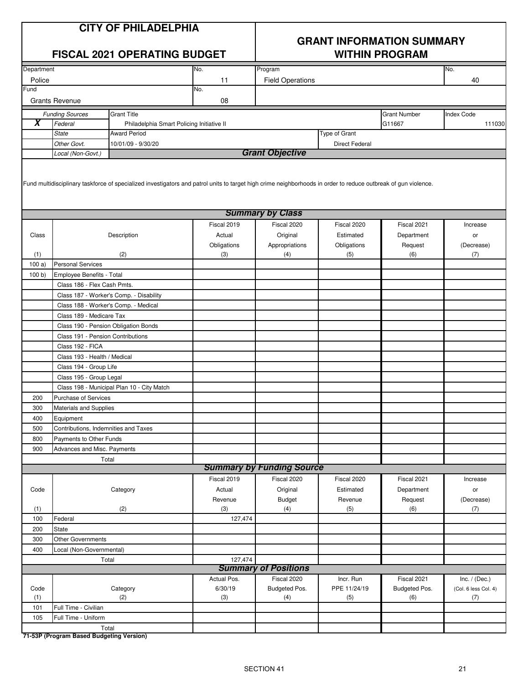|            |                                                       | <b>CITY OF PHILADELPHIA</b><br><b>FISCAL 2021 OPERATING BUDGET</b>                                                                                             |             | <b>GRANT INFORMATION SUMMARY</b><br><b>WITHIN PROGRAM</b> |                       |                     |                      |  |
|------------|-------------------------------------------------------|----------------------------------------------------------------------------------------------------------------------------------------------------------------|-------------|-----------------------------------------------------------|-----------------------|---------------------|----------------------|--|
| Department |                                                       |                                                                                                                                                                | No.         | Program                                                   |                       |                     | No.                  |  |
| Police     |                                                       |                                                                                                                                                                | 11          | <b>Field Operations</b>                                   |                       |                     | 40                   |  |
| Fund       |                                                       |                                                                                                                                                                | No.         |                                                           |                       |                     |                      |  |
|            | <b>Grants Revenue</b>                                 |                                                                                                                                                                | 08          |                                                           |                       |                     |                      |  |
|            | <b>Funding Sources</b>                                | <b>Grant Title</b>                                                                                                                                             |             |                                                           |                       | <b>Grant Number</b> | <b>Index Code</b>    |  |
| X          | Federal                                               | Philadelphia Smart Policing Initiative II                                                                                                                      |             |                                                           |                       | G11667              | 111030               |  |
|            | <b>State</b>                                          | <b>Award Period</b>                                                                                                                                            |             |                                                           | Type of Grant         |                     |                      |  |
|            | Other Govt.                                           | 10/01/09 - 9/30/20                                                                                                                                             |             |                                                           | <b>Direct Federal</b> |                     |                      |  |
|            | Local (Non-Govt.)                                     |                                                                                                                                                                |             | <b>Grant Objective</b>                                    |                       |                     |                      |  |
|            |                                                       | Fund multidisciplinary taskforce of specialized investigators and patrol units to target high crime neighborhoods in order to reduce outbreak of gun violence. |             |                                                           |                       |                     |                      |  |
|            |                                                       |                                                                                                                                                                |             | <b>Summary by Class</b>                                   |                       |                     |                      |  |
|            |                                                       |                                                                                                                                                                | Fiscal 2019 | Fiscal 2020                                               | Fiscal 2020           | Fiscal 2021         | Increase             |  |
| Class      |                                                       | Description                                                                                                                                                    | Actual      | Original                                                  | Estimated             | Department          | or                   |  |
|            |                                                       |                                                                                                                                                                | Obligations | Appropriations                                            | Obligations           | Request             | (Decrease)           |  |
| (1)        |                                                       | (2)                                                                                                                                                            | (3)         | (4)                                                       | (5)                   | (6)                 | (7)                  |  |
| 100a       | <b>Personal Services</b><br>Employee Benefits - Total |                                                                                                                                                                |             |                                                           |                       |                     |                      |  |
| 100 b)     |                                                       |                                                                                                                                                                |             |                                                           |                       |                     |                      |  |
|            | Class 186 - Flex Cash Pmts.                           |                                                                                                                                                                |             |                                                           |                       |                     |                      |  |
|            |                                                       | Class 187 - Worker's Comp. - Disability                                                                                                                        |             |                                                           |                       |                     |                      |  |
|            |                                                       | Class 188 - Worker's Comp. - Medical                                                                                                                           |             |                                                           |                       |                     |                      |  |
|            | Class 189 - Medicare Tax                              |                                                                                                                                                                |             |                                                           |                       |                     |                      |  |
|            |                                                       | Class 190 - Pension Obligation Bonds                                                                                                                           |             |                                                           |                       |                     |                      |  |
|            |                                                       | Class 191 - Pension Contributions                                                                                                                              |             |                                                           |                       |                     |                      |  |
|            | Class 192 - FICA                                      |                                                                                                                                                                |             |                                                           |                       |                     |                      |  |
|            | Class 193 - Health / Medical                          |                                                                                                                                                                |             |                                                           |                       |                     |                      |  |
|            | Class 194 - Group Life                                |                                                                                                                                                                |             |                                                           |                       |                     |                      |  |
|            | Class 195 - Group Legal                               |                                                                                                                                                                |             |                                                           |                       |                     |                      |  |
|            |                                                       | Class 198 - Municipal Plan 10 - City Match                                                                                                                     |             |                                                           |                       |                     |                      |  |
| 200        | <b>Purchase of Services</b>                           |                                                                                                                                                                |             |                                                           |                       |                     |                      |  |
| 300        | <b>Materials and Supplies</b>                         |                                                                                                                                                                |             |                                                           |                       |                     |                      |  |
| 400        | Equipment                                             |                                                                                                                                                                |             |                                                           |                       |                     |                      |  |
| 500        |                                                       | Contributions, Indemnities and Taxes                                                                                                                           |             |                                                           |                       |                     |                      |  |
| 800        | Payments to Other Funds                               |                                                                                                                                                                |             |                                                           |                       |                     |                      |  |
| 900        | Advances and Misc. Payments                           |                                                                                                                                                                |             |                                                           |                       |                     |                      |  |
|            |                                                       | Total                                                                                                                                                          |             | <b>Summary by Funding Source</b>                          |                       |                     |                      |  |
|            |                                                       |                                                                                                                                                                | Fiscal 2019 | Fiscal 2020                                               | Fiscal 2020           | Fiscal 2021         | Increase             |  |
| Code       |                                                       | Category                                                                                                                                                       | Actual      | Original                                                  | Estimated             | Department          | or                   |  |
|            |                                                       |                                                                                                                                                                | Revenue     | <b>Budget</b>                                             | Revenue               | Request             | (Decrease)           |  |
| (1)        |                                                       | (2)                                                                                                                                                            | (3)         | (4)                                                       | (5)                   | (6)                 | (7)                  |  |
| 100        | Federal                                               |                                                                                                                                                                | 127,474     |                                                           |                       |                     |                      |  |
| 200        | State                                                 |                                                                                                                                                                |             |                                                           |                       |                     |                      |  |
| 300        | <b>Other Governments</b>                              |                                                                                                                                                                |             |                                                           |                       |                     |                      |  |
| 400        | Local (Non-Governmental)                              |                                                                                                                                                                |             |                                                           |                       |                     |                      |  |
|            |                                                       | Total                                                                                                                                                          | 127,474     |                                                           |                       |                     |                      |  |
|            |                                                       |                                                                                                                                                                |             | <b>Summary of Positions</b>                               |                       |                     |                      |  |
|            |                                                       |                                                                                                                                                                | Actual Pos. | Fiscal 2020                                               | Incr. Run             | Fiscal 2021         | Inc. $/$ (Dec.)      |  |
| Code       |                                                       | Category                                                                                                                                                       | 6/30/19     | Budgeted Pos.                                             | PPE 11/24/19          | Budgeted Pos.       | (Col. 6 less Col. 4) |  |
| (1)        |                                                       | (2)                                                                                                                                                            | (3)         | (4)                                                       | (5)                   | (6)                 | (7)                  |  |
| 101        | Full Time - Civilian                                  |                                                                                                                                                                |             |                                                           |                       |                     |                      |  |
| 105        | Full Time - Uniform                                   |                                                                                                                                                                |             |                                                           |                       |                     |                      |  |
|            |                                                       | Total                                                                                                                                                          |             |                                                           |                       |                     |                      |  |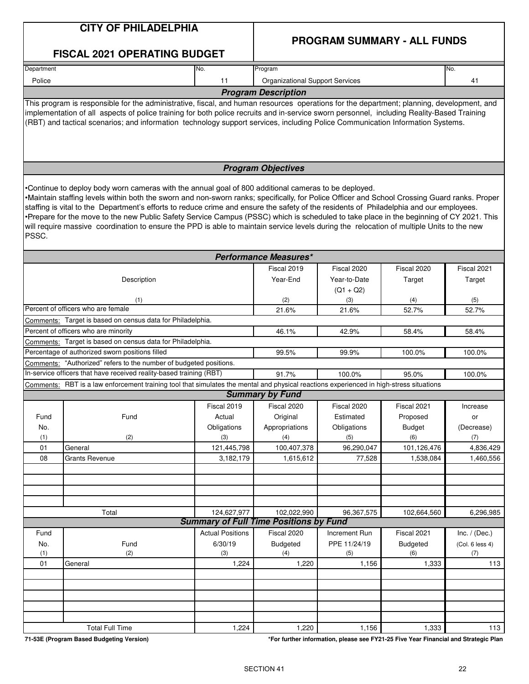### **CITY OF PHILADELPHIA**

### **PROGRAM SUMMARY - ALL FUNDS**

|                                                                                                                                                                                                                                                                                                                                                                                                                                                                                                                                                                                                                                                                                                   | <b>FISCAL 2021 OPERATING BUDGET</b>                                                                                                                                                                                                                                                                                                                                                                                       |                         |                                                              |                       |                       |                 |  |  |  |  |
|---------------------------------------------------------------------------------------------------------------------------------------------------------------------------------------------------------------------------------------------------------------------------------------------------------------------------------------------------------------------------------------------------------------------------------------------------------------------------------------------------------------------------------------------------------------------------------------------------------------------------------------------------------------------------------------------------|---------------------------------------------------------------------------------------------------------------------------------------------------------------------------------------------------------------------------------------------------------------------------------------------------------------------------------------------------------------------------------------------------------------------------|-------------------------|--------------------------------------------------------------|-----------------------|-----------------------|-----------------|--|--|--|--|
| Department                                                                                                                                                                                                                                                                                                                                                                                                                                                                                                                                                                                                                                                                                        |                                                                                                                                                                                                                                                                                                                                                                                                                           | No.                     | Program                                                      |                       |                       | No.             |  |  |  |  |
| Police                                                                                                                                                                                                                                                                                                                                                                                                                                                                                                                                                                                                                                                                                            |                                                                                                                                                                                                                                                                                                                                                                                                                           | 11                      | <b>Organizational Support Services</b>                       |                       |                       | 41              |  |  |  |  |
|                                                                                                                                                                                                                                                                                                                                                                                                                                                                                                                                                                                                                                                                                                   |                                                                                                                                                                                                                                                                                                                                                                                                                           |                         | <b>Program Description</b>                                   |                       |                       |                 |  |  |  |  |
|                                                                                                                                                                                                                                                                                                                                                                                                                                                                                                                                                                                                                                                                                                   | This program is responsible for the administrative, fiscal, and human resources operations for the department; planning, development, and<br>implementation of all aspects of police training for both police recruits and in-service sworn personnel, including Reality-Based Training<br>(RBT) and tactical scenarios; and information technology support services, including Police Communication Information Systems. |                         |                                                              |                       |                       |                 |  |  |  |  |
|                                                                                                                                                                                                                                                                                                                                                                                                                                                                                                                                                                                                                                                                                                   |                                                                                                                                                                                                                                                                                                                                                                                                                           |                         | <b>Program Objectives</b>                                    |                       |                       |                 |  |  |  |  |
| •Continue to deploy body worn cameras with the annual goal of 800 additional cameras to be deployed.<br>•Maintain staffing levels within both the sworn and non-sworn ranks; specifically, for Police Officer and School Crossing Guard ranks. Proper<br>staffing is vital to the Department's efforts to reduce crime and ensure the safety of the residents of Philadelphia and our employees.<br>•Prepare for the move to the new Public Safety Service Campus (PSSC) which is scheduled to take place in the beginning of CY 2021. This<br>will require massive coordination to ensure the PPD is able to maintain service levels during the relocation of multiple Units to the new<br>PSSC. |                                                                                                                                                                                                                                                                                                                                                                                                                           |                         |                                                              |                       |                       |                 |  |  |  |  |
|                                                                                                                                                                                                                                                                                                                                                                                                                                                                                                                                                                                                                                                                                                   |                                                                                                                                                                                                                                                                                                                                                                                                                           |                         | <b>Performance Measures*</b>                                 |                       |                       |                 |  |  |  |  |
|                                                                                                                                                                                                                                                                                                                                                                                                                                                                                                                                                                                                                                                                                                   | Description                                                                                                                                                                                                                                                                                                                                                                                                               | Fiscal 2019<br>Year-End | Fiscal 2020<br>Year-to-Date<br>$(Q1 + Q2)$                   | Fiscal 2020<br>Target | Fiscal 2021<br>Target |                 |  |  |  |  |
|                                                                                                                                                                                                                                                                                                                                                                                                                                                                                                                                                                                                                                                                                                   | (1)                                                                                                                                                                                                                                                                                                                                                                                                                       |                         | (2)                                                          | (3)                   | (4)                   | (5)             |  |  |  |  |
|                                                                                                                                                                                                                                                                                                                                                                                                                                                                                                                                                                                                                                                                                                   | Percent of officers who are female                                                                                                                                                                                                                                                                                                                                                                                        |                         | 21.6%                                                        | 21.6%                 | 52.7%                 | 52.7%           |  |  |  |  |
|                                                                                                                                                                                                                                                                                                                                                                                                                                                                                                                                                                                                                                                                                                   | Comments: Target is based on census data for Philadelphia.                                                                                                                                                                                                                                                                                                                                                                |                         |                                                              |                       |                       |                 |  |  |  |  |
|                                                                                                                                                                                                                                                                                                                                                                                                                                                                                                                                                                                                                                                                                                   | Percent of officers who are minority                                                                                                                                                                                                                                                                                                                                                                                      |                         | 46.1%                                                        | 42.9%                 | 58.4%                 | 58.4%           |  |  |  |  |
|                                                                                                                                                                                                                                                                                                                                                                                                                                                                                                                                                                                                                                                                                                   | Comments: Target is based on census data for Philadelphia.                                                                                                                                                                                                                                                                                                                                                                |                         |                                                              |                       |                       |                 |  |  |  |  |
|                                                                                                                                                                                                                                                                                                                                                                                                                                                                                                                                                                                                                                                                                                   | Percentage of authorized sworn positions filled<br>99.5%<br>99.9%<br>100.0%<br>100.0%                                                                                                                                                                                                                                                                                                                                     |                         |                                                              |                       |                       |                 |  |  |  |  |
|                                                                                                                                                                                                                                                                                                                                                                                                                                                                                                                                                                                                                                                                                                   | Comments: "Authorized" refers to the number of budgeted positions.                                                                                                                                                                                                                                                                                                                                                        |                         |                                                              |                       |                       |                 |  |  |  |  |
|                                                                                                                                                                                                                                                                                                                                                                                                                                                                                                                                                                                                                                                                                                   | In-service officers that have received reality-based training (RBT)                                                                                                                                                                                                                                                                                                                                                       |                         | 91.7%                                                        | 100.0%                | 95.0%                 | 100.0%          |  |  |  |  |
|                                                                                                                                                                                                                                                                                                                                                                                                                                                                                                                                                                                                                                                                                                   | Comments: RBT is a law enforcement training tool that simulates the mental and physical reactions experienced in high-stress situations                                                                                                                                                                                                                                                                                   |                         | <b>Summary by Fund</b>                                       |                       |                       |                 |  |  |  |  |
|                                                                                                                                                                                                                                                                                                                                                                                                                                                                                                                                                                                                                                                                                                   |                                                                                                                                                                                                                                                                                                                                                                                                                           | Fiscal 2019             | Fiscal 2020                                                  | Fiscal 2020           | Fiscal 2021           | Increase        |  |  |  |  |
| Fund                                                                                                                                                                                                                                                                                                                                                                                                                                                                                                                                                                                                                                                                                              | Fund                                                                                                                                                                                                                                                                                                                                                                                                                      | Actual                  | Original                                                     | Estimated             | Proposed              | or              |  |  |  |  |
| No.                                                                                                                                                                                                                                                                                                                                                                                                                                                                                                                                                                                                                                                                                               |                                                                                                                                                                                                                                                                                                                                                                                                                           | Obligations             | Appropriations                                               | Obligations           | <b>Budget</b>         | (Decrease)      |  |  |  |  |
| (1)                                                                                                                                                                                                                                                                                                                                                                                                                                                                                                                                                                                                                                                                                               | (2)                                                                                                                                                                                                                                                                                                                                                                                                                       | (3)                     | (4)                                                          | (5)                   | (6)                   | (7)             |  |  |  |  |
| 01                                                                                                                                                                                                                                                                                                                                                                                                                                                                                                                                                                                                                                                                                                | General                                                                                                                                                                                                                                                                                                                                                                                                                   | 121,445,798             | 100,407,378                                                  | 96,290,047            | 101,126,476           | 4,836,429       |  |  |  |  |
| 08                                                                                                                                                                                                                                                                                                                                                                                                                                                                                                                                                                                                                                                                                                | <b>Grants Revenue</b>                                                                                                                                                                                                                                                                                                                                                                                                     | 3,182,179               | 1,615,612                                                    | 77,528                | 1,538,084             | 1,460,556       |  |  |  |  |
|                                                                                                                                                                                                                                                                                                                                                                                                                                                                                                                                                                                                                                                                                                   |                                                                                                                                                                                                                                                                                                                                                                                                                           |                         |                                                              |                       |                       |                 |  |  |  |  |
|                                                                                                                                                                                                                                                                                                                                                                                                                                                                                                                                                                                                                                                                                                   |                                                                                                                                                                                                                                                                                                                                                                                                                           |                         |                                                              |                       |                       |                 |  |  |  |  |
|                                                                                                                                                                                                                                                                                                                                                                                                                                                                                                                                                                                                                                                                                                   |                                                                                                                                                                                                                                                                                                                                                                                                                           |                         |                                                              |                       |                       |                 |  |  |  |  |
|                                                                                                                                                                                                                                                                                                                                                                                                                                                                                                                                                                                                                                                                                                   |                                                                                                                                                                                                                                                                                                                                                                                                                           |                         |                                                              |                       |                       |                 |  |  |  |  |
|                                                                                                                                                                                                                                                                                                                                                                                                                                                                                                                                                                                                                                                                                                   | Total                                                                                                                                                                                                                                                                                                                                                                                                                     | 124,627,977             | 102,022,990<br><b>Summary of Full Time Positions by Fund</b> | 96,367,575            | 102,664,560           | 6,296,985       |  |  |  |  |
| Fund                                                                                                                                                                                                                                                                                                                                                                                                                                                                                                                                                                                                                                                                                              |                                                                                                                                                                                                                                                                                                                                                                                                                           | <b>Actual Positions</b> | Fiscal 2020                                                  | Increment Run         | Fiscal 2021           | Inc. $/$ (Dec.) |  |  |  |  |
| No.                                                                                                                                                                                                                                                                                                                                                                                                                                                                                                                                                                                                                                                                                               | Fund                                                                                                                                                                                                                                                                                                                                                                                                                      | 6/30/19                 | <b>Budgeted</b>                                              | PPE 11/24/19          | <b>Budgeted</b>       | (Col. 6 less 4) |  |  |  |  |
| (1)                                                                                                                                                                                                                                                                                                                                                                                                                                                                                                                                                                                                                                                                                               | (2)                                                                                                                                                                                                                                                                                                                                                                                                                       | (3)                     | (4)                                                          | (5)                   | (6)                   | (7)             |  |  |  |  |
| 01                                                                                                                                                                                                                                                                                                                                                                                                                                                                                                                                                                                                                                                                                                | General                                                                                                                                                                                                                                                                                                                                                                                                                   | 1,224                   | 1,220                                                        | 1,156                 | 1,333                 | 113             |  |  |  |  |
|                                                                                                                                                                                                                                                                                                                                                                                                                                                                                                                                                                                                                                                                                                   |                                                                                                                                                                                                                                                                                                                                                                                                                           |                         |                                                              |                       |                       |                 |  |  |  |  |
|                                                                                                                                                                                                                                                                                                                                                                                                                                                                                                                                                                                                                                                                                                   |                                                                                                                                                                                                                                                                                                                                                                                                                           |                         |                                                              |                       |                       |                 |  |  |  |  |
|                                                                                                                                                                                                                                                                                                                                                                                                                                                                                                                                                                                                                                                                                                   |                                                                                                                                                                                                                                                                                                                                                                                                                           |                         |                                                              |                       |                       |                 |  |  |  |  |
|                                                                                                                                                                                                                                                                                                                                                                                                                                                                                                                                                                                                                                                                                                   |                                                                                                                                                                                                                                                                                                                                                                                                                           |                         |                                                              |                       |                       |                 |  |  |  |  |
|                                                                                                                                                                                                                                                                                                                                                                                                                                                                                                                                                                                                                                                                                                   |                                                                                                                                                                                                                                                                                                                                                                                                                           |                         |                                                              |                       |                       |                 |  |  |  |  |
|                                                                                                                                                                                                                                                                                                                                                                                                                                                                                                                                                                                                                                                                                                   | <b>Total Full Time</b>                                                                                                                                                                                                                                                                                                                                                                                                    | 1,224                   | 1,220                                                        | 1,156                 | 1,333                 | 113             |  |  |  |  |

**71-53E (Program Based Budgeting Version) \*For further information, please see FY21-25 Five Year Financial and Strategic Plan**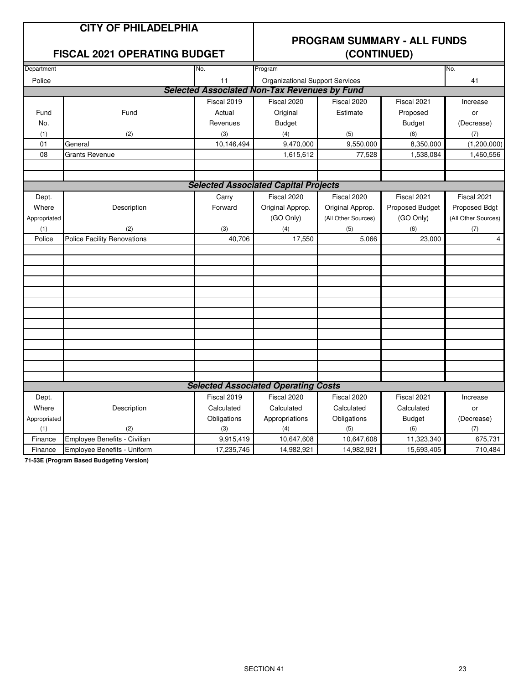#### **CITY OF PHILADELPHIA**

#### **FISCAL 2021 OPERATING BUDGET (CONTINUED)**

## **PROGRAM SUMMARY - ALL FUNDS**

| Department   |                                    | No.         | Program                                             |                     |                 | No.                 |
|--------------|------------------------------------|-------------|-----------------------------------------------------|---------------------|-----------------|---------------------|
| Police       |                                    | 11          | <b>Organizational Support Services</b>              |                     |                 | 41                  |
|              |                                    |             | <b>Selected Associated Non-Tax Revenues by Fund</b> |                     |                 |                     |
|              |                                    | Fiscal 2019 | Fiscal 2020                                         | Fiscal 2020         | Fiscal 2021     | Increase            |
| Fund         | Fund                               | Actual      | Original                                            | Estimate            | Proposed        | or                  |
| No.          |                                    | Revenues    | <b>Budget</b>                                       |                     | <b>Budget</b>   | (Decrease)          |
| (1)          | (2)                                | (3)         | (4)                                                 | (5)                 | (6)             | (7)                 |
| 01           | General                            | 10,146,494  | 9,470,000                                           | 9,550,000           | 8,350,000       | (1,200,000)         |
| 08           | <b>Grants Revenue</b>              |             | 1,615,612                                           | 77,528              | 1,538,084       | 1,460,556           |
|              |                                    |             |                                                     |                     |                 |                     |
|              |                                    |             |                                                     |                     |                 |                     |
|              |                                    |             | <b>Selected Associated Capital Projects</b>         |                     |                 |                     |
| Dept.        |                                    | Carry       | Fiscal 2020                                         | Fiscal 2020         | Fiscal 2021     | Fiscal 2021         |
| Where        | Description                        | Forward     | Original Approp.                                    | Original Approp.    | Proposed Budget | Proposed Bdgt       |
| Appropriated |                                    |             | (GO Only)                                           | (All Other Sources) | (GO Only)       | (All Other Sources) |
| (1)          | (2)                                | (3)         | (4)                                                 | (5)                 | (6)             | (7)                 |
| Police       | <b>Police Facility Renovations</b> | 40,706      | 17,550                                              | 5,066               | 23,000          | 4                   |
|              |                                    |             |                                                     |                     |                 |                     |
|              |                                    |             |                                                     |                     |                 |                     |
|              |                                    |             |                                                     |                     |                 |                     |
|              |                                    |             |                                                     |                     |                 |                     |
|              |                                    |             |                                                     |                     |                 |                     |
|              |                                    |             |                                                     |                     |                 |                     |
|              |                                    |             |                                                     |                     |                 |                     |
|              |                                    |             |                                                     |                     |                 |                     |
|              |                                    |             |                                                     |                     |                 |                     |
|              |                                    |             |                                                     |                     |                 |                     |
|              |                                    |             |                                                     |                     |                 |                     |
|              |                                    |             |                                                     |                     |                 |                     |
|              |                                    |             |                                                     |                     |                 |                     |
|              |                                    |             | <b>Selected Associated Operating Costs</b>          |                     |                 |                     |
| Dept.        |                                    | Fiscal 2019 | Fiscal 2020                                         | Fiscal 2020         | Fiscal 2021     | Increase            |
| Where        | Description                        | Calculated  | Calculated                                          | Calculated          | Calculated      | or                  |
| Appropriated |                                    | Obligations | Appropriations                                      | Obligations         | <b>Budget</b>   | (Decrease)          |
| (1)          | (2)                                | (3)         | (4)                                                 | (5)                 | (6)             | (7)                 |
| Finance      | Employee Benefits - Civilian       | 9,915,419   | 10,647,608                                          | 10,647,608          | 11,323,340      | 675,731             |
| Finance      | Employee Benefits - Uniform        | 17,235,745  | 14,982,921                                          | 14,982,921          | 15,693,405      | 710,484             |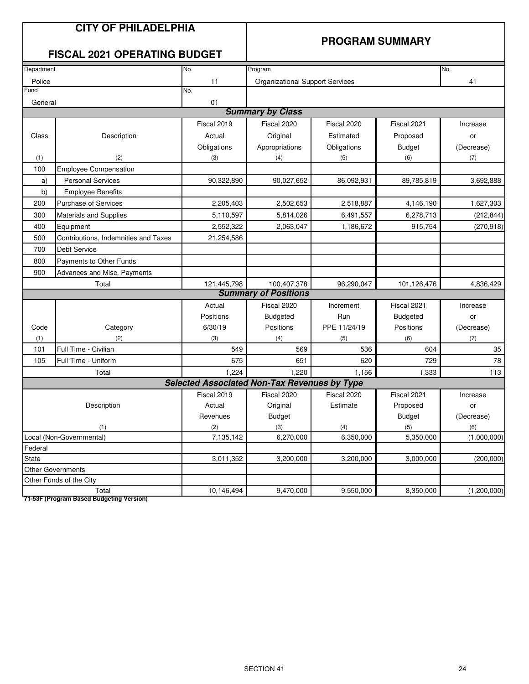|            | <b>CITY OF PHILADELPHIA</b>                         |                                                     |                                        |              |                        |             |
|------------|-----------------------------------------------------|-----------------------------------------------------|----------------------------------------|--------------|------------------------|-------------|
|            | <b>FISCAL 2021 OPERATING BUDGET</b>                 |                                                     |                                        |              | <b>PROGRAM SUMMARY</b> |             |
| Department |                                                     | No.                                                 | Program                                |              |                        | No.         |
| Police     |                                                     | 11                                                  | <b>Organizational Support Services</b> |              |                        | 41          |
| Fund       |                                                     | No.                                                 |                                        |              |                        |             |
| General    |                                                     | 01                                                  |                                        |              |                        |             |
|            |                                                     |                                                     | <b>Summary by Class</b>                |              |                        |             |
|            |                                                     | Fiscal 2019                                         | Fiscal 2020                            | Fiscal 2020  | Fiscal 2021            | Increase    |
| Class      | Description                                         | Actual                                              | Original                               | Estimated    | Proposed               | or          |
|            |                                                     | Obligations                                         | Appropriations                         | Obligations  | <b>Budget</b>          | (Decrease)  |
| (1)        | (2)                                                 | (3)                                                 | (4)                                    | (5)          | (6)                    | (7)         |
| 100        | <b>Employee Compensation</b>                        |                                                     |                                        |              |                        |             |
| a)         | <b>Personal Services</b>                            | 90,322,890                                          | 90,027,652                             | 86,092,931   | 89,785,819             | 3,692,888   |
| b)         | <b>Employee Benefits</b>                            |                                                     |                                        |              |                        |             |
| 200        | <b>Purchase of Services</b>                         | 2,205,403                                           | 2,502,653                              | 2,518,887    | 4,146,190              | 1,627,303   |
| 300        | <b>Materials and Supplies</b>                       | 5,110,597                                           | 5,814,026                              | 6,491,557    | 6,278,713              | (212, 844)  |
| 400        | Equipment                                           | 2,552,322                                           | 2,063,047                              | 1,186,672    | 915,754                | (270, 918)  |
| 500        | Contributions, Indemnities and Taxes                | 21,254,586                                          |                                        |              |                        |             |
| 700        | <b>Debt Service</b>                                 |                                                     |                                        |              |                        |             |
| 800        | Payments to Other Funds                             |                                                     |                                        |              |                        |             |
| 900        | Advances and Misc. Payments                         |                                                     |                                        |              |                        |             |
|            | Total                                               | 121,445,798                                         | 100,407,378                            | 96,290,047   | 101,126,476            | 4,836,429   |
|            |                                                     |                                                     | <b>Summary of Positions</b>            |              |                        |             |
|            |                                                     | Actual                                              | Fiscal 2020                            | Increment    | Fiscal 2021            | Increase    |
|            |                                                     | Positions                                           | <b>Budgeted</b>                        | Run          | <b>Budgeted</b>        | or          |
| Code       | Category                                            | 6/30/19                                             | Positions                              | PPE 11/24/19 | Positions              | (Decrease)  |
| (1)        | (2)                                                 | (3)                                                 | (4)                                    | (5)          | (6)                    | (7)         |
| 101        | Full Time - Civilian                                | 549                                                 | 569                                    | 536          | 604                    | $35\,$      |
| 105        | Full Time - Uniform                                 | 675                                                 | 651                                    | 620          | 729                    | 78          |
|            | Total                                               | 1,224                                               | 1,220                                  | 1,156        | 1,333                  | 113         |
|            |                                                     | <b>Selected Associated Non-Tax Revenues by Type</b> |                                        |              |                        |             |
|            |                                                     | Fiscal 2019                                         | Fiscal 2020                            | Fiscal 2020  | Fiscal 2021            | Increase    |
|            | Description                                         | Actual                                              | Original                               | Estimate     | Proposed               | or          |
|            |                                                     | Revenues                                            | <b>Budget</b>                          |              | <b>Budget</b>          | (Decrease)  |
|            | (1)                                                 | (2)                                                 | (3)                                    | (4)          | (5)                    | (6)         |
|            | Local (Non-Governmental)                            | 7,135,142                                           | 6,270,000                              | 6,350,000    | 5,350,000              | (1,000,000) |
| Federal    |                                                     |                                                     |                                        |              |                        |             |
| State      |                                                     | 3,011,352                                           | 3,200,000                              | 3,200,000    | 3,000,000              | (200,000)   |
|            | <b>Other Governments</b><br>Other Funds of the City |                                                     |                                        |              |                        |             |
|            | Total                                               | 10,146,494                                          | 9,470,000                              | 9,550,000    | 8,350,000              | (1,200,000) |
|            |                                                     |                                                     |                                        |              |                        |             |

**71-53F (Program Based Budgeting Version)** Total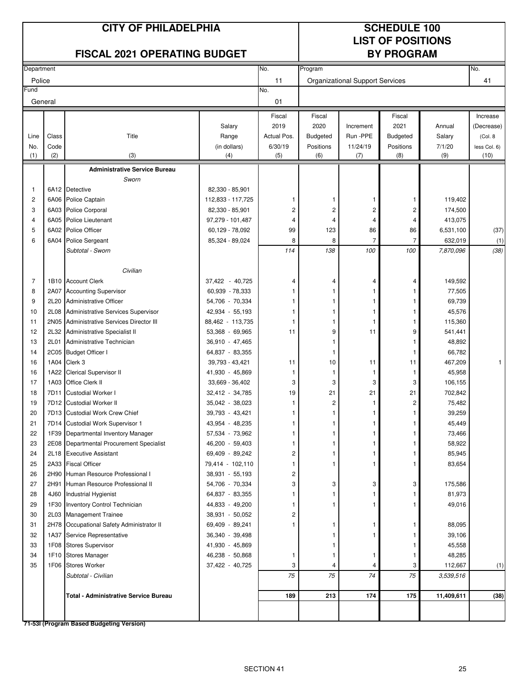# **LIST OF POSITIONS**

|                | <b>FISCAL 2021 OPERATING BUDGET</b> |                                          |                   |             |                 | <b>BY PROGRAM</b>                      |                 |            |              |
|----------------|-------------------------------------|------------------------------------------|-------------------|-------------|-----------------|----------------------------------------|-----------------|------------|--------------|
| Department     |                                     |                                          |                   | No.         | Program         |                                        |                 |            | No.          |
| Police         |                                     |                                          |                   | 11          |                 | <b>Organizational Support Services</b> |                 |            | 41           |
| Fund           |                                     |                                          |                   | No.         |                 |                                        |                 |            |              |
| General        |                                     |                                          |                   | 01          |                 |                                        |                 |            |              |
|                |                                     |                                          |                   | Fiscal      | Fiscal          |                                        | Fiscal          |            | Increase     |
|                |                                     |                                          | Salary            | 2019        | 2020            | Increment                              | 2021            | Annual     | (Decrease)   |
| Line           | Class                               | Title                                    | Range             | Actual Pos. | <b>Budgeted</b> | Run -PPE                               | <b>Budgeted</b> | Salary     | (Col. 8)     |
| No.            | Code                                |                                          | (in dollars)      | 6/30/19     | Positions       | 11/24/19                               | Positions       | 7/1/20     | less Col. 6) |
| (1)            | (2)                                 | (3)                                      | (4)               | (5)         | (6)             | (7)                                    | (8)             | (9)        | (10)         |
|                |                                     | <b>Administrative Service Bureau</b>     |                   |             |                 |                                        |                 |            |              |
|                |                                     | Sworn                                    |                   |             |                 |                                        |                 |            |              |
| $\mathbf{1}$   |                                     | 6A12 Detective                           | 82,330 - 85,901   |             |                 |                                        |                 |            |              |
| $\overline{c}$ | 6A06                                | Police Captain                           | 112,833 - 117,725 | 1           | 1               | 1                                      | 1               | 119,402    |              |
| 3              | 6A03                                | <b>Police Corporal</b>                   | 82,330 - 85,901   | 2           | 2               | 2                                      | $\overline{c}$  | 174,500    |              |
| 4              | 6A05                                | <b>Police Lieutenant</b>                 | 97,279 - 101,487  | 4           | $\overline{4}$  | 4                                      | 4               | 413,075    |              |
| 5              | 6A02                                | Police Officer                           | 60,129 - 78,092   | 99          | 123             | 86                                     | 86              | 6,531,100  | (37)         |
| 6              | 6A04                                | Police Sergeant                          | 85,324 - 89,024   | 8           | 8               | $\overline{7}$                         | 7               | 632,019    | (1)          |
|                |                                     | Subtotal - Sworn                         |                   | 114         | 138             | 100                                    | 100             | 7,870,096  | (38)         |
|                |                                     | Civilian                                 |                   |             |                 |                                        |                 |            |              |
| 7              |                                     | 1B10 Account Clerk                       | 37,422 - 40,725   |             | 4               |                                        |                 | 149,592    |              |
| 8              | 2A07                                | <b>Accounting Supervisor</b>             | 60,939 - 78,333   | 4<br>1      |                 | 4<br>1                                 | 4<br>1          | 77,505     |              |
| 9              | 2L20                                | Administrative Officer                   | 54,706 - 70,334   | 1           |                 | 1                                      | 1               | 69,739     |              |
| 10             | 2L08                                | Administrative Services Supervisor       | 42,934 - 55,193   | 1           |                 | 1                                      | 1               | 45,576     |              |
| 11             | 2N05                                | Administrative Services Director III     | 88,462 - 113,735  | 1           |                 | 1                                      | 1               | 115,360    |              |
| 12             | 2L32                                | Administrative Specialist II             | 53,368 - 69,965   | 11          | 9               | 11                                     | 9               | 541,441    |              |
| 13             | 2L01                                | Administrative Technician                | 36,910 - 47,465   |             | 1               |                                        | -1              | 48,892     |              |
| 14             |                                     | 2C05 Budget Officer I                    | 64,837 - 83,355   |             |                 |                                        | 1               | 66,782     |              |
| 16             | 1A04                                | Clerk 3                                  | 39,793 - 43,421   | 11          | 10              | 11                                     | 11              | 467,209    | 1            |
| 16             | 1A22                                | Clerical Supervisor II                   | 41,930 - 45,869   | 1           | 1               | 1                                      | 1               | 45,958     |              |
| 17             | 1A03                                | Office Clerk II                          | 33,669 - 36,402   | 3           | 3               | 3                                      | 3               | 106,155    |              |
| 18             | 7D11                                | <b>Custodial Worker I</b>                | 32,412 - 34,785   | 19          | 21              | 21                                     | 21              | 702,842    |              |
| 19             | 7D12                                | Custodial Worker II                      | 35,042 - 38,023   | 1           | 2               | 1                                      | 2               | 75,482     |              |
| 20             |                                     | 7D13 Custodial Work Crew Chief           | 39,793 - 43,421   | 1           |                 | 1                                      |                 | 39,259     |              |
| 21             |                                     | 7D14 Custodial Work Supervisor 1         | 43,954 - 48,235   | 1           |                 | 1                                      | 1               | 45,449     |              |
| 22             |                                     | 1F39 Departmental Inventory Manager      | 57,534 - 73,962   | 1           |                 |                                        |                 | 73,466     |              |
| 23             |                                     | 2E08 Departmental Procurement Specialist | 46,200 - 59,403   | 1           |                 | 1                                      | 1               | 58,922     |              |
| 24             | 2L18                                | <b>Executive Assistant</b>               | 69,409 - 89,242   | 2           |                 | 1                                      | 1               | 85,945     |              |
| 25             |                                     | 2A33 Fiscal Officer                      | 79,414 - 102,110  | 1           |                 | -1                                     | 1               | 83,654     |              |
| 26             | 2H90                                | Human Resource Professional I            | 38,931 - 55,193   | 2           |                 |                                        |                 |            |              |
| 27             | 2H91                                | Human Resource Professional II           | 54,706 - 70,334   | 3           | 3               | 3                                      | 3               | 175,586    |              |
| 28             | 4J60                                | Industrial Hygienist                     | 64,837 - 83,355   |             |                 |                                        |                 | 81,973     |              |
| 29             | 1F30                                | Inventory Control Technician             | 44,833 - 49,200   | 1           |                 | 1                                      | 1               | 49,016     |              |
| 30             | 2L03                                | <b>Management Trainee</b>                | 38,931 - 50,052   | 2           |                 |                                        |                 |            |              |
| 31             | 2H78                                | Occupational Safety Administrator II     | 69,409 - 89,241   |             |                 | 1                                      | 1               | 88,095     |              |
| 32             | 1A37                                | Service Representative                   | 36,340 - 39,498   |             |                 | 1                                      | 1               | 39,106     |              |
| 33             | 1F08                                | <b>Stores Supervisor</b>                 | 41,930 - 45,869   |             |                 |                                        | 1               | 45,558     |              |
| 34             | 1F10                                | <b>Stores Manager</b>                    | 46,238 - 50,868   | 1           |                 | 1                                      | -1              | 48,285     |              |
| 35             |                                     | 1F06 Stores Worker                       | 37,422 - 40,725   | 3           | 4               | 4                                      | 3               | 112,667    | (1)          |
|                |                                     | Subtotal - Civilian                      |                   | 75          | 75              | 74                                     | 75              | 3,539,516  |              |
|                |                                     | Total - Administrative Service Bureau    |                   | 189         | 213             | 174                                    | 175             | 11,409,611 | (38)         |
|                |                                     |                                          |                   |             |                 |                                        |                 |            |              |
|                |                                     |                                          |                   |             |                 |                                        |                 |            |              |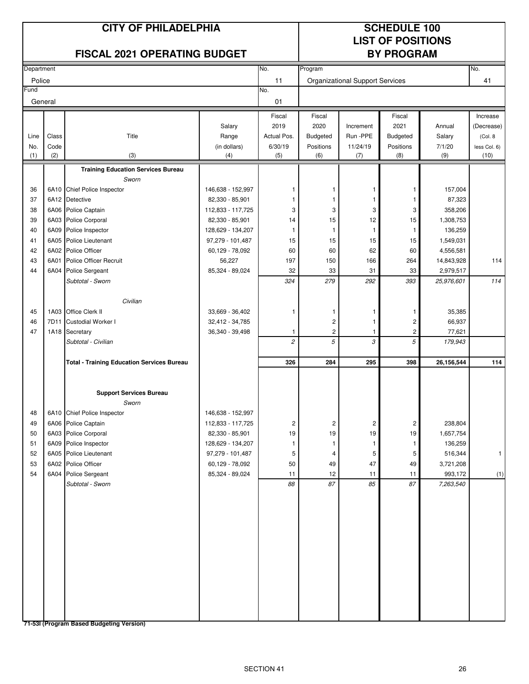# **LIST OF POSITIONS**

|            |       | <b>FISCAL 2021 OPERATING BUDGET</b>               |                           |                |                         |                                 | <b>BY PROGRAM</b> |                         |              |
|------------|-------|---------------------------------------------------|---------------------------|----------------|-------------------------|---------------------------------|-------------------|-------------------------|--------------|
| Department |       |                                                   |                           | No.            | Program                 |                                 |                   |                         | No.          |
| Police     |       |                                                   |                           | 11             |                         | Organizational Support Services |                   |                         | 41           |
| Fund       |       |                                                   |                           | No.            |                         |                                 |                   |                         |              |
| General    |       |                                                   |                           | 01             |                         |                                 |                   |                         |              |
|            |       |                                                   |                           | Fiscal         | Fiscal                  |                                 | Fiscal            |                         | Increase     |
|            |       |                                                   | Salary                    | 2019           | 2020                    | Increment                       | 2021              | Annual                  | (Decrease)   |
| Line       | Class | Title                                             | Range                     | Actual Pos.    | Budgeted                | Run -PPE                        | Budgeted          | Salary                  | (Col. 8)     |
| No.        | Code  |                                                   | (in dollars)              | 6/30/19        | Positions               | 11/24/19                        | Positions         | 7/1/20                  | less Col. 6) |
| (1)        | (2)   | (3)                                               | (4)                       | (5)            | (6)                     | (7)                             | (8)               | (9)                     | (10)         |
|            |       | <b>Training Education Services Bureau</b>         |                           |                |                         |                                 |                   |                         |              |
|            |       | Sworn                                             |                           |                |                         |                                 |                   |                         |              |
| 36         |       | 6A10 Chief Police Inspector                       | 146,638 - 152,997         |                | -1                      | 1                               | 1                 | 157,004                 |              |
| 37         |       | 6A12 Detective                                    | 82,330 - 85,901           | 1              | 1                       | 1                               | -1                | 87,323                  |              |
| 38         |       | 6A06 Police Captain                               | 112,833 - 117,725         | 3              | 3                       | 3                               | 3                 | 358,206                 |              |
| 39         |       | 6A03 Police Corporal                              | 82,330 - 85,901           | 14             | 15                      | 12                              | 15                | 1,308,753               |              |
| 40         | 6A09  | Police Inspector                                  | 128,629 - 134,207         | $\mathbf{1}$   | $\mathbf{1}$            | $\mathbf{1}$                    | -1                | 136,259                 |              |
| 41         | 6A05  | <b>Police Lieutenant</b>                          | 97,279 - 101,487          | 15             | 15                      | 15                              | 15                | 1,549,031               |              |
| 42         | 6A02  | Police Officer                                    | 60,129 - 78,092           | 60             | 60                      | 62                              | 60                | 4,556,581               |              |
| 43<br>44   | 6A01  | Police Officer Recruit                            | 56,227<br>85,324 - 89,024 | 197<br>32      | 150<br>33               | 166<br>31                       | 264               | 14,843,928<br>2,979,517 | 114          |
|            | 6A04  | Police Sergeant<br>Subtotal - Sworn               |                           | 324            | 279                     | 292                             | 33<br>393         | 25,976,601              | 114          |
|            |       |                                                   |                           |                |                         |                                 |                   |                         |              |
|            |       | Civilian                                          |                           |                |                         |                                 |                   |                         |              |
| 45         |       | 1A03 Office Clerk II                              | 33,669 - 36,402           | 1              | -1                      | 1                               | -1                | 35,385                  |              |
| 46         | 7D11  | Custodial Worker I                                | 32,412 - 34,785           |                | $\overline{\mathbf{c}}$ | 1                               | $\overline{c}$    | 66,937                  |              |
| 47         |       | 1A18 Secretary                                    | 36,340 - 39,498           | 1              | $\overline{c}$          | $\mathbf{1}$                    | 2                 | 77,621                  |              |
|            |       | Subtotal - Civilian                               |                           | $\overline{c}$ | 5                       | 3                               | 5                 | 179,943                 |              |
|            |       | <b>Total - Training Education Services Bureau</b> |                           | 326            | 284                     | 295                             | 398               | 26,156,544              | 114          |
|            |       |                                                   |                           |                |                         |                                 |                   |                         |              |
|            |       | <b>Support Services Bureau</b>                    |                           |                |                         |                                 |                   |                         |              |
|            |       | Sworn                                             |                           |                |                         |                                 |                   |                         |              |
| 48         |       | 6A10 Chief Police Inspector                       | 146,638 - 152,997         |                |                         |                                 |                   |                         |              |
| 49         |       | 6A06 Police Captain                               | 112,833 - 117,725         | $\overline{c}$ | 2                       | $\overline{c}$                  | $\overline{c}$    | 238,804                 |              |
| 50         |       | 6A03 Police Corporal                              | 82,330 - 85,901           | 19             | 19                      | 19                              | 19                | 1,657,754               |              |
| 51         |       | 6A09 Police Inspector                             | 128,629 - 134,207         | 1              | $\mathbf{1}$            | 1                               | 1                 | 136,259                 |              |
| 52         |       | 6A05 Police Lieutenant                            | 97,279 - 101,487          | 5              | 4                       | 5                               | 5                 | 516,344                 | $\mathbf{1}$ |
| 53         |       | 6A02 Police Officer                               | 60,129 - 78,092           | $50\,$         | 49                      | 47                              | 49                | 3,721,208               |              |
| 54         |       | 6A04 Police Sergeant                              | 85,324 - 89,024           | 11             | 12                      | 11                              | 11                | 993,172                 | (1)          |
|            |       | Subtotal - Sworn                                  |                           | 88             | 87                      | 85                              | 87                | 7,263,540               |              |
|            |       |                                                   |                           |                |                         |                                 |                   |                         |              |
|            |       |                                                   |                           |                |                         |                                 |                   |                         |              |
|            |       |                                                   |                           |                |                         |                                 |                   |                         |              |
|            |       |                                                   |                           |                |                         |                                 |                   |                         |              |
|            |       |                                                   |                           |                |                         |                                 |                   |                         |              |
|            |       |                                                   |                           |                |                         |                                 |                   |                         |              |
|            |       |                                                   |                           |                |                         |                                 |                   |                         |              |
|            |       |                                                   |                           |                |                         |                                 |                   |                         |              |
|            |       |                                                   |                           |                |                         |                                 |                   |                         |              |
|            |       |                                                   |                           |                |                         |                                 |                   |                         |              |
|            |       |                                                   |                           |                |                         |                                 |                   |                         |              |
|            |       |                                                   |                           |                |                         |                                 |                   |                         |              |
|            |       |                                                   |                           |                |                         |                                 |                   |                         |              |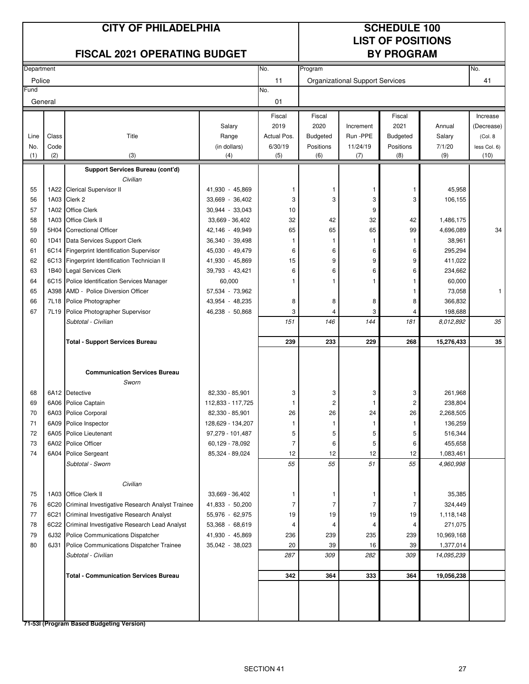# **LIST OF POSITIONS**

|            |       | <b>FISCAL 2021 OPERATING BUDGET</b>             |                   |                | <b>BY PROGRAM</b> |                                        |                 |            |              |
|------------|-------|-------------------------------------------------|-------------------|----------------|-------------------|----------------------------------------|-----------------|------------|--------------|
| Department |       |                                                 |                   | No.            | Program           |                                        |                 |            | No.          |
| Police     |       |                                                 |                   | 11             |                   | <b>Organizational Support Services</b> |                 |            | 41           |
| Fund       |       |                                                 |                   | No.            |                   |                                        |                 |            |              |
| General    |       |                                                 |                   | 01             |                   |                                        |                 |            |              |
|            |       |                                                 |                   | Fiscal         | Fiscal            |                                        | Fiscal          |            | Increase     |
|            |       |                                                 | Salary            | 2019           | 2020              | Increment                              | 2021            | Annual     | (Decrease)   |
| Line       | Class | Title                                           | Range             | Actual Pos.    | <b>Budgeted</b>   | Run -PPE                               | <b>Budgeted</b> | Salary     | (Col. 8)     |
| No.        | Code  |                                                 | (in dollars)      | 6/30/19        | Positions         | 11/24/19                               | Positions       | 7/1/20     | less Col. 6) |
| (1)        | (2)   | (3)                                             | (4)               | (5)            | (6)               | (7)                                    | (8)             | (9)        | (10)         |
|            |       | Support Services Bureau (cont'd)                |                   |                |                   |                                        |                 |            |              |
|            |       | Civilian                                        |                   |                |                   |                                        |                 |            |              |
| 55         |       | 1A22 Clerical Supervisor II                     | 41,930 - 45,869   | 1              | 1                 | 1                                      | 1               | 45,958     |              |
| 56         | 1A03  | Clerk 2                                         | 33,669 - 36,402   | 3              | 3                 | 3                                      | 3               | 106,155    |              |
| 57         | 1A02  | <b>Office Clerk</b>                             | 30,944 - 33,043   | 10             |                   | 9                                      |                 |            |              |
| 58         | 1A03  | Office Clerk II                                 | 33,669 - 36,402   | 32             | 42                | 32                                     | 42              | 1,486,175  |              |
| 59         | 5H04  | <b>Correctional Officer</b>                     | 42,146 - 49,949   | 65             | 65                | 65                                     | 99              | 4,696,089  | 34           |
| 60         | 1D41  | Data Services Support Clerk                     | 36,340 - 39,498   | 1              | 1                 | 1                                      | 1               | 38,961     |              |
| 61         | 6C14  | Fingerprint Identification Supervisor           | 45,030 - 49,479   | 6              | 6                 | 6                                      | 6               | 295,294    |              |
| 62         | 6C13  | Fingerprint Identification Technician II        | 41,930 - 45,869   | 15             | 9                 | 9                                      | 9               | 411,022    |              |
| 63         | 1B40  | Legal Services Clerk                            | 39,793 - 43,421   | 6              | 6                 | 6                                      | 6               | 234,662    |              |
| 64         | 6C15  | Police Identification Services Manager          | 60,000            | 1              |                   | 1                                      | 1               | 60,000     |              |
| 65         | A398  | AMD - Police Diversion Officer                  | 57,534 - 73,962   |                |                   |                                        | 1               | 73,058     | 1            |
| 66         | 7L18  | Police Photographer                             | 43,954 - 48,235   | 8              | 8                 | 8                                      | 8               | 366,832    |              |
| 67         | 7L19  | Police Photographer Supervisor                  | 46,238 - 50,868   | 3              | 4                 | 3                                      | 4               | 198,688    |              |
|            |       | Subtotal - Civilian                             |                   | 151            | 146               | 144                                    | 181             | 8,012,892  | 35           |
|            |       | <b>Total - Support Services Bureau</b>          |                   | 239            | 233               | 229                                    | 268             | 15,276,433 | 35           |
|            |       |                                                 |                   |                |                   |                                        |                 |            |              |
|            |       | <b>Communication Services Bureau</b>            |                   |                |                   |                                        |                 |            |              |
|            |       | Sworn                                           |                   |                |                   |                                        |                 |            |              |
| 68         |       | 6A12 Detective                                  | 82,330 - 85,901   | 3              | 3                 | 3                                      | 3               | 261,968    |              |
| 69         |       | 6A06 Police Captain                             | 112,833 - 117,725 | 1              | $\overline{2}$    | -1                                     | 2               | 238,804    |              |
| 70         | 6A03  | Police Corporal                                 | 82,330 - 85,901   | 26             | 26                | 24                                     | 26              | 2,268,505  |              |
| 71         |       | 6A09 Police Inspector                           | 128,629 - 134,207 | 1              | 1                 | 1                                      | 1               | 136,259    |              |
| 72         |       | 6A05 Police Lieutenant                          | 97,279 - 101,487  | 5              | 5                 | E                                      | 5               | 516,344    |              |
| 73         |       | 6A02 Police Officer                             | 60,129 - 78,092   | $\overline{7}$ | 6                 | 5                                      | 6               | 455,658    |              |
| 74         |       | 6A04 Police Sergeant                            | 85,324 - 89,024   | 12             | 12                | 12                                     | 12              | 1,083,461  |              |
|            |       | Subtotal - Sworn                                |                   | 55             | 55                | 51                                     | 55              | 4,960,998  |              |
|            |       | Civilian                                        |                   |                |                   |                                        |                 |            |              |
| 75         |       | 1A03 Office Clerk II                            | 33,669 - 36,402   | 1              | 1                 | 1                                      | 1               | 35,385     |              |
| 76         | 6C20  | Criminal Investigative Research Analyst Trainee | 41,833 - 50,200   | $\overline{7}$ | $\overline{7}$    | $\overline{7}$                         | 7               | 324,449    |              |
| 77         | 6C21  | Criminal Investigative Research Analyst         | 55,976 - 62,975   | 19             | 19                | 19                                     | 19              | 1,118,148  |              |
| 78         | 6C22  | Criminal Investigative Research Lead Analyst    | 53,368 - 68,619   | 4              | 4                 | 4                                      | 4               | 271,075    |              |
| 79         | 6J32  | Police Communications Dispatcher                | 41,930 - 45,869   | 236            | 239               | 235                                    | 239             | 10,969,168 |              |
| 80         | 6J31  | Police Communications Dispatcher Trainee        | 35,042 - 38,023   | 20             | 39                | 16                                     | 39              | 1,377,014  |              |
|            |       | Subtotal - Civilian                             |                   | 287            | 309               | 282                                    | 309             | 14,095,239 |              |
|            |       |                                                 |                   |                |                   |                                        |                 |            |              |
|            |       | <b>Total - Communication Services Bureau</b>    |                   | 342            | 364               | 333                                    | 364             | 19,056,238 |              |
|            |       |                                                 |                   |                |                   |                                        |                 |            |              |
|            |       |                                                 |                   |                |                   |                                        |                 |            |              |
|            |       |                                                 |                   |                |                   |                                        |                 |            |              |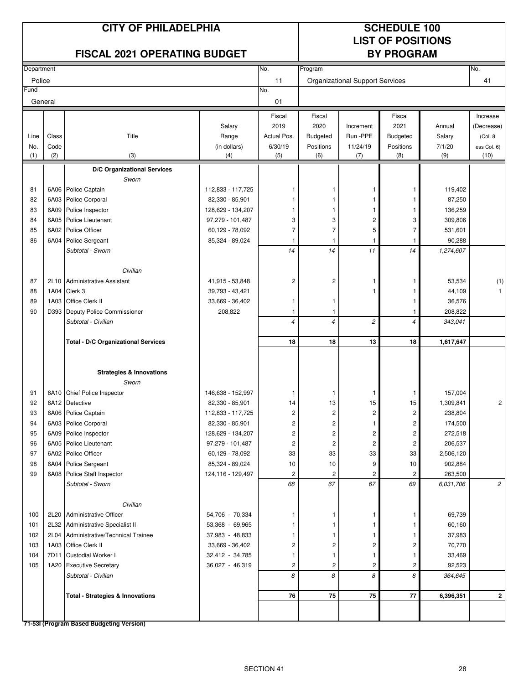# **LIST OF POSITIONS**

|            |       | <b>FISCAL 2021 OPERATING BUDGET</b>         |                     |                         |                    |                                 | <b>BY PROGRAM</b> |           |                |
|------------|-------|---------------------------------------------|---------------------|-------------------------|--------------------|---------------------------------|-------------------|-----------|----------------|
| Department |       |                                             |                     | No.                     | Program            |                                 |                   |           | No.            |
| Police     |       |                                             |                     | 11                      |                    | Organizational Support Services |                   |           | 41             |
| Fund       |       |                                             |                     | No.                     |                    |                                 |                   |           |                |
| General    |       |                                             |                     | 01                      |                    |                                 |                   |           |                |
|            |       |                                             |                     | Fiscal                  | Fiscal             |                                 | Fiscal            |           | Increase       |
|            |       |                                             | Salary              | 2019                    | 2020               | Increment                       | 2021              | Annual    | (Decrease)     |
| Line       | Class | Title                                       | Range               | Actual Pos.             | <b>Budgeted</b>    | Run-PPE                         | <b>Budgeted</b>   | Salary    | (Col. 8        |
| No.        | Code  |                                             | (in dollars)        | 6/30/19                 | Positions          | 11/24/19                        | Positions         | 7/1/20    | less Col. 6)   |
| (1)        | (2)   | (3)                                         | (4)                 | (5)                     | (6)                | (7)                             | (8)               | (9)       | (10)           |
|            |       | D/C Organizational Services                 |                     |                         |                    |                                 |                   |           |                |
|            |       | Sworn                                       |                     |                         |                    |                                 |                   |           |                |
| 81         |       | 6A06 Police Captain                         | 112,833 - 117,725   | 1                       |                    | 1                               | -1                | 119,402   |                |
| 82         |       | 6A03 Police Corporal                        | 82,330 - 85,901     | 1                       |                    | 1                               | -1                | 87,250    |                |
| 83         |       | 6A09 Police Inspector                       | 128,629 - 134,207   | 1                       | 1                  | 1                               | 1                 | 136,259   |                |
| 84         |       | 6A05 Police Lieutenant                      | 97,279 - 101,487    | 3                       | 3                  | $\sqrt{2}$                      | 3                 | 309,806   |                |
| 85         |       | 6A02 Police Officer                         | 60,129 - 78,092     | $\overline{7}$          | $\overline{7}$     | 5                               | $\overline{7}$    | 531,601   |                |
| 86         | 6A04  | Police Sergeant                             | 85,324 - 89,024     | 1<br>14                 | $\mathbf{1}$<br>14 | 1<br>11                         | -1                | 90,288    |                |
|            |       | Subtotal - Sworn                            |                     |                         |                    |                                 | 14                | 1,274,607 |                |
|            |       | Civilian                                    |                     |                         |                    |                                 |                   |           |                |
| 87         |       | 2L10 Administrative Assistant               | 41,915 - 53,848     | $\sqrt{2}$              | $\overline{c}$     | 1                               | $\mathbf{1}$      | 53,534    | (1)            |
| 88         | 1A04  | Clerk 3                                     | 39,793 - 43,421     |                         |                    | 1                               |                   | 44,109    | $\mathbf{1}$   |
| 89         | 1A03  | Office Clerk II                             | 33,669 - 36,402     | 1                       | $\mathbf{1}$       |                                 | -1                | 36,576    |                |
| 90         | D393  | Deputy Police Commissioner                  | 208,822             | 1                       | $\mathbf{1}$       |                                 | -1                | 208,822   |                |
|            |       | Subtotal - Civilian                         |                     | $\overline{4}$          | $\overline{4}$     | $\overline{c}$                  | $\overline{4}$    | 343,041   |                |
|            |       |                                             |                     |                         |                    |                                 |                   |           |                |
|            |       | Total - D/C Organizational Services         |                     | 18                      | 18                 | 13                              | 18                | 1,617,647 |                |
|            |       |                                             |                     |                         |                    |                                 |                   |           |                |
|            |       | <b>Strategies &amp; Innovations</b>         |                     |                         |                    |                                 |                   |           |                |
|            |       | Sworn                                       |                     |                         |                    |                                 |                   |           |                |
| 91         |       | 6A10 Chief Police Inspector                 | 146,638 - 152,997   | -1                      | -1                 | 1                               | $\mathbf{1}$      | 157,004   |                |
| 92         |       | 6A12 Detective                              | 82,330 - 85,901     | 14                      | 13                 | 15                              | 15                | 1,309,841 | $\overline{c}$ |
| 93         |       | 6A06 Police Captain                         | 112,833 - 117,725   | $\overline{\mathbf{c}}$ | $\overline{c}$     | 2                               | 2                 | 238,804   |                |
| 94         |       | 6A03 Police Corporal                        | 82,330 - 85,901     | $\overline{\mathbf{c}}$ | 2                  | 1                               | $\overline{c}$    | 174,500   |                |
| 95         |       | 6A09 Police Inspector                       | 128,629 - 134,207   | 2                       | $\overline{c}$     | 2                               | $\sqrt{2}$        | 272,518   |                |
| 96         |       | 6A05 Police Lieutenant                      | 97,279 - 101,487    | $\overline{\mathbf{c}}$ | $\overline{c}$     | $\overline{c}$                  | $\overline{c}$    | 206,537   |                |
| 97         |       | 6A02 Police Officer                         | 60,129 - 78,092     | 33                      | 33                 | 33                              | 33                | 2,506,120 |                |
| 98         |       | 6A04 Police Sergeant                        | 85,324 - 89,024     | 10                      | 10                 | 9                               | 10                | 902,884   |                |
| 99         |       | 6A08 Police Staff Inspector                 | 124, 116 - 129, 497 | 2                       | 2                  | $\overline{\mathbf{c}}$         | 2                 | 263,500   |                |
|            |       | Subtotal - Sworn                            |                     | 68                      | 67                 | 67                              | 69                | 6,031,706 | $\overline{c}$ |
|            |       |                                             |                     |                         |                    |                                 |                   |           |                |
|            |       | Civilian                                    |                     |                         |                    |                                 |                   |           |                |
| 100        |       | 2L20 Administrative Officer                 | 54,706 - 70,334     | 1                       | -1                 | 1                               | $\mathbf{1}$      | 69,739    |                |
| 101        |       | 2L32 Administrative Specialist II           | 53,368 - 69,965     |                         | 1                  | 1                               | 1                 | 60,160    |                |
| 102        |       | 2L04 Administrative/Technical Trainee       | 37,983 - 48,833     |                         | 1                  | 1                               | -1                | 37,983    |                |
| 103        |       | 1A03 Office Clerk II                        | 33,669 - 36,402     | 2                       | 2                  | $\overline{c}$                  | 2                 | 70,770    |                |
| 104        |       | 7D11 Custodial Worker I                     | 32,412 - 34,785     |                         | 1                  | 1                               | -1                | 33,469    |                |
| 105        |       | 1A20 Executive Secretary                    | 36,027 - 46,319     | $\overline{c}$          | $\overline{c}$     | $\overline{c}$                  | $\overline{c}$    | 92,523    |                |
|            |       | Subtotal - Civilian                         |                     | 8                       | 8                  | 8                               | 8                 | 364,645   |                |
|            |       | <b>Total - Strategies &amp; Innovations</b> |                     | 76                      | 75                 | 75                              | 77                | 6,396,351 | $\mathbf{2}$   |
|            |       |                                             |                     |                         |                    |                                 |                   |           |                |
|            |       |                                             |                     |                         |                    |                                 |                   |           |                |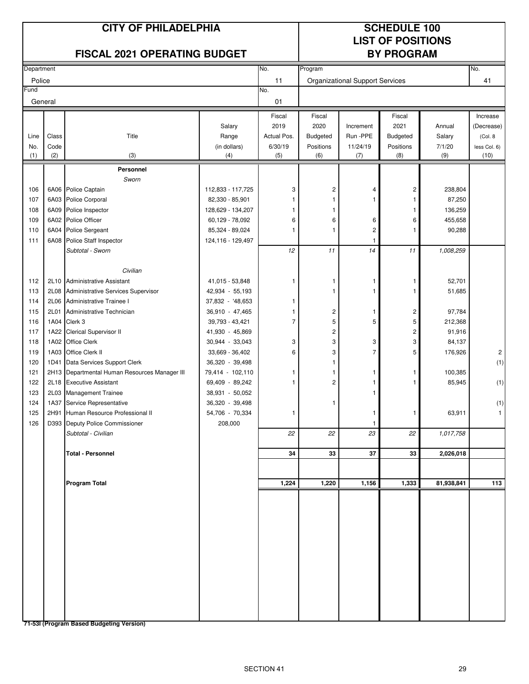# **LIST OF POSITIONS**

|            |       | <b>FISCAL 2021 OPERATING BUDGET</b>           |                     |                |                         |                                        | <b>BY PROGRAM</b>       |            |                |
|------------|-------|-----------------------------------------------|---------------------|----------------|-------------------------|----------------------------------------|-------------------------|------------|----------------|
| Department |       |                                               |                     | No.            | Program                 |                                        |                         |            | No.            |
| Police     |       |                                               |                     | 11             |                         | <b>Organizational Support Services</b> |                         |            | 41             |
| Fund       |       |                                               |                     | No.            |                         |                                        |                         |            |                |
| General    |       |                                               |                     | 01             |                         |                                        |                         |            |                |
|            |       |                                               |                     | Fiscal         | Fiscal                  |                                        | Fiscal                  |            | Increase       |
|            |       |                                               | Salary              | 2019           | 2020                    | Increment                              | 2021                    | Annual     | (Decrease)     |
| Line       | Class | Title                                         | Range               | Actual Pos.    | Budgeted                | Run -PPE                               | Budgeted                | Salary     | (Col. 8)       |
| No.        | Code  |                                               | (in dollars)        | 6/30/19        | Positions               | 11/24/19                               | Positions               | 7/1/20     | less Col. 6)   |
| (1)        | (2)   | (3)                                           | (4)                 | (5)            | (6)                     | (7)                                    | (8)                     | (9)        | (10)           |
|            |       | Personnel                                     |                     |                |                         |                                        |                         |            |                |
|            |       | Sworn                                         |                     |                |                         |                                        |                         |            |                |
| 106        |       | 6A06 Police Captain                           | 112,833 - 117,725   | 3              | $\overline{c}$          | 4                                      | $\overline{c}$          | 238,804    |                |
| 107        |       | 6A03 Police Corporal                          | 82,330 - 85,901     |                | 1                       | 1                                      | 1                       | 87,250     |                |
| 108        | 6A09  | Police Inspector                              | 128,629 - 134,207   | 1              | 1                       |                                        | -1                      | 136,259    |                |
| 109        |       | 6A02 Police Officer                           | 60,129 - 78,092     | 6              | 6                       | 6                                      | 6                       | 455,658    |                |
| 110        |       | 6A04 Police Sergeant                          | 85,324 - 89,024     | 1              | $\mathbf{1}$            | $\overline{\mathbf{c}}$                | -1                      | 90,288     |                |
| 111        | 6A08  | Police Staff Inspector                        | 124, 116 - 129, 497 |                |                         | 1                                      |                         |            |                |
|            |       | Subtotal - Sworn                              |                     | 12             | 11                      | 14                                     | 11                      | 1,008,259  |                |
|            |       | Civilian                                      |                     |                |                         |                                        |                         |            |                |
| 112        |       | 2L10 Administrative Assistant                 | 41,015 - 53,848     | 1              | 1                       | 1                                      | 1                       | 52,701     |                |
| 113        | 2L08  | Administrative Services Supervisor            | 42,934 - 55,193     |                | 1                       | 1                                      | 1                       | 51,685     |                |
| 114        |       | 2L06 Administrative Trainee I                 | 37,832 - '48,653    | 1              |                         |                                        |                         |            |                |
| 115        | 2L01  | Administrative Technician                     | 36,910 - 47,465     | 1              | $\overline{\mathbf{c}}$ | 1                                      | 2                       | 97,784     |                |
| 116        |       | 1A04 Clerk 3                                  | 39,793 - 43,421     | $\overline{7}$ | 5                       | 5                                      | 5                       | 212,368    |                |
| 117        |       | 1A22 Clerical Supervisor II                   | 41,930 - 45,869     |                | $\overline{c}$          |                                        | $\overline{\mathbf{c}}$ | 91,916     |                |
| 118        |       | 1A02 Office Clerk                             | 30,944 - 33,043     | 3              | 3                       | 3                                      | 3                       | 84,137     |                |
| 119        |       | 1A03 Office Clerk II                          | 33,669 - 36,402     | 6              | 3                       | $\overline{7}$                         | 5                       | 176,926    | $\overline{c}$ |
| 120        | 1D41  | Data Services Support Clerk                   | 36,320 - 39,498     |                | 1                       |                                        |                         |            | (1)            |
| 121        |       | 2H13 Departmental Human Resources Manager III | 79,414 - 102,110    | 1              | 1                       | 1                                      | 1                       | 100,385    |                |
| 122        |       | 2L18 Executive Assistant                      | 69,409 - 89,242     | 1              | $\overline{c}$          | 1                                      | -1                      | 85,945     | (1)            |
| 123        | 2L03  | <b>Management Trainee</b>                     | 38,931 - 50,052     |                |                         | 1                                      |                         |            |                |
| 124        | 1A37  | Service Representative                        | 36,320 - 39,498     |                | 1                       |                                        |                         |            | (1)            |
| 125        | 2H91  | Human Resource Professional II                | 54,706 - 70,334     | 1              |                         | 1                                      | 1                       | 63,911     | $\mathbf{1}$   |
| 126        |       | D393 Deputy Police Commissioner               | 208,000             |                |                         | 1                                      |                         |            |                |
|            |       | Subtotal - Civilian                           |                     | 22             | 22                      | 23                                     | 22                      | 1,017,758  |                |
|            |       |                                               |                     |                |                         |                                        |                         |            |                |
|            |       | <b>Total - Personnel</b>                      |                     | 34             | 33                      | 37                                     | 33                      | 2,026,018  |                |
|            |       |                                               |                     |                |                         |                                        |                         |            |                |
|            |       | <b>Program Total</b>                          |                     | 1,224          | 1,220                   | 1,156                                  | 1,333                   | 81,938,841 | 113            |
|            |       |                                               |                     |                |                         |                                        |                         |            |                |
|            |       |                                               |                     |                |                         |                                        |                         |            |                |
|            |       |                                               |                     |                |                         |                                        |                         |            |                |
|            |       |                                               |                     |                |                         |                                        |                         |            |                |
|            |       |                                               |                     |                |                         |                                        |                         |            |                |
|            |       |                                               |                     |                |                         |                                        |                         |            |                |
|            |       |                                               |                     |                |                         |                                        |                         |            |                |
|            |       |                                               |                     |                |                         |                                        |                         |            |                |
|            |       |                                               |                     |                |                         |                                        |                         |            |                |
|            |       |                                               |                     |                |                         |                                        |                         |            |                |
|            |       |                                               |                     |                |                         |                                        |                         |            |                |
|            |       |                                               |                     |                |                         |                                        |                         |            |                |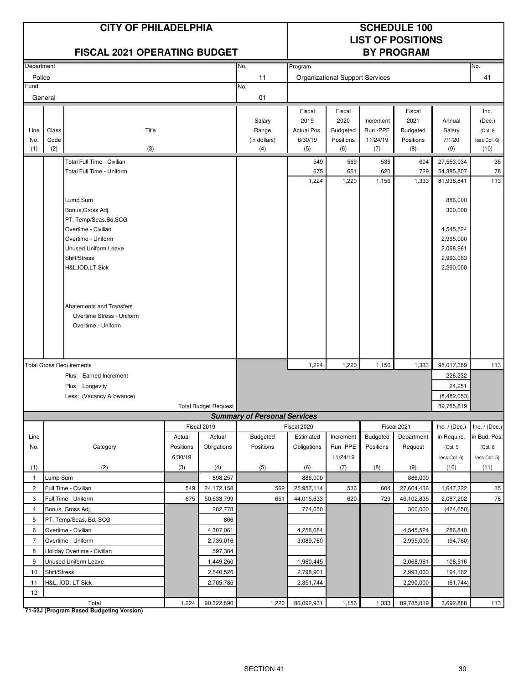|                |              | <b>CITY OF PHILADELPHIA</b><br><b>FISCAL 2021 OPERATING BUDGET</b> |           |                             |                                     |              |                                        |              | <b>SCHEDULE 100</b><br><b>LIST OF POSITIONS</b><br><b>BY PROGRAM</b> |                          |                               |
|----------------|--------------|--------------------------------------------------------------------|-----------|-----------------------------|-------------------------------------|--------------|----------------------------------------|--------------|----------------------------------------------------------------------|--------------------------|-------------------------------|
| Department     |              |                                                                    |           |                             | No.                                 | Program      |                                        |              |                                                                      |                          | No.                           |
| Police         |              |                                                                    |           |                             | 11                                  |              | <b>Organizational Support Services</b> |              |                                                                      |                          | 41                            |
| Fund           |              |                                                                    |           |                             | No.                                 |              |                                        |              |                                                                      |                          |                               |
|                | General      |                                                                    |           |                             | 01                                  |              |                                        |              |                                                                      |                          |                               |
|                |              |                                                                    |           |                             |                                     | Fiscal       | Fiscal                                 |              | Fiscal                                                               |                          | Inc.                          |
|                |              |                                                                    |           |                             | Salary                              | 2019         | 2020                                   | Increment    | 2021                                                                 | Annual                   | (Dec.)                        |
| Line           | Class        | Title                                                              |           |                             | Range                               | Actual Pos.  | Budgeted                               | Run -PPE     | <b>Budgeted</b>                                                      | Salary                   | (Col. 8)                      |
| No.            | Code         |                                                                    |           |                             | (in dollars)                        | 6/30/19      | Positions                              | 11/24/19     | Positions                                                            | 7/1/20                   | less Col. 6)                  |
| (1)            | (2)          | (3)                                                                |           |                             | (4)                                 | (5)          | (6)                                    | (7)          | (8)                                                                  | (9)                      | (10)                          |
|                |              | Total Full Time - Civilian                                         |           |                             |                                     | 549          | 569                                    | 536          | 604                                                                  | 27,553,034               | 35                            |
|                |              | Total Full Time - Uniform                                          |           |                             |                                     | 675<br>1,224 | 651<br>1,220                           | 620<br>1,156 | 729<br>1,333                                                         | 54,385,807<br>81,938,841 | 78<br>113                     |
|                |              |                                                                    |           |                             |                                     |              |                                        |              |                                                                      |                          |                               |
|                |              | Lump Sum                                                           |           |                             |                                     |              |                                        |              |                                                                      | 886,000                  |                               |
|                |              | Bonus, Gross Adj.                                                  |           |                             |                                     |              |                                        |              |                                                                      | 300,000                  |                               |
|                |              | PT. Temp/Seas, Bd, SCG                                             |           |                             |                                     |              |                                        |              |                                                                      |                          |                               |
|                |              | Overtime - Civilian                                                |           |                             |                                     |              |                                        |              |                                                                      | 4,545,524                |                               |
|                |              | Overtime - Uniform<br><b>Unused Uniform Leave</b>                  |           |                             |                                     |              |                                        |              |                                                                      | 2,995,000                |                               |
|                |              | Shift/Stress                                                       |           |                             |                                     |              |                                        |              |                                                                      | 2,068,961<br>2,993,063   |                               |
|                |              | H&L, IOD, LT-Sick                                                  |           |                             |                                     |              |                                        |              |                                                                      | 2,290,000                |                               |
|                |              |                                                                    |           |                             |                                     |              |                                        |              |                                                                      |                          |                               |
|                |              |                                                                    |           |                             |                                     |              |                                        |              |                                                                      |                          |                               |
|                |              |                                                                    |           |                             |                                     |              |                                        |              |                                                                      |                          |                               |
|                |              | Abatements and Transfers                                           |           |                             |                                     |              |                                        |              |                                                                      |                          |                               |
|                |              | Overtime Stress - Uniform                                          |           |                             |                                     |              |                                        |              |                                                                      |                          |                               |
|                |              | Overtime - Uniform                                                 |           |                             |                                     |              |                                        |              |                                                                      |                          |                               |
|                |              |                                                                    |           |                             |                                     |              |                                        |              |                                                                      |                          |                               |
|                |              |                                                                    |           |                             |                                     |              |                                        |              |                                                                      |                          |                               |
|                |              | <b>Total Gross Requirements</b>                                    |           |                             |                                     | 1,224        | 1,220                                  | 1,156        | 1,333                                                                | 98,017,389               | 113                           |
|                |              | Plus: Earned Increment                                             |           |                             |                                     |              |                                        |              |                                                                      | 226,232                  |                               |
|                |              | Plus: Longevity                                                    |           |                             |                                     |              |                                        |              |                                                                      | 24,251                   |                               |
|                |              | Less: (Vacancy Allowance)                                          |           |                             |                                     |              |                                        |              |                                                                      | (8,482,053)              |                               |
|                |              |                                                                    |           | <b>Total Budget Request</b> |                                     |              |                                        |              |                                                                      | 89,785,819               |                               |
|                |              |                                                                    |           |                             | <b>Summary of Personal Services</b> | Fiscal 2020  |                                        |              |                                                                      | Inc. $/$ (Dec.)          |                               |
| Line           |              |                                                                    | Actual    | Fiscal 2019<br>Actual       | Budgeted                            | Estimated    | Increment                              | Budgeted     | Fiscal 2021<br>Department                                            | in Require.              | Inc. / (Dec.)<br>in Bud. Pos. |
| No.            |              | Category                                                           | Positions | Obligations                 | Positions                           | Obligations  | Run -PPE                               | Positions    | Request                                                              | (Col. 9                  | (Col. 8                       |
|                |              |                                                                    | 6/30/19   |                             |                                     |              | 11/24/19                               |              |                                                                      | less Col. 6)             | less Col. 5)                  |
| (1)            |              | (2)                                                                | (3)       | (4)                         | (5)                                 | (6)          | (7)                                    | (8)          | (9)                                                                  | (10)                     | (11)                          |
| $\mathbf{1}$   | Lump Sum     |                                                                    |           | 898,257                     |                                     | 886,000      |                                        |              | 886,000                                                              |                          |                               |
| $\overline{c}$ |              | Full Time - Civilian                                               | 549       | 24,172,158                  | 569                                 | 25,957,114   | 536                                    | 604          | 27,604,436                                                           | 1,647,322                | 35                            |
| 3              |              | Full Time - Uniform                                                | 675       | 50,633,799                  | 651                                 | 44,015,633   | 620                                    | 729          | 46,102,835                                                           | 2,087,202                | 78                            |
| 4              |              | Bonus, Gross Adj.                                                  |           | 282,778                     |                                     | 774,650      |                                        |              | 300,000                                                              | (474, 650)               |                               |
| 5              |              | PT, Temp/Seas, Bd, SCG                                             |           | 866                         |                                     |              |                                        |              |                                                                      |                          |                               |
| 6              |              | Overtime - Civilian                                                |           | 4,307,061                   |                                     | 4,258,684    |                                        |              | 4,545,524                                                            | 286,840                  |                               |
| $\overline{7}$ |              | Overtime - Uniform                                                 |           | 2,735,016                   |                                     | 3,089,760    |                                        |              | 2,995,000                                                            | (94, 760)                |                               |
| 8              |              | Holiday Overtime - Civilian                                        |           | 597,384                     |                                     |              |                                        |              |                                                                      |                          |                               |
| 9              |              | Unused Uniform Leave                                               |           | 1,449,260                   |                                     | 1,960,445    |                                        |              | 2,068,961                                                            | 108,516                  |                               |
| 10             | Shift/Stress |                                                                    |           | 2,540,526                   |                                     | 2,798,901    |                                        |              | 2,993,063                                                            | 194,162                  |                               |
| 11             |              | H&L, IOD, LT-Sick                                                  |           | 2,705,785                   |                                     | 2,351,744    |                                        |              | 2,290,000                                                            | (61, 744)                |                               |
| 12             |              |                                                                    |           |                             |                                     |              |                                        |              |                                                                      |                          |                               |
|                |              | Total                                                              | 1,224     | 90,322,890                  | 1,220                               | 86,092,931   | 1,156                                  | 1,333        | 89,785,819                                                           | 3,692,888                | 113                           |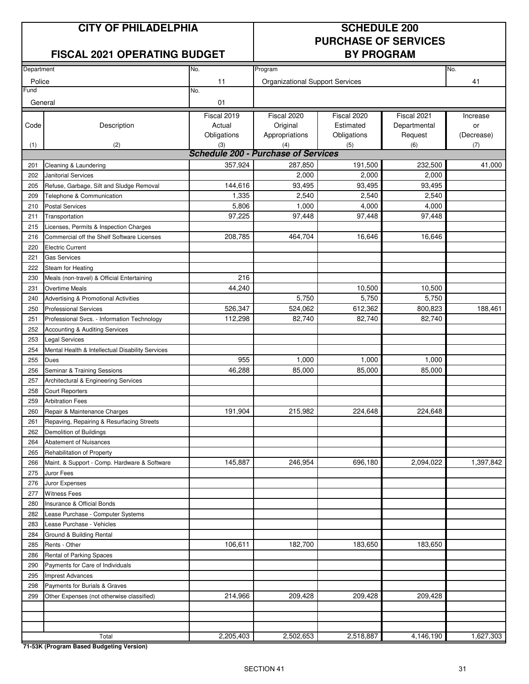#### **FISCAL 2021 OPERATING BUDGET BY PROGRAM**

# **PURCHASE OF SERVICES**

| Department |                                                  |                                            |                                        |             |              |            |
|------------|--------------------------------------------------|--------------------------------------------|----------------------------------------|-------------|--------------|------------|
|            |                                                  | No.                                        | Program                                |             |              | No.        |
| Police     |                                                  | 11                                         | <b>Organizational Support Services</b> |             |              | 41         |
| Fund       |                                                  | No.                                        |                                        |             |              |            |
| General    |                                                  | 01                                         |                                        |             |              |            |
|            |                                                  | Fiscal 2019                                | Fiscal 2020                            | Fiscal 2020 | Fiscal 2021  | Increase   |
| Code       | Description                                      | Actual                                     | Original                               | Estimated   | Departmental | or         |
|            |                                                  | Obligations                                | Appropriations                         | Obligations | Request      | (Decrease) |
| (1)        | (2)                                              | (3)                                        | (4)                                    | (5)         | (6)          | (7)        |
|            |                                                  | <b>Schedule 200 - Purchase of Services</b> |                                        |             |              |            |
| 201        | Cleaning & Laundering                            | 357,924                                    | 287,850                                | 191,500     | 232,500      | 41,000     |
| 202        | <b>Janitorial Services</b>                       |                                            | 2,000                                  | 2,000       | 2,000        |            |
| 205        | Refuse, Garbage, Silt and Sludge Removal         | 144,616                                    | 93,495                                 | 93,495      | 93,495       |            |
| 209        | Telephone & Communication                        | 1,335                                      | 2,540                                  | 2,540       | 2,540        |            |
| 210        | <b>Postal Services</b>                           | 5,806                                      | 1,000                                  | 4,000       | 4,000        |            |
| 211        | Transportation                                   | 97,225                                     | 97,448                                 | 97,448      | 97,448       |            |
| 215        | Licenses, Permits & Inspection Charges           |                                            |                                        |             |              |            |
| 216        | Commercial off the Shelf Software Licenses       | 208,785                                    | 464,704                                | 16,646      | 16,646       |            |
| 220        | <b>Electric Current</b>                          |                                            |                                        |             |              |            |
| 221        | <b>Gas Services</b>                              |                                            |                                        |             |              |            |
| 222        | Steam for Heating                                |                                            |                                        |             |              |            |
| 230        | Meals (non-travel) & Official Entertaining       | 216                                        |                                        |             |              |            |
| 231        | <b>Overtime Meals</b>                            | 44.240                                     |                                        | 10,500      | 10,500       |            |
| 240        | Advertising & Promotional Activities             |                                            | 5,750                                  | 5,750       | 5,750        |            |
| 250        | <b>Professional Services</b>                     | 526,347                                    | 524,062                                | 612,362     | 800,823      | 188,461    |
| 251        | Professional Svcs. - Information Technology      | 112,298                                    | 82,740                                 | 82,740      | 82,740       |            |
| 252        | Accounting & Auditing Services                   |                                            |                                        |             |              |            |
| 253        | <b>Legal Services</b>                            |                                            |                                        |             |              |            |
| 254        | Mental Health & Intellectual Disability Services |                                            |                                        |             |              |            |
| 255        | <b>Dues</b>                                      | 955                                        | 1,000                                  | 1,000       | 1,000        |            |
| 256        | Seminar & Training Sessions                      | 46,288                                     | 85,000                                 | 85,000      | 85,000       |            |
| 257        | Architectural & Engineering Services             |                                            |                                        |             |              |            |
| 258        | <b>Court Reporters</b>                           |                                            |                                        |             |              |            |
| 259        | <b>Arbitration Fees</b>                          |                                            |                                        |             |              |            |
| 260        | Repair & Maintenance Charges                     | 191,904                                    | 215,982                                | 224,648     | 224,648      |            |
| 261        | Repaving, Repairing & Resurfacing Streets        |                                            |                                        |             |              |            |
| 262        | Demolition of Buildings                          |                                            |                                        |             |              |            |
| 264        | <b>Abatement of Nuisances</b>                    |                                            |                                        |             |              |            |
| 265        | Rehabilitation of Property                       |                                            |                                        |             |              |            |
| 266        | Maint. & Support - Comp. Hardware & Software     | 145,887                                    | 246,954                                | 696,180     | 2,094,022    | 1,397,842  |
| 275        | Juror Fees                                       |                                            |                                        |             |              |            |
| 276        | Juror Expenses                                   |                                            |                                        |             |              |            |
| 277        | <b>Witness Fees</b>                              |                                            |                                        |             |              |            |
| 280        | Insurance & Official Bonds                       |                                            |                                        |             |              |            |
| 282        | Lease Purchase - Computer Systems                |                                            |                                        |             |              |            |
| 283        | Lease Purchase - Vehicles                        |                                            |                                        |             |              |            |
| 284        | Ground & Building Rental                         |                                            |                                        |             |              |            |
| 285        | Rents - Other                                    | 106,611                                    | 182,700                                | 183,650     | 183,650      |            |
| 286        | Rental of Parking Spaces                         |                                            |                                        |             |              |            |
| 290        | Payments for Care of Individuals                 |                                            |                                        |             |              |            |
| 295        | <b>Imprest Advances</b>                          |                                            |                                        |             |              |            |
| 298        | Payments for Burials & Graves                    |                                            |                                        |             |              |            |
| 299        | Other Expenses (not otherwise classified)        | 214,966                                    | 209,428                                | 209,428     | 209,428      |            |
|            |                                                  |                                            |                                        |             |              |            |
|            |                                                  |                                            |                                        |             |              |            |
|            |                                                  |                                            |                                        |             |              |            |
|            | Total                                            | 2,205,403                                  | 2,502,653                              | 2,518,887   | 4,146,190    | 1,627,303  |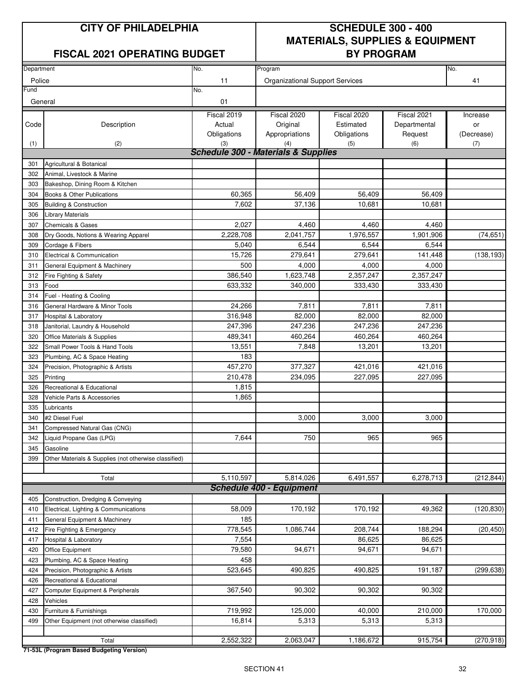#### **FISCAL 2021 OPERATING BUDGET BY PROGRAM**

## **CITY OF PHILADELPHIA SCHEDULE 300 - 400 MATERIALS, SUPPLIES & EQUIPMENT**

| No.<br>Program<br>No.<br>Department |                                                       |             |                                                       |             |              |            |
|-------------------------------------|-------------------------------------------------------|-------------|-------------------------------------------------------|-------------|--------------|------------|
|                                     |                                                       |             |                                                       |             |              |            |
| Police                              |                                                       | 11          | <b>Organizational Support Services</b>                |             |              | 41         |
| =und                                |                                                       | No.         |                                                       |             |              |            |
| General                             |                                                       | 01          |                                                       |             |              |            |
|                                     |                                                       | Fiscal 2019 | Fiscal 2020                                           | Fiscal 2020 | Fiscal 2021  | Increase   |
| Code                                | Description                                           | Actual      | Original                                              | Estimated   | Departmental | or         |
|                                     |                                                       | Obligations | Appropriations                                        | Obligations | Request      | (Decrease) |
| (1)                                 | (2)                                                   | (3)         | (4)<br><b>Schedule 300 - Materials &amp; Supplies</b> | (5)         | (6)          | (7)        |
|                                     |                                                       |             |                                                       |             |              |            |
| 301                                 | Agricultural & Botanical                              |             |                                                       |             |              |            |
| 302                                 | Animal, Livestock & Marine                            |             |                                                       |             |              |            |
| 303                                 | Bakeshop, Dining Room & Kitchen                       |             |                                                       |             |              |            |
| 304                                 | Books & Other Publications                            | 60,365      | 56,409                                                | 56,409      | 56,409       |            |
| 305                                 | <b>Building &amp; Construction</b>                    | 7,602       | 37,136                                                | 10,681      | 10,681       |            |
| 306                                 | <b>Library Materials</b>                              |             |                                                       |             |              |            |
| 307                                 | <b>Chemicals &amp; Gases</b>                          | 2,027       | 4,460                                                 | 4,460       | 4,460        |            |
| 308                                 | Dry Goods, Notions & Wearing Apparel                  | 2,228,708   | 2,041,757                                             | 1,976,557   | 1,901,906    | (74, 651)  |
| 309                                 | Cordage & Fibers                                      | 5,040       | 6,544                                                 | 6,544       | 6,544        |            |
| 310                                 | Electrical & Communication                            | 15,726      | 279,641                                               | 279,641     | 141,448      | (138, 193) |
| 311                                 | General Equipment & Machinery                         | 500         | 4,000                                                 | 4,000       | 4,000        |            |
| 312                                 | Fire Fighting & Safety                                | 386,540     | 1,623,748                                             | 2,357,247   | 2,357,247    |            |
| 313                                 | Food                                                  | 633,332     | 340.000                                               | 333,430     | 333,430      |            |
| 314                                 | Fuel - Heating & Cooling                              |             |                                                       |             |              |            |
| 316                                 | General Hardware & Minor Tools                        | 24,266      | 7,811                                                 | 7,811       | 7,811        |            |
| 317                                 | Hospital & Laboratory                                 | 316,948     | 82,000                                                | 82,000      | 82,000       |            |
| 318                                 | Janitorial, Laundry & Household                       | 247,396     | 247,236                                               | 247,236     | 247,236      |            |
| 320                                 | Office Materials & Supplies                           | 489,341     | 460,264                                               | 460,264     | 460,264      |            |
| 322                                 | Small Power Tools & Hand Tools                        | 13,551      | 7,848                                                 | 13,201      | 13,201       |            |
| 323                                 | Plumbing, AC & Space Heating                          | 183         |                                                       |             |              |            |
| 324                                 | Precision, Photographic & Artists                     | 457,270     | 377,327                                               | 421,016     | 421,016      |            |
| 325                                 | Printing                                              | 210,478     | 234,095                                               | 227,095     | 227,095      |            |
| 326                                 | Recreational & Educational                            | 1,815       |                                                       |             |              |            |
| 328                                 | Vehicle Parts & Accessories                           | 1,865       |                                                       |             |              |            |
| 335                                 | Lubricants                                            |             |                                                       |             |              |            |
| 340                                 | #2 Diesel Fuel                                        |             | 3,000                                                 | 3,000       | 3,000        |            |
| 341                                 | Compressed Natural Gas (CNG)                          |             |                                                       |             |              |            |
| 342                                 | Liquid Propane Gas (LPG)                              | 7,644       | 750                                                   | 965         | 965          |            |
| 345                                 | Gasoline                                              |             |                                                       |             |              |            |
| 399                                 | Other Materials & Supplies (not otherwise classified) |             |                                                       |             |              |            |
|                                     | Total                                                 | 5,110,597   | 5,814,026                                             | 6,491,557   | 6,278,713    | (212, 844) |
|                                     |                                                       |             | <b>Schedule 400 - Equipment</b>                       |             |              |            |
| 405                                 | Construction, Dredging & Conveying                    |             |                                                       |             |              |            |
| 410                                 | Electrical, Lighting & Communications                 | 58,009      | 170,192                                               | 170,192     | 49,362       | (120, 830) |
| 411                                 | General Equipment & Machinery                         | 185         |                                                       |             |              |            |
| 412                                 | Fire Fighting & Emergency                             | 778,545     | 1,086,744                                             | 208,744     | 188,294      | (20, 450)  |
| 417                                 | Hospital & Laboratory                                 | 7,554       |                                                       | 86,625      | 86,625       |            |
| 420                                 | Office Equipment                                      | 79,580      | 94,671                                                | 94,671      | 94,671       |            |
| 423                                 | Plumbing, AC & Space Heating                          | 458         |                                                       |             |              |            |
| 424                                 | Precision, Photographic & Artists                     | 523,645     | 490,825                                               | 490,825     | 191,187      | (299, 638) |
| 426                                 | Recreational & Educational                            |             |                                                       |             |              |            |
| 427                                 | Computer Equipment & Peripherals                      | 367,540     | 90,302                                                | 90,302      | 90,302       |            |
| 428                                 | Vehicles                                              |             |                                                       |             |              |            |
| 430                                 | Furniture & Furnishings                               | 719,992     | 125,000                                               | 40,000      | 210,000      | 170,000    |
| 499                                 | Other Equipment (not otherwise classified)            | 16,814      | 5,313                                                 | 5,313       | 5,313        |            |
|                                     |                                                       |             |                                                       |             |              |            |
|                                     | Total                                                 | 2,552,322   | 2,063,047                                             | 1,186,672   | 915,754      | (270, 918) |
|                                     |                                                       |             |                                                       |             |              |            |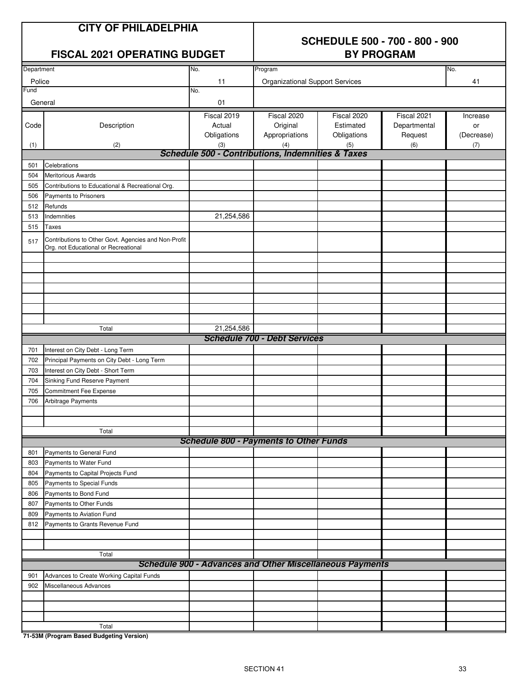### **CITY OF PHILADELPHIA**

#### **SCHEDULE 500 - 700 - 800 - 900 FISCAL 2021 OPERATING BUDGET BY PROGRAM**

| Department |                                                                                              | No.                                                             | Program                                |             |              | No.        |
|------------|----------------------------------------------------------------------------------------------|-----------------------------------------------------------------|----------------------------------------|-------------|--------------|------------|
| Police     |                                                                                              | 11                                                              | <b>Organizational Support Services</b> |             |              | 41         |
| Fund       |                                                                                              | No.                                                             |                                        |             |              |            |
| General    |                                                                                              | 01                                                              |                                        |             |              |            |
|            |                                                                                              | Fiscal 2019                                                     | Fiscal 2020                            | Fiscal 2020 | Fiscal 2021  | Increase   |
| Code       | Description                                                                                  | Actual                                                          | Original                               | Estimated   | Departmental | or         |
|            |                                                                                              | Obligations                                                     | Appropriations                         | Obligations | Request      | (Decrease) |
| (1)        | (2)                                                                                          | (3)                                                             | (4)                                    | (5)         | (6)          | (7)        |
|            |                                                                                              | <b>Schedule 500 - Contributions, Indemnities &amp; Taxes</b>    |                                        |             |              |            |
| 501        | Celebrations                                                                                 |                                                                 |                                        |             |              |            |
| 504        | <b>Meritorious Awards</b>                                                                    |                                                                 |                                        |             |              |            |
| 505        | Contributions to Educational & Recreational Org.                                             |                                                                 |                                        |             |              |            |
| 506        | Payments to Prisoners                                                                        |                                                                 |                                        |             |              |            |
| 512        | Refunds                                                                                      |                                                                 |                                        |             |              |            |
| 513        | Indemnities                                                                                  | 21,254,586                                                      |                                        |             |              |            |
| 515        | Taxes                                                                                        |                                                                 |                                        |             |              |            |
|            |                                                                                              |                                                                 |                                        |             |              |            |
| 517        | Contributions to Other Govt. Agencies and Non-Profit<br>Org. not Educational or Recreational |                                                                 |                                        |             |              |            |
|            |                                                                                              |                                                                 |                                        |             |              |            |
|            |                                                                                              |                                                                 |                                        |             |              |            |
|            |                                                                                              |                                                                 |                                        |             |              |            |
|            |                                                                                              |                                                                 |                                        |             |              |            |
|            |                                                                                              |                                                                 |                                        |             |              |            |
|            |                                                                                              |                                                                 |                                        |             |              |            |
|            |                                                                                              |                                                                 |                                        |             |              |            |
|            | Total                                                                                        | 21,254,586                                                      |                                        |             |              |            |
|            |                                                                                              |                                                                 | <b>Schedule 700 - Debt Services</b>    |             |              |            |
| 701        | Interest on City Debt - Long Term                                                            |                                                                 |                                        |             |              |            |
| 702        | Principal Payments on City Debt - Long Term                                                  |                                                                 |                                        |             |              |            |
| 703        | Interest on City Debt - Short Term                                                           |                                                                 |                                        |             |              |            |
| 704        | Sinking Fund Reserve Payment                                                                 |                                                                 |                                        |             |              |            |
| 705        | Commitment Fee Expense                                                                       |                                                                 |                                        |             |              |            |
| 706        | Arbitrage Payments                                                                           |                                                                 |                                        |             |              |            |
|            |                                                                                              |                                                                 |                                        |             |              |            |
|            |                                                                                              |                                                                 |                                        |             |              |            |
|            | Total                                                                                        |                                                                 |                                        |             |              |            |
|            |                                                                                              | <b>Schedule 800 - Payments to Other Funds</b>                   |                                        |             |              |            |
| 801        | Payments to General Fund                                                                     |                                                                 |                                        |             |              |            |
| 803        | Payments to Water Fund                                                                       |                                                                 |                                        |             |              |            |
| 804        | Payments to Capital Projects Fund                                                            |                                                                 |                                        |             |              |            |
| 805        | Payments to Special Funds                                                                    |                                                                 |                                        |             |              |            |
| 806        | Payments to Bond Fund                                                                        |                                                                 |                                        |             |              |            |
| 807        | Payments to Other Funds                                                                      |                                                                 |                                        |             |              |            |
| 809        | Payments to Aviation Fund                                                                    |                                                                 |                                        |             |              |            |
| 812        | Payments to Grants Revenue Fund                                                              |                                                                 |                                        |             |              |            |
|            |                                                                                              |                                                                 |                                        |             |              |            |
|            |                                                                                              |                                                                 |                                        |             |              |            |
|            | Total                                                                                        |                                                                 |                                        |             |              |            |
|            |                                                                                              | <b>Schedule 900 - Advances and Other Miscellaneous Payments</b> |                                        |             |              |            |
| 901        | Advances to Create Working Capital Funds                                                     |                                                                 |                                        |             |              |            |
| 902        | Miscellaneous Advances                                                                       |                                                                 |                                        |             |              |            |
|            |                                                                                              |                                                                 |                                        |             |              |            |
|            |                                                                                              |                                                                 |                                        |             |              |            |
|            |                                                                                              |                                                                 |                                        |             |              |            |
|            | Total                                                                                        |                                                                 |                                        |             |              |            |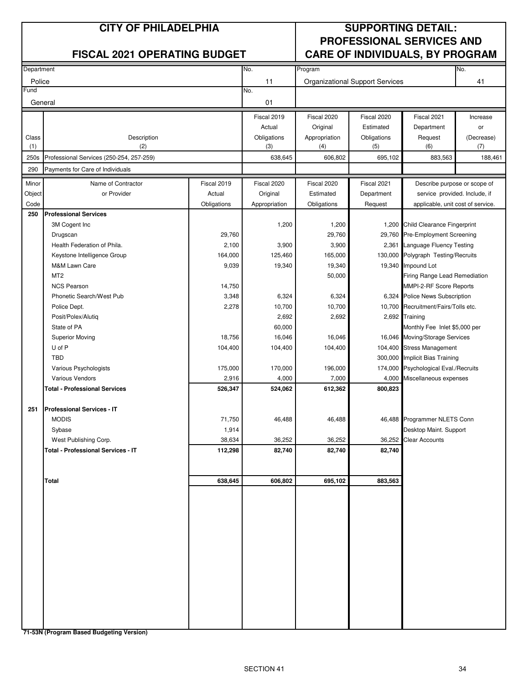|                | <b>CITY OF PHILADELPHIA</b>               |             |                    |                      | <b>SUPPORTING DETAIL:</b><br><b>PROFESSIONAL SERVICES AND</b> |                                                             |                   |
|----------------|-------------------------------------------|-------------|--------------------|----------------------|---------------------------------------------------------------|-------------------------------------------------------------|-------------------|
|                | <b>FISCAL 2021 OPERATING BUDGET</b>       |             |                    |                      |                                                               | <b>CARE OF INDIVIDUALS, BY PROGRAM</b>                      |                   |
| Department     |                                           |             | No.                | Program              |                                                               |                                                             | No.               |
| Police<br>Fund |                                           |             | 11<br>No.          |                      | <b>Organizational Support Services</b>                        |                                                             | 41                |
| General        |                                           |             | 01                 |                      |                                                               |                                                             |                   |
|                |                                           |             | Fiscal 2019        | Fiscal 2020          | Fiscal 2020                                                   | Fiscal 2021                                                 | Increase          |
|                |                                           |             | Actual             | Original             | Estimated                                                     | Department                                                  | or                |
| Class<br>(1)   | Description<br>(2)                        |             | Obligations<br>(3) | Appropriation<br>(4) | Obligations<br>(5)                                            | Request<br>(6)                                              | (Decrease)<br>(7) |
| 250s           | Professional Services (250-254, 257-259)  |             | 638,645            | 606,802              | 695,102                                                       | 883,563                                                     | 188,461           |
| 290            | Payments for Care of Individuals          |             |                    |                      |                                                               |                                                             |                   |
| Minor          | Name of Contractor                        | Fiscal 2019 | Fiscal 2020        | Fiscal 2020          | Fiscal 2021                                                   | Describe purpose or scope of                                |                   |
| Object         | or Provider                               | Actual      | Original           | Estimated            | Department                                                    | service provided. Include, if                               |                   |
| Code<br>250    | <b>Professional Services</b>              | Obligations | Appropriation      | Obligations          | Request                                                       | applicable, unit cost of service.                           |                   |
|                | 3M Cogent Inc                             |             | 1,200              | 1,200                |                                                               | 1,200 Child Clearance Fingerprint                           |                   |
|                | Drugscan                                  | 29,760      |                    | 29,760               |                                                               | 29,760 Pre-Employment Screening                             |                   |
|                | Health Federation of Phila.               | 2,100       | 3,900              | 3,900                |                                                               | 2,361 Language Fluency Testing                              |                   |
|                | Keystone Intelligence Group               | 164,000     | 125,460            | 165,000              |                                                               | 130,000 Polygraph Testing/Recruits                          |                   |
|                | M&M Lawn Care                             | 9,039       | 19,340             | 19,340               |                                                               | 19,340 Impound Lot                                          |                   |
|                | MT <sub>2</sub>                           |             |                    | 50,000               |                                                               | Firing Range Lead Remediation                               |                   |
|                | <b>NCS Pearson</b>                        | 14,750      |                    |                      |                                                               | MMPI-2-RF Score Reports                                     |                   |
|                | Phonetic Search/West Pub                  | 3,348       | 6,324              | 6,324                |                                                               | 6,324 Police News Subscription                              |                   |
|                | Police Dept.                              | 2,278       | 10,700             | 10,700               |                                                               | 10,700 Recruitment/Fairs/Tolls etc.                         |                   |
|                | Posit/Polex/Alutiq                        |             | 2,692              | 2,692                |                                                               | 2,692 Training                                              |                   |
|                | State of PA                               |             | 60,000             |                      |                                                               | Monthly Fee Inlet \$5,000 per                               |                   |
|                | <b>Superior Moving</b>                    | 18,756      | 16,046             | 16,046               |                                                               | 16,046 Moving/Storage Services                              |                   |
|                | U of P<br><b>TBD</b>                      | 104,400     | 104,400            | 104,400              |                                                               | 104,400 Stress Management<br>300,000 Implicit Bias Training |                   |
|                | Various Psychologists                     | 175,000     | 170,000            | 196,000              |                                                               | 174,000 Psychological Eval./Recruits                        |                   |
|                | Various Vendors                           | 2,916       | 4,000              | 7,000                | 4,000                                                         | Miscellaneous expenses                                      |                   |
|                | <b>Total - Professional Services</b>      | 526,347     | 524,062            | 612,362              | 800,823                                                       |                                                             |                   |
| 251            | <b>Professional Services - IT</b>         |             |                    |                      |                                                               |                                                             |                   |
|                | <b>MODIS</b>                              | 71,750      | 46,488             | 46,488               |                                                               | 46,488 Programmer NLETS Conn                                |                   |
|                | Sybase                                    | 1,914       |                    |                      |                                                               | Desktop Maint. Support                                      |                   |
|                | West Publishing Corp.                     | 38,634      | 36,252             | 36,252               |                                                               | 36,252 Clear Accounts                                       |                   |
|                | <b>Total - Professional Services - IT</b> | 112,298     | 82,740             | 82,740               | 82,740                                                        |                                                             |                   |
|                | <b>Total</b>                              | 638,645     | 606,802            | 695,102              | 883,563                                                       |                                                             |                   |
|                |                                           |             |                    |                      |                                                               |                                                             |                   |
|                |                                           |             |                    |                      |                                                               |                                                             |                   |
|                |                                           |             |                    |                      |                                                               |                                                             |                   |
|                |                                           |             |                    |                      |                                                               |                                                             |                   |
|                |                                           |             |                    |                      |                                                               |                                                             |                   |
|                |                                           |             |                    |                      |                                                               |                                                             |                   |
|                |                                           |             |                    |                      |                                                               |                                                             |                   |
|                |                                           |             |                    |                      |                                                               |                                                             |                   |
|                |                                           |             |                    |                      |                                                               |                                                             |                   |
|                |                                           |             |                    |                      |                                                               |                                                             |                   |
|                |                                           |             |                    |                      |                                                               |                                                             |                   |
|                |                                           |             |                    |                      |                                                               |                                                             |                   |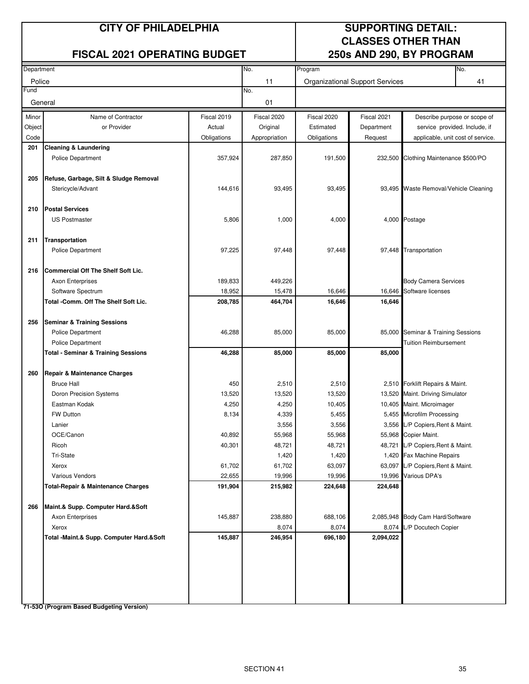#### **FISCAL 2021 OPERATING BUDGET 250s AND 290, BY PROGRAM**

## **CITY OF PHILADELPHIA SUPPORTING DETAIL: CLASSES OTHER THAN**

| Department |                                                                  |                   | No.<br>Program    |                                        |                   | No.                                   |                                 |  |
|------------|------------------------------------------------------------------|-------------------|-------------------|----------------------------------------|-------------------|---------------------------------------|---------------------------------|--|
| Police     |                                                                  |                   | 11                | <b>Organizational Support Services</b> |                   |                                       | 41                              |  |
| Fund       |                                                                  |                   | No.               |                                        |                   |                                       |                                 |  |
| General    |                                                                  |                   | 01                |                                        |                   |                                       |                                 |  |
| Minor      | Name of Contractor                                               | Fiscal 2019       | Fiscal 2020       | Fiscal 2020                            | Fiscal 2021       | Describe purpose or scope of          |                                 |  |
| Object     | or Provider                                                      | Actual            | Original          | Estimated                              | Department        | service provided. Include, if         |                                 |  |
| Code       |                                                                  | Obligations       | Appropriation     | Obligations                            | Request           | applicable, unit cost of service.     |                                 |  |
| 201        | <b>Cleaning &amp; Laundering</b>                                 |                   |                   |                                        |                   |                                       |                                 |  |
|            | <b>Police Department</b>                                         | 357,924           | 287,850           | 191,500                                | 232,500           | Clothing Maintenance \$500/PO         |                                 |  |
|            |                                                                  |                   |                   |                                        |                   |                                       |                                 |  |
| 205        | Refuse, Garbage, Silt & Sludge Removal                           |                   |                   |                                        |                   | 93,495 Waste Removal/Vehicle Cleaning |                                 |  |
|            | Stericycle/Advant                                                | 144,616           | 93,495            | 93,495                                 |                   |                                       |                                 |  |
|            |                                                                  |                   |                   |                                        |                   |                                       |                                 |  |
| 210        | <b>Postal Services</b>                                           |                   |                   |                                        |                   | 4,000 Postage                         |                                 |  |
|            | <b>US Postmaster</b>                                             | 5,806             | 1,000             | 4,000                                  |                   |                                       |                                 |  |
|            |                                                                  |                   |                   |                                        |                   |                                       |                                 |  |
| 211        | Transportation                                                   |                   |                   |                                        |                   |                                       |                                 |  |
|            | <b>Police Department</b>                                         | 97,225            | 97,448            | 97,448                                 |                   | 97,448 Transportation                 |                                 |  |
| 216        | <b>Commercial Off The Shelf Soft Lic.</b>                        |                   |                   |                                        |                   |                                       |                                 |  |
|            | Axon Enterprises                                                 | 189,833           | 449,226           |                                        |                   | <b>Body Camera Services</b>           |                                 |  |
|            | Software Spectrum                                                | 18,952            | 15,478            | 16,646                                 | 16,646            | Software licenses                     |                                 |  |
|            | Total -Comm. Off The Shelf Soft Lic.                             | 208,785           | 464,704           | 16,646                                 | 16,646            |                                       |                                 |  |
|            |                                                                  |                   |                   |                                        |                   |                                       |                                 |  |
| 256        | <b>Seminar &amp; Training Sessions</b>                           |                   |                   |                                        |                   |                                       |                                 |  |
|            | <b>Police Department</b>                                         | 46,288            | 85,000            | 85,000                                 |                   | 85,000 Seminar & Training Sessions    |                                 |  |
|            | <b>Police Department</b>                                         |                   |                   |                                        |                   | <b>Tuition Reimbursement</b>          |                                 |  |
|            | <b>Total - Seminar &amp; Training Sessions</b>                   | 46,288            | 85,000            | 85,000                                 | 85,000            |                                       |                                 |  |
|            |                                                                  |                   |                   |                                        |                   |                                       |                                 |  |
| 260        | Repair & Maintenance Charges                                     |                   |                   |                                        |                   |                                       |                                 |  |
|            | <b>Bruce Hall</b>                                                | 450               | 2,510             | 2,510                                  |                   |                                       | 2,510 Forklift Repairs & Maint. |  |
|            | Doron Precision Systems                                          | 13,520            | 13,520            | 13,520                                 | 13,520            | Maint. Driving Simulator              |                                 |  |
|            | Eastman Kodak                                                    | 4,250             | 4,250             | 10,405                                 |                   | 10,405 Maint. Microimager             |                                 |  |
|            | <b>FW Dutton</b>                                                 | 8,134             | 4,339             | 5,455                                  |                   | 5,455 Microfilm Processing            |                                 |  |
|            | Lanier                                                           |                   | 3,556             | 3,556                                  |                   | 3,556 L/P Copiers, Rent & Maint.      |                                 |  |
|            | OCE/Canon                                                        | 40,892            | 55,968            | 55,968                                 |                   | 55,968 Copier Maint.                  |                                 |  |
|            | Ricoh                                                            | 40,301            | 48,721            | 48,721                                 |                   | 48,721 L/P Copiers, Rent & Maint.     |                                 |  |
|            | Tri-State                                                        |                   | 1,420             | 1,420                                  |                   | 1,420 Fax Machine Repairs             |                                 |  |
|            | Xerox                                                            | 61,702            | 61,702            | 63,097                                 |                   | 63,097 L/P Copiers, Rent & Maint.     |                                 |  |
|            | Various Vendors<br><b>Total-Repair &amp; Maintenance Charges</b> | 22,655<br>191,904 | 19,996<br>215,982 | 19,996<br>224,648                      | 19,996<br>224,648 | Various DPA's                         |                                 |  |
|            |                                                                  |                   |                   |                                        |                   |                                       |                                 |  |
| 266        | Maint.& Supp. Computer Hard.&Soft                                |                   |                   |                                        |                   |                                       |                                 |  |
|            | Axon Enterprises                                                 | 145,887           | 238,880           | 688,106                                | 2,085,948         | Body Cam Hard/Software                |                                 |  |
|            | Xerox                                                            |                   | 8,074             | 8,074                                  | 8,074             | L/P Docutech Copier                   |                                 |  |
|            | Total -Maint.& Supp. Computer Hard.&Soft                         | 145,887           | 246,954           | 696,180                                | 2,094,022         |                                       |                                 |  |
|            |                                                                  |                   |                   |                                        |                   |                                       |                                 |  |
|            |                                                                  |                   |                   |                                        |                   |                                       |                                 |  |
|            |                                                                  |                   |                   |                                        |                   |                                       |                                 |  |
|            |                                                                  |                   |                   |                                        |                   |                                       |                                 |  |
|            |                                                                  |                   |                   |                                        |                   |                                       |                                 |  |
|            |                                                                  |                   |                   |                                        |                   |                                       |                                 |  |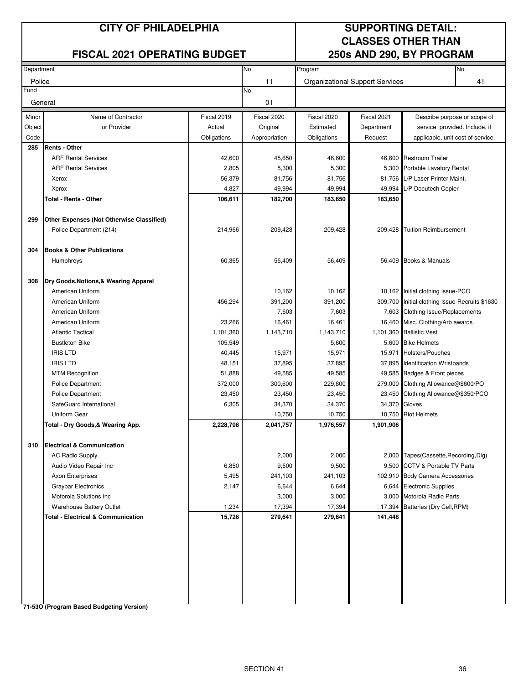#### **FISCAL 2021 OPERATING BUDGET 250s AND 290, BY PROGRAM**

## **CITY OF PHILADELPHIA SUPPORTING DETAIL: CLASSES OTHER THAN**

| Department |                                               |             | No.           | Program                                |               |                                                | No. |
|------------|-----------------------------------------------|-------------|---------------|----------------------------------------|---------------|------------------------------------------------|-----|
| Police     |                                               |             | 11            | <b>Organizational Support Services</b> |               |                                                | 41  |
| Fund       |                                               | No.         |               |                                        |               |                                                |     |
| General    |                                               |             | 01            |                                        |               |                                                |     |
| Minor      | Name of Contractor                            | Fiscal 2019 | Fiscal 2020   | Fiscal 2020                            | Fiscal 2021   | Describe purpose or scope of                   |     |
| Object     | or Provider                                   | Actual      | Original      | Estimated                              | Department    | service provided. Include, if                  |     |
| Code       |                                               | Obligations | Appropriation | Obligations                            | Request       | applicable, unit cost of service.              |     |
| 285        | Rents - Other                                 |             |               |                                        |               |                                                |     |
|            | <b>ARF Rental Services</b>                    | 42,600      | 45,650        | 46,600                                 |               | 46,600 Restroom Trailer                        |     |
|            | <b>ARF Rental Services</b>                    | 2,805       | 5,300         | 5,300                                  |               | 5,300 Portable Lavatory Rental                 |     |
|            | Xerox                                         | 56,379      | 81,756        | 81,756                                 |               | 81,756 L/P Laser Printer Maint.                |     |
|            | Xerox                                         | 4,827       | 49,994        | 49,994                                 |               | 49,994 L/P Docutech Copier                     |     |
|            | <b>Total - Rents - Other</b>                  | 106,611     | 182,700       | 183,650                                | 183,650       |                                                |     |
| 299        | Other Expenses (Not Otherwise Classified)     |             |               |                                        |               |                                                |     |
|            | Police Department (214)                       | 214,966     | 209,428       | 209,428                                |               | 209,428 Tuition Reimbursement                  |     |
|            |                                               |             |               |                                        |               |                                                |     |
| 304        | <b>Books &amp; Other Publications</b>         |             |               |                                        |               | 56,409 Books & Manuals                         |     |
|            | Humphreys                                     | 60,365      | 56,409        | 56,409                                 |               |                                                |     |
| 308        | Dry Goods, Notions, & Wearing Apparel         |             |               |                                        |               |                                                |     |
|            | American Uniform                              |             | 10,162        | 10,162                                 |               | 10,162 Initial clothing Issue-PCO              |     |
|            | American Uniform                              | 456,294     | 391,200       | 391,200                                |               | 309,700 Initial clothing Issue-Recruits \$1630 |     |
|            | American Uniform                              |             | 7,603         | 7,603                                  |               | 7,603 Clothing Issue/Replacements              |     |
|            | American Uniform                              | 23,266      | 16,461        | 16,461                                 |               | 16,460 Misc. Clothing/Arb awards               |     |
|            | <b>Atlantic Tactical</b>                      | 1,101,360   | 1,143,710     | 1,143,710                              |               | 1,101,360 Ballistic Vest                       |     |
|            | <b>Bustleton Bike</b>                         | 105,549     |               | 5,600                                  |               | 5,600 Bike Helmets                             |     |
|            | <b>IRIS LTD</b>                               | 40,445      | 15,971        | 15,971                                 | 15,971        | <b>Holsters/Pouches</b>                        |     |
|            | <b>IRIS LTD</b>                               | 48,151      | 37,895        | 37,895                                 |               | 37,895 Identification Wristbands               |     |
|            | <b>MTM Recognition</b>                        | 51,888      | 49,585        | 49,585                                 |               | 49,585 Badges & Front pieces                   |     |
|            | <b>Police Department</b>                      | 372,000     | 300,600       | 229,800                                |               | 279,000 Clothing Allowance@\$600/PO            |     |
|            | <b>Police Department</b>                      | 23,450      | 23,450        | 23,450                                 |               | 23,450 Clothing Allowance@\$350/PCO            |     |
|            | SafeGuard International                       | 6,305       | 34,370        | 34,370                                 | 34,370 Gloves |                                                |     |
|            | Uniform Gear                                  |             | 10,750        | 10,750                                 |               | 10,750 Riot Helmets                            |     |
|            | Total - Dry Goods,& Wearing App.              | 2,228,708   | 2,041,757     | 1,976,557                              | 1,901,906     |                                                |     |
| 310        | <b>Electrical &amp; Communication</b>         |             |               |                                        |               |                                                |     |
|            | <b>AC Radio Supply</b>                        |             | 2,000         | 2,000                                  |               | 2,000 Tapes(Cassette, Recording, Dig)          |     |
|            | Audio Video Repair Inc                        | 6,850       | 9,500         | 9,500                                  |               | 9,500 CCTV & Portable TV Parts                 |     |
|            | <b>Axon Enterprises</b>                       | 5,495       | 241,103       | 241,103                                |               | 102,910 Body Camera Accessories                |     |
|            | <b>Graybar Electronics</b>                    | 2,147       | 6,644         | 6,644                                  |               | 6,644 Electronic Supplies                      |     |
|            | Motorola Solutions Inc                        |             | 3,000         | 3,000                                  |               | 3,000 Motorola Radio Parts                     |     |
|            | Warehouse Battery Outlet                      | 1,234       | 17,394        | 17,394                                 |               | 17,394 Batteries (Dry Cell, RPM)               |     |
|            | <b>Total - Electrical &amp; Communication</b> | 15,726      | 279,641       | 279,641                                | 141,448       |                                                |     |
|            |                                               |             |               |                                        |               |                                                |     |
|            |                                               |             |               |                                        |               |                                                |     |
|            |                                               |             |               |                                        |               |                                                |     |
|            |                                               |             |               |                                        |               |                                                |     |
|            |                                               |             |               |                                        |               |                                                |     |
|            |                                               |             |               |                                        |               |                                                |     |
|            |                                               |             |               |                                        |               |                                                |     |
|            |                                               |             |               |                                        |               |                                                |     |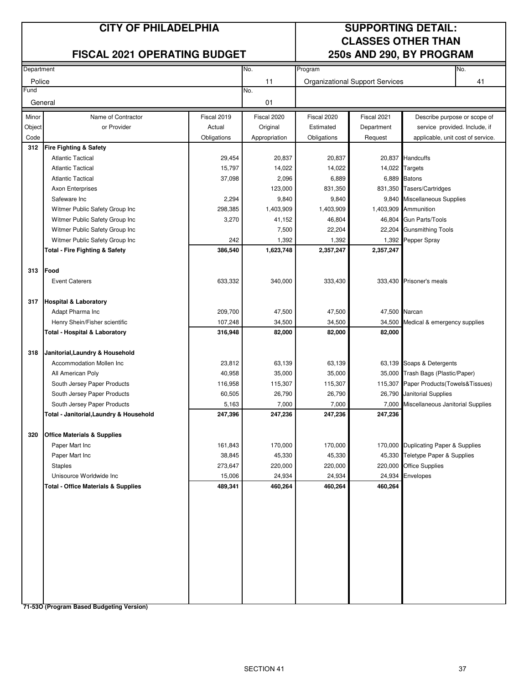#### **CITY OF PHILADELPHIA SUPPORTING DETAIL:**

#### **FISCAL 2021 OPERATING BUDGET 250s AND 290, BY PROGRAM**

# **CLASSES OTHER THAN**

| Department |                                                |             | No.           | No.<br>Program |                                        |                                          |                              |  |
|------------|------------------------------------------------|-------------|---------------|----------------|----------------------------------------|------------------------------------------|------------------------------|--|
| Police     |                                                |             | 11            |                | <b>Organizational Support Services</b> |                                          | 41                           |  |
| Fund       |                                                |             | No.           |                |                                        |                                          |                              |  |
| General    |                                                |             | 01            |                |                                        |                                          |                              |  |
| Minor      | Name of Contractor                             | Fiscal 2019 | Fiscal 2020   | Fiscal 2020    | Fiscal 2021                            |                                          | Describe purpose or scope of |  |
| Object     | or Provider                                    | Actual      | Original      | Estimated      | Department                             | service provided. Include, if            |                              |  |
| Code       |                                                | Obligations | Appropriation | Obligations    | Request                                | applicable, unit cost of service.        |                              |  |
| 312        | <b>Fire Fighting &amp; Safety</b>              |             |               |                |                                        |                                          |                              |  |
|            | <b>Atlantic Tactical</b>                       | 29,454      | 20,837        | 20,837         |                                        | 20,837 Handcuffs                         |                              |  |
|            | <b>Atlantic Tactical</b>                       | 15,797      | 14,022        | 14,022         | 14,022                                 | Targets                                  |                              |  |
|            | <b>Atlantic Tactical</b>                       | 37,098      | 2,096         | 6,889          |                                        | 6,889 Batons                             |                              |  |
|            | <b>Axon Enterprises</b>                        |             | 123,000       | 831,350        |                                        | 831,350 Tasers/Cartridges                |                              |  |
|            | Safeware Inc                                   | 2,294       | 9,840         | 9,840          | 9,840                                  | Miscellaneous Supplies                   |                              |  |
|            | Witmer Public Safety Group Inc                 | 298,385     | 1,403,909     | 1,403,909      |                                        | 1,403,909 Ammunition                     |                              |  |
|            | Witmer Public Safety Group Inc                 | 3,270       | 41,152        | 46,804         | 46,804                                 | Gun Parts/Tools                          |                              |  |
|            | Witmer Public Safety Group Inc                 |             | 7,500         | 22,204         | 22,204                                 | <b>Gunsmithing Tools</b>                 |                              |  |
|            | Witmer Public Safety Group Inc                 | 242         | 1,392         | 1,392          | 1,392                                  | Pepper Spray                             |                              |  |
|            | <b>Total - Fire Fighting &amp; Safety</b>      | 386,540     | 1,623,748     | 2,357,247      | 2,357,247                              |                                          |                              |  |
|            |                                                |             |               |                |                                        |                                          |                              |  |
| 313        | Food                                           |             |               |                |                                        |                                          |                              |  |
|            | <b>Event Caterers</b>                          | 633,332     | 340,000       | 333,430        |                                        | 333,430 Prisoner's meals                 |                              |  |
| 317        | <b>Hospital &amp; Laboratory</b>               |             |               |                |                                        |                                          |                              |  |
|            | Adapt Pharma Inc                               | 209,700     | 47,500        | 47,500         | 47,500 Narcan                          |                                          |                              |  |
|            | Henry Shein/Fisher scientific                  | 107,248     | 34,500        | 34,500         | 34,500                                 | Medical & emergency supplies             |                              |  |
|            | Total - Hospital & Laboratory                  | 316,948     | 82,000        | 82,000         | 82,000                                 |                                          |                              |  |
|            |                                                |             |               |                |                                        |                                          |                              |  |
| 318        | Janitorial, Laundry & Household                |             |               |                |                                        |                                          |                              |  |
|            | Accommodation Mollen Inc                       | 23,812      | 63,139        | 63,139         |                                        | 63,139 Soaps & Detergents                |                              |  |
|            | All American Poly                              | 40,958      | 35,000        | 35,000         |                                        | 35,000 Trash Bags (Plastic/Paper)        |                              |  |
|            | South Jersey Paper Products                    | 116,958     | 115,307       | 115,307        |                                        | 115,307 Paper Products (Towels& Tissues) |                              |  |
|            | South Jersey Paper Products                    | 60,505      | 26,790        | 26,790         |                                        | 26,790 Janitorial Supplies               |                              |  |
|            | South Jersey Paper Products                    | 5,163       | 7,000         | 7,000          | 7,000                                  | Miscellaneous Janitorial Supplies        |                              |  |
|            | Total - Janitorial,Laundry & Household         | 247,396     | 247,236       | 247,236        | 247,236                                |                                          |                              |  |
| 320        | <b>Office Materials &amp; Supplies</b>         |             |               |                |                                        |                                          |                              |  |
|            | Paper Mart Inc                                 | 161,843     | 170,000       | 170,000        |                                        | 170,000 Duplicating Paper & Supplies     |                              |  |
|            | Paper Mart Inc                                 | 38,845      | 45,330        | 45,330         |                                        | 45,330 Teletype Paper & Supplies         |                              |  |
|            | <b>Staples</b>                                 | 273,647     | 220,000       | 220,000        |                                        | 220,000 Office Supplies                  |                              |  |
|            | Unisource Worldwide Inc                        | 15,006      | 24,934        | 24,934         | 24,934                                 | Envelopes                                |                              |  |
|            | <b>Total - Office Materials &amp; Supplies</b> | 489,341     | 460,264       | 460,264        | 460,264                                |                                          |                              |  |
|            |                                                |             |               |                |                                        |                                          |                              |  |
|            |                                                |             |               |                |                                        |                                          |                              |  |
|            |                                                |             |               |                |                                        |                                          |                              |  |
|            |                                                |             |               |                |                                        |                                          |                              |  |
|            |                                                |             |               |                |                                        |                                          |                              |  |
|            |                                                |             |               |                |                                        |                                          |                              |  |
|            |                                                |             |               |                |                                        |                                          |                              |  |
|            |                                                |             |               |                |                                        |                                          |                              |  |
|            |                                                |             |               |                |                                        |                                          |                              |  |
|            |                                                |             |               |                |                                        |                                          |                              |  |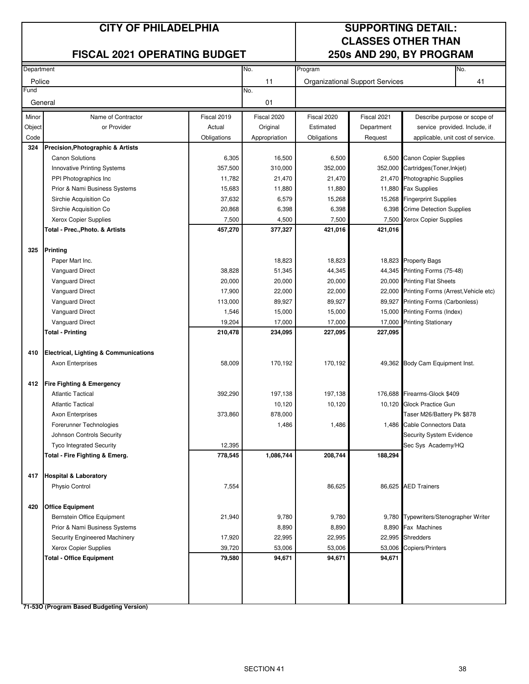#### **CITY OF PHILADELPHIA SUPPORTING DETAIL:**

#### **FISCAL 2021 OPERATING BUDGET 250s AND 290, BY PROGRAM**

# **CLASSES OTHER THAN**

| Department |                                                  |             | No.           | Program     |                                        |                                       | No. |
|------------|--------------------------------------------------|-------------|---------------|-------------|----------------------------------------|---------------------------------------|-----|
| Police     |                                                  |             | 11            |             | <b>Organizational Support Services</b> |                                       | 41  |
| Fund       |                                                  |             | No.           |             |                                        |                                       |     |
| General    |                                                  |             | 01            |             |                                        |                                       |     |
| Minor      | Name of Contractor                               | Fiscal 2019 | Fiscal 2020   | Fiscal 2020 | Fiscal 2021                            | Describe purpose or scope of          |     |
| Object     | or Provider                                      | Actual      | Original      | Estimated   | Department                             | service provided. Include, if         |     |
| Code       |                                                  | Obligations | Appropriation | Obligations | Request                                | applicable, unit cost of service.     |     |
| 324        | <b>Precision, Photographic &amp; Artists</b>     |             |               |             |                                        |                                       |     |
|            | <b>Canon Solutions</b>                           | 6,305       | 16,500        | 6,500       |                                        | 6,500 Canon Copier Supplies           |     |
|            | Innovative Printing Systems                      | 357,500     | 310,000       | 352,000     | 352,000                                | Cartridges(Toner, Inkjet)             |     |
|            | PPI Photographics Inc                            | 11,782      | 21,470        | 21,470      | 21,470                                 | Photographic Supplies                 |     |
|            | Prior & Nami Business Systems                    | 15,683      | 11,880        | 11,880      | 11,880                                 | <b>Fax Supplies</b>                   |     |
|            | Sirchie Acquisition Co                           | 37,632      | 6,579         | 15,268      | 15,268                                 | <b>Fingerprint Supplies</b>           |     |
|            | Sirchie Acquisition Co                           | 20,868      | 6,398         | 6,398       | 6,398                                  | <b>Crime Detection Supplies</b>       |     |
|            | Xerox Copier Supplies                            | 7,500       | 4,500         | 7,500       | 7,500                                  | Xerox Copier Supplies                 |     |
|            | Total - Prec., Photo. & Artists                  | 457,270     | 377,327       | 421,016     | 421,016                                |                                       |     |
|            |                                                  |             |               |             |                                        |                                       |     |
| 325        | <b>Printing</b>                                  |             |               |             |                                        |                                       |     |
|            | Paper Mart Inc.                                  |             | 18,823        | 18,823      |                                        | 18,823 Property Bags                  |     |
|            | <b>Vanguard Direct</b>                           | 38,828      | 51,345        | 44,345      | 44,345                                 | Printing Forms (75-48)                |     |
|            | <b>Vanguard Direct</b>                           | 20,000      | 20,000        | 20,000      | 20,000                                 | <b>Printing Flat Sheets</b>           |     |
|            | <b>Vanguard Direct</b>                           | 17,900      | 22,000        | 22,000      | 22,000                                 | Printing Forms (Arrest, Vehicle etc)  |     |
|            | <b>Vanguard Direct</b>                           | 113,000     | 89,927        | 89,927      | 89,927                                 | <b>Printing Forms (Carbonless)</b>    |     |
|            | <b>Vanguard Direct</b>                           | 1,546       | 15,000        | 15,000      | 15,000                                 | Printing Forms (Index)                |     |
|            | Vanguard Direct                                  | 19,204      | 17,000        | 17,000      | 17,000                                 | <b>Printing Stationary</b>            |     |
|            | <b>Total - Printing</b>                          | 210,478     | 234,095       | 227,095     | 227,095                                |                                       |     |
|            |                                                  |             |               |             |                                        |                                       |     |
| 410        | <b>Electrical, Lighting &amp; Communications</b> |             |               |             |                                        |                                       |     |
|            | <b>Axon Enterprises</b>                          | 58,009      | 170,192       | 170,192     |                                        | 49,362 Body Cam Equipment Inst.       |     |
|            |                                                  |             |               |             |                                        |                                       |     |
| 412        | <b>Fire Fighting &amp; Emergency</b>             |             |               |             |                                        |                                       |     |
|            | <b>Atlantic Tactical</b>                         | 392,290     | 197,138       | 197,138     | 176,688                                | Firearms-Glock \$409                  |     |
|            | <b>Atlantic Tactical</b>                         |             | 10,120        | 10,120      |                                        | 10,120 Glock Practice Gun             |     |
|            | <b>Axon Enterprises</b>                          | 373,860     | 878,000       |             |                                        | Taser M26/Battery Pk \$878            |     |
|            | Forerunner Technologies                          |             | 1,486         | 1,486       | 1,486                                  | Cable Connectors Data                 |     |
|            | Johnson Controls Security                        |             |               |             |                                        | Security System Evidence              |     |
|            | Tyco Integrated Security                         | 12,395      |               |             |                                        | Sec Sys Academy/HQ                    |     |
|            | Total - Fire Fighting & Emerg.                   | 778,545     | 1,086,744     | 208,744     | 188,294                                |                                       |     |
|            |                                                  |             |               |             |                                        |                                       |     |
|            | 417 Hospital & Laboratory                        |             |               |             |                                        |                                       |     |
|            | Physio Control                                   | 7,554       |               | 86,625      |                                        | 86,625 AED Trainers                   |     |
| 420        | <b>Office Equipment</b>                          |             |               |             |                                        |                                       |     |
|            | Bernstein Office Equipment                       | 21,940      | 9,780         | 9,780       |                                        | 9,780 Typewriters/Stenographer Writer |     |
|            | Prior & Nami Business Systems                    |             | 8,890         | 8,890       | 8,890                                  | Fax Machines                          |     |
|            | Security Engineered Machinery                    | 17,920      | 22,995        | 22,995      | 22,995                                 | <b>Shredders</b>                      |     |
|            | Xerox Copier Supplies                            | 39,720      | 53,006        | 53,006      | 53,006                                 | Copiers/Printers                      |     |
|            | <b>Total - Office Equipment</b>                  | 79,580      | 94,671        | 94,671      | 94,671                                 |                                       |     |
|            |                                                  |             |               |             |                                        |                                       |     |
|            |                                                  |             |               |             |                                        |                                       |     |
|            |                                                  |             |               |             |                                        |                                       |     |
|            |                                                  |             |               |             |                                        |                                       |     |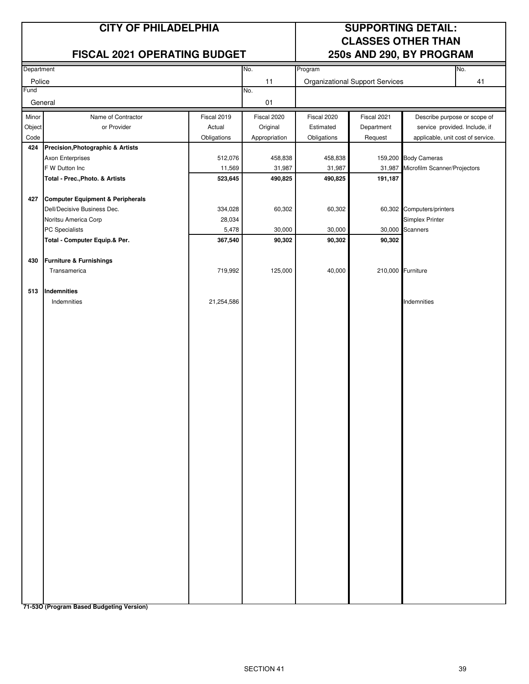#### **FISCAL 2021 OPERATING BUDGET 250s AND 290, BY PROGRAM**

### **CITY OF PHILADELPHIA SUPPORTING DETAIL: CLASSES OTHER THAN**

| Department |                                   |             | No.           | Program     |                                        |                                   | No. |
|------------|-----------------------------------|-------------|---------------|-------------|----------------------------------------|-----------------------------------|-----|
| Police     |                                   |             | 11            |             | <b>Organizational Support Services</b> |                                   | 41  |
| Fund       |                                   |             | No.           |             |                                        |                                   |     |
| General    |                                   |             | 01            |             |                                        |                                   |     |
| Minor      | Name of Contractor                | Fiscal 2019 | Fiscal 2020   | Fiscal 2020 | Fiscal 2021                            | Describe purpose or scope of      |     |
| Object     | or Provider                       | Actual      | Original      | Estimated   | Department                             | service provided. Include, if     |     |
| Code       |                                   | Obligations | Appropriation | Obligations | Request                                | applicable, unit cost of service. |     |
| 424        | Precision, Photographic & Artists |             |               |             |                                        |                                   |     |
|            | Axon Enterprises                  | 512,076     | 458,838       | 458,838     |                                        | 159,200 Body Cameras              |     |
|            | F W Dutton Inc                    | 11,569      | 31,987        | 31,987      | 31,987                                 | Microfilm Scanner/Projectors      |     |
|            | Total - Prec., Photo. & Artists   | 523,645     | 490,825       | 490,825     | 191,187                                |                                   |     |
|            |                                   |             |               |             |                                        |                                   |     |
| 427        | Computer Equipment & Peripherals  |             |               |             |                                        |                                   |     |
|            | Dell/Decisive Business Dec.       | 334,028     | 60,302        | 60,302      |                                        | 60,302 Computers/printers         |     |
|            | Noritsu America Corp              | 28,034      |               |             |                                        | Simplex Printer                   |     |
|            | PC Specialists                    | 5,478       | 30,000        | 30,000      |                                        | 30,000 Scanners                   |     |
|            | Total - Computer Equip.& Per.     | 367,540     | 90,302        | 90,302      | 90,302                                 |                                   |     |
|            |                                   |             |               |             |                                        |                                   |     |
| 430        | Furniture & Furnishings           |             |               |             |                                        |                                   |     |
|            | Transamerica                      | 719,992     | 125,000       | 40,000      | 210,000 Furniture                      |                                   |     |
|            |                                   |             |               |             |                                        |                                   |     |
| 513        | Indemnities                       |             |               |             |                                        |                                   |     |
|            | Indemnities                       | 21,254,586  |               |             |                                        | Indemnities                       |     |
|            |                                   |             |               |             |                                        |                                   |     |
|            |                                   |             |               |             |                                        |                                   |     |
|            |                                   |             |               |             |                                        |                                   |     |
|            |                                   |             |               |             |                                        |                                   |     |
|            |                                   |             |               |             |                                        |                                   |     |
|            |                                   |             |               |             |                                        |                                   |     |
|            |                                   |             |               |             |                                        |                                   |     |
|            |                                   |             |               |             |                                        |                                   |     |
|            |                                   |             |               |             |                                        |                                   |     |
|            |                                   |             |               |             |                                        |                                   |     |
|            |                                   |             |               |             |                                        |                                   |     |
|            |                                   |             |               |             |                                        |                                   |     |
|            |                                   |             |               |             |                                        |                                   |     |
|            |                                   |             |               |             |                                        |                                   |     |
|            |                                   |             |               |             |                                        |                                   |     |
|            |                                   |             |               |             |                                        |                                   |     |
|            |                                   |             |               |             |                                        |                                   |     |
|            |                                   |             |               |             |                                        |                                   |     |
|            |                                   |             |               |             |                                        |                                   |     |
|            |                                   |             |               |             |                                        |                                   |     |
|            |                                   |             |               |             |                                        |                                   |     |
|            |                                   |             |               |             |                                        |                                   |     |
|            |                                   |             |               |             |                                        |                                   |     |
|            |                                   |             |               |             |                                        |                                   |     |
|            |                                   |             |               |             |                                        |                                   |     |
|            |                                   |             |               |             |                                        |                                   |     |
|            |                                   |             |               |             |                                        |                                   |     |
|            |                                   |             |               |             |                                        |                                   |     |
|            |                                   |             |               |             |                                        |                                   |     |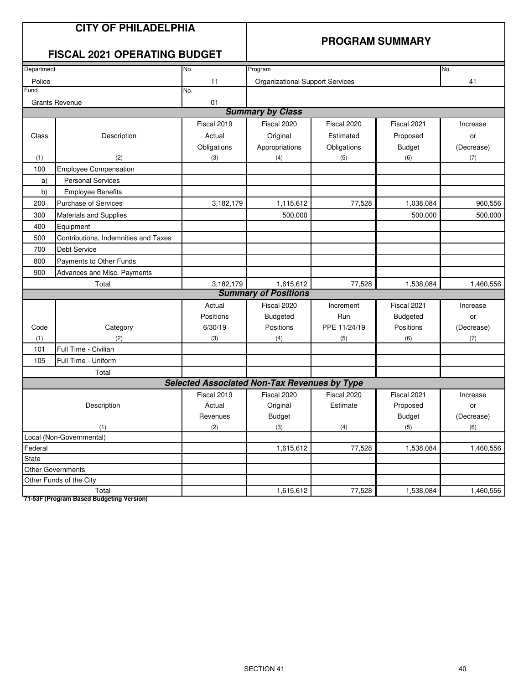|            | <b>CITY OF PHILADELPHIA</b><br><b>FISCAL 2021 OPERATING BUDGET</b> |                                                     | <b>PROGRAM SUMMARY</b>                   |                     |                              |                   |  |
|------------|--------------------------------------------------------------------|-----------------------------------------------------|------------------------------------------|---------------------|------------------------------|-------------------|--|
| Department |                                                                    | No.                                                 | Program                                  |                     |                              | No.               |  |
| Police     |                                                                    | 11                                                  | <b>Organizational Support Services</b>   |                     |                              | 41                |  |
| Fund       |                                                                    | No.                                                 |                                          |                     |                              |                   |  |
|            | <b>Grants Revenue</b>                                              | 01                                                  | <b>Summary by Class</b>                  |                     |                              |                   |  |
|            |                                                                    | Fiscal 2019                                         | Fiscal 2020                              | Fiscal 2020         | Fiscal 2021                  |                   |  |
|            |                                                                    |                                                     |                                          |                     |                              | Increase          |  |
| Class      | Description                                                        | Actual                                              | Original                                 | Estimated           | Proposed                     | or                |  |
|            |                                                                    | Obligations                                         | Appropriations                           | Obligations         | <b>Budget</b>                | (Decrease)        |  |
| (1)<br>100 | (2)                                                                | (3)                                                 | (4)                                      | (5)                 | (6)                          | (7)               |  |
|            | <b>Employee Compensation</b><br><b>Personal Services</b>           |                                                     |                                          |                     |                              |                   |  |
| a)         |                                                                    |                                                     |                                          |                     |                              |                   |  |
| b)         | <b>Employee Benefits</b>                                           |                                                     |                                          |                     |                              |                   |  |
| 200        | <b>Purchase of Services</b>                                        | 3,182,179                                           | 1,115,612                                | 77,528              | 1,038,084                    | 960,556           |  |
| 300        | <b>Materials and Supplies</b>                                      |                                                     | 500,000                                  |                     | 500.000                      | 500.000           |  |
| 400        | Equipment                                                          |                                                     |                                          |                     |                              |                   |  |
| 500        | Contributions, Indemnities and Taxes                               |                                                     |                                          |                     |                              |                   |  |
| 700        | Debt Service                                                       |                                                     |                                          |                     |                              |                   |  |
| 800        | Payments to Other Funds                                            |                                                     |                                          |                     |                              |                   |  |
| 900        | Advances and Misc. Payments                                        |                                                     |                                          |                     |                              |                   |  |
|            | Total                                                              | 3,182,179                                           | 1,615,612<br><b>Summary of Positions</b> | 77,528              | 1,538,084                    | 1,460,556         |  |
|            |                                                                    |                                                     |                                          |                     |                              |                   |  |
|            |                                                                    | Actual                                              | Fiscal 2020                              | Increment           | Fiscal 2021                  | Increase          |  |
| Code       |                                                                    | Positions<br>6/30/19                                | <b>Budgeted</b><br>Positions             | Run<br>PPE 11/24/19 | <b>Budgeted</b><br>Positions | or                |  |
| (1)        | Category<br>(2)                                                    | (3)                                                 | (4)                                      | (5)                 | (6)                          | (Decrease)<br>(7) |  |
| 101        | Full Time - Civilian                                               |                                                     |                                          |                     |                              |                   |  |
| 105        | Full Time - Uniform                                                |                                                     |                                          |                     |                              |                   |  |
|            | Total                                                              |                                                     |                                          |                     |                              |                   |  |
|            |                                                                    | <b>Selected Associated Non-Tax Revenues by Type</b> |                                          |                     |                              |                   |  |
|            |                                                                    | Fiscal 2019                                         | Fiscal 2020                              | Fiscal 2020         | Fiscal 2021                  | Increase          |  |
|            | Description                                                        | Actual                                              | Original                                 | Estimate            | Proposed                     | or                |  |
|            |                                                                    | Revenues                                            | <b>Budget</b>                            |                     | <b>Budget</b>                | (Decrease)        |  |
|            | (1)                                                                | (2)                                                 | (3)                                      | (4)                 | (5)                          | (6)               |  |
|            | Local (Non-Governmental)                                           |                                                     |                                          |                     |                              |                   |  |
| Federal    |                                                                    |                                                     | 1,615,612                                | 77,528              | 1,538,084                    | 1,460,556         |  |
| State      |                                                                    |                                                     |                                          |                     |                              |                   |  |
|            | Other Governments                                                  |                                                     |                                          |                     |                              |                   |  |
|            | Other Funds of the City                                            |                                                     |                                          |                     |                              |                   |  |
|            | Total                                                              |                                                     | 1,615,612                                | 77,528              | 1,538,084                    | 1,460,556         |  |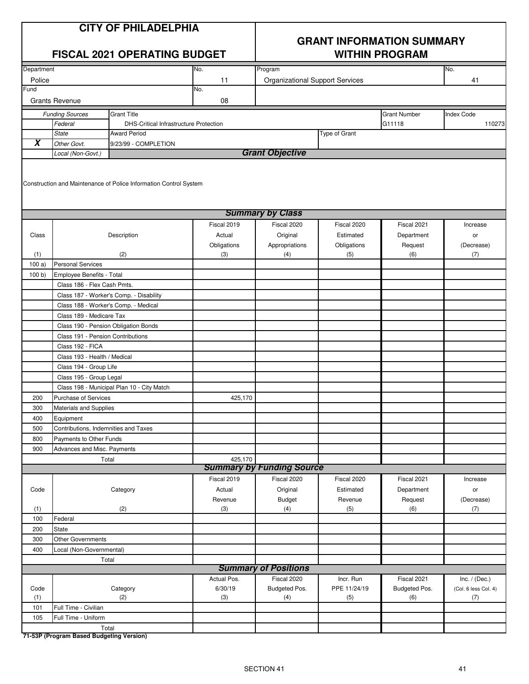# **GRANT INFORMATION SUMMARY**

|                     |                                                        | <b>FISCAL 2021 OPERATING BUDGET</b>                               |             | <b>WITHIN PROGRAM</b>                  |               |                     |                      |  |  |
|---------------------|--------------------------------------------------------|-------------------------------------------------------------------|-------------|----------------------------------------|---------------|---------------------|----------------------|--|--|
| Department          |                                                        |                                                                   | No.         | Program                                |               |                     | No.                  |  |  |
| Police              |                                                        |                                                                   | 11          | <b>Organizational Support Services</b> |               |                     | 41                   |  |  |
| Fund                |                                                        |                                                                   | No.         |                                        |               |                     |                      |  |  |
|                     | <b>Grants Revenue</b>                                  |                                                                   | 08          |                                        |               |                     |                      |  |  |
|                     | <b>Funding Sources</b>                                 | <b>Grant Title</b>                                                |             |                                        |               | <b>Grant Number</b> | <b>Index Code</b>    |  |  |
|                     | Federal                                                | <b>DHS-Critical Infrastructure Protection</b>                     |             |                                        |               | G11118              | 110273               |  |  |
|                     | <b>State</b>                                           | <b>Award Period</b>                                               |             |                                        | Type of Grant |                     |                      |  |  |
| $\overline{\bm{x}}$ | Other Govt.                                            | 9/23/99 - COMPLETION                                              |             |                                        |               |                     |                      |  |  |
|                     | Local (Non-Govt.)                                      |                                                                   |             | <b>Grant Objective</b>                 |               |                     |                      |  |  |
|                     |                                                        | Construction and Maintenance of Police Information Control System |             |                                        |               |                     |                      |  |  |
|                     |                                                        |                                                                   |             | <b>Summary by Class</b>                |               |                     |                      |  |  |
|                     |                                                        |                                                                   | Fiscal 2019 | Fiscal 2020                            | Fiscal 2020   | Fiscal 2021         | Increase             |  |  |
| Class               |                                                        | Description                                                       | Actual      | Original                               | Estimated     | Department          | or                   |  |  |
|                     |                                                        |                                                                   | Obligations | Appropriations                         | Obligations   | Request             | (Decrease)           |  |  |
| (1)                 |                                                        | (2)                                                               | (3)         | (4)                                    | (5)           | (6)                 | (7)                  |  |  |
| 100a)               | <b>Personal Services</b>                               |                                                                   |             |                                        |               |                     |                      |  |  |
| 100 b)              | Employee Benefits - Total                              |                                                                   |             |                                        |               |                     |                      |  |  |
|                     | Class 186 - Flex Cash Pmts.                            |                                                                   |             |                                        |               |                     |                      |  |  |
|                     |                                                        | Class 187 - Worker's Comp. - Disability                           |             |                                        |               |                     |                      |  |  |
|                     |                                                        | Class 188 - Worker's Comp. - Medical                              |             |                                        |               |                     |                      |  |  |
|                     | Class 189 - Medicare Tax                               |                                                                   |             |                                        |               |                     |                      |  |  |
|                     |                                                        | Class 190 - Pension Obligation Bonds                              |             |                                        |               |                     |                      |  |  |
|                     | Class 191 - Pension Contributions                      |                                                                   |             |                                        |               |                     |                      |  |  |
|                     | Class 192 - FICA                                       |                                                                   |             |                                        |               |                     |                      |  |  |
|                     | Class 193 - Health / Medical                           |                                                                   |             |                                        |               |                     |                      |  |  |
|                     | Class 194 - Group Life                                 |                                                                   |             |                                        |               |                     |                      |  |  |
|                     | Class 195 - Group Legal                                |                                                                   |             |                                        |               |                     |                      |  |  |
|                     |                                                        | Class 198 - Municipal Plan 10 - City Match                        |             |                                        |               |                     |                      |  |  |
| 200                 | <b>Purchase of Services</b>                            |                                                                   | 425,170     |                                        |               |                     |                      |  |  |
| 300                 | Materials and Supplies                                 |                                                                   |             |                                        |               |                     |                      |  |  |
| 400                 | Equipment                                              |                                                                   |             |                                        |               |                     |                      |  |  |
| 500                 | Contributions, Indemnities and Taxes                   |                                                                   |             |                                        |               |                     |                      |  |  |
| 800<br>900          | Payments to Other Funds<br>Advances and Misc. Payments |                                                                   |             |                                        |               |                     |                      |  |  |
|                     |                                                        | Total                                                             | 425,170     |                                        |               |                     |                      |  |  |
|                     |                                                        |                                                                   |             | <b>Summary by Funding Source</b>       |               |                     |                      |  |  |
|                     |                                                        |                                                                   | Fiscal 2019 | Fiscal 2020                            | Fiscal 2020   | Fiscal 2021         | Increase             |  |  |
| Code                |                                                        | Category                                                          | Actual      | Original                               | Estimated     | Department          | or                   |  |  |
|                     |                                                        |                                                                   | Revenue     | <b>Budget</b>                          | Revenue       | Request             | (Decrease)           |  |  |
| (1)                 |                                                        | (2)                                                               | (3)         | (4)                                    | (5)           | (6)                 | (7)                  |  |  |
| 100                 | Federal                                                |                                                                   |             |                                        |               |                     |                      |  |  |
| 200                 | State                                                  |                                                                   |             |                                        |               |                     |                      |  |  |
| 300                 | Other Governments                                      |                                                                   |             |                                        |               |                     |                      |  |  |
| 400                 | Local (Non-Governmental)                               |                                                                   |             |                                        |               |                     |                      |  |  |
|                     |                                                        | Total                                                             |             |                                        |               |                     |                      |  |  |
|                     |                                                        |                                                                   |             | <b>Summary of Positions</b>            |               |                     |                      |  |  |
|                     |                                                        |                                                                   | Actual Pos. | Fiscal 2020                            | Incr. Run     | Fiscal 2021         | Inc. $/$ (Dec.)      |  |  |
| Code                |                                                        | Category                                                          | 6/30/19     | Budgeted Pos.                          | PPE 11/24/19  | Budgeted Pos.       | (Col. 6 less Col. 4) |  |  |
| (1)                 |                                                        | (2)                                                               | (3)         | (4)                                    | (5)           | (6)                 | (7)                  |  |  |
| 101<br>105          | Full Time - Civilian                                   |                                                                   |             |                                        |               |                     |                      |  |  |
|                     | Full Time - Uniform                                    | Total                                                             |             |                                        |               |                     |                      |  |  |
|                     |                                                        |                                                                   |             |                                        |               |                     |                      |  |  |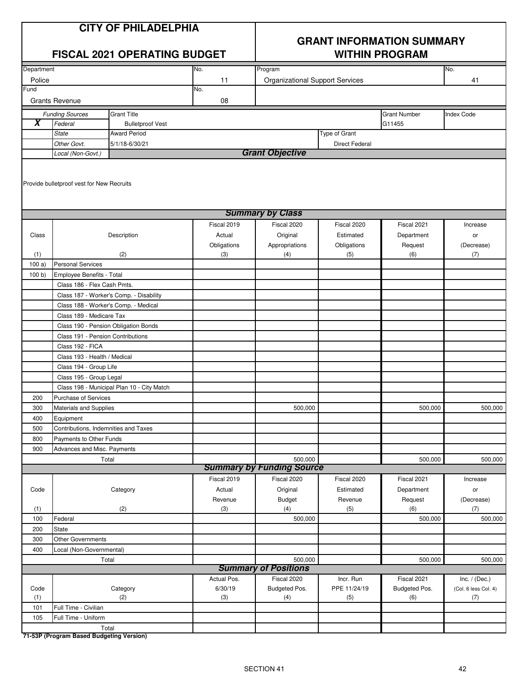## **GRANT INFORMATION SUMMARY**

|            |                                                                  | <b>FISCAL 2021 OPERATING BUDGET</b>        |             | <b>WITHIN PROGRAM</b>            |                       |                     |                      |  |  |  |
|------------|------------------------------------------------------------------|--------------------------------------------|-------------|----------------------------------|-----------------------|---------------------|----------------------|--|--|--|
| Department |                                                                  |                                            | No.         | Program                          |                       |                     | No.                  |  |  |  |
| Police     |                                                                  |                                            | 11          | Organizational Support Services  |                       |                     | 41                   |  |  |  |
| Fund       |                                                                  |                                            | No.         |                                  |                       |                     |                      |  |  |  |
|            | <b>Grants Revenue</b>                                            |                                            | 08          |                                  |                       |                     |                      |  |  |  |
|            | <b>Funding Sources</b>                                           | <b>Grant Title</b>                         |             |                                  |                       | <b>Grant Number</b> | Index Code           |  |  |  |
| X          | Federal                                                          | <b>Bulletproof Vest</b>                    |             |                                  |                       | G11455              |                      |  |  |  |
|            | <b>State</b>                                                     | <b>Award Period</b>                        |             |                                  | Type of Grant         |                     |                      |  |  |  |
|            | Other Govt.                                                      | 5/1/18-6/30/21                             |             |                                  | <b>Direct Federal</b> |                     |                      |  |  |  |
|            | Local (Non-Govt.)                                                |                                            |             | <b>Grant Objective</b>           |                       |                     |                      |  |  |  |
|            | Provide bulletproof vest for New Recruits                        |                                            |             |                                  |                       |                     |                      |  |  |  |
|            |                                                                  |                                            |             | <b>Summary by Class</b>          |                       |                     |                      |  |  |  |
|            |                                                                  |                                            | Fiscal 2019 | Fiscal 2020                      | Fiscal 2020           | Fiscal 2021         | Increase             |  |  |  |
| Class      |                                                                  | Description                                | Actual      | Original                         | Estimated             | Department          | or                   |  |  |  |
|            |                                                                  |                                            | Obligations | Appropriations                   | Obligations           | Request             | (Decrease)           |  |  |  |
| (1)        |                                                                  | (2)                                        | (3)         | (4)                              | (5)                   | (6)                 | (7)                  |  |  |  |
| 100a)      | <b>Personal Services</b>                                         |                                            |             |                                  |                       |                     |                      |  |  |  |
| 100 b      | Employee Benefits - Total                                        |                                            |             |                                  |                       |                     |                      |  |  |  |
|            | Class 186 - Flex Cash Pmts.                                      |                                            |             |                                  |                       |                     |                      |  |  |  |
|            |                                                                  | Class 187 - Worker's Comp. - Disability    |             |                                  |                       |                     |                      |  |  |  |
|            | Class 188 - Worker's Comp. - Medical<br>Class 189 - Medicare Tax |                                            |             |                                  |                       |                     |                      |  |  |  |
|            | Class 190 - Pension Obligation Bonds                             |                                            |             |                                  |                       |                     |                      |  |  |  |
|            | Class 191 - Pension Contributions                                |                                            |             |                                  |                       |                     |                      |  |  |  |
|            | Class 192 - FICA                                                 |                                            |             |                                  |                       |                     |                      |  |  |  |
|            | Class 193 - Health / Medical                                     |                                            |             |                                  |                       |                     |                      |  |  |  |
|            | Class 194 - Group Life                                           |                                            |             |                                  |                       |                     |                      |  |  |  |
|            | Class 195 - Group Legal                                          |                                            |             |                                  |                       |                     |                      |  |  |  |
|            |                                                                  | Class 198 - Municipal Plan 10 - City Match |             |                                  |                       |                     |                      |  |  |  |
| 200        | Purchase of Services                                             |                                            |             |                                  |                       |                     |                      |  |  |  |
| 300        | Materials and Supplies                                           |                                            |             | 500,000                          |                       | 500,000             | 500,000              |  |  |  |
| 400        | Equipment                                                        |                                            |             |                                  |                       |                     |                      |  |  |  |
| 500        | Contributions, Indemnities and Taxes                             |                                            |             |                                  |                       |                     |                      |  |  |  |
| 800        | Payments to Other Funds                                          |                                            |             |                                  |                       |                     |                      |  |  |  |
| 900        | Advances and Misc. Payments                                      |                                            |             |                                  |                       |                     |                      |  |  |  |
|            | Total                                                            |                                            |             | 500,000                          |                       | 500,000             | 500,000              |  |  |  |
|            |                                                                  |                                            |             | <b>Summary by Funding Source</b> |                       |                     |                      |  |  |  |
|            |                                                                  |                                            | Fiscal 2019 | Fiscal 2020                      | Fiscal 2020           | Fiscal 2021         | Increase             |  |  |  |
| Code       |                                                                  | Category                                   | Actual      | Original                         | Estimated             | Department          | or                   |  |  |  |
|            |                                                                  |                                            | Revenue     | <b>Budget</b>                    | Revenue               | Request             | (Decrease)           |  |  |  |
| (1)<br>100 | Federal                                                          | (2)                                        | (3)         | (4)<br>500,000                   | (5)                   | (6)<br>500,000      | (7)<br>500,000       |  |  |  |
| 200        | State                                                            |                                            |             |                                  |                       |                     |                      |  |  |  |
| 300        | <b>Other Governments</b>                                         |                                            |             |                                  |                       |                     |                      |  |  |  |
| 400        | Local (Non-Governmental)                                         |                                            |             |                                  |                       |                     |                      |  |  |  |
|            | Total                                                            |                                            |             | 500,000                          |                       | 500,000             | 500,000              |  |  |  |
|            |                                                                  |                                            |             | <b>Summary of Positions</b>      |                       |                     |                      |  |  |  |
|            |                                                                  |                                            | Actual Pos. | Fiscal 2020                      | Incr. Run             | Fiscal 2021         | Inc. $/$ (Dec.)      |  |  |  |
| Code       |                                                                  | Category                                   | 6/30/19     | Budgeted Pos.                    | PPE 11/24/19          | Budgeted Pos.       | (Col. 6 less Col. 4) |  |  |  |
| (1)        |                                                                  | (2)                                        | (3)         | (4)                              | (5)                   | (6)                 | (7)                  |  |  |  |
| 101        | Full Time - Civilian                                             |                                            |             |                                  |                       |                     |                      |  |  |  |
| 105        | Full Time - Uniform                                              |                                            |             |                                  |                       |                     |                      |  |  |  |
|            | Total                                                            |                                            |             |                                  |                       |                     |                      |  |  |  |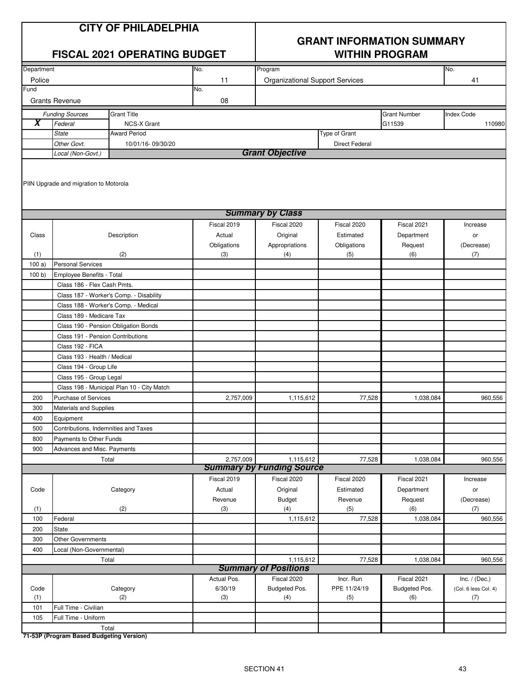# **GRANT INFORMATION SUMMARY**

|            |                                                          | <b>FISCAL 2021 OPERATING BUDGET</b>        |                       | <b>WITHIN PROGRAM</b>                  |                          |                     |                      |  |  |
|------------|----------------------------------------------------------|--------------------------------------------|-----------------------|----------------------------------------|--------------------------|---------------------|----------------------|--|--|
| Department |                                                          |                                            | No.                   | Program                                |                          |                     | No.                  |  |  |
| Police     |                                                          |                                            | 11                    | <b>Organizational Support Services</b> |                          |                     | 41                   |  |  |
| Fund       |                                                          |                                            | No.                   |                                        |                          |                     |                      |  |  |
|            | <b>Grants Revenue</b>                                    |                                            | 08                    |                                        |                          |                     |                      |  |  |
|            | <b>Funding Sources</b>                                   | <b>Grant Title</b>                         |                       |                                        |                          | <b>Grant Number</b> | <b>Index Code</b>    |  |  |
| X          | Federal                                                  | <b>NCS-X Grant</b>                         |                       |                                        |                          | G11539              | 110980               |  |  |
|            | <b>State</b>                                             | <b>Award Period</b>                        |                       |                                        | Type of Grant            |                     |                      |  |  |
|            | Other Govt.                                              | 10/01/16-09/30/20                          |                       |                                        | <b>Direct Federal</b>    |                     |                      |  |  |
|            | Local (Non-Govt.)                                        |                                            |                       | <b>Grant Objective</b>                 |                          |                     |                      |  |  |
|            | PIIN Upgrade and migration to Motorola                   |                                            |                       |                                        |                          |                     |                      |  |  |
|            |                                                          |                                            |                       | <b>Summary by Class</b>                |                          |                     |                      |  |  |
|            |                                                          |                                            | Fiscal 2019           | Fiscal 2020                            | Fiscal 2020              | Fiscal 2021         | Increase             |  |  |
| Class      |                                                          | Description                                | Actual                | Original                               | Estimated                | Department          | or                   |  |  |
|            |                                                          |                                            | Obligations           | Appropriations                         | Obligations              | Request             | (Decrease)           |  |  |
| (1)        |                                                          | (2)                                        | (3)                   | (4)                                    | (5)                      | (6)                 | (7)                  |  |  |
| 100a)      | <b>Personal Services</b>                                 |                                            |                       |                                        |                          |                     |                      |  |  |
| 100 b)     | Employee Benefits - Total<br>Class 186 - Flex Cash Pmts. |                                            |                       |                                        |                          |                     |                      |  |  |
|            |                                                          | Class 187 - Worker's Comp. - Disability    |                       |                                        |                          |                     |                      |  |  |
|            | Class 188 - Worker's Comp. - Medical                     |                                            |                       |                                        |                          |                     |                      |  |  |
|            | Class 189 - Medicare Tax                                 |                                            |                       |                                        |                          |                     |                      |  |  |
|            | Class 190 - Pension Obligation Bonds                     |                                            |                       |                                        |                          |                     |                      |  |  |
|            | Class 191 - Pension Contributions                        |                                            |                       |                                        |                          |                     |                      |  |  |
|            | Class 192 - FICA                                         |                                            |                       |                                        |                          |                     |                      |  |  |
|            | Class 193 - Health / Medical                             |                                            |                       |                                        |                          |                     |                      |  |  |
|            | Class 194 - Group Life                                   |                                            |                       |                                        |                          |                     |                      |  |  |
|            | Class 195 - Group Legal                                  |                                            |                       |                                        |                          |                     |                      |  |  |
|            |                                                          | Class 198 - Municipal Plan 10 - City Match |                       |                                        |                          |                     |                      |  |  |
| 200        | Purchase of Services                                     |                                            | 2,757,009             | 1,115,612                              | 77,528                   | 1,038,084           | 960,556              |  |  |
| 300        | Materials and Supplies                                   |                                            |                       |                                        |                          |                     |                      |  |  |
| 400        | Equipment                                                |                                            |                       |                                        |                          |                     |                      |  |  |
| 500        | Contributions, Indemnities and Taxes                     |                                            |                       |                                        |                          |                     |                      |  |  |
| 800        | Payments to Other Funds                                  |                                            |                       |                                        |                          |                     |                      |  |  |
| 900        | Advances and Misc. Payments                              |                                            |                       |                                        |                          |                     |                      |  |  |
|            | Total                                                    |                                            | 2,757,009             | 1,115,612                              | 77,528                   | 1,038,084           | 960,556              |  |  |
|            |                                                          |                                            |                       | <b>Summary by Funding Source</b>       |                          |                     |                      |  |  |
|            |                                                          |                                            | Fiscal 2019<br>Actual | Fiscal 2020                            | Fiscal 2020<br>Estimated | Fiscal 2021         | Increase             |  |  |
| Code       |                                                          | Category                                   |                       | Original                               |                          | Department          | or                   |  |  |
| (1)        |                                                          | (2)                                        | Revenue<br>(3)        | <b>Budget</b><br>(4)                   | Revenue<br>(5)           | Request<br>(6)      | (Decrease)<br>(7)    |  |  |
| 100        | Federal                                                  |                                            |                       | 1,115,612                              | 77,528                   | 1,038,084           | 960,556              |  |  |
| 200        | <b>State</b>                                             |                                            |                       |                                        |                          |                     |                      |  |  |
| 300        | <b>Other Governments</b>                                 |                                            |                       |                                        |                          |                     |                      |  |  |
| 400        | Local (Non-Governmental)                                 |                                            |                       |                                        |                          |                     |                      |  |  |
|            |                                                          | Total                                      |                       | 1,115,612                              | 77,528                   | 1,038,084           | 960,556              |  |  |
|            |                                                          |                                            |                       | <b>Summary of Positions</b>            |                          |                     |                      |  |  |
|            |                                                          |                                            | Actual Pos.           | Fiscal 2020                            | Incr. Run                | Fiscal 2021         | Inc. $/$ (Dec.)      |  |  |
| Code       |                                                          | Category                                   | 6/30/19               | Budgeted Pos.                          | PPE 11/24/19             | Budgeted Pos.       | (Col. 6 less Col. 4) |  |  |
| (1)        | Full Time - Civilian                                     | (2)                                        | (3)                   | (4)                                    | (5)                      | (6)                 | (7)                  |  |  |
| 101<br>105 | Full Time - Uniform                                      |                                            |                       |                                        |                          |                     |                      |  |  |
|            |                                                          | Total                                      |                       |                                        |                          |                     |                      |  |  |
|            |                                                          |                                            |                       |                                        |                          |                     |                      |  |  |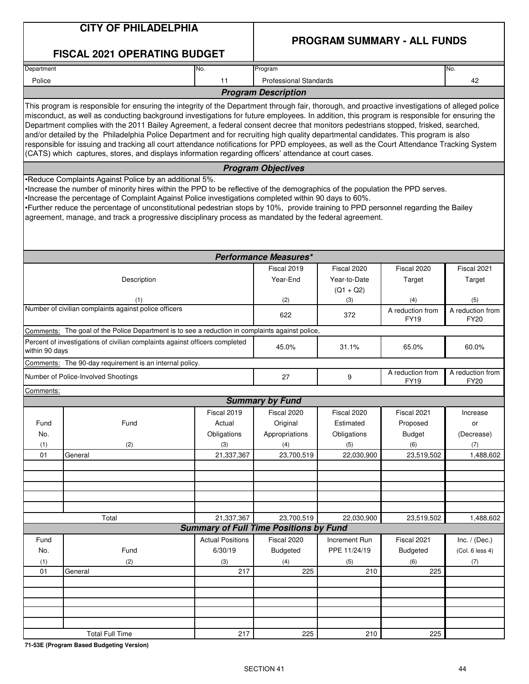|                | <b>CITY OF PHILADELPHIA</b>                                                                                                                                                                                                                                                                                                                                                                                                                                                                                                                                                                                                                                                                                                                                                                                                         |                         |                                                             |                                            |                                    |                                 |
|----------------|-------------------------------------------------------------------------------------------------------------------------------------------------------------------------------------------------------------------------------------------------------------------------------------------------------------------------------------------------------------------------------------------------------------------------------------------------------------------------------------------------------------------------------------------------------------------------------------------------------------------------------------------------------------------------------------------------------------------------------------------------------------------------------------------------------------------------------------|-------------------------|-------------------------------------------------------------|--------------------------------------------|------------------------------------|---------------------------------|
|                | <b>FISCAL 2021 OPERATING BUDGET</b>                                                                                                                                                                                                                                                                                                                                                                                                                                                                                                                                                                                                                                                                                                                                                                                                 |                         |                                                             |                                            | <b>PROGRAM SUMMARY - ALL FUNDS</b> |                                 |
| Department     |                                                                                                                                                                                                                                                                                                                                                                                                                                                                                                                                                                                                                                                                                                                                                                                                                                     | No.                     | Program                                                     |                                            |                                    | No.                             |
| Police         |                                                                                                                                                                                                                                                                                                                                                                                                                                                                                                                                                                                                                                                                                                                                                                                                                                     | 11                      | <b>Professional Standards</b>                               |                                            |                                    | 42                              |
|                |                                                                                                                                                                                                                                                                                                                                                                                                                                                                                                                                                                                                                                                                                                                                                                                                                                     |                         | <b>Program Description</b>                                  |                                            |                                    |                                 |
|                | This program is responsible for ensuring the integrity of the Department through fair, thorough, and proactive investigations of alleged police<br>misconduct, as well as conducting background investigations for future employees. In addition, this program is responsible for ensuring the<br>Department complies with the 2011 Bailey Agreement, a federal consent decree that monitors pedestrians stopped, frisked, searched,<br>and/or detailed by the Philadelphia Police Department and for recruiting high quality departmental candidates. This program is also<br>responsible for issuing and tracking all court attendance notifications for PPD employees, as well as the Court Attendance Tracking System<br>(CATS) which captures, stores, and displays information regarding officers' attendance at court cases. |                         |                                                             |                                            |                                    |                                 |
|                |                                                                                                                                                                                                                                                                                                                                                                                                                                                                                                                                                                                                                                                                                                                                                                                                                                     |                         | <b>Program Objectives</b>                                   |                                            |                                    |                                 |
|                | •Reduce Complaints Against Police by an additional 5%.<br>• Increase the number of minority hires within the PPD to be reflective of the demographics of the population the PPD serves.<br>Increase the percentage of Complaint Against Police investigations completed within 90 days to 60%.<br>•Eurther reduce the percentage of unconstitutional pedestrian stops by 10%, provide training to PPD personnel regarding the Bailey<br>agreement, manage, and track a progressive disciplinary process as mandated by the federal agreement.                                                                                                                                                                                                                                                                                       |                         |                                                             |                                            |                                    |                                 |
|                |                                                                                                                                                                                                                                                                                                                                                                                                                                                                                                                                                                                                                                                                                                                                                                                                                                     |                         | <b>Performance Measures*</b>                                |                                            |                                    |                                 |
|                | Description                                                                                                                                                                                                                                                                                                                                                                                                                                                                                                                                                                                                                                                                                                                                                                                                                         |                         | Fiscal 2019<br>Year-End                                     | Fiscal 2020<br>Year-to-Date<br>$(Q1 + Q2)$ | Fiscal 2020<br>Target              | Fiscal 2021<br>Target           |
|                | (1)                                                                                                                                                                                                                                                                                                                                                                                                                                                                                                                                                                                                                                                                                                                                                                                                                                 |                         | (2)                                                         | (3)                                        | (4)                                | (5)                             |
|                | Number of civilian complaints against police officers                                                                                                                                                                                                                                                                                                                                                                                                                                                                                                                                                                                                                                                                                                                                                                               |                         | 622                                                         | 372                                        | A reduction from<br><b>FY19</b>    | A reduction from<br><b>FY20</b> |
|                | Comments: The goal of the Police Department is to see a reduction in complaints against police,                                                                                                                                                                                                                                                                                                                                                                                                                                                                                                                                                                                                                                                                                                                                     |                         |                                                             |                                            |                                    |                                 |
| within 90 days | Percent of investigations of civilian complaints against officers completed                                                                                                                                                                                                                                                                                                                                                                                                                                                                                                                                                                                                                                                                                                                                                         |                         | 45.0%                                                       | 31.1%                                      | 65.0%                              | 60.0%                           |
|                | Comments: The 90-day requirement is an internal policy.                                                                                                                                                                                                                                                                                                                                                                                                                                                                                                                                                                                                                                                                                                                                                                             |                         |                                                             |                                            |                                    |                                 |
|                | Number of Police-Involved Shootings                                                                                                                                                                                                                                                                                                                                                                                                                                                                                                                                                                                                                                                                                                                                                                                                 |                         | 27                                                          | 9                                          | A reduction from<br><b>FY19</b>    | A reduction from<br><b>FY20</b> |
| Comments:      |                                                                                                                                                                                                                                                                                                                                                                                                                                                                                                                                                                                                                                                                                                                                                                                                                                     |                         |                                                             |                                            |                                    |                                 |
|                |                                                                                                                                                                                                                                                                                                                                                                                                                                                                                                                                                                                                                                                                                                                                                                                                                                     |                         | <b>Summary by Fund</b>                                      |                                            |                                    |                                 |
|                | Fund                                                                                                                                                                                                                                                                                                                                                                                                                                                                                                                                                                                                                                                                                                                                                                                                                                | Fiscal 2019<br>Actual   | Fiscal 2020                                                 | Fiscal 2020<br>Estimated                   | Fiscal 2021                        | Increase                        |
| Fund<br>No.    |                                                                                                                                                                                                                                                                                                                                                                                                                                                                                                                                                                                                                                                                                                                                                                                                                                     | Obligations             | Original<br>Appropriations                                  | Obligations                                | Proposed<br><b>Budget</b>          | or<br>(Decrease)                |
| (1)            | (2)                                                                                                                                                                                                                                                                                                                                                                                                                                                                                                                                                                                                                                                                                                                                                                                                                                 | (3)                     | (4)                                                         | (5)                                        | (6)                                | (7)                             |
| 01             | General                                                                                                                                                                                                                                                                                                                                                                                                                                                                                                                                                                                                                                                                                                                                                                                                                             | 21,337,367              | 23,700,519                                                  | 22,030,900                                 | 23,519,502                         | 1,488,602                       |
|                |                                                                                                                                                                                                                                                                                                                                                                                                                                                                                                                                                                                                                                                                                                                                                                                                                                     |                         |                                                             |                                            |                                    |                                 |
|                |                                                                                                                                                                                                                                                                                                                                                                                                                                                                                                                                                                                                                                                                                                                                                                                                                                     |                         |                                                             |                                            |                                    |                                 |
|                |                                                                                                                                                                                                                                                                                                                                                                                                                                                                                                                                                                                                                                                                                                                                                                                                                                     |                         |                                                             |                                            |                                    |                                 |
|                |                                                                                                                                                                                                                                                                                                                                                                                                                                                                                                                                                                                                                                                                                                                                                                                                                                     |                         |                                                             |                                            |                                    |                                 |
|                |                                                                                                                                                                                                                                                                                                                                                                                                                                                                                                                                                                                                                                                                                                                                                                                                                                     |                         |                                                             |                                            |                                    |                                 |
|                | Total                                                                                                                                                                                                                                                                                                                                                                                                                                                                                                                                                                                                                                                                                                                                                                                                                               | 21,337,367              | 23,700,519<br><b>Summary of Full Time Positions by Fund</b> | 22,030,900                                 | 23,519,502                         | 1,488,602                       |
| Fund           |                                                                                                                                                                                                                                                                                                                                                                                                                                                                                                                                                                                                                                                                                                                                                                                                                                     | <b>Actual Positions</b> | Fiscal 2020                                                 | Increment Run                              | Fiscal 2021                        | Inc. $/$ (Dec.)                 |
| No.            | Fund                                                                                                                                                                                                                                                                                                                                                                                                                                                                                                                                                                                                                                                                                                                                                                                                                                | 6/30/19                 | <b>Budgeted</b>                                             | PPE 11/24/19                               | <b>Budgeted</b>                    | (Col. 6 less 4)                 |
| (1)            | (2)                                                                                                                                                                                                                                                                                                                                                                                                                                                                                                                                                                                                                                                                                                                                                                                                                                 | (3)                     | (4)                                                         | (5)                                        | (6)                                | (7)                             |
| 01             | General                                                                                                                                                                                                                                                                                                                                                                                                                                                                                                                                                                                                                                                                                                                                                                                                                             | 217                     | 225                                                         | 210                                        | 225                                |                                 |
|                |                                                                                                                                                                                                                                                                                                                                                                                                                                                                                                                                                                                                                                                                                                                                                                                                                                     |                         |                                                             |                                            |                                    |                                 |
|                |                                                                                                                                                                                                                                                                                                                                                                                                                                                                                                                                                                                                                                                                                                                                                                                                                                     |                         |                                                             |                                            |                                    |                                 |
|                |                                                                                                                                                                                                                                                                                                                                                                                                                                                                                                                                                                                                                                                                                                                                                                                                                                     |                         |                                                             |                                            |                                    |                                 |
|                |                                                                                                                                                                                                                                                                                                                                                                                                                                                                                                                                                                                                                                                                                                                                                                                                                                     |                         |                                                             |                                            |                                    |                                 |
|                | <b>Total Full Time</b>                                                                                                                                                                                                                                                                                                                                                                                                                                                                                                                                                                                                                                                                                                                                                                                                              | 217                     | 225                                                         | 210                                        | 225                                |                                 |
|                |                                                                                                                                                                                                                                                                                                                                                                                                                                                                                                                                                                                                                                                                                                                                                                                                                                     |                         |                                                             |                                            |                                    |                                 |

**71-53E (Program Based Budgeting Version)**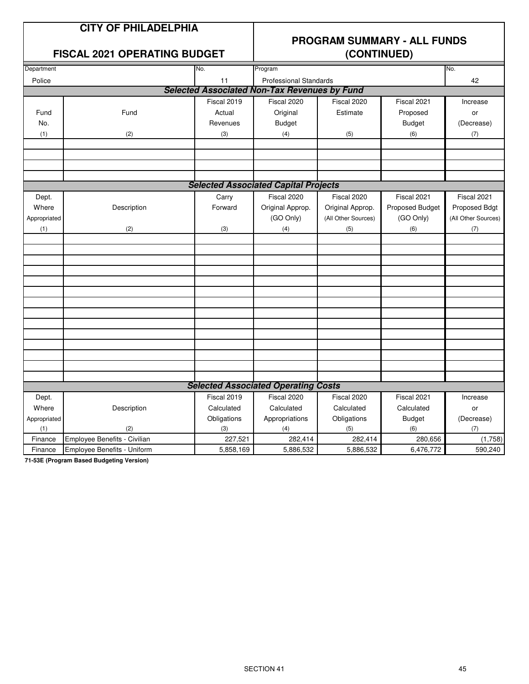#### **FISCAL 2021 OPERATING BUDGET (CONTINUED)**

### **PROGRAM SUMMARY - ALL FUNDS**

| Department   |                              | No.         | Program                                             |                     |                 | No.                 |
|--------------|------------------------------|-------------|-----------------------------------------------------|---------------------|-----------------|---------------------|
| Police       |                              | 11          | <b>Professional Standards</b>                       |                     |                 | 42                  |
|              |                              |             | <b>Selected Associated Non-Tax Revenues by Fund</b> |                     |                 |                     |
|              |                              | Fiscal 2019 | Fiscal 2020                                         | Fiscal 2020         | Fiscal 2021     | Increase            |
| Fund         | Fund                         | Actual      | Original                                            | Estimate            | Proposed        | or                  |
| No.          |                              | Revenues    | <b>Budget</b>                                       |                     | <b>Budget</b>   | (Decrease)          |
| (1)          | (2)                          | (3)         | (4)                                                 | (5)                 | (6)             | (7)                 |
|              |                              |             |                                                     |                     |                 |                     |
|              |                              |             |                                                     |                     |                 |                     |
|              |                              |             |                                                     |                     |                 |                     |
|              |                              |             |                                                     |                     |                 |                     |
|              |                              |             | <b>Selected Associated Capital Projects</b>         |                     |                 |                     |
| Dept.        |                              | Carry       | Fiscal 2020                                         | Fiscal 2020         | Fiscal 2021     | Fiscal 2021         |
| Where        | Description                  | Forward     | Original Approp.                                    | Original Approp.    | Proposed Budget | Proposed Bdgt       |
| Appropriated |                              |             | (GO Only)                                           | (All Other Sources) | (GO Only)       | (All Other Sources) |
| (1)          | (2)                          | (3)         | (4)                                                 | (5)                 | (6)             | (7)                 |
|              |                              |             |                                                     |                     |                 |                     |
|              |                              |             |                                                     |                     |                 |                     |
|              |                              |             |                                                     |                     |                 |                     |
|              |                              |             |                                                     |                     |                 |                     |
|              |                              |             |                                                     |                     |                 |                     |
|              |                              |             |                                                     |                     |                 |                     |
|              |                              |             |                                                     |                     |                 |                     |
|              |                              |             |                                                     |                     |                 |                     |
|              |                              |             |                                                     |                     |                 |                     |
|              |                              |             |                                                     |                     |                 |                     |
|              |                              |             |                                                     |                     |                 |                     |
|              |                              |             |                                                     |                     |                 |                     |
|              |                              |             |                                                     |                     |                 |                     |
|              |                              |             |                                                     |                     |                 |                     |
|              |                              |             | <b>Selected Associated Operating Costs</b>          |                     |                 |                     |
| Dept.        |                              | Fiscal 2019 | Fiscal 2020                                         | Fiscal 2020         | Fiscal 2021     | Increase            |
| Where        | Description                  | Calculated  | Calculated                                          | Calculated          | Calculated      | or                  |
| Appropriated |                              | Obligations | Appropriations                                      | Obligations         | <b>Budget</b>   | (Decrease)          |
| (1)          | (2)                          | (3)         | (4)                                                 | (5)                 | (6)             | (7)                 |
| Finance      | Employee Benefits - Civilian | 227,521     | 282,414                                             | 282,414             | 280,656         | (1,758)             |
| Finance      | Employee Benefits - Uniform  | 5,858,169   | 5,886,532                                           | 5,886,532           | 6,476,772       | 590,240             |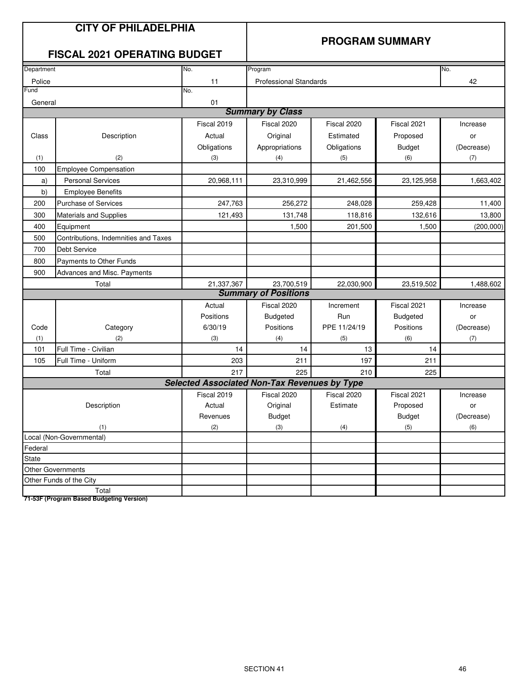#### **PROGRAM SUMMARY**

#### **FISCAL 2021 OPERATING BUDGET**

| Department                     |                                      | No.                                                 | Program                       |              |                 | No.        |
|--------------------------------|--------------------------------------|-----------------------------------------------------|-------------------------------|--------------|-----------------|------------|
| Police                         |                                      | 11                                                  | <b>Professional Standards</b> |              |                 | 42         |
| Fund                           |                                      | No.                                                 |                               |              |                 |            |
| General                        |                                      | 01                                                  |                               |              |                 |            |
|                                |                                      |                                                     | <b>Summary by Class</b>       |              |                 |            |
|                                |                                      | Fiscal 2019                                         | Fiscal 2020                   | Fiscal 2020  | Fiscal 2021     | Increase   |
| Class                          | Description                          | Actual                                              | Original                      | Estimated    | Proposed        | or         |
|                                |                                      | Obligations                                         | Appropriations                | Obligations  | <b>Budget</b>   | (Decrease) |
| (1)                            | (2)                                  | (3)                                                 | (4)                           | (5)          | (6)             | (7)        |
| 100                            | <b>Employee Compensation</b>         |                                                     |                               |              |                 |            |
| a)                             | <b>Personal Services</b>             | 20,968,111                                          | 23,310,999                    | 21,462,556   | 23,125,958      | 1,663,402  |
| b)                             | <b>Employee Benefits</b>             |                                                     |                               |              |                 |            |
| 200                            | <b>Purchase of Services</b>          | 247,763                                             | 256,272                       | 248,028      | 259,428         | 11,400     |
| 300                            | <b>Materials and Supplies</b>        | 121,493                                             | 131,748                       | 118,816      | 132,616         | 13,800     |
| 400                            | Equipment                            |                                                     | 1,500                         | 201.500      | 1,500           | (200,000)  |
| 500                            | Contributions, Indemnities and Taxes |                                                     |                               |              |                 |            |
| Debt Service<br>700            |                                      |                                                     |                               |              |                 |            |
| 800<br>Payments to Other Funds |                                      |                                                     |                               |              |                 |            |
| 900                            | Advances and Misc. Payments          |                                                     |                               |              |                 |            |
|                                | Total                                | 21,337,367                                          | 23,700,519                    | 22,030,900   | 23,519,502      | 1,488,602  |
|                                |                                      |                                                     | <b>Summary of Positions</b>   |              |                 |            |
|                                |                                      | Actual                                              | Fiscal 2020                   | Increment    | Fiscal 2021     | Increase   |
|                                |                                      | Positions                                           | <b>Budgeted</b>               | Run          | <b>Budgeted</b> | or         |
| Code                           | Category                             | 6/30/19                                             | Positions                     | PPE 11/24/19 | Positions       | (Decrease) |
| (1)                            | (2)                                  | (3)                                                 | (4)                           | (5)          | (6)             | (7)        |
| 101                            | Full Time - Civilian                 | 14                                                  | 14                            | 13           | 14              |            |
| 105                            | Full Time - Uniform                  | 203                                                 | 211                           | 197          | 211             |            |
|                                | Total                                | 217                                                 | 225                           | 210          | 225             |            |
|                                |                                      | <b>Selected Associated Non-Tax Revenues by Type</b> |                               |              |                 |            |
|                                |                                      | Fiscal 2019                                         | Fiscal 2020                   | Fiscal 2020  | Fiscal 2021     | Increase   |
|                                | Description                          | Actual                                              | Original                      | Estimate     | Proposed        | or         |
|                                |                                      | Revenues                                            | <b>Budget</b>                 |              | <b>Budget</b>   | (Decrease) |
|                                | (1)                                  | (2)                                                 | (3)                           | (4)          | (5)             | (6)        |
|                                | Local (Non-Governmental)             |                                                     |                               |              |                 |            |
| Federal                        |                                      |                                                     |                               |              |                 |            |
| State                          |                                      |                                                     |                               |              |                 |            |
|                                | <b>Other Governments</b>             |                                                     |                               |              |                 |            |
|                                | Other Funds of the City              |                                                     |                               |              |                 |            |
|                                | Total                                |                                                     |                               |              |                 |            |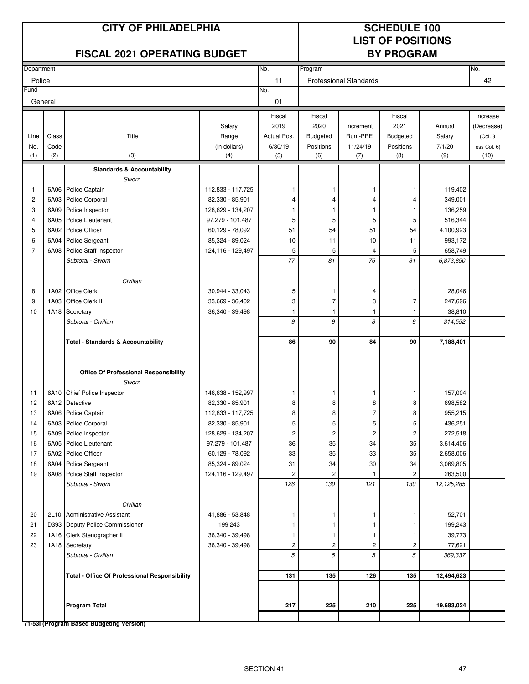#### **CITY OF PHILADELPHIA SCHEDULE 100**

# **LIST OF POSITIONS**

|                |       | <b>FISCAL 2021 OPERATING BUDGET</b>                  |                   | <b>BY PROGRAM</b>       |                 |                               |                 |              |              |
|----------------|-------|------------------------------------------------------|-------------------|-------------------------|-----------------|-------------------------------|-----------------|--------------|--------------|
| Department     |       |                                                      |                   | No.                     | Program         |                               |                 |              | No.          |
| Police         |       |                                                      |                   | 11                      |                 | <b>Professional Standards</b> |                 |              | 42           |
| Fund           |       |                                                      |                   | No.                     |                 |                               |                 |              |              |
| General        |       |                                                      |                   | 01                      |                 |                               |                 |              |              |
|                |       |                                                      |                   | Fiscal                  | Fiscal          |                               | Fiscal          |              | Increase     |
|                |       |                                                      | Salary            | 2019                    | 2020            | Increment                     | 2021            | Annual       | (Decrease)   |
| Line           | Class | Title                                                | Range             | Actual Pos.             | <b>Budgeted</b> | Run -PPE                      | <b>Budgeted</b> | Salary       | (Col. 8)     |
| No.            | Code  |                                                      | (in dollars)      | 6/30/19                 | Positions       | 11/24/19                      | Positions       | 7/1/20       | less Col. 6) |
| (1)            | (2)   | (3)                                                  | (4)               | (5)                     | (6)             | (7)                           | (8)             | (9)          | (10)         |
|                |       | <b>Standards &amp; Accountability</b>                |                   |                         |                 |                               |                 |              |              |
|                |       | Sworn                                                |                   |                         |                 |                               |                 |              |              |
| 1              |       | 6A06 Police Captain                                  | 112,833 - 117,725 |                         |                 | 1                             | 1               | 119,402      |              |
| $\overline{c}$ |       | 6A03 Police Corporal                                 | 82,330 - 85,901   | 4                       | 4               | 4                             | 4               | 349,001      |              |
| 3              |       | 6A09 Police Inspector                                | 128,629 - 134,207 |                         | 1               | 1                             | 1               | 136,259      |              |
| $\overline{4}$ |       | 6A05 Police Lieutenant                               | 97,279 - 101,487  | 5                       | 5               | 5                             | 5               | 516,344      |              |
| 5              |       | 6A02 Police Officer                                  | 60,129 - 78,092   | 51                      | 54              | 51                            | 54              | 4,100,923    |              |
| 6              |       | 6A04 Police Sergeant                                 | 85,324 - 89,024   | 10                      | 11              | 10                            | 11              | 993,172      |              |
| $\overline{7}$ |       | 6A08 Police Staff Inspector                          | 124,116 - 129,497 | 5                       | 5               | 4                             | 5               | 658,749      |              |
|                |       | Subtotal - Sworn                                     |                   | 77                      | 81              | 76                            | 81              | 6,873,850    |              |
|                |       |                                                      |                   |                         |                 |                               |                 |              |              |
|                |       | Civilian                                             |                   |                         |                 |                               |                 |              |              |
| 8              |       | 1A02 Office Clerk                                    | 30,944 - 33,043   | 5                       | 1               | 4                             | 1               | 28,046       |              |
| 9              |       | 1A03 Office Clerk II                                 | 33,669 - 36,402   | 3                       | $\overline{7}$  | 3                             | 7               | 247,696      |              |
| 10             |       | 1A18 Secretary                                       | 36,340 - 39,498   | 1<br>9                  | 1<br>9          | 1<br>8                        | 1<br>9          | 38,810       |              |
|                |       | Subtotal - Civilian                                  |                   |                         |                 |                               |                 | 314,552      |              |
|                |       | <b>Total - Standards &amp; Accountability</b>        |                   | 86                      | 90              | 84                            | 90              | 7,188,401    |              |
|                |       |                                                      |                   |                         |                 |                               |                 |              |              |
|                |       |                                                      |                   |                         |                 |                               |                 |              |              |
|                |       | <b>Office Of Professional Responsibility</b>         |                   |                         |                 |                               |                 |              |              |
|                |       | Sworn                                                |                   |                         |                 |                               |                 |              |              |
| 11             |       | 6A10 Chief Police Inspector                          | 146,638 - 152,997 | 1                       | 1               | 1                             | 1               | 157,004      |              |
| 12             |       | 6A12 Detective                                       | 82,330 - 85,901   | 8                       | 8               | 8                             | 8               | 698,582      |              |
| 13             |       | 6A06 Police Captain                                  | 112,833 - 117,725 | 8                       | 8               | 7                             | 8               | 955,215      |              |
| 14             |       | 6A03 Police Corporal                                 | 82,330 - 85,901   | 5                       | 5               | 5                             | 5               | 436,251      |              |
| 15             |       | 6A09 Police Inspector                                | 128,629 - 134,207 | $\overline{\mathbf{c}}$ | 2               | $\overline{2}$                | 2               | 272,518      |              |
| 16             |       | 6A05 Police Lieutenant                               | 97,279 - 101,487  | 36                      | 35              | 34                            | 35              | 3,614,406    |              |
| 17             |       | 6A02 Police Officer                                  | 60,129 - 78,092   | 33                      | 35              | 33                            | 35              | 2,658,006    |              |
| 18             |       | 6A04 Police Sergeant                                 | 85,324 - 89,024   | 31                      | 34              | 30                            | 34              | 3,069,805    |              |
| 19             |       | 6A08 Police Staff Inspector                          | 124,116 - 129,497 | 2                       | 2               |                               | 2               | 263,500      |              |
|                |       | Subtotal - Sworn                                     |                   | 126                     | 130             | 121                           | 130             | 12, 125, 285 |              |
|                |       | Civilian                                             |                   |                         |                 |                               |                 |              |              |
| 20             |       | 2L10 Administrative Assistant                        | 41,886 - 53,848   | 1                       | 1               | 1                             | 1               | 52,701       |              |
| 21             |       | D393 Deputy Police Commissioner                      | 199 243           |                         | 1               | 1                             | 1               | 199,243      |              |
| 22             |       | 1A16 Clerk Stenographer II                           | 36,340 - 39,498   | 1                       | 1               | 1                             | 1               | 39,773       |              |
| 23             |       | 1A18 Secretary                                       | 36,340 - 39,498   | 2                       | 2               | $\overline{\mathbf{c}}$       | 2               | 77,621       |              |
|                |       | Subtotal - Civilian                                  |                   | 5                       | 5               | 5                             | 5               | 369,337      |              |
|                |       |                                                      |                   |                         |                 |                               |                 |              |              |
|                |       | <b>Total - Office Of Professional Responsibility</b> |                   | 131                     | 135             | 126                           | 135             | 12,494,623   |              |
|                |       |                                                      |                   |                         |                 |                               |                 |              |              |
|                |       |                                                      |                   |                         |                 |                               |                 |              |              |
|                |       | <b>Program Total</b>                                 |                   | 217                     | 225             | 210                           | 225             | 19,683,024   |              |
|                |       | 71-53I (Program Based Budgeting Version)             |                   |                         |                 |                               |                 |              |              |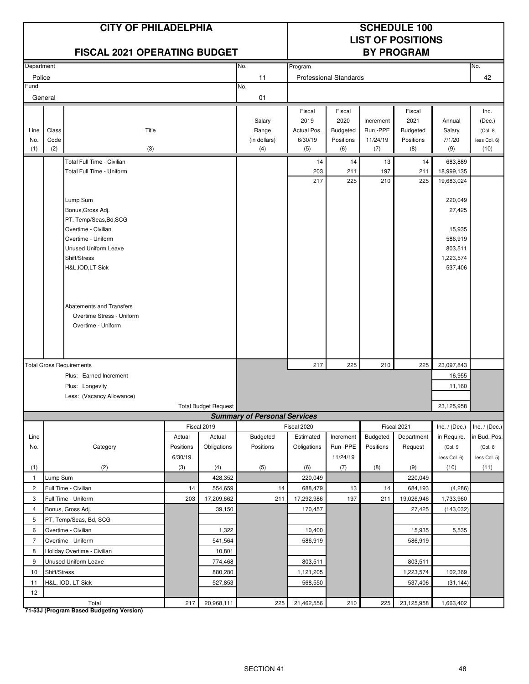|                |                                                                                | <b>CITY OF PHILADELPHIA</b><br><b>FISCAL 2021 OPERATING BUDGET</b> |           |                             | <b>SCHEDULE 100</b><br><b>LIST OF POSITIONS</b><br><b>BY PROGRAM</b> |                |                               |                   |                  |                 |                      |
|----------------|--------------------------------------------------------------------------------|--------------------------------------------------------------------|-----------|-----------------------------|----------------------------------------------------------------------|----------------|-------------------------------|-------------------|------------------|-----------------|----------------------|
| Department     |                                                                                |                                                                    |           |                             | No.                                                                  | Program        |                               |                   |                  |                 | No.                  |
| Police         |                                                                                |                                                                    |           |                             | 11                                                                   |                | <b>Professional Standards</b> |                   |                  |                 | 42                   |
| Fund           |                                                                                |                                                                    |           |                             | No.                                                                  |                |                               |                   |                  |                 |                      |
|                | General                                                                        |                                                                    |           |                             | 01                                                                   |                |                               |                   |                  |                 |                      |
|                |                                                                                |                                                                    |           |                             |                                                                      | Fiscal         | Fiscal                        |                   | Fiscal           |                 | Inc.                 |
|                |                                                                                |                                                                    |           |                             | Salary                                                               | 2019           | 2020                          | Increment         | 2021             | Annual          | (Dec.)               |
| Line           | Class                                                                          | Title                                                              |           |                             | Range                                                                | Actual Pos.    | <b>Budgeted</b>               | Run -PPE          | <b>Budgeted</b>  | Salary          | (Col. 8)             |
| No.<br>(1)     | Code<br>(2)                                                                    | (3)                                                                |           |                             | (in dollars)<br>(4)                                                  | 6/30/19<br>(5) | Positions<br>(6)              | 11/24/19<br>(7)   | Positions<br>(8) | 7/1/20<br>(9)   | less Col. 6)<br>(10) |
|                |                                                                                | Total Full Time - Civilian                                         |           |                             |                                                                      | 14             | 14                            | 13                | 14               | 683,889         |                      |
|                |                                                                                | Total Full Time - Uniform                                          |           |                             |                                                                      | 203            | 211                           | 197               | 211              | 18,999,135      |                      |
|                |                                                                                |                                                                    |           |                             |                                                                      | 217            | 225                           | 210               | 225              | 19,683,024      |                      |
|                |                                                                                |                                                                    |           |                             |                                                                      |                |                               |                   |                  |                 |                      |
|                |                                                                                | Lump Sum                                                           |           |                             |                                                                      |                |                               |                   |                  | 220,049         |                      |
|                |                                                                                | Bonus, Gross Adj.                                                  |           |                             |                                                                      |                |                               |                   |                  | 27,425          |                      |
|                |                                                                                | PT. Temp/Seas, Bd, SCG<br>Overtime - Civilian                      |           |                             |                                                                      |                |                               |                   |                  | 15,935          |                      |
|                | Overtime - Uniform                                                             |                                                                    |           |                             |                                                                      |                |                               |                   |                  | 586,919         |                      |
|                | Unused Uniform Leave                                                           |                                                                    |           |                             |                                                                      |                |                               |                   |                  | 803,511         |                      |
|                | Shift/Stress                                                                   |                                                                    |           |                             |                                                                      |                |                               |                   |                  | 1,223,574       |                      |
|                | H&L, IOD, LT-Sick                                                              |                                                                    |           |                             |                                                                      |                |                               |                   |                  | 537,406         |                      |
|                |                                                                                |                                                                    |           |                             |                                                                      |                |                               |                   |                  |                 |                      |
|                |                                                                                |                                                                    |           |                             |                                                                      |                |                               |                   |                  |                 |                      |
|                |                                                                                | Abatements and Transfers                                           |           |                             |                                                                      |                |                               |                   |                  |                 |                      |
|                |                                                                                | Overtime Stress - Uniform                                          |           |                             |                                                                      |                |                               |                   |                  |                 |                      |
|                |                                                                                | Overtime - Uniform                                                 |           |                             |                                                                      |                |                               |                   |                  |                 |                      |
|                |                                                                                |                                                                    |           |                             |                                                                      |                |                               |                   |                  |                 |                      |
|                |                                                                                |                                                                    |           |                             |                                                                      |                |                               |                   |                  |                 |                      |
|                |                                                                                |                                                                    |           |                             |                                                                      |                |                               |                   |                  |                 |                      |
|                |                                                                                | <b>Total Gross Requirements</b>                                    |           |                             |                                                                      | 217            | 225                           | 210               | 225              | 23,097,843      |                      |
|                |                                                                                | Plus: Earned Increment                                             |           |                             |                                                                      |                |                               |                   |                  | 16,955          |                      |
|                |                                                                                | Plus: Longevity                                                    |           |                             |                                                                      |                |                               |                   |                  | 11,160          |                      |
|                |                                                                                | Less: (Vacancy Allowance)                                          |           | <b>Total Budget Request</b> |                                                                      |                |                               |                   |                  | 23,125,958      |                      |
|                |                                                                                |                                                                    |           |                             | <b>Summary of Personal Services</b>                                  |                |                               |                   |                  |                 |                      |
|                |                                                                                |                                                                    |           | Fiscal 2019                 |                                                                      | Fiscal 2020    |                               |                   | Fiscal 2021      | Inc. $/$ (Dec.) | Inc. $/$ (Dec.)      |
| Line           |                                                                                |                                                                    | Actual    | Actual                      | Budgeted                                                             | Estimated      | Increment                     | <b>Budgeted</b>   | Department       | in Require.     | in Bud. Pos.         |
| No.            |                                                                                | Category                                                           | Positions | Obligations                 | Positions                                                            | Obligations    | Run -PPE                      | Positions         | Request          | (Col. 9         | (Col. 8              |
|                |                                                                                |                                                                    | 6/30/19   |                             |                                                                      |                | 11/24/19                      |                   |                  | less Col. 6)    | less Col. 5)         |
| (1)            |                                                                                | (2)                                                                | (3)       | (4)                         | (5)                                                                  | (6)            | (7)                           | (8)               | (9)              | (10)            | (11)                 |
| $\mathbf{1}$   | Lump Sum                                                                       |                                                                    |           | 428,352                     |                                                                      | 220,049        |                               |                   | 220,049          |                 |                      |
| $\overline{c}$ |                                                                                | Full Time - Civilian                                               | 14        | 554,659                     | 14                                                                   | 688,479        | 13                            | 14                | 684,193          | (4, 286)        |                      |
| 3              |                                                                                | Full Time - Uniform                                                | 203       | 17,209,662                  | 211                                                                  | 17,292,986     | 197                           | 211               | 19,026,946       | 1,733,960       |                      |
| $\overline{4}$ |                                                                                | Bonus, Gross Adj.                                                  |           | 39,150                      |                                                                      | 170,457        |                               |                   | 27,425           | (143, 032)      |                      |
|                | 5<br>PT, Temp/Seas, Bd, SCG                                                    |                                                                    |           |                             |                                                                      |                |                               |                   |                  |                 |                      |
|                | 6<br>Overtime - Civilian<br>1,322                                              |                                                                    |           |                             | 10,400                                                               |                |                               | 15,935<br>586,919 | 5,535            |                 |                      |
| 8              | $\overline{7}$<br>Overtime - Uniform<br>541,564<br>Holiday Overtime - Civilian |                                                                    |           | 10,801                      |                                                                      | 586,919        |                               |                   |                  |                 |                      |
| 9              |                                                                                | Unused Uniform Leave                                               |           | 774,468                     |                                                                      | 803,511        |                               |                   | 803,511          |                 |                      |
| 10             | Shift/Stress                                                                   |                                                                    |           | 880,280                     |                                                                      | 1,121,205      |                               |                   | 1,223,574        | 102,369         |                      |
| 11             |                                                                                | H&L, IOD, LT-Sick                                                  |           | 527,853                     |                                                                      | 568,550        |                               |                   | 537,406          | (31, 144)       |                      |
| 12             |                                                                                |                                                                    |           |                             |                                                                      |                |                               |                   |                  |                 |                      |
|                |                                                                                | Total                                                              | 217       | 20,968,111                  | 225                                                                  | 21,462,556     | 210                           | 225               | 23,125,958       | 1,663,402       |                      |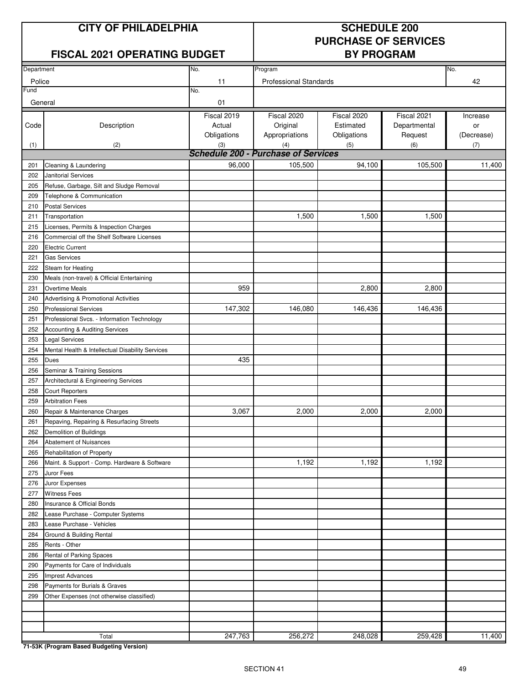#### **CITY OF PHILADELPHIA SCHEDULE 200**

#### **FISCAL 2021 OPERATING BUDGET BY PROGRAM**

# **PURCHASE OF SERVICES**

| Department |                                                  | No.         | Program                                    |             |              | No.        |
|------------|--------------------------------------------------|-------------|--------------------------------------------|-------------|--------------|------------|
| Police     |                                                  | 11          | <b>Professional Standards</b>              |             |              | 42         |
| Fund       |                                                  | No.         |                                            |             |              |            |
| General    |                                                  | 01          |                                            |             |              |            |
|            |                                                  | Fiscal 2019 | Fiscal 2020                                | Fiscal 2020 | Fiscal 2021  | Increase   |
| Code       | Description                                      | Actual      | Original                                   | Estimated   | Departmental | or         |
|            |                                                  | Obligations | Appropriations                             | Obligations | Request      | (Decrease) |
| (1)        | (2)                                              | (3)         | (4)                                        | (5)         | (6)          | (7)        |
|            |                                                  |             | <b>Schedule 200 - Purchase of Services</b> |             |              |            |
| 201        | Cleaning & Laundering                            | 96,000      | 105,500                                    | 94,100      | 105,500      | 11,400     |
| 202        | Janitorial Services                              |             |                                            |             |              |            |
| 205        | Refuse, Garbage, Silt and Sludge Removal         |             |                                            |             |              |            |
| 209        | Telephone & Communication                        |             |                                            |             |              |            |
| 210        | <b>Postal Services</b>                           |             |                                            |             |              |            |
| 211        | Transportation                                   |             | 1,500                                      | 1,500       | 1,500        |            |
| 215        | Licenses, Permits & Inspection Charges           |             |                                            |             |              |            |
| 216        | Commercial off the Shelf Software Licenses       |             |                                            |             |              |            |
| 220        | <b>Electric Current</b>                          |             |                                            |             |              |            |
| 221        | <b>Gas Services</b>                              |             |                                            |             |              |            |
| 222        | Steam for Heating                                |             |                                            |             |              |            |
| 230        | Meals (non-travel) & Official Entertaining       |             |                                            |             |              |            |
| 231        | <b>Overtime Meals</b>                            | 959         |                                            | 2,800       | 2,800        |            |
| 240        | Advertising & Promotional Activities             |             |                                            |             |              |            |
| 250        | <b>Professional Services</b>                     | 147,302     | 146,080                                    | 146,436     | 146,436      |            |
| 251        | Professional Svcs. - Information Technology      |             |                                            |             |              |            |
| 252        | Accounting & Auditing Services                   |             |                                            |             |              |            |
| 253        | <b>Legal Services</b>                            |             |                                            |             |              |            |
| 254        | Mental Health & Intellectual Disability Services |             |                                            |             |              |            |
| 255        | Dues                                             | 435         |                                            |             |              |            |
| 256        | Seminar & Training Sessions                      |             |                                            |             |              |            |
| 257        | Architectural & Engineering Services             |             |                                            |             |              |            |
| 258        | <b>Court Reporters</b>                           |             |                                            |             |              |            |
| 259        | <b>Arbitration Fees</b>                          |             |                                            |             |              |            |
| 260        | Repair & Maintenance Charges                     | 3,067       | 2,000                                      | 2,000       | 2,000        |            |
| 261        | Repaving, Repairing & Resurfacing Streets        |             |                                            |             |              |            |
| 262        | Demolition of Buildings                          |             |                                            |             |              |            |
| 264        | Abatement of Nuisances                           |             |                                            |             |              |            |
| 265        | Rehabilitation of Property                       |             |                                            |             |              |            |
| 266        | Maint. & Support - Comp. Hardware & Software     |             | 1,192                                      | 1,192       | 1,192        |            |
| 275        | Juror Fees                                       |             |                                            |             |              |            |
| 276        | Juror Expenses                                   |             |                                            |             |              |            |
| 277        | <b>Witness Fees</b>                              |             |                                            |             |              |            |
| 280        | Insurance & Official Bonds                       |             |                                            |             |              |            |
| 282        | Lease Purchase - Computer Systems                |             |                                            |             |              |            |
| 283        | Lease Purchase - Vehicles                        |             |                                            |             |              |            |
| 284        | Ground & Building Rental                         |             |                                            |             |              |            |
| 285        | Rents - Other                                    |             |                                            |             |              |            |
| 286        | Rental of Parking Spaces                         |             |                                            |             |              |            |
| 290        | Payments for Care of Individuals                 |             |                                            |             |              |            |
| 295        | Imprest Advances                                 |             |                                            |             |              |            |
| 298        | Payments for Burials & Graves                    |             |                                            |             |              |            |
| 299        | Other Expenses (not otherwise classified)        |             |                                            |             |              |            |
|            |                                                  |             |                                            |             |              |            |
|            |                                                  |             |                                            |             |              |            |
|            |                                                  |             |                                            |             |              |            |
|            | Total                                            | 247,763     | 256,272                                    | 248,028     | 259,428      | 11,400     |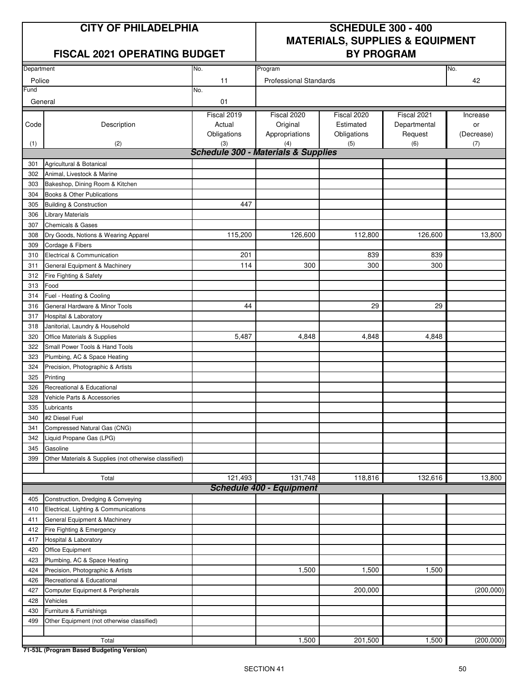#### **FISCAL 2021 OPERATING BUDGET BY PROGRAM**

### **CITY OF PHILADELPHIA SCHEDULE 300 - 400 MATERIALS, SUPPLIES & EQUIPMENT**

| Department     |                                                       | No.                                                   | Program                                   |                                         |                                        |                              |  |
|----------------|-------------------------------------------------------|-------------------------------------------------------|-------------------------------------------|-----------------------------------------|----------------------------------------|------------------------------|--|
|                |                                                       |                                                       |                                           |                                         |                                        | No.                          |  |
| Police<br>Fund |                                                       | 11<br>No.                                             | <b>Professional Standards</b>             |                                         |                                        | 42                           |  |
| General        |                                                       | 01                                                    |                                           |                                         |                                        |                              |  |
| Code           | Description                                           | Fiscal 2019<br>Actual<br>Obligations                  | Fiscal 2020<br>Original<br>Appropriations | Fiscal 2020<br>Estimated<br>Obligations | Fiscal 2021<br>Departmental<br>Request | Increase<br>or<br>(Decrease) |  |
| (1)            | (2)                                                   | (3)<br><b>Schedule 300 - Materials &amp; Supplies</b> | (4)                                       | (5)                                     | (6)                                    | (7)                          |  |
| 301            | Agricultural & Botanical                              |                                                       |                                           |                                         |                                        |                              |  |
| 302            | Animal, Livestock & Marine                            |                                                       |                                           |                                         |                                        |                              |  |
| 303            | Bakeshop, Dining Room & Kitchen                       |                                                       |                                           |                                         |                                        |                              |  |
| 304            | Books & Other Publications                            |                                                       |                                           |                                         |                                        |                              |  |
| 305            | <b>Building &amp; Construction</b>                    | 447                                                   |                                           |                                         |                                        |                              |  |
| 306            | <b>Library Materials</b>                              |                                                       |                                           |                                         |                                        |                              |  |
| 307            | <b>Chemicals &amp; Gases</b>                          |                                                       |                                           |                                         |                                        |                              |  |
| 308            | Dry Goods, Notions & Wearing Apparel                  | 115,200                                               | 126,600                                   | 112,800                                 | 126,600                                | 13,800                       |  |
| 309            | Cordage & Fibers                                      |                                                       |                                           |                                         |                                        |                              |  |
| 310            | Electrical & Communication                            | 201                                                   |                                           | 839                                     | 839                                    |                              |  |
| 311            | General Equipment & Machinery                         | 114                                                   | 300                                       | 300                                     | 300                                    |                              |  |
| 312            | Fire Fighting & Safety                                |                                                       |                                           |                                         |                                        |                              |  |
| 313            | Food                                                  |                                                       |                                           |                                         |                                        |                              |  |
| 314            | Fuel - Heating & Cooling                              |                                                       |                                           |                                         |                                        |                              |  |
| 316            | General Hardware & Minor Tools                        | 44                                                    |                                           | 29                                      | 29                                     |                              |  |
| 317            | Hospital & Laboratory                                 |                                                       |                                           |                                         |                                        |                              |  |
| 318            | Janitorial, Laundry & Household                       |                                                       |                                           |                                         |                                        |                              |  |
| 320            | Office Materials & Supplies                           | 5,487                                                 | 4,848                                     | 4,848                                   | 4,848                                  |                              |  |
| 322            | Small Power Tools & Hand Tools                        |                                                       |                                           |                                         |                                        |                              |  |
| 323            | Plumbing, AC & Space Heating                          |                                                       |                                           |                                         |                                        |                              |  |
| 324            | Precision, Photographic & Artists                     |                                                       |                                           |                                         |                                        |                              |  |
| 325            | Printing                                              |                                                       |                                           |                                         |                                        |                              |  |
| 326            | Recreational & Educational                            |                                                       |                                           |                                         |                                        |                              |  |
| 328            | Vehicle Parts & Accessories                           |                                                       |                                           |                                         |                                        |                              |  |
| 335            | Lubricants                                            |                                                       |                                           |                                         |                                        |                              |  |
| 340            | #2 Diesel Fuel                                        |                                                       |                                           |                                         |                                        |                              |  |
| 341            | Compressed Natural Gas (CNG)                          |                                                       |                                           |                                         |                                        |                              |  |
| 342            | Liquid Propane Gas (LPG)                              |                                                       |                                           |                                         |                                        |                              |  |
| 345            | Gasoline                                              |                                                       |                                           |                                         |                                        |                              |  |
| 399            | Other Materials & Supplies (not otherwise classified) |                                                       |                                           |                                         |                                        |                              |  |
|                |                                                       |                                                       |                                           |                                         |                                        |                              |  |
|                | Total                                                 | 121,493                                               | 131,748                                   | 118,816                                 | 132,616                                | 13,800                       |  |
|                |                                                       |                                                       | <b>Schedule 400 - Equipment</b>           |                                         |                                        |                              |  |
| 405            | Construction, Dredging & Conveying                    |                                                       |                                           |                                         |                                        |                              |  |
| 410            | Electrical, Lighting & Communications                 |                                                       |                                           |                                         |                                        |                              |  |
| 411            | General Equipment & Machinery                         |                                                       |                                           |                                         |                                        |                              |  |
| 412            | Fire Fighting & Emergency                             |                                                       |                                           |                                         |                                        |                              |  |
| 417            | <b>Hospital &amp; Laboratory</b>                      |                                                       |                                           |                                         |                                        |                              |  |
| 420            | Office Equipment                                      |                                                       |                                           |                                         |                                        |                              |  |
| 423            | Plumbing, AC & Space Heating                          |                                                       |                                           |                                         |                                        |                              |  |
| 424            | Precision, Photographic & Artists                     |                                                       | 1,500                                     | 1,500                                   | 1,500                                  |                              |  |
| 426            | Recreational & Educational                            |                                                       |                                           |                                         |                                        |                              |  |
| 427            | Computer Equipment & Peripherals                      |                                                       |                                           | 200,000                                 |                                        | (200,000)                    |  |
| 428            | Vehicles                                              |                                                       |                                           |                                         |                                        |                              |  |
| 430            | Furniture & Furnishings                               |                                                       |                                           |                                         |                                        |                              |  |
| 499            | Other Equipment (not otherwise classified)            |                                                       |                                           |                                         |                                        |                              |  |
|                | Total                                                 |                                                       | 1,500                                     | 201,500                                 | 1,500                                  | (200,000)                    |  |
|                |                                                       |                                                       |                                           |                                         |                                        |                              |  |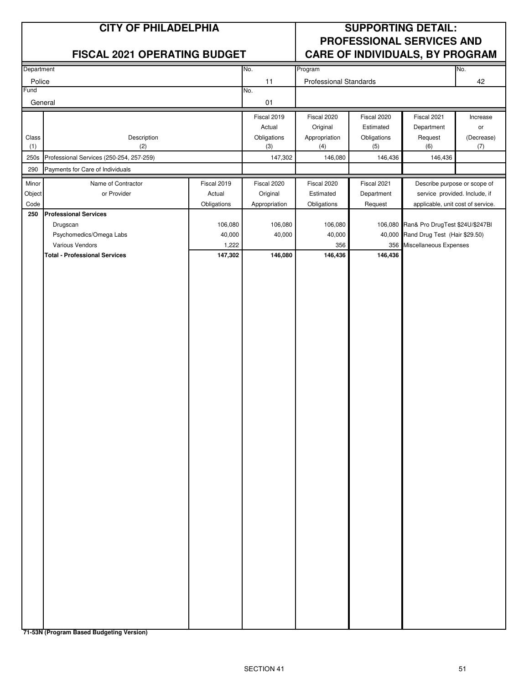|                | <b>CITY OF PHILADELPHIA</b>              |             |                    | <b>SUPPORTING DETAIL:</b><br>PROFESSIONAL SERVICES AND |                    |                                         |                   |
|----------------|------------------------------------------|-------------|--------------------|--------------------------------------------------------|--------------------|-----------------------------------------|-------------------|
|                | <b>FISCAL 2021 OPERATING BUDGET</b>      |             |                    |                                                        |                    | <b>CARE OF INDIVIDUALS, BY PROGRAM</b>  |                   |
| Department     |                                          |             | No.                | Program                                                |                    |                                         | No.               |
| Police<br>=und |                                          |             | 11<br>No.          | <b>Professional Standards</b>                          |                    |                                         | 42                |
| General        |                                          |             | 01                 |                                                        |                    |                                         |                   |
|                |                                          |             | Fiscal 2019        | Fiscal 2020                                            | Fiscal 2020        | Fiscal 2021                             | Increase          |
|                |                                          |             | Actual             | Original                                               | Estimated          | Department                              | or                |
| Class<br>(1)   | Description<br>(2)                       |             | Obligations<br>(3) | Appropriation<br>(4)                                   | Obligations<br>(5) | Request<br>(6)                          | (Decrease)<br>(7) |
| 250s           | Professional Services (250-254, 257-259) |             | 147,302            | 146,080                                                | 146,436            | 146,436                                 |                   |
| 290            | Payments for Care of Individuals         |             |                    |                                                        |                    |                                         |                   |
| Minor          | Name of Contractor                       | Fiscal 2019 | Fiscal 2020        | Fiscal 2020                                            | Fiscal 2021        | Describe purpose or scope of            |                   |
| Object         | or Provider                              | Actual      | Original           | Estimated                                              | Department         | service provided. Include, if           |                   |
| Code<br>250    | <b>Professional Services</b>             | Obligations | Appropriation      | Obligations                                            | Request            | applicable, unit cost of service.       |                   |
|                | Drugscan                                 | 106,080     | 106,080            | 106,080                                                |                    | 106,080 Ran& Pro DrugTest \$24U/\$247BI |                   |
|                | Psychomedics/Omega Labs                  | 40,000      | 40,000             | 40,000                                                 |                    | 40,000 Rand Drug Test (Hair \$29.50)    |                   |
|                | Various Vendors                          | 1,222       |                    | 356                                                    |                    | 356 Miscellaneous Expenses              |                   |
|                | <b>Total - Professional Services</b>     | 147,302     | 146,080            | 146,436                                                | 146,436            |                                         |                   |
|                |                                          |             |                    |                                                        |                    |                                         |                   |
|                |                                          |             |                    |                                                        |                    |                                         |                   |
|                |                                          |             |                    |                                                        |                    |                                         |                   |
|                |                                          |             |                    |                                                        |                    |                                         |                   |
|                |                                          |             |                    |                                                        |                    |                                         |                   |
|                |                                          |             |                    |                                                        |                    |                                         |                   |
|                |                                          |             |                    |                                                        |                    |                                         |                   |
|                |                                          |             |                    |                                                        |                    |                                         |                   |
|                |                                          |             |                    |                                                        |                    |                                         |                   |
|                |                                          |             |                    |                                                        |                    |                                         |                   |
|                |                                          |             |                    |                                                        |                    |                                         |                   |
|                |                                          |             |                    |                                                        |                    |                                         |                   |
|                |                                          |             |                    |                                                        |                    |                                         |                   |
|                |                                          |             |                    |                                                        |                    |                                         |                   |
|                |                                          |             |                    |                                                        |                    |                                         |                   |
|                |                                          |             |                    |                                                        |                    |                                         |                   |
|                |                                          |             |                    |                                                        |                    |                                         |                   |
|                |                                          |             |                    |                                                        |                    |                                         |                   |
|                |                                          |             |                    |                                                        |                    |                                         |                   |
|                |                                          |             |                    |                                                        |                    |                                         |                   |
|                |                                          |             |                    |                                                        |                    |                                         |                   |
|                |                                          |             |                    |                                                        |                    |                                         |                   |
|                |                                          |             |                    |                                                        |                    |                                         |                   |
|                |                                          |             |                    |                                                        |                    |                                         |                   |
|                |                                          |             |                    |                                                        |                    |                                         |                   |
|                |                                          |             |                    |                                                        |                    |                                         |                   |
|                |                                          |             |                    |                                                        |                    |                                         |                   |
|                |                                          |             |                    |                                                        |                    |                                         |                   |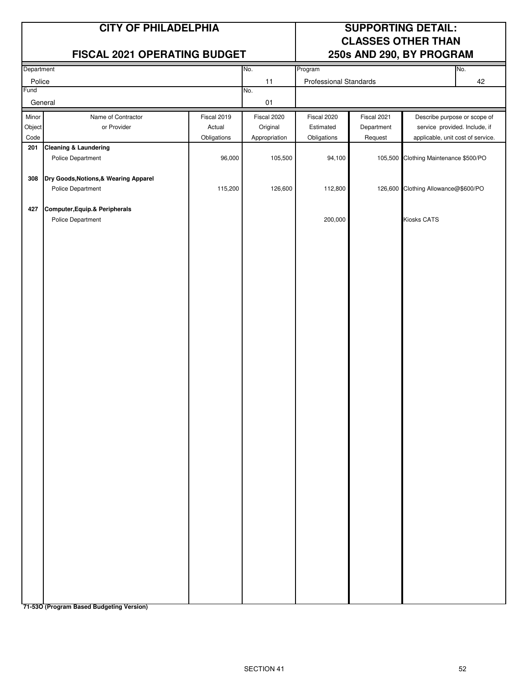#### **FISCAL 2021 OPERATING BUDGET 250s AND 290, BY PROGRAM**

### **CITY OF PHILADELPHIA SUPPORTING DETAIL: CLASSES OTHER THAN**

| Department |                                       |             | No.           | Program                |             |                                     | No. |
|------------|---------------------------------------|-------------|---------------|------------------------|-------------|-------------------------------------|-----|
| Police     |                                       |             | 11            | Professional Standards |             |                                     | 42  |
| Fund       |                                       |             | No.           |                        |             |                                     |     |
|            | General                               |             | 01            |                        |             |                                     |     |
| Minor      | Name of Contractor                    | Fiscal 2019 | Fiscal 2020   | Fiscal 2020            | Fiscal 2021 | Describe purpose or scope of        |     |
| Object     | or Provider                           | Actual      | Original      | Estimated              | Department  | service provided. Include, if       |     |
| Code       |                                       | Obligations | Appropriation | Obligations            | Request     | applicable, unit cost of service.   |     |
| 201        | Cleaning & Laundering                 |             |               |                        |             |                                     |     |
|            | Police Department                     | 96,000      | 105,500       | 94,100                 | 105,500     | Clothing Maintenance \$500/PO       |     |
|            |                                       |             |               |                        |             |                                     |     |
| 308        | Dry Goods, Notions, & Wearing Apparel |             |               |                        |             |                                     |     |
|            | Police Department                     | 115,200     | 126,600       | 112,800                |             | 126,600 Clothing Allowance@\$600/PO |     |
|            |                                       |             |               |                        |             |                                     |     |
| 427        | Computer, Equip. & Peripherals        |             |               |                        |             |                                     |     |
|            | Police Department                     |             |               | 200,000                |             | Kiosks CATS                         |     |
|            |                                       |             |               |                        |             |                                     |     |
|            |                                       |             |               |                        |             |                                     |     |
|            |                                       |             |               |                        |             |                                     |     |
|            |                                       |             |               |                        |             |                                     |     |
|            |                                       |             |               |                        |             |                                     |     |
|            |                                       |             |               |                        |             |                                     |     |
|            |                                       |             |               |                        |             |                                     |     |
|            |                                       |             |               |                        |             |                                     |     |
|            |                                       |             |               |                        |             |                                     |     |
|            |                                       |             |               |                        |             |                                     |     |
|            |                                       |             |               |                        |             |                                     |     |
|            |                                       |             |               |                        |             |                                     |     |
|            |                                       |             |               |                        |             |                                     |     |
|            |                                       |             |               |                        |             |                                     |     |
|            |                                       |             |               |                        |             |                                     |     |
|            |                                       |             |               |                        |             |                                     |     |
|            |                                       |             |               |                        |             |                                     |     |
|            |                                       |             |               |                        |             |                                     |     |
|            |                                       |             |               |                        |             |                                     |     |
|            |                                       |             |               |                        |             |                                     |     |
|            |                                       |             |               |                        |             |                                     |     |
|            |                                       |             |               |                        |             |                                     |     |
|            |                                       |             |               |                        |             |                                     |     |
|            |                                       |             |               |                        |             |                                     |     |
|            |                                       |             |               |                        |             |                                     |     |
|            |                                       |             |               |                        |             |                                     |     |
|            |                                       |             |               |                        |             |                                     |     |
|            |                                       |             |               |                        |             |                                     |     |
|            |                                       |             |               |                        |             |                                     |     |
|            |                                       |             |               |                        |             |                                     |     |
|            |                                       |             |               |                        |             |                                     |     |
|            |                                       |             |               |                        |             |                                     |     |
|            |                                       |             |               |                        |             |                                     |     |
|            |                                       |             |               |                        |             |                                     |     |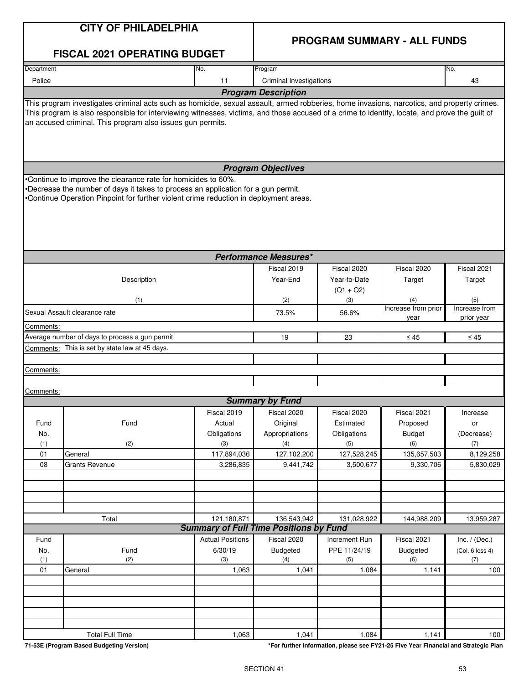#### **PROGRAM SUMMARY - ALL FUNDS**

| Department<br>No.<br>Program<br>Police<br>11<br>Criminal Investigations<br><b>Program Description</b><br>This program investigates criminal acts such as homicide, sexual assault, armed robberies, home invasions, narcotics, and property crimes.<br>This program is also responsible for interviewing witnesses, victims, and those accused of a crime to identify, locate, and prove the guilt of<br>an accused criminal. This program also issues gun permits. |                                                 | No.<br>43                           |
|---------------------------------------------------------------------------------------------------------------------------------------------------------------------------------------------------------------------------------------------------------------------------------------------------------------------------------------------------------------------------------------------------------------------------------------------------------------------|-------------------------------------------------|-------------------------------------|
|                                                                                                                                                                                                                                                                                                                                                                                                                                                                     |                                                 |                                     |
|                                                                                                                                                                                                                                                                                                                                                                                                                                                                     |                                                 |                                     |
|                                                                                                                                                                                                                                                                                                                                                                                                                                                                     |                                                 |                                     |
|                                                                                                                                                                                                                                                                                                                                                                                                                                                                     |                                                 |                                     |
| <b>Program Objectives</b>                                                                                                                                                                                                                                                                                                                                                                                                                                           |                                                 |                                     |
| Continue to improve the clearance rate for homicides to 60%.<br>Decrease the number of days it takes to process an application for a gun permit.<br>Continue Operation Pinpoint for further violent crime reduction in deployment areas.                                                                                                                                                                                                                            |                                                 |                                     |
| <b>Performance Measures*</b>                                                                                                                                                                                                                                                                                                                                                                                                                                        |                                                 |                                     |
| Fiscal 2019<br>Fiscal 2020<br>Description<br>Year-End<br>Year-to-Date<br>$(Q1 + Q2)$<br>(1)<br>(2)<br>(3)                                                                                                                                                                                                                                                                                                                                                           | Fiscal 2020<br>Target<br>(4)                    | Fiscal 2021<br>Target<br>(5)        |
| Sexual Assault clearance rate                                                                                                                                                                                                                                                                                                                                                                                                                                       | Increase from prior                             | Increase from                       |
| 73.5%<br>56.6%                                                                                                                                                                                                                                                                                                                                                                                                                                                      | year                                            | prior year                          |
| Comments:                                                                                                                                                                                                                                                                                                                                                                                                                                                           |                                                 |                                     |
| Average number of days to process a gun permit<br>19<br>23                                                                                                                                                                                                                                                                                                                                                                                                          | $\leq 45$                                       | $\leq 45$                           |
| Comments: This is set by state law at 45 days.                                                                                                                                                                                                                                                                                                                                                                                                                      |                                                 |                                     |
| Comments:                                                                                                                                                                                                                                                                                                                                                                                                                                                           |                                                 |                                     |
|                                                                                                                                                                                                                                                                                                                                                                                                                                                                     |                                                 |                                     |
| Comments:                                                                                                                                                                                                                                                                                                                                                                                                                                                           |                                                 |                                     |
| <b>Summary by Fund</b>                                                                                                                                                                                                                                                                                                                                                                                                                                              |                                                 |                                     |
| Fiscal 2019<br>Fiscal 2020<br>Fiscal 2020<br>Fund<br>Actual<br>Original<br>Estimated<br>Fund<br>Appropriations<br>Obligations<br>Obligations<br>No.<br>(1)<br>(2)<br>(3)<br>(4)<br>(5)                                                                                                                                                                                                                                                                              | Fiscal 2021<br>Proposed<br><b>Budget</b><br>(6) | Increase<br>or<br>(Decrease)<br>(7) |
| 117,894,036<br>127,102,200<br>127,528,245<br>01<br>General                                                                                                                                                                                                                                                                                                                                                                                                          | 135,657,503                                     | 8,129,258                           |
| 08<br>3,286,835<br>9,441,742<br>3,500,677<br><b>Grants Revenue</b>                                                                                                                                                                                                                                                                                                                                                                                                  | 9,330,706                                       | 5,830,029                           |
|                                                                                                                                                                                                                                                                                                                                                                                                                                                                     |                                                 |                                     |
|                                                                                                                                                                                                                                                                                                                                                                                                                                                                     |                                                 |                                     |
|                                                                                                                                                                                                                                                                                                                                                                                                                                                                     |                                                 |                                     |
|                                                                                                                                                                                                                                                                                                                                                                                                                                                                     |                                                 |                                     |
| Total<br>121,180,871<br>136,543,942<br>131,028,922<br><b>Summary of Full Time Positions by Fund</b>                                                                                                                                                                                                                                                                                                                                                                 | 144,988,209                                     | 13,959,287                          |
| <b>Actual Positions</b><br>Fiscal 2020<br>Increment Run<br>Fund                                                                                                                                                                                                                                                                                                                                                                                                     | Fiscal 2021                                     | Inc. $/$ (Dec.)                     |
| PPE 11/24/19<br>No.<br>Fund<br>6/30/19<br><b>Budgeted</b>                                                                                                                                                                                                                                                                                                                                                                                                           | <b>Budgeted</b>                                 | (Col. 6 less 4)                     |
| (1)<br>(2)<br>(3)<br>(4)<br>(5)                                                                                                                                                                                                                                                                                                                                                                                                                                     | (6)                                             | (7)                                 |
| 01<br>1,041<br>1,063<br>1,084<br>General                                                                                                                                                                                                                                                                                                                                                                                                                            | 1,141                                           | 100                                 |
|                                                                                                                                                                                                                                                                                                                                                                                                                                                                     |                                                 |                                     |
|                                                                                                                                                                                                                                                                                                                                                                                                                                                                     |                                                 |                                     |
|                                                                                                                                                                                                                                                                                                                                                                                                                                                                     |                                                 |                                     |
|                                                                                                                                                                                                                                                                                                                                                                                                                                                                     |                                                 |                                     |
| <b>Total Full Time</b><br>1,063<br>1,041<br>1,084                                                                                                                                                                                                                                                                                                                                                                                                                   | 1,141                                           | 100                                 |

**71-53E (Program Based Budgeting Version) \*For further information, please see FY21-25 Five Year Financial and Strategic Plan**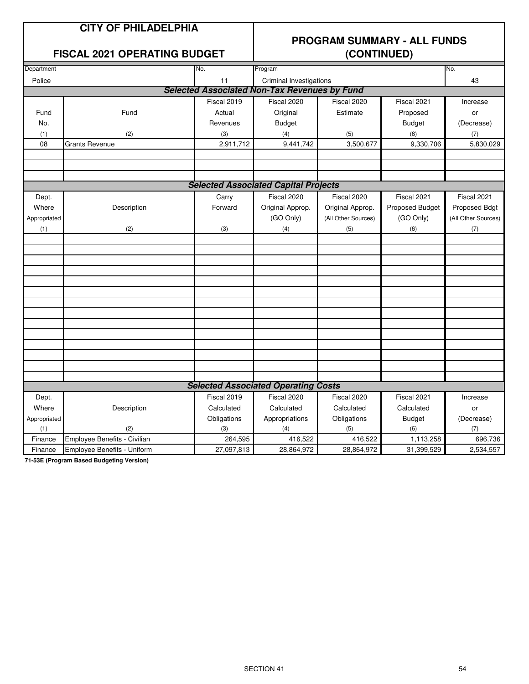#### **FISCAL 2021 OPERATING BUDGET**

# **PROGRAM SUMMARY - ALL FUNDS**

| Department   |                              | No.         | Program                                             | No.                 |                 |                     |
|--------------|------------------------------|-------------|-----------------------------------------------------|---------------------|-----------------|---------------------|
| Police       |                              | 11          | Criminal Investigations                             |                     |                 | 43                  |
|              |                              |             | <b>Selected Associated Non-Tax Revenues by Fund</b> |                     |                 |                     |
|              |                              | Fiscal 2019 | Fiscal 2020                                         | Fiscal 2020         | Fiscal 2021     | Increase            |
| Fund         | Fund                         | Actual      | Original                                            | Estimate            | Proposed        | or                  |
| No.          |                              | Revenues    | <b>Budget</b>                                       |                     | <b>Budget</b>   | (Decrease)          |
| (1)          | (2)                          | (3)         | (4)                                                 | (5)                 | (6)             | (7)                 |
| 08           | <b>Grants Revenue</b>        | 2,911,712   | 9,441,742                                           | 3,500,677           | 9,330,706       | 5,830,029           |
|              |                              |             |                                                     |                     |                 |                     |
|              |                              |             |                                                     |                     |                 |                     |
|              |                              |             |                                                     |                     |                 |                     |
|              |                              |             | <b>Selected Associated Capital Projects</b>         |                     |                 |                     |
| Dept.        |                              | Carry       | Fiscal 2020                                         | Fiscal 2020         | Fiscal 2021     | Fiscal 2021         |
| Where        | Description                  | Forward     | Original Approp.                                    | Original Approp.    | Proposed Budget | Proposed Bdgt       |
| Appropriated |                              |             | (GO Only)                                           | (All Other Sources) | (GO Only)       | (All Other Sources) |
| (1)          | (2)                          | (3)         | (4)                                                 | (5)                 | (6)             | (7)                 |
|              |                              |             |                                                     |                     |                 |                     |
|              |                              |             |                                                     |                     |                 |                     |
|              |                              |             |                                                     |                     |                 |                     |
|              |                              |             |                                                     |                     |                 |                     |
|              |                              |             |                                                     |                     |                 |                     |
|              |                              |             |                                                     |                     |                 |                     |
|              |                              |             |                                                     |                     |                 |                     |
|              |                              |             |                                                     |                     |                 |                     |
|              |                              |             |                                                     |                     |                 |                     |
|              |                              |             |                                                     |                     |                 |                     |
|              |                              |             |                                                     |                     |                 |                     |
|              |                              |             |                                                     |                     |                 |                     |
|              |                              |             |                                                     |                     |                 |                     |
|              |                              |             | <b>Selected Associated Operating Costs</b>          |                     |                 |                     |
| Dept.        |                              | Fiscal 2019 | Fiscal 2020                                         | Fiscal 2020         | Fiscal 2021     | Increase            |
| Where        | Description                  | Calculated  | Calculated                                          | Calculated          | Calculated      | or                  |
| Appropriated |                              | Obligations | Appropriations                                      | Obligations         | <b>Budget</b>   | (Decrease)          |
| (1)          | (2)                          | (3)         | (4)                                                 | (5)                 | (6)             | (7)                 |
| Finance      | Employee Benefits - Civilian | 264,595     | 416,522                                             | 416,522             | 1,113,258       | 696,736             |
| Finance      | Employee Benefits - Uniform  | 27,097,813  | 28,864,972                                          | 28,864,972          | 31,399,529      | 2,534,557           |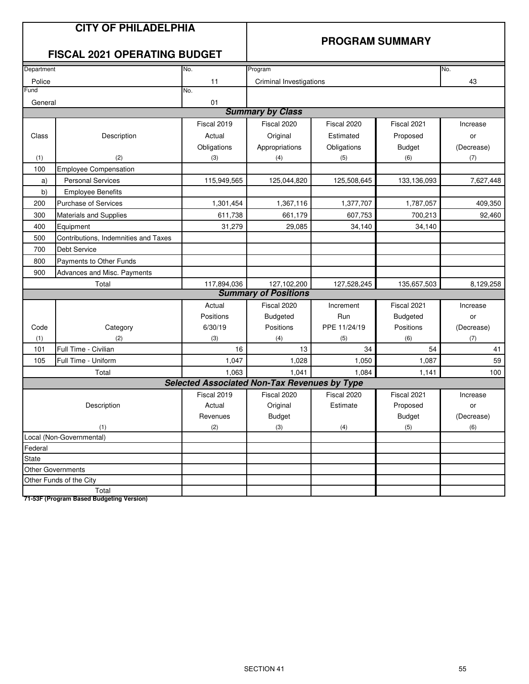#### **PROGRAM SUMMARY**

#### **FISCAL 2021 OPERATING BUDGET**

| Department |                                      | No.                                                 | Program                     |              |                 | No.        |
|------------|--------------------------------------|-----------------------------------------------------|-----------------------------|--------------|-----------------|------------|
| Police     |                                      | 11                                                  | Criminal Investigations     |              |                 | 43         |
| Fund       |                                      | No.                                                 |                             |              |                 |            |
| General    |                                      | 01                                                  |                             |              |                 |            |
|            |                                      |                                                     | <b>Summary by Class</b>     |              |                 |            |
|            |                                      | Fiscal 2019                                         | Fiscal 2020                 | Fiscal 2020  | Fiscal 2021     | Increase   |
| Class      | Description                          | Actual                                              | Original                    | Estimated    | Proposed        | or         |
|            |                                      | Obligations                                         | Appropriations              | Obligations  | <b>Budget</b>   | (Decrease) |
| (1)        | (2)                                  | (3)                                                 | (4)                         | (5)          | (6)             | (7)        |
| 100        | <b>Employee Compensation</b>         |                                                     |                             |              |                 |            |
| a)         | <b>Personal Services</b>             | 115,949,565                                         | 125,044,820                 | 125,508,645  | 133,136,093     | 7,627,448  |
| b)         | <b>Employee Benefits</b>             |                                                     |                             |              |                 |            |
| 200        | <b>Purchase of Services</b>          | 1,301,454                                           | 1,367,116                   | 1,377,707    | 1,787,057       | 409,350    |
| 300        | <b>Materials and Supplies</b>        | 611,738                                             | 661,179                     | 607,753      | 700,213         | 92,460     |
| 400        | Equipment                            | 31,279                                              | 29,085                      | 34,140       | 34,140          |            |
| 500        | Contributions, Indemnities and Taxes |                                                     |                             |              |                 |            |
| 700        | Debt Service                         |                                                     |                             |              |                 |            |
| 800        | Payments to Other Funds              |                                                     |                             |              |                 |            |
| 900        | Advances and Misc. Payments          |                                                     |                             |              |                 |            |
|            | Total                                | 117,894,036                                         | 127,102,200                 | 127,528,245  | 135,657,503     | 8,129,258  |
|            |                                      |                                                     | <b>Summary of Positions</b> |              |                 |            |
|            |                                      | Actual                                              | Fiscal 2020                 | Increment    | Fiscal 2021     | Increase   |
|            |                                      | Positions                                           | <b>Budgeted</b>             | Run          | <b>Budgeted</b> | or         |
| Code       | Category                             | 6/30/19                                             | Positions                   | PPE 11/24/19 | Positions       | (Decrease) |
| (1)        | (2)                                  | (3)                                                 | (4)                         | (5)          | (6)             | (7)        |
| 101        | Full Time - Civilian                 | 16                                                  | 13                          | 34           | 54              | 41         |
| 105        | Full Time - Uniform                  | 1,047                                               | 1,028                       | 1,050        | 1,087           | 59         |
|            | Total                                | 1,063                                               | 1,041                       | 1,084        | 1,141           | 100        |
|            |                                      | <b>Selected Associated Non-Tax Revenues by Type</b> |                             |              |                 |            |
|            |                                      | Fiscal 2019                                         | Fiscal 2020                 | Fiscal 2020  | Fiscal 2021     | Increase   |
|            | Description                          | Actual                                              | Original                    | Estimate     | Proposed        | or         |
|            |                                      | Revenues                                            | <b>Budget</b>               |              | <b>Budget</b>   | (Decrease) |
|            | (1)                                  | (2)                                                 | (3)                         | (4)          | (5)             | (6)        |
|            | Local (Non-Governmental)             |                                                     |                             |              |                 |            |
| Federal    |                                      |                                                     |                             |              |                 |            |
| State      |                                      |                                                     |                             |              |                 |            |
|            | Other Governments                    |                                                     |                             |              |                 |            |
|            | Other Funds of the City              |                                                     |                             |              |                 |            |
|            | Total                                |                                                     |                             |              |                 |            |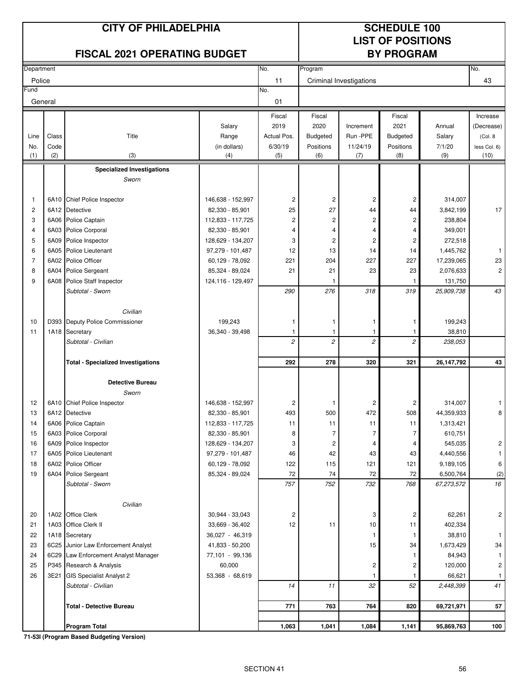#### **CITY OF PHILADELPHIA SCHEDULE 100**

# **LIST OF POSITIONS**

| <b>FISCAL 2021 OPERATING BUDGET</b> |       |                                                                  |                     |                | <b>BY PROGRAM</b>       |                         |                |            |                         |
|-------------------------------------|-------|------------------------------------------------------------------|---------------------|----------------|-------------------------|-------------------------|----------------|------------|-------------------------|
| Department                          |       |                                                                  |                     | No.            | Program                 |                         |                |            | No.                     |
| Police                              |       |                                                                  |                     | 11             |                         | Criminal Investigations |                |            | 43                      |
| Fund                                |       |                                                                  |                     | No.            |                         |                         |                |            |                         |
| General                             |       |                                                                  |                     | 01             |                         |                         |                |            |                         |
|                                     |       |                                                                  |                     | Fiscal         | Fiscal                  |                         | Fiscal         |            | Increase                |
|                                     |       |                                                                  | Salary              | 2019           | 2020                    | Increment               | 2021           | Annual     | (Decrease)              |
| Line                                | Class | Title                                                            | Range               | Actual Pos.    | Budgeted                | Run-PPE                 | Budgeted       | Salary     | (Col. 8)                |
| No.                                 | Code  |                                                                  | (in dollars)        | 6/30/19        | Positions               | 11/24/19                | Positions      | 7/1/20     | less Col. 6)            |
| (1)                                 | (2)   | (3)                                                              | (4)                 | (5)            | (6)                     | (7)                     | (8)            | (9)        | (10)                    |
|                                     |       | <b>Specialized Investigations</b>                                |                     |                |                         |                         |                |            |                         |
|                                     |       | Sworn                                                            |                     |                |                         |                         |                |            |                         |
| 1                                   |       | 6A10 Chief Police Inspector                                      | 146,638 - 152,997   | $\overline{c}$ | $\overline{c}$          | $\overline{\mathbf{c}}$ | $\overline{c}$ | 314,007    |                         |
| $\overline{c}$                      | 6A12  | Detective                                                        | 82,330 - 85,901     | 25             | 27                      | 44                      | 44             | 3,842,199  | 17                      |
| 3                                   | 6A06  | Police Captain                                                   | 112,833 - 117,725   | $\overline{c}$ | $\overline{\mathbf{c}}$ | 2                       | $\overline{c}$ | 238,804    |                         |
| 4                                   | 6A03  | Police Corporal                                                  | 82,330 - 85,901     | 4              | 4                       | 4                       | 4              | 349,001    |                         |
| 5                                   | 6A09  | Police Inspector                                                 | 128,629 - 134,207   | 3              | $\overline{c}$          | $\overline{\mathbf{c}}$ | $\overline{c}$ | 272,518    |                         |
| 6                                   | 6A05  | Police Lieutenant                                                | 97,279 - 101,487    | 12             | 13                      | 14                      | 14             | 1,445,762  | 1                       |
| $\overline{7}$                      | 6A02  | Police Officer                                                   | 60,129 - 78,092     | 221            | 204                     | 227                     | 227            | 17,239,065 | 23                      |
| 8                                   | 6A04  | <b>Police Sergeant</b>                                           | 85,324 - 89,024     | 21             | 21                      | 23                      | 23             | 2,076,633  | $\overline{c}$          |
| 9                                   | 6A08  | Police Staff Inspector                                           | 124, 116 - 129, 497 |                |                         |                         |                | 131,750    |                         |
|                                     |       | Subtotal - Sworn                                                 |                     | 290            | 276                     | 318                     | 319            | 25,909,738 | 43                      |
|                                     |       | Civilian                                                         |                     |                |                         |                         |                |            |                         |
| 10                                  |       | D393 Deputy Police Commissioner                                  | 199,243             | 1              | $\mathbf{1}$            | 1                       | $\mathbf{1}$   | 199,243    |                         |
| 11                                  |       | 1A18 Secretary                                                   | 36,340 - 39,498     | 1              | $\mathbf{1}$            | $\mathbf{1}$            | -1             | 38,810     |                         |
|                                     |       | Subtotal - Civilian                                              |                     | $\overline{c}$ | $\overline{c}$          | $\overline{c}$          | $\overline{c}$ | 238,053    |                         |
|                                     |       |                                                                  |                     |                |                         |                         |                |            |                         |
|                                     |       | <b>Total - Specialized Investigations</b>                        |                     | 292            | 278                     | 320                     | 321            | 26,147,792 | 43                      |
|                                     |       | <b>Detective Bureau</b>                                          |                     |                |                         |                         |                |            |                         |
|                                     |       | Sworn                                                            |                     |                |                         |                         |                |            |                         |
| 12                                  |       | 6A10 Chief Police Inspector                                      | 146,638 - 152,997   | $\overline{c}$ | $\mathbf{1}$            | 2                       | 2              | 314,007    | 1                       |
| 13                                  |       | 6A12 Detective                                                   | 82,330 - 85,901     | 493            | 500                     | 472                     | 508            | 44,359,933 | 8                       |
| 14                                  |       | 6A06 Police Captain                                              | 112,833 - 117,725   | 11             | 11                      | 11                      | 11             | 1,313,421  |                         |
| 15                                  |       | 6A03 Police Corporal                                             | 82,330 - 85,901     | 8              | 7                       | $\overline{7}$          | $\overline{7}$ | 610,751    |                         |
| 16                                  |       | 6A09 Police Inspector                                            | 128,629 - 134,207   | 3              | $\overline{c}$          | 4                       | 4              | 545,035    | $\overline{\mathbf{c}}$ |
| 17                                  |       | 6A05 Police Lieutenant                                           | 97,279 - 101,487    | 46             | 42                      | 43                      | 43             | 4,440,556  | 1.                      |
| 18                                  |       | 6A02 Police Officer                                              | 60,129 - 78,092     | 122            | 115                     | 121                     | 121            | 9,189,105  | 6                       |
| 19                                  |       | 6A04 Police Sergeant                                             | 85,324 - 89,024     | 72             | 74                      | 72                      | 72             | 6,500,764  | (2)                     |
|                                     |       | Subtotal - Sworn                                                 |                     | 757            | 752                     | 732                     | 768            | 67,273,572 | 16                      |
|                                     |       | Civilian                                                         |                     |                |                         |                         |                |            |                         |
| 20                                  |       | 1A02 Office Clerk                                                | 30,944 - 33,043     | 2              |                         | 3                       | 2              | 62,261     | 2                       |
| 21                                  | 1A03  | Office Clerk II                                                  | 33,669 - 36,402     | 12             | 11                      | 10                      | 11             | 402,334    |                         |
| 22                                  |       | 1A18 Secretary                                                   | 36,027 - 46,319     |                |                         | 1                       | -1             | 38,810     | 1                       |
| 23                                  |       | 6C25 Junior Law Enforcement Analyst                              | 41,833 - 50,200     |                |                         | 15                      | 34             | 1,673,429  | 34                      |
| 24                                  |       | 6C29 Law Enforcement Analyst Manager                             | 77,101 - 99,136     |                |                         |                         |                | 84,943     | 1                       |
| 25                                  |       | P345 Research & Analysis                                         | 60,000              |                |                         | 2                       | 2              | 120,000    | $\overline{c}$          |
| 26                                  |       | 3E21 GIS Specialist Analyst 2                                    | 53,368 - 68,619     |                |                         | 1                       |                | 66,621     | $\mathbf{1}$            |
|                                     |       | Subtotal - Civilian                                              |                     | 14             | 11                      | 32                      | 52             | 2,448,399  | 41                      |
|                                     |       | Total - Detective Bureau                                         |                     | 771            | 763                     | 764                     | 820            | 69,721,971 | 57                      |
|                                     |       |                                                                  |                     |                |                         |                         |                |            |                         |
|                                     |       | <b>Program Total</b><br>71 E91 (Dragram Danad Dudgeting Varoian) |                     | 1,063          | 1,041                   | 1,084                   | 1,141          | 95,869,763 | 100                     |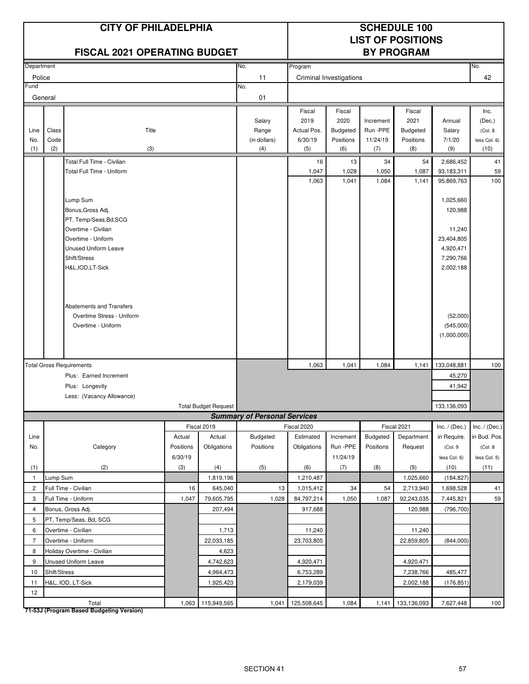|                                |              | <b>CITY OF PHILADELPHIA</b><br><b>FISCAL 2021 OPERATING BUDGET</b> |           |                             |                                     | <b>SCHEDULE 100</b><br><b>LIST OF POSITIONS</b><br><b>BY PROGRAM</b> |                                |             |                        |                         |                      |
|--------------------------------|--------------|--------------------------------------------------------------------|-----------|-----------------------------|-------------------------------------|----------------------------------------------------------------------|--------------------------------|-------------|------------------------|-------------------------|----------------------|
| Department                     |              |                                                                    |           |                             | No.                                 | Program                                                              |                                |             |                        |                         | No.                  |
| Police                         |              |                                                                    |           |                             | 11                                  |                                                                      | <b>Criminal Investigations</b> |             |                        |                         | 42                   |
| Fund                           |              |                                                                    |           |                             | No.                                 |                                                                      |                                |             |                        |                         |                      |
|                                | General      |                                                                    |           |                             | 01                                  |                                                                      |                                |             |                        |                         |                      |
|                                |              |                                                                    |           |                             |                                     | Fiscal                                                               | Fiscal                         |             | Fiscal                 |                         | Inc.                 |
|                                |              |                                                                    |           |                             | Salary                              | 2019                                                                 | 2020                           | Increment   | 2021                   | Annual                  | (Dec.)               |
| Line                           | Class        | Title                                                              |           |                             | Range                               | Actual Pos.                                                          | <b>Budgeted</b>                | Run -PPE    | <b>Budgeted</b>        | Salary                  | (Col. 8              |
| No.<br>(1)                     | Code<br>(2)  |                                                                    |           |                             | (in dollars)<br>(4)                 | 6/30/19<br>(5)                                                       | Positions                      | 11/24/19    | Positions<br>(8)       | 7/1/20<br>(9)           | less Col. 6)<br>(10) |
|                                |              | (3)                                                                |           |                             |                                     |                                                                      | (6)                            | (7)         |                        |                         |                      |
|                                |              | Total Full Time - Civilian<br>Total Full Time - Uniform            |           |                             |                                     | 16<br>1,047                                                          | 13<br>1,028                    | 34<br>1,050 | 54                     | 2,686,452<br>93,183,311 | 41<br>59             |
|                                |              |                                                                    |           |                             |                                     | 1,063                                                                | 1,041                          | 1,084       | 1,087<br>1,141         | 95,869,763              | 100                  |
|                                |              |                                                                    |           |                             |                                     |                                                                      |                                |             |                        |                         |                      |
|                                |              | Lump Sum                                                           |           |                             |                                     |                                                                      |                                |             |                        | 1,025,660               |                      |
|                                |              | Bonus, Gross Adj.                                                  |           |                             |                                     |                                                                      |                                |             |                        | 120,988                 |                      |
|                                |              | PT. Temp/Seas, Bd, SCG                                             |           |                             |                                     |                                                                      |                                |             |                        |                         |                      |
|                                |              | Overtime - Civilian                                                |           |                             |                                     |                                                                      |                                |             |                        | 11,240                  |                      |
|                                |              | Overtime - Uniform<br><b>Unused Uniform Leave</b>                  |           |                             |                                     |                                                                      |                                |             |                        | 23,404,805              |                      |
|                                |              | Shift/Stress                                                       |           |                             |                                     |                                                                      |                                |             |                        | 4,920,471<br>7,290,766  |                      |
|                                |              | H&L, IOD, LT-Sick                                                  |           |                             |                                     |                                                                      |                                |             |                        | 2,002,188               |                      |
|                                |              |                                                                    |           |                             |                                     |                                                                      |                                |             |                        |                         |                      |
|                                |              |                                                                    |           |                             |                                     |                                                                      |                                |             |                        |                         |                      |
|                                |              |                                                                    |           |                             |                                     |                                                                      |                                |             |                        |                         |                      |
|                                |              | Abatements and Transfers                                           |           |                             |                                     |                                                                      |                                |             |                        |                         |                      |
|                                |              | Overtime Stress - Uniform                                          |           |                             |                                     |                                                                      |                                |             |                        | (52,000)                |                      |
|                                |              | Overtime - Uniform                                                 |           |                             |                                     |                                                                      |                                |             |                        | (545,000)               |                      |
|                                |              |                                                                    |           |                             |                                     |                                                                      |                                |             |                        | (1,000,000)             |                      |
|                                |              |                                                                    |           |                             |                                     |                                                                      |                                |             |                        |                         |                      |
|                                |              | <b>Total Gross Requirements</b>                                    |           |                             |                                     | 1,063                                                                | 1,041                          | 1,084       | 1,141                  | 133,048,881             | 100                  |
|                                |              | Plus: Earned Increment                                             |           |                             |                                     |                                                                      |                                |             |                        | 45,270                  |                      |
|                                |              | Plus: Longevity                                                    |           |                             |                                     |                                                                      |                                |             |                        | 41,942                  |                      |
|                                |              | Less: (Vacancy Allowance)                                          |           |                             |                                     |                                                                      |                                |             |                        |                         |                      |
|                                |              |                                                                    |           | <b>Total Budget Request</b> |                                     |                                                                      |                                |             |                        | 133,136,093             |                      |
|                                |              |                                                                    |           |                             | <b>Summary of Personal Services</b> |                                                                      |                                |             |                        |                         |                      |
|                                |              |                                                                    |           | Fiscal 2019                 |                                     | Fiscal 2020                                                          |                                |             | Fiscal 2021            | Inc. $/$ (Dec.)         | Inc. $/$ (Dec.)      |
| Line                           |              |                                                                    | Actual    | Actual                      | Budgeted                            | Estimated                                                            | Increment                      | Budgeted    | Department             | in Require.             | in Bud. Pos.         |
| No.                            |              | Category                                                           | Positions | Obligations                 | Positions                           | Obligations                                                          | Run -PPE                       | Positions   | Request                | (Col. 9                 | (Col. 8              |
|                                |              |                                                                    | 6/30/19   |                             |                                     |                                                                      | 11/24/19                       |             |                        | less Col. 6)            | less Col. 5)         |
| (1)                            | Lump Sum     | (2)                                                                | (3)       | (4)                         | (5)                                 | (6)                                                                  | (7)                            | (8)         | (9)                    | (10)                    | (11)                 |
| $\mathbf{1}$<br>$\overline{c}$ |              | Full Time - Civilian                                               | 16        | 1,819,196<br>645,040        | 13                                  | 1,210,487<br>1,015,412                                               | 34                             | 54          | 1,025,660<br>2,713,940 | (184, 827)<br>1,698,528 | 41                   |
| 3                              |              | Full Time - Uniform                                                | 1,047     | 79,605,795                  | 1,028                               | 84,797,214                                                           | 1,050                          | 1,087       | 92,243,035             | 7,445,821               | 59                   |
| $\overline{4}$                 |              | Bonus, Gross Adj.                                                  |           | 207,494                     |                                     | 917,688                                                              |                                |             | 120,988                | (796, 700)              |                      |
| 5                              |              | PT, Temp/Seas, Bd, SCG                                             |           |                             |                                     |                                                                      |                                |             |                        |                         |                      |
| 6                              |              | Overtime - Civilian                                                |           | 1,713                       |                                     | 11,240                                                               |                                |             | 11,240                 |                         |                      |
| $\overline{7}$                 |              | Overtime - Uniform                                                 |           | 22,033,185                  |                                     | 23,703,805                                                           |                                |             | 22,859,805             | (844,000)               |                      |
| 8                              |              | Holiday Overtime - Civilian                                        |           | 4,623                       |                                     |                                                                      |                                |             |                        |                         |                      |
| 9                              |              | Unused Uniform Leave                                               |           | 4,742,623                   |                                     | 4,920,471                                                            |                                |             | 4,920,471              |                         |                      |
| 10                             | Shift/Stress |                                                                    |           | 4,964,473                   |                                     | 6,753,289                                                            |                                |             | 7,238,766              | 485,477                 |                      |
| 11                             |              | H&L, IOD, LT-Sick                                                  |           | 1,925,423                   |                                     | 2,179,039                                                            |                                |             | 2,002,188              | (176, 851)              |                      |
| 12                             |              |                                                                    |           |                             |                                     |                                                                      |                                |             |                        |                         |                      |
|                                |              | Total                                                              |           | 1,063 115,949,565           | 1,041                               | 125,508,645                                                          | 1,084                          | 1,141       | 133,136,093            | 7,627,448               | 100                  |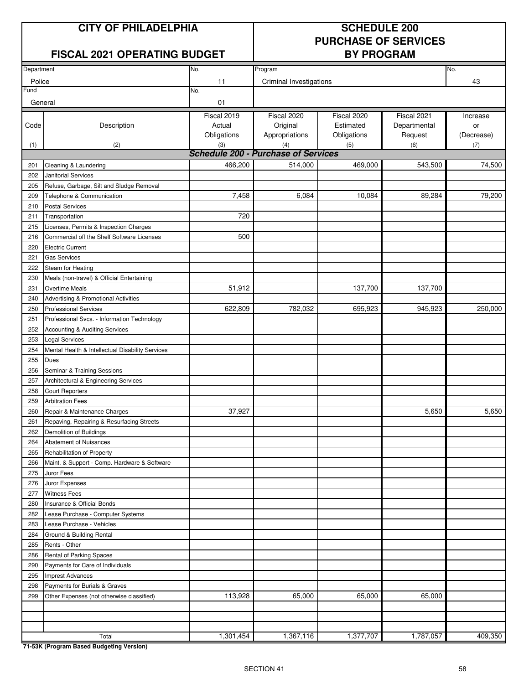#### **CITY OF PHILADELPHIA SCHEDULE 200**

#### **FISCAL 2021 OPERATING BUDGET BY PROGRAM**

# **PURCHASE OF SERVICES**

| Department |                                                  | No.         | Program                                    |             |              | No.        |
|------------|--------------------------------------------------|-------------|--------------------------------------------|-------------|--------------|------------|
| Police     |                                                  | 11          | Criminal Investigations                    |             |              | 43         |
| Fund       |                                                  | No.         |                                            |             |              |            |
| General    |                                                  | 01          |                                            |             |              |            |
|            |                                                  | Fiscal 2019 | Fiscal 2020                                | Fiscal 2020 | Fiscal 2021  | Increase   |
| Code       | Description                                      | Actual      | Original                                   | Estimated   | Departmental | or         |
|            |                                                  | Obligations | Appropriations                             | Obligations | Request      | (Decrease) |
| (1)        | (2)                                              | (3)         | (4)                                        | (5)         | (6)          | (7)        |
|            |                                                  |             | <b>Schedule 200 - Purchase of Services</b> |             |              |            |
| 201        | Cleaning & Laundering                            | 466,200     | 514,000                                    | 469,000     | 543,500      | 74,500     |
| 202        | Janitorial Services                              |             |                                            |             |              |            |
| 205        | Refuse, Garbage, Silt and Sludge Removal         |             |                                            |             |              |            |
| 209        | Telephone & Communication                        | 7,458       | 6,084                                      | 10,084      | 89,284       | 79,200     |
| 210        | <b>Postal Services</b>                           |             |                                            |             |              |            |
| 211        | Transportation                                   | 720         |                                            |             |              |            |
| 215        | Licenses, Permits & Inspection Charges           |             |                                            |             |              |            |
| 216        | Commercial off the Shelf Software Licenses       | 500         |                                            |             |              |            |
| 220        | <b>Electric Current</b>                          |             |                                            |             |              |            |
| 221        | <b>Gas Services</b>                              |             |                                            |             |              |            |
| 222        | Steam for Heating                                |             |                                            |             |              |            |
| 230        | Meals (non-travel) & Official Entertaining       |             |                                            |             |              |            |
| 231        | <b>Overtime Meals</b>                            | 51,912      |                                            | 137,700     | 137,700      |            |
| 240        | Advertising & Promotional Activities             |             |                                            |             |              |            |
| 250        | <b>Professional Services</b>                     | 622,809     | 782,032                                    | 695,923     | 945,923      | 250,000    |
| 251        | Professional Svcs. - Information Technology      |             |                                            |             |              |            |
| 252        | Accounting & Auditing Services                   |             |                                            |             |              |            |
| 253        | <b>Legal Services</b>                            |             |                                            |             |              |            |
| 254        | Mental Health & Intellectual Disability Services |             |                                            |             |              |            |
| 255        | Dues                                             |             |                                            |             |              |            |
| 256        | Seminar & Training Sessions                      |             |                                            |             |              |            |
| 257        | Architectural & Engineering Services             |             |                                            |             |              |            |
| 258        | <b>Court Reporters</b>                           |             |                                            |             |              |            |
| 259        | <b>Arbitration Fees</b>                          |             |                                            |             |              |            |
| 260        | Repair & Maintenance Charges                     | 37,927      |                                            |             | 5,650        | 5,650      |
| 261        | Repaving, Repairing & Resurfacing Streets        |             |                                            |             |              |            |
| 262        | Demolition of Buildings                          |             |                                            |             |              |            |
| 264        | <b>Abatement of Nuisances</b>                    |             |                                            |             |              |            |
| 265        | Rehabilitation of Property                       |             |                                            |             |              |            |
| 266        | Maint. & Support - Comp. Hardware & Software     |             |                                            |             |              |            |
| 275        | Juror Fees                                       |             |                                            |             |              |            |
| 276        | Juror Expenses                                   |             |                                            |             |              |            |
| 277        | <b>Witness Fees</b>                              |             |                                            |             |              |            |
| 280        | Insurance & Official Bonds                       |             |                                            |             |              |            |
| 282        | Lease Purchase - Computer Systems                |             |                                            |             |              |            |
| 283        | Lease Purchase - Vehicles                        |             |                                            |             |              |            |
| 284        | Ground & Building Rental                         |             |                                            |             |              |            |
| 285        | Rents - Other                                    |             |                                            |             |              |            |
| 286        | Rental of Parking Spaces                         |             |                                            |             |              |            |
| 290        | Payments for Care of Individuals                 |             |                                            |             |              |            |
| 295        | <b>Imprest Advances</b>                          |             |                                            |             |              |            |
| 298        | Payments for Burials & Graves                    |             |                                            |             |              |            |
| 299        | Other Expenses (not otherwise classified)        | 113,928     | 65,000                                     | 65,000      | 65,000       |            |
|            |                                                  |             |                                            |             |              |            |
|            |                                                  |             |                                            |             |              |            |
|            |                                                  |             |                                            |             |              |            |
|            | Total                                            | 1,301,454   | 1,367,116                                  | 1,377,707   | 1,787,057    | 409,350    |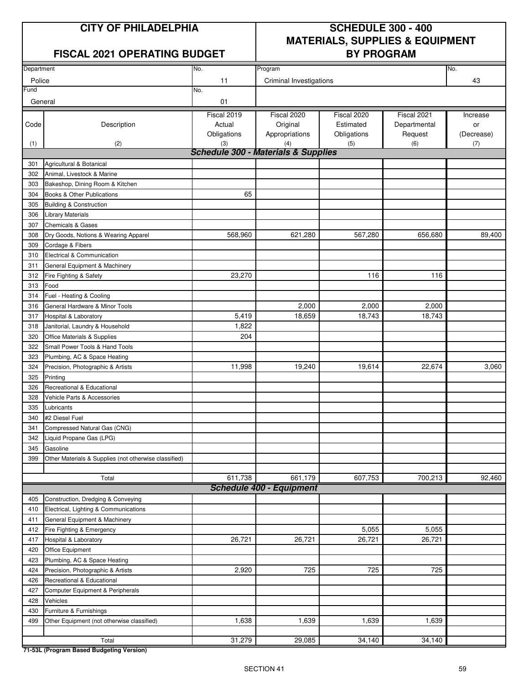#### **FISCAL 2021 OPERATING BUDGET BY PROGRAM**

### **CITY OF PHILADELPHIA SCHEDULE 300 - 400 MATERIALS, SUPPLIES & EQUIPMENT**

| Department |                                                       | No.                                                   | No.                             |             |              |            |
|------------|-------------------------------------------------------|-------------------------------------------------------|---------------------------------|-------------|--------------|------------|
| Police     |                                                       | 11                                                    | Program                         |             |              | 43         |
| Fund       |                                                       | No.                                                   | Criminal Investigations         |             |              |            |
| General    |                                                       | 01                                                    |                                 |             |              |            |
|            |                                                       |                                                       |                                 |             |              |            |
|            |                                                       | Fiscal 2019                                           | Fiscal 2020                     | Fiscal 2020 | Fiscal 2021  | Increase   |
| Code       | Description                                           | Actual                                                | Original                        | Estimated   | Departmental | or         |
|            |                                                       | Obligations                                           | Appropriations                  | Obligations | Request      | (Decrease) |
| (1)        | (2)                                                   | (3)<br><b>Schedule 300 - Materials &amp; Supplies</b> | (4)                             | (5)         | (6)          | (7)        |
|            |                                                       |                                                       |                                 |             |              |            |
| 301        | Agricultural & Botanical                              |                                                       |                                 |             |              |            |
| 302        | Animal, Livestock & Marine                            |                                                       |                                 |             |              |            |
| 303        | Bakeshop, Dining Room & Kitchen                       | 65                                                    |                                 |             |              |            |
| 304        | Books & Other Publications                            |                                                       |                                 |             |              |            |
| 305        | <b>Building &amp; Construction</b>                    |                                                       |                                 |             |              |            |
| 306        | <b>Library Materials</b>                              |                                                       |                                 |             |              |            |
| 307        | <b>Chemicals &amp; Gases</b>                          |                                                       |                                 |             |              |            |
| 308        | Dry Goods, Notions & Wearing Apparel                  | 568,960                                               | 621,280                         | 567,280     | 656,680      | 89,400     |
| 309        | Cordage & Fibers                                      |                                                       |                                 |             |              |            |
| 310        | Electrical & Communication                            |                                                       |                                 |             |              |            |
| 311        | General Equipment & Machinery                         |                                                       |                                 |             |              |            |
| 312        | Fire Fighting & Safety                                | 23,270                                                |                                 | 116         | 116          |            |
| 313        | Food                                                  |                                                       |                                 |             |              |            |
| 314        | Fuel - Heating & Cooling                              |                                                       |                                 |             |              |            |
| 316        | General Hardware & Minor Tools                        |                                                       | 2,000                           | 2,000       | 2,000        |            |
| 317        | Hospital & Laboratory                                 | 5,419                                                 | 18,659                          | 18,743      | 18,743       |            |
| 318        | Janitorial, Laundry & Household                       | 1,822                                                 |                                 |             |              |            |
| 320        | Office Materials & Supplies                           | 204                                                   |                                 |             |              |            |
| 322        | Small Power Tools & Hand Tools                        |                                                       |                                 |             |              |            |
| 323        | Plumbing, AC & Space Heating                          |                                                       |                                 |             |              |            |
| 324        | Precision, Photographic & Artists                     | 11,998                                                | 19,240                          | 19,614      | 22,674       | 3,060      |
| 325        | Printing                                              |                                                       |                                 |             |              |            |
| 326        | Recreational & Educational                            |                                                       |                                 |             |              |            |
| 328        | Vehicle Parts & Accessories                           |                                                       |                                 |             |              |            |
| 335        | Lubricants                                            |                                                       |                                 |             |              |            |
| 340        | #2 Diesel Fuel                                        |                                                       |                                 |             |              |            |
| 341        | Compressed Natural Gas (CNG)                          |                                                       |                                 |             |              |            |
| 342        | Liquid Propane Gas (LPG)                              |                                                       |                                 |             |              |            |
| 345        | Gasoline                                              |                                                       |                                 |             |              |            |
| 399        | Other Materials & Supplies (not otherwise classified) |                                                       |                                 |             |              |            |
|            |                                                       |                                                       |                                 |             |              |            |
|            | Total                                                 | 611,738                                               | 661,179                         | 607,753     | 700,213      | 92,460     |
|            |                                                       |                                                       | <b>Schedule 400 - Equipment</b> |             |              |            |
| 405        | Construction, Dredging & Conveying                    |                                                       |                                 |             |              |            |
| 410        | Electrical, Lighting & Communications                 |                                                       |                                 |             |              |            |
| 411        | General Equipment & Machinery                         |                                                       |                                 |             |              |            |
| 412        | Fire Fighting & Emergency                             |                                                       |                                 | 5,055       | 5,055        |            |
| 417        | Hospital & Laboratory                                 | 26,721                                                | 26,721                          | 26,721      | 26,721       |            |
| 420        | Office Equipment                                      |                                                       |                                 |             |              |            |
| 423        | Plumbing, AC & Space Heating                          |                                                       |                                 |             |              |            |
| 424        | Precision, Photographic & Artists                     | 2,920                                                 | 725                             | 725         | 725          |            |
| 426        | Recreational & Educational                            |                                                       |                                 |             |              |            |
| 427        | Computer Equipment & Peripherals                      |                                                       |                                 |             |              |            |
| 428        | Vehicles                                              |                                                       |                                 |             |              |            |
| 430        | Furniture & Furnishings                               |                                                       |                                 |             |              |            |
| 499        | Other Equipment (not otherwise classified)            | 1,638                                                 | 1,639                           | 1,639       | 1,639        |            |
|            |                                                       |                                                       |                                 |             |              |            |
|            | Total                                                 | 31,279                                                | 29,085                          | 34,140      | 34,140       |            |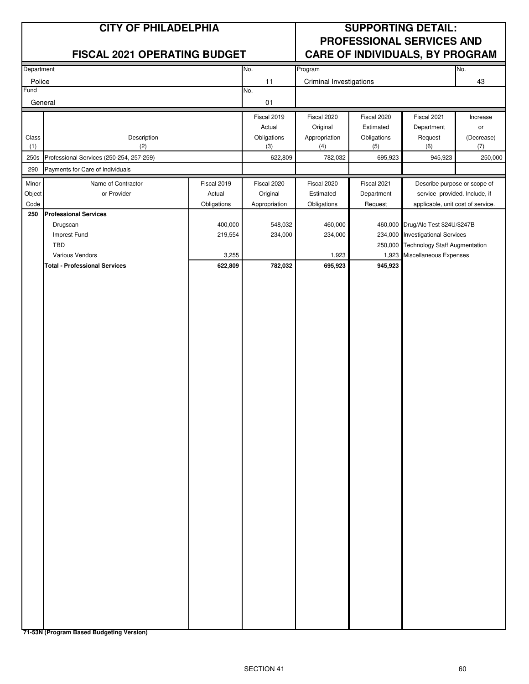|                | <b>CITY OF PHILADELPHIA</b>              |                  |                    | <b>SUPPORTING DETAIL:</b><br>PROFESSIONAL SERVICES AND |                    |                                                                 |                   |
|----------------|------------------------------------------|------------------|--------------------|--------------------------------------------------------|--------------------|-----------------------------------------------------------------|-------------------|
|                | <b>FISCAL 2021 OPERATING BUDGET</b>      |                  |                    |                                                        |                    | <b>CARE OF INDIVIDUALS, BY PROGRAM</b>                          |                   |
| Department     |                                          |                  | No.                | Program                                                |                    |                                                                 | No.               |
| Police<br>Fund |                                          |                  | 11<br>No.          | Criminal Investigations                                |                    |                                                                 | 43                |
|                | General                                  |                  | 01                 |                                                        |                    |                                                                 |                   |
|                |                                          |                  | Fiscal 2019        | Fiscal 2020                                            | Fiscal 2020        | Fiscal 2021                                                     | Increase          |
|                |                                          |                  | Actual             | Original                                               | Estimated          | Department                                                      | or                |
| Class<br>(1)   | Description<br>(2)                       |                  | Obligations<br>(3) | Appropriation<br>(4)                                   | Obligations<br>(5) | Request<br>(6)                                                  | (Decrease)<br>(7) |
| 250s           | Professional Services (250-254, 257-259) |                  | 622,809            | 782,032                                                | 695,923            | 945,923                                                         | 250,000           |
| 290            | Payments for Care of Individuals         |                  |                    |                                                        |                    |                                                                 |                   |
| Minor          | Name of Contractor                       | Fiscal 2019      | Fiscal 2020        | Fiscal 2020                                            | Fiscal 2021        | Describe purpose or scope of                                    |                   |
| Object         | or Provider                              | Actual           | Original           | Estimated                                              | Department         | service provided. Include, if                                   |                   |
| Code<br>250    | <b>Professional Services</b>             | Obligations      | Appropriation      | Obligations                                            | Request            | applicable, unit cost of service.                               |                   |
|                | Drugscan                                 | 400,000          | 548,032            | 460,000                                                |                    | 460,000 Drug/Alc Test \$24U/\$247B                              |                   |
|                | Imprest Fund                             | 219,554          | 234,000            | 234,000                                                | 234,000            | <b>Investigational Services</b>                                 |                   |
|                | <b>TBD</b><br>Various Vendors            |                  |                    |                                                        |                    | 250,000 Technology Staff Augmentation<br>Miscellaneous Expenses |                   |
|                | <b>Total - Professional Services</b>     | 3,255<br>622,809 | 782,032            | 1,923<br>695,923                                       | 1,923<br>945,923   |                                                                 |                   |
|                |                                          |                  |                    |                                                        |                    |                                                                 |                   |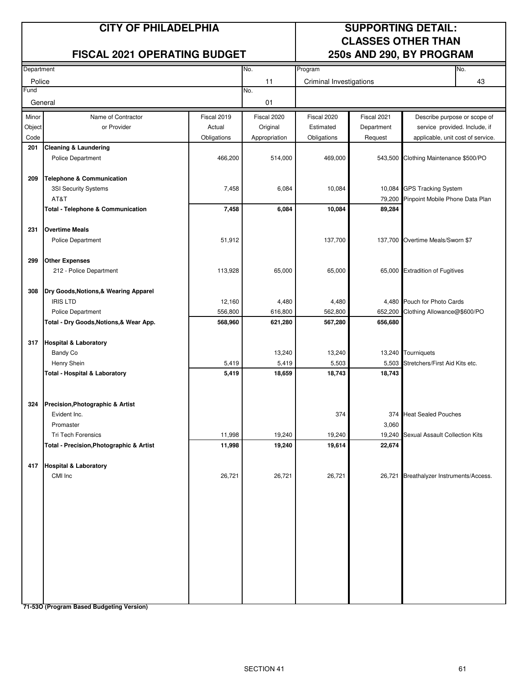#### **FISCAL 2021 OPERATING BUDGET 250s AND 290, BY PROGRAM**

### **CITY OF PHILADELPHIA SUPPORTING DETAIL: CLASSES OTHER THAN**

| Department |                                                                     |                   | No.              | Program                 |              | No.                                                        |
|------------|---------------------------------------------------------------------|-------------------|------------------|-------------------------|--------------|------------------------------------------------------------|
| Police     |                                                                     |                   | 11               | Criminal Investigations |              | 43                                                         |
| Fund       |                                                                     |                   | No.              |                         |              |                                                            |
| General    |                                                                     |                   | 01               |                         |              |                                                            |
| Minor      | Name of Contractor                                                  | Fiscal 2019       | Fiscal 2020      | Fiscal 2020             | Fiscal 2021  | Describe purpose or scope of                               |
| Object     | or Provider                                                         | Actual            | Original         | Estimated               | Department   | service provided. Include, if                              |
| Code       |                                                                     | Obligations       | Appropriation    | Obligations             | Request      | applicable, unit cost of service.                          |
| 201        | <b>Cleaning &amp; Laundering</b>                                    |                   |                  |                         |              |                                                            |
|            | <b>Police Department</b>                                            | 466,200           | 514,000          | 469,000                 | 543,500      | Clothing Maintenance \$500/PO                              |
|            |                                                                     |                   |                  |                         |              |                                                            |
| 209        | <b>Telephone &amp; Communication</b>                                |                   | 6,084            | 10,084                  |              | 10,084 GPS Tracking System                                 |
|            | 3SI Security Systems<br>AT&T                                        | 7,458             |                  |                         | 79,200       | Pinpoint Mobile Phone Data Plan                            |
|            | <b>Total - Telephone &amp; Communication</b>                        | 7,458             | 6,084            | 10,084                  | 89,284       |                                                            |
|            |                                                                     |                   |                  |                         |              |                                                            |
| 231        | <b>Overtime Meals</b>                                               |                   |                  |                         |              |                                                            |
|            | <b>Police Department</b>                                            | 51,912            |                  | 137,700                 |              | 137,700 Overtime Meals/Sworn \$7                           |
|            |                                                                     |                   |                  |                         |              |                                                            |
| 299        | <b>Other Expenses</b>                                               |                   |                  |                         |              |                                                            |
|            | 212 - Police Department                                             | 113,928           | 65,000           | 65,000                  |              | 65,000 Extradition of Fugitives                            |
|            |                                                                     |                   |                  |                         |              |                                                            |
| 308        | Dry Goods, Notions, & Wearing Apparel                               |                   |                  |                         |              |                                                            |
|            | <b>IRIS LTD</b>                                                     | 12,160<br>556,800 | 4,480<br>616,800 | 4,480<br>562,800        | 652,200      | 4,480 Pouch for Photo Cards<br>Clothing Allowance@\$600/PO |
|            | <b>Police Department</b><br>Total - Dry Goods, Notions, & Wear App. | 568,960           | 621,280          | 567,280                 | 656,680      |                                                            |
|            |                                                                     |                   |                  |                         |              |                                                            |
|            | 317 Hospital & Laboratory                                           |                   |                  |                         |              |                                                            |
|            | <b>Bandy Co</b>                                                     |                   | 13,240           | 13,240                  |              | 13,240 Tourniquets                                         |
|            | Henry Shein                                                         | 5,419             | 5,419            | 5,503                   | 5,503        | Stretchers/First Aid Kits etc.                             |
|            | <b>Total - Hospital &amp; Laboratory</b>                            | 5,419             | 18,659           | 18,743                  | 18,743       |                                                            |
|            |                                                                     |                   |                  |                         |              |                                                            |
|            |                                                                     |                   |                  |                         |              |                                                            |
| 324        | Precision, Photographic & Artist                                    |                   |                  |                         |              |                                                            |
|            | Evident Inc.<br>Promaster                                           |                   |                  | 374                     | 374<br>3,060 | <b>Heat Sealed Pouches</b>                                 |
|            | Tri Tech Forensics                                                  | 11,998            | 19,240           | 19,240                  | 19,240       | <b>Sexual Assault Collection Kits</b>                      |
|            | Total - Precision, Photographic & Artist                            | 11,998            | 19,240           | 19,614                  | 22,674       |                                                            |
|            |                                                                     |                   |                  |                         |              |                                                            |
|            | 417 Hospital & Laboratory                                           |                   |                  |                         |              |                                                            |
|            | CMI Inc                                                             | 26,721            | 26,721           | 26,721                  |              | 26,721 Breathalyzer Instruments/Access.                    |
|            |                                                                     |                   |                  |                         |              |                                                            |
|            |                                                                     |                   |                  |                         |              |                                                            |
|            |                                                                     |                   |                  |                         |              |                                                            |
|            |                                                                     |                   |                  |                         |              |                                                            |
|            |                                                                     |                   |                  |                         |              |                                                            |
|            |                                                                     |                   |                  |                         |              |                                                            |
|            |                                                                     |                   |                  |                         |              |                                                            |
|            |                                                                     |                   |                  |                         |              |                                                            |
|            |                                                                     |                   |                  |                         |              |                                                            |
|            |                                                                     |                   |                  |                         |              |                                                            |
|            |                                                                     |                   |                  |                         |              |                                                            |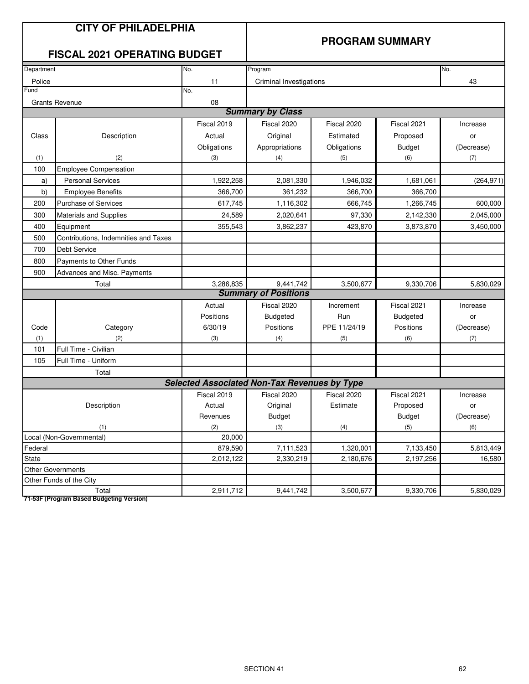#### **PROGRAM SUMMARY**

#### **FISCAL 2021 OPERATING BUDGET**

| Department                                  |                                                                | No.                                                 | Program                     |                        |                 | No.        |
|---------------------------------------------|----------------------------------------------------------------|-----------------------------------------------------|-----------------------------|------------------------|-----------------|------------|
| Police                                      |                                                                | 11                                                  | Criminal Investigations     |                        |                 | 43         |
| Fund                                        |                                                                | No.                                                 |                             |                        |                 |            |
|                                             | <b>Grants Revenue</b>                                          | 08                                                  |                             |                        |                 |            |
|                                             |                                                                |                                                     | <b>Summary by Class</b>     |                        |                 |            |
|                                             |                                                                | Fiscal 2019                                         | Fiscal 2020                 | Fiscal 2020            | Fiscal 2021     | Increase   |
| Class                                       | Description                                                    | Actual                                              | Original                    | Estimated              | Proposed        | or         |
|                                             |                                                                | Obligations                                         | Appropriations              | Obligations            | <b>Budget</b>   | (Decrease) |
| (1)                                         | (2)                                                            | (3)                                                 | (4)                         | (5)                    | (6)             | (7)        |
| 100                                         | <b>Employee Compensation</b>                                   |                                                     |                             |                        |                 |            |
| a)                                          | <b>Personal Services</b>                                       | 1,922,258                                           | 2,081,330                   | 1,946,032<br>1,681,061 |                 | (264, 971) |
| b)                                          | <b>Employee Benefits</b>                                       | 366,700                                             | 361,232                     | 366,700<br>366,700     |                 |            |
| 200                                         | 617,745<br><b>Purchase of Services</b><br>1,116,302            |                                                     | 666,745                     | 1,266,745              | 600,000         |            |
| 300                                         | 24,589<br>2,020,641<br>97,330<br><b>Materials and Supplies</b> |                                                     | 2,142,330                   | 2,045,000              |                 |            |
| 400                                         | Equipment                                                      | 355,543                                             | 3,862,237                   | 423,870                | 3,873,870       | 3,450,000  |
| Contributions, Indemnities and Taxes<br>500 |                                                                |                                                     |                             |                        |                 |            |
| 700                                         | <b>Debt Service</b>                                            |                                                     |                             |                        |                 |            |
| 800                                         | <b>Payments to Other Funds</b>                                 |                                                     |                             |                        |                 |            |
| 900                                         | Advances and Misc. Payments                                    |                                                     |                             |                        |                 |            |
|                                             | Total                                                          | 3,286,835                                           | 9,441,742                   | 3,500,677              | 9,330,706       | 5,830,029  |
|                                             |                                                                |                                                     | <b>Summary of Positions</b> |                        |                 |            |
|                                             |                                                                | Actual                                              | Fiscal 2020                 | Increment              | Fiscal 2021     | Increase   |
|                                             |                                                                | Positions                                           | <b>Budgeted</b>             | Run                    | <b>Budgeted</b> | or         |
| Code                                        | Category                                                       | 6/30/19                                             | Positions                   | PPE 11/24/19           | Positions       | (Decrease) |
| (1)                                         | (2)                                                            | (3)                                                 | (4)                         | (5)                    | (6)             | (7)        |
| 101                                         | Full Time - Civilian                                           |                                                     |                             |                        |                 |            |
| 105                                         | Full Time - Uniform                                            |                                                     |                             |                        |                 |            |
|                                             | Total                                                          |                                                     |                             |                        |                 |            |
|                                             |                                                                | <b>Selected Associated Non-Tax Revenues by Type</b> |                             |                        |                 |            |
|                                             |                                                                | Fiscal 2019                                         | Fiscal 2020                 | Fiscal 2020            | Fiscal 2021     | Increase   |
|                                             | Description                                                    | Actual                                              | Original                    | Estimate               | Proposed        | or         |
|                                             |                                                                | Revenues                                            | <b>Budget</b>               |                        | <b>Budget</b>   | (Decrease) |
|                                             | (1)                                                            | (2)                                                 | (3)                         | (4)                    | (5)             | (6)        |
|                                             | Local (Non-Governmental)                                       | 20,000                                              |                             |                        |                 |            |
| Federal                                     |                                                                | 879,590                                             | 7,111,523                   | 1,320,001              | 7,133,450       | 5,813,449  |
| <b>State</b>                                |                                                                | 2,012,122                                           | 2,330,219                   | 2,180,676              | 2,197,256       | 16.580     |
|                                             | <b>Other Governments</b>                                       |                                                     |                             |                        |                 |            |
|                                             | Other Funds of the City                                        |                                                     |                             |                        |                 |            |
|                                             | Total                                                          | 2,911,712                                           | 9,441,742                   | 3,500,677              | 9,330,706       | 5,830,029  |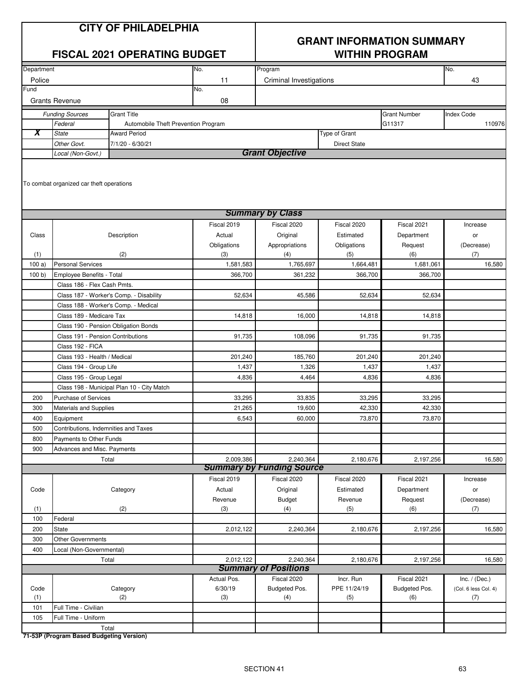#### **GRANT INFORMATION SUMMARY FISCAL 2021 OPERATING BUDGET WITHIN PROGRAM**

| Department |                                                   |                                            | No.         | Program                                       |                     |                     | No.                  |
|------------|---------------------------------------------------|--------------------------------------------|-------------|-----------------------------------------------|---------------------|---------------------|----------------------|
| Police     |                                                   |                                            | 11          | Criminal Investigations                       |                     |                     | 43                   |
| Fund       |                                                   |                                            | No.         |                                               |                     |                     |                      |
|            | <b>Grants Revenue</b>                             |                                            | 08          |                                               |                     |                     |                      |
|            | <b>Funding Sources</b>                            | <b>Grant Title</b>                         |             |                                               |                     | <b>Grant Number</b> | <b>Index Code</b>    |
|            | Federal                                           | Automobile Theft Prevention Program        |             |                                               |                     | G11317              | 110976               |
| X          | <b>State</b>                                      | <b>Award Period</b>                        |             |                                               | Type of Grant       |                     |                      |
|            | Other Govt.                                       | 7/1/20 - 6/30/21                           |             |                                               | <b>Direct State</b> |                     |                      |
|            | Local (Non-Govt.)                                 |                                            |             | <b>Grant Objective</b>                        |                     |                     |                      |
|            | To combat organized car theft operations          |                                            |             |                                               |                     |                     |                      |
|            |                                                   |                                            |             | <b>Summary by Class</b>                       |                     |                     |                      |
|            |                                                   |                                            | Fiscal 2019 | Fiscal 2020                                   | Fiscal 2020         | Fiscal 2021         | Increase             |
| Class      |                                                   | Description                                | Actual      | Original                                      | Estimated           | Department          | or                   |
|            |                                                   |                                            | Obligations | Appropriations                                | Obligations         | Request             | (Decrease)           |
| (1)        |                                                   | (2)                                        | (3)         | (4)                                           | (5)                 | (6)                 | (7)                  |
| 100a)      | <b>Personal Services</b>                          |                                            | 1,581,583   | 1,765,697                                     | 1,664,481           | 1,681,061           | 16,580               |
| 100 b      | Employee Benefits - Total                         |                                            | 366,700     | 361,232                                       | 366,700             | 366,700             |                      |
|            | Class 186 - Flex Cash Pmts.                       |                                            |             |                                               |                     |                     |                      |
|            |                                                   | Class 187 - Worker's Comp. - Disability    | 52,634      | 45,586                                        | 52,634              | 52,634              |                      |
|            | Class 188 - Worker's Comp. - Medical              |                                            |             |                                               |                     |                     |                      |
|            | Class 189 - Medicare Tax                          |                                            | 14,818      | 16,000                                        | 14,818              | 14,818              |                      |
|            | Class 190 - Pension Obligation Bonds              |                                            |             |                                               |                     |                     |                      |
|            | Class 191 - Pension Contributions                 |                                            | 91,735      | 108,096                                       | 91,735              | 91,735              |                      |
|            | Class 192 - FICA                                  |                                            |             |                                               |                     |                     |                      |
|            | Class 193 - Health / Medical                      |                                            | 201,240     | 185,760                                       | 201,240             | 201,240             |                      |
|            | Class 194 - Group Life                            |                                            | 1,437       | 1,326                                         | 1,437               | 1,437               |                      |
|            | Class 195 - Group Legal                           |                                            | 4,836       | 4,464                                         | 4,836               | 4,836               |                      |
|            |                                                   | Class 198 - Municipal Plan 10 - City Match |             |                                               |                     |                     |                      |
| 200        | <b>Purchase of Services</b>                       |                                            | 33,295      | 33,835                                        | 33,295              | 33,295              |                      |
| 300        | Materials and Supplies                            |                                            | 21,265      | 19.600                                        | 42,330              | 42,330              |                      |
| 400        | Equipment                                         |                                            | 6,543       | 60,000                                        | 73,870              | 73,870              |                      |
| 500        | Contributions, Indemnities and Taxes              |                                            |             |                                               |                     |                     |                      |
| 800        | Payments to Other Funds                           |                                            |             |                                               |                     |                     |                      |
| 900        | Advances and Misc. Payments                       |                                            |             |                                               |                     |                     |                      |
|            | Total                                             |                                            | 2,009,386   | 2,240,364<br><b>Summary by Funding Source</b> | 2,180,676           | 2,197,256           | 16,580               |
|            |                                                   |                                            | Fiscal 2019 | Fiscal 2020                                   | Fiscal 2020         | Fiscal 2021         | Increase             |
| Code       |                                                   | Category                                   | Actual      | Original                                      | Estimated           | Department          | or                   |
|            |                                                   |                                            | Revenue     | <b>Budget</b>                                 | Revenue             | Request             | (Decrease)           |
| (1)        |                                                   | (2)                                        | (3)         | (4)                                           | (5)                 | (6)                 | (7)                  |
| 100        | Federal                                           |                                            |             |                                               |                     |                     |                      |
| 200        | State                                             |                                            | 2,012,122   | 2,240,364                                     | 2,180,676           | 2,197,256           | 16,580               |
| 300        | <b>Other Governments</b>                          |                                            |             |                                               |                     |                     |                      |
| 400        | Local (Non-Governmental)                          |                                            |             |                                               |                     |                     |                      |
|            | Total                                             |                                            | 2,012,122   | 2,240,364                                     | 2,180,676           | 2,197,256           | 16,580               |
|            |                                                   |                                            |             | <b>Summary of Positions</b>                   |                     |                     |                      |
|            |                                                   |                                            | Actual Pos. | Fiscal 2020                                   | Incr. Run           | Fiscal 2021         | Inc. $/$ (Dec.)      |
| Code       |                                                   | Category                                   | 6/30/19     | Budgeted Pos.                                 | PPE 11/24/19        | Budgeted Pos.       | (Col. 6 less Col. 4) |
| (1)        |                                                   | (2)                                        | (3)         | (4)                                           | (5)                 | (6)                 | (7)                  |
| 101        | Full Time - Civilian                              |                                            |             |                                               |                     |                     |                      |
| 105        | Full Time - Uniform                               |                                            |             |                                               |                     |                     |                      |
|            | Total<br>71 E2D (Drearam Pesad Pudgeting Version) |                                            |             |                                               |                     |                     |                      |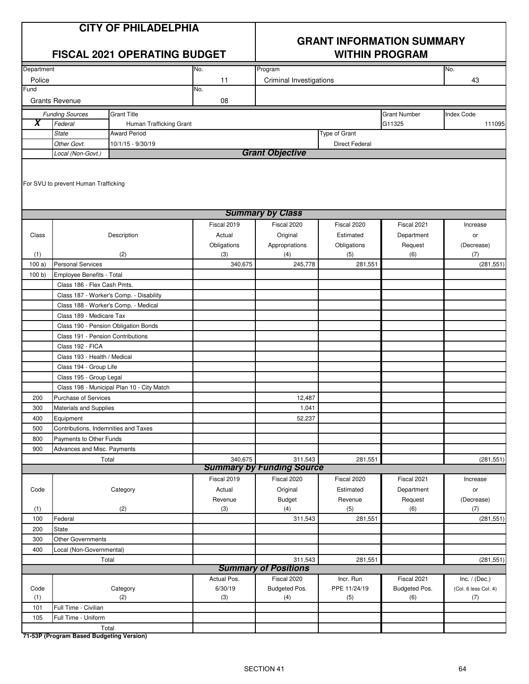#### **GRANT INFORMATION SUMMARY FISCAL 2021 OPERATING BUDGET WITHIN PROGRAM**

| Department          |                                      |                                            | No.         | Program                          |                       |                     | No.                  |
|---------------------|--------------------------------------|--------------------------------------------|-------------|----------------------------------|-----------------------|---------------------|----------------------|
| Police              |                                      |                                            | 11          | Criminal Investigations          |                       |                     | 43                   |
| Fund                |                                      |                                            | No.         |                                  |                       |                     |                      |
|                     | <b>Grants Revenue</b>                |                                            | ${\bf 08}$  |                                  |                       |                     |                      |
|                     | <b>Funding Sources</b>               | <b>Grant Title</b>                         |             |                                  |                       | <b>Grant Number</b> | Index Code           |
| $\overline{\bm{x}}$ | Federal                              | Human Trafficking Grant                    |             |                                  |                       | G11325              | 111095               |
|                     | <b>State</b>                         | <b>Award Period</b>                        |             |                                  | Type of Grant         |                     |                      |
|                     | Other Govt.                          | 10/1/15 - 9/30/19                          |             |                                  | <b>Direct Federal</b> |                     |                      |
|                     | Local (Non-Govt.)                    |                                            |             | <b>Grant Objective</b>           |                       |                     |                      |
|                     |                                      |                                            |             |                                  |                       |                     |                      |
|                     |                                      |                                            |             |                                  |                       |                     |                      |
|                     | For SVU to prevent Human Trafficking |                                            |             |                                  |                       |                     |                      |
|                     |                                      |                                            |             |                                  |                       |                     |                      |
|                     |                                      |                                            |             | <b>Summary by Class</b>          |                       |                     |                      |
|                     |                                      |                                            | Fiscal 2019 | Fiscal 2020                      | Fiscal 2020           | Fiscal 2021         | Increase             |
| Class               |                                      | Description                                | Actual      | Original                         | Estimated             | Department          | or                   |
|                     |                                      |                                            | Obligations | Appropriations                   | Obligations           | Request             | (Decrease)           |
| (1)                 |                                      | (2)                                        | (3)         | (4)                              | (5)                   | (6)                 | (7)                  |
| 100a)               | <b>Personal Services</b>             |                                            | 340,675     | 245,778                          | 281,551               |                     | (281, 551)           |
| 100 b               | Employee Benefits - Total            |                                            |             |                                  |                       |                     |                      |
|                     | Class 186 - Flex Cash Pmts.          |                                            |             |                                  |                       |                     |                      |
|                     |                                      | Class 187 - Worker's Comp. - Disability    |             |                                  |                       |                     |                      |
|                     | Class 188 - Worker's Comp. - Medical |                                            |             |                                  |                       |                     |                      |
|                     | Class 189 - Medicare Tax             |                                            |             |                                  |                       |                     |                      |
|                     | Class 190 - Pension Obligation Bonds |                                            |             |                                  |                       |                     |                      |
|                     | Class 191 - Pension Contributions    |                                            |             |                                  |                       |                     |                      |
|                     | Class 192 - FICA                     |                                            |             |                                  |                       |                     |                      |
|                     | Class 193 - Health / Medical         |                                            |             |                                  |                       |                     |                      |
|                     | Class 194 - Group Life               |                                            |             |                                  |                       |                     |                      |
|                     | Class 195 - Group Legal              |                                            |             |                                  |                       |                     |                      |
|                     |                                      | Class 198 - Municipal Plan 10 - City Match |             |                                  |                       |                     |                      |
| 200                 | Purchase of Services                 |                                            |             | 12,487                           |                       |                     |                      |
| 300                 | Materials and Supplies               |                                            |             | 1,041                            |                       |                     |                      |
| 400                 | Equipment                            |                                            |             | 52,237                           |                       |                     |                      |
| 500                 | Contributions, Indemnities and Taxes |                                            |             |                                  |                       |                     |                      |
| 800                 | Payments to Other Funds              |                                            |             |                                  |                       |                     |                      |
| 900                 | Advances and Misc. Payments          |                                            |             |                                  |                       |                     |                      |
|                     | Total                                |                                            | 340,675     | 311,543                          | 281,551               |                     | (281, 551)           |
|                     |                                      |                                            |             | <b>Summary by Funding Source</b> |                       |                     |                      |
|                     |                                      |                                            | Fiscal 2019 | Fiscal 2020                      | Fiscal 2020           | Fiscal 2021         | Increase             |
| Code                |                                      | Category                                   | Actual      | Original                         | Estimated             | Department          | or                   |
|                     |                                      |                                            | Revenue     | <b>Budget</b>                    | Revenue               | Request             | (Decrease)           |
| (1)                 |                                      | (2)                                        | (3)         | (4)                              | (5)                   | (6)                 | (7)                  |
| 100                 | Federal                              |                                            |             | 311,543                          | 281,551               |                     | (281, 551)           |
| 200                 | State                                |                                            |             |                                  |                       |                     |                      |
| 300                 | Other Governments                    |                                            |             |                                  |                       |                     |                      |
| 400                 | Local (Non-Governmental)             |                                            |             |                                  |                       |                     |                      |
|                     | Total                                |                                            |             | 311,543                          | 281,551               |                     | (281, 551)           |
|                     |                                      |                                            |             | <b>Summary of Positions</b>      |                       |                     |                      |
|                     |                                      |                                            | Actual Pos. | Fiscal 2020                      | Incr. Run             | Fiscal 2021         | Inc. $/$ (Dec.)      |
| Code                |                                      | Category                                   | 6/30/19     | Budgeted Pos.                    | PPE 11/24/19          | Budgeted Pos.       | (Col. 6 less Col. 4) |
| (1)<br>101          | Full Time - Civilian                 | (2)                                        | (3)         | (4)                              | (5)                   | (6)                 | (7)                  |
| 105                 | Full Time - Uniform                  |                                            |             |                                  |                       |                     |                      |
|                     | Total                                |                                            |             |                                  |                       |                     |                      |
|                     |                                      |                                            |             |                                  |                       |                     |                      |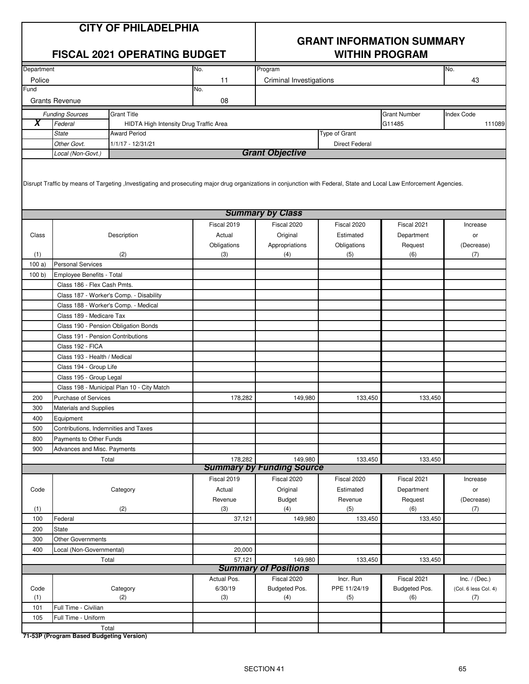|                         |                                   | <b>CITY OF PHILADELPHIA</b><br><b>FISCAL 2021 OPERATING BUDGET</b>                                                                                                    |             | <b>GRANT INFORMATION SUMMARY</b><br><b>WITHIN PROGRAM</b> |                       |                     |                      |  |  |  |
|-------------------------|-----------------------------------|-----------------------------------------------------------------------------------------------------------------------------------------------------------------------|-------------|-----------------------------------------------------------|-----------------------|---------------------|----------------------|--|--|--|
| Department              |                                   |                                                                                                                                                                       | No.         | Program                                                   |                       |                     | No.                  |  |  |  |
| Police                  |                                   |                                                                                                                                                                       | 11          | Criminal Investigations                                   |                       |                     | 43                   |  |  |  |
| Fund                    |                                   |                                                                                                                                                                       | No.         |                                                           |                       |                     |                      |  |  |  |
|                         | <b>Grants Revenue</b>             |                                                                                                                                                                       | 08          |                                                           |                       |                     |                      |  |  |  |
|                         |                                   | Grant Title                                                                                                                                                           |             |                                                           |                       | <b>Grant Number</b> | <b>Index Code</b>    |  |  |  |
| $\overline{\mathbf{X}}$ | <b>Funding Sources</b><br>Federal |                                                                                                                                                                       |             |                                                           |                       | G11485              | 111089               |  |  |  |
|                         | <b>State</b>                      | HIDTA High Intensity Drug Traffic Area<br><b>Award Period</b>                                                                                                         |             |                                                           | Type of Grant         |                     |                      |  |  |  |
|                         |                                   |                                                                                                                                                                       |             |                                                           |                       |                     |                      |  |  |  |
|                         | Other Govt.                       | 1/1/17 - 12/31/21                                                                                                                                                     |             | <b>Grant Objective</b>                                    | <b>Direct Federal</b> |                     |                      |  |  |  |
|                         | Local (Non-Govt.)                 |                                                                                                                                                                       |             |                                                           |                       |                     |                      |  |  |  |
|                         |                                   | Disrupt Traffic by means of Targeting , Investigating and prosecuting major drug organizations in conjunction with Federal, State and Local Law Enforcement Agencies. |             | <b>Summary by Class</b>                                   |                       |                     |                      |  |  |  |
|                         |                                   |                                                                                                                                                                       |             |                                                           |                       |                     |                      |  |  |  |
|                         |                                   |                                                                                                                                                                       | Fiscal 2019 | Fiscal 2020                                               | Fiscal 2020           | Fiscal 2021         | Increase             |  |  |  |
| Class                   |                                   | Description                                                                                                                                                           | Actual      | Original                                                  | Estimated             | Department          | or                   |  |  |  |
|                         |                                   |                                                                                                                                                                       | Obligations | Appropriations                                            | Obligations           | Request             | (Decrease)           |  |  |  |
| (1)                     |                                   | (2)                                                                                                                                                                   | (3)         | (4)                                                       | (5)                   | (6)                 | (7)                  |  |  |  |
| 100a                    | <b>Personal Services</b>          |                                                                                                                                                                       |             |                                                           |                       |                     |                      |  |  |  |
| 100 b)                  | Employee Benefits - Total         |                                                                                                                                                                       |             |                                                           |                       |                     |                      |  |  |  |
|                         | Class 186 - Flex Cash Pmts.       |                                                                                                                                                                       |             |                                                           |                       |                     |                      |  |  |  |
|                         |                                   | Class 187 - Worker's Comp. - Disability                                                                                                                               |             |                                                           |                       |                     |                      |  |  |  |
|                         |                                   | Class 188 - Worker's Comp. - Medical                                                                                                                                  |             |                                                           |                       |                     |                      |  |  |  |
|                         | Class 189 - Medicare Tax          |                                                                                                                                                                       |             |                                                           |                       |                     |                      |  |  |  |
|                         |                                   | Class 190 - Pension Obligation Bonds                                                                                                                                  |             |                                                           |                       |                     |                      |  |  |  |
|                         | Class 191 - Pension Contributions |                                                                                                                                                                       |             |                                                           |                       |                     |                      |  |  |  |
|                         | Class 192 - FICA                  |                                                                                                                                                                       |             |                                                           |                       |                     |                      |  |  |  |
|                         | Class 193 - Health / Medical      |                                                                                                                                                                       |             |                                                           |                       |                     |                      |  |  |  |
|                         | Class 194 - Group Life            |                                                                                                                                                                       |             |                                                           |                       |                     |                      |  |  |  |
|                         | Class 195 - Group Legal           |                                                                                                                                                                       |             |                                                           |                       |                     |                      |  |  |  |
|                         |                                   | Class 198 - Municipal Plan 10 - City Match                                                                                                                            |             |                                                           |                       |                     |                      |  |  |  |
| 200                     | Purchase of Services              |                                                                                                                                                                       | 178,282     | 149,980                                                   | 133,450               | 133,450             |                      |  |  |  |
| 300                     | <b>Materials and Supplies</b>     |                                                                                                                                                                       |             |                                                           |                       |                     |                      |  |  |  |
| 400                     | Equipment                         |                                                                                                                                                                       |             |                                                           |                       |                     |                      |  |  |  |
| 500                     |                                   | Contributions, Indemnities and Taxes                                                                                                                                  |             |                                                           |                       |                     |                      |  |  |  |
| 800                     |                                   |                                                                                                                                                                       |             |                                                           |                       |                     |                      |  |  |  |
|                         | Payments to Other Funds           |                                                                                                                                                                       |             |                                                           |                       |                     |                      |  |  |  |
| 900                     | Advances and Misc. Payments       |                                                                                                                                                                       |             |                                                           |                       |                     |                      |  |  |  |
|                         |                                   | Total                                                                                                                                                                 | 178,282     | 149,980<br><b>Summary by Funding Source</b>               | 133,450               | 133,450             |                      |  |  |  |
|                         |                                   |                                                                                                                                                                       |             |                                                           |                       |                     |                      |  |  |  |
|                         |                                   |                                                                                                                                                                       | Fiscal 2019 | Fiscal 2020                                               | Fiscal 2020           | Fiscal 2021         | Increase             |  |  |  |
| Code                    |                                   | Category                                                                                                                                                              | Actual      | Original                                                  | Estimated             | Department          | or                   |  |  |  |
|                         |                                   |                                                                                                                                                                       | Revenue     | <b>Budget</b>                                             | Revenue               | Request             | (Decrease)           |  |  |  |
| (1)                     |                                   | (2)                                                                                                                                                                   | (3)         | (4)                                                       | (5)                   | (6)                 | (7)                  |  |  |  |
| 100                     | Federal                           |                                                                                                                                                                       | 37,121      | 149,980                                                   | 133,450               | 133,450             |                      |  |  |  |
| 200                     | <b>State</b>                      |                                                                                                                                                                       |             |                                                           |                       |                     |                      |  |  |  |
| 300                     | <b>Other Governments</b>          |                                                                                                                                                                       |             |                                                           |                       |                     |                      |  |  |  |
| 400                     | Local (Non-Governmental)          |                                                                                                                                                                       | 20,000      |                                                           |                       |                     |                      |  |  |  |
|                         |                                   | Total                                                                                                                                                                 | 57,121      | 149,980                                                   | 133,450               | 133,450             |                      |  |  |  |
|                         |                                   |                                                                                                                                                                       |             | <b>Summary of Positions</b>                               |                       |                     |                      |  |  |  |
|                         |                                   |                                                                                                                                                                       | Actual Pos. | Fiscal 2020                                               | Incr. Run             | Fiscal 2021         | Inc. $/$ (Dec.)      |  |  |  |
| Code                    |                                   | Category                                                                                                                                                              | 6/30/19     | Budgeted Pos.                                             | PPE 11/24/19          | Budgeted Pos.       | (Col. 6 less Col. 4) |  |  |  |
| (1)                     |                                   | (2)                                                                                                                                                                   | (3)         | (4)                                                       | (5)                   | (6)                 | (7)                  |  |  |  |
| 101                     | Full Time - Civilian              |                                                                                                                                                                       |             |                                                           |                       |                     |                      |  |  |  |
| 105                     | Full Time - Uniform               |                                                                                                                                                                       |             |                                                           |                       |                     |                      |  |  |  |
|                         |                                   | Total                                                                                                                                                                 |             |                                                           |                       |                     |                      |  |  |  |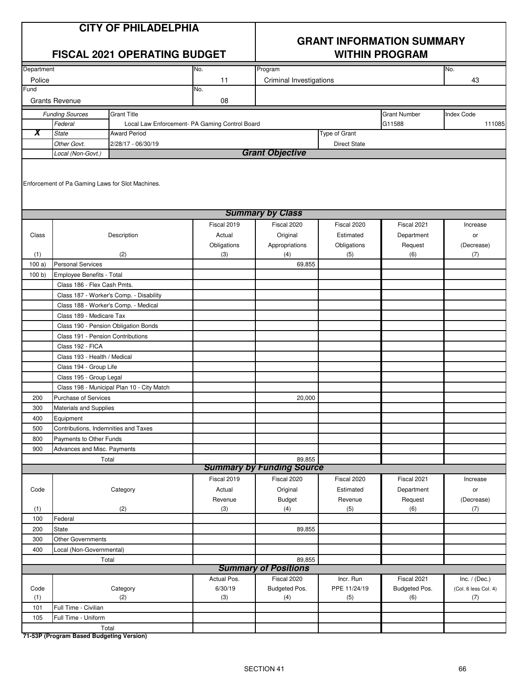# **GRANT INFORMATION SUMMARY**

|             | <b>FISCAL 2021 OPERATING BUDGET</b>              |                                            |                                                | <b>WITHIN PROGRAM</b>            |                     |                      |                             |  |
|-------------|--------------------------------------------------|--------------------------------------------|------------------------------------------------|----------------------------------|---------------------|----------------------|-----------------------------|--|
| Department  |                                                  |                                            | No.                                            | Program                          |                     |                      | No.                         |  |
| Police      |                                                  |                                            | 11                                             | <b>Criminal Investigations</b>   |                     |                      | 43                          |  |
| Fund        |                                                  |                                            | No.                                            |                                  |                     |                      |                             |  |
|             | <b>Grants Revenue</b>                            |                                            | 08                                             |                                  |                     |                      |                             |  |
|             | <b>Funding Sources</b>                           | <b>Grant Title</b>                         |                                                |                                  |                     | <b>Grant Number</b>  | <b>Index Code</b>           |  |
|             | Federal                                          |                                            | Local Law Enforcement- PA Gaming Control Board |                                  |                     | G11588               | 111085                      |  |
| X           | <b>State</b>                                     | <b>Award Period</b>                        |                                                |                                  | Type of Grant       |                      |                             |  |
|             | Other Govt.                                      | 2/28/17 - 06/30/19                         |                                                |                                  | <b>Direct State</b> |                      |                             |  |
|             | Local (Non-Govt.)                                |                                            |                                                | <b>Grant Objective</b>           |                     |                      |                             |  |
|             | Enforcement of Pa Gaming Laws for Slot Machines. |                                            |                                                |                                  |                     |                      |                             |  |
|             |                                                  |                                            |                                                | <b>Summary by Class</b>          |                     |                      |                             |  |
|             |                                                  |                                            | Fiscal 2019                                    | Fiscal 2020                      | Fiscal 2020         | Fiscal 2021          | Increase                    |  |
| Class       |                                                  | Description                                | Actual                                         | Original                         | Estimated           | Department           | or                          |  |
|             |                                                  |                                            | Obligations                                    | Appropriations                   | Obligations         | Request              | (Decrease)                  |  |
| (1)         |                                                  | (2)                                        | (3)                                            | (4)                              | (5)                 | (6)                  | (7)                         |  |
| 100a)       | <b>Personal Services</b>                         |                                            |                                                | 69,855                           |                     |                      |                             |  |
| 100 b       | Employee Benefits - Total                        |                                            |                                                |                                  |                     |                      |                             |  |
|             | Class 186 - Flex Cash Pmts.                      |                                            |                                                |                                  |                     |                      |                             |  |
|             |                                                  | Class 187 - Worker's Comp. - Disability    |                                                |                                  |                     |                      |                             |  |
|             |                                                  | Class 188 - Worker's Comp. - Medical       |                                                |                                  |                     |                      |                             |  |
|             | Class 189 - Medicare Tax                         |                                            |                                                |                                  |                     |                      |                             |  |
|             | Class 190 - Pension Obligation Bonds             |                                            |                                                |                                  |                     |                      |                             |  |
|             | Class 191 - Pension Contributions                |                                            |                                                |                                  |                     |                      |                             |  |
|             | Class 192 - FICA                                 |                                            |                                                |                                  |                     |                      |                             |  |
|             | Class 193 - Health / Medical                     |                                            |                                                |                                  |                     |                      |                             |  |
|             | Class 194 - Group Life                           |                                            |                                                |                                  |                     |                      |                             |  |
|             | Class 195 - Group Legal                          |                                            |                                                |                                  |                     |                      |                             |  |
|             |                                                  | Class 198 - Municipal Plan 10 - City Match |                                                |                                  |                     |                      |                             |  |
| 200         | Purchase of Services                             |                                            |                                                | 20,000                           |                     |                      |                             |  |
| 300<br>400  | Materials and Supplies<br>Equipment              |                                            |                                                |                                  |                     |                      |                             |  |
| 500         | Contributions, Indemnities and Taxes             |                                            |                                                |                                  |                     |                      |                             |  |
| 800         | Payments to Other Funds                          |                                            |                                                |                                  |                     |                      |                             |  |
| 900         | Advances and Misc. Payments                      |                                            |                                                |                                  |                     |                      |                             |  |
|             | Total                                            |                                            |                                                | 89,855                           |                     |                      |                             |  |
|             |                                                  |                                            |                                                | <b>Summary by Funding Source</b> |                     |                      |                             |  |
|             |                                                  |                                            | Fiscal 2019                                    | Fiscal 2020                      | Fiscal 2020         | Fiscal 2021          | Increase                    |  |
| Code        |                                                  | Category                                   | Actual                                         | Original                         | Estimated           | Department           | or                          |  |
|             |                                                  |                                            | Revenue                                        | <b>Budget</b>                    | Revenue             | Request              | (Decrease)                  |  |
| (1)         |                                                  | (2)                                        | (3)                                            | (4)                              | (5)                 | (6)                  | (7)                         |  |
| 100         | Federal                                          |                                            |                                                |                                  |                     |                      |                             |  |
| 200         | State                                            |                                            |                                                | 89,855                           |                     |                      |                             |  |
| 300         | Other Governments                                |                                            |                                                |                                  |                     |                      |                             |  |
| 400         | Local (Non-Governmental)                         |                                            |                                                |                                  |                     |                      |                             |  |
|             |                                                  | Total                                      |                                                | 89,855                           |                     |                      |                             |  |
|             |                                                  |                                            |                                                | <b>Summary of Positions</b>      |                     |                      |                             |  |
|             |                                                  |                                            | Actual Pos.                                    | Fiscal 2020                      | Incr. Run           | Fiscal 2021          | Inc. $/$ (Dec.)             |  |
| Code<br>(1) |                                                  | Category<br>(2)                            | 6/30/19<br>(3)                                 | Budgeted Pos.<br>(4)             | PPE 11/24/19<br>(5) | Budgeted Pos.<br>(6) | (Col. 6 less Col. 4)<br>(7) |  |
| 101         | Full Time - Civilian                             |                                            |                                                |                                  |                     |                      |                             |  |
| 105         | Full Time - Uniform                              |                                            |                                                |                                  |                     |                      |                             |  |
|             | Total                                            |                                            |                                                |                                  |                     |                      |                             |  |
|             |                                                  |                                            |                                                |                                  |                     |                      |                             |  |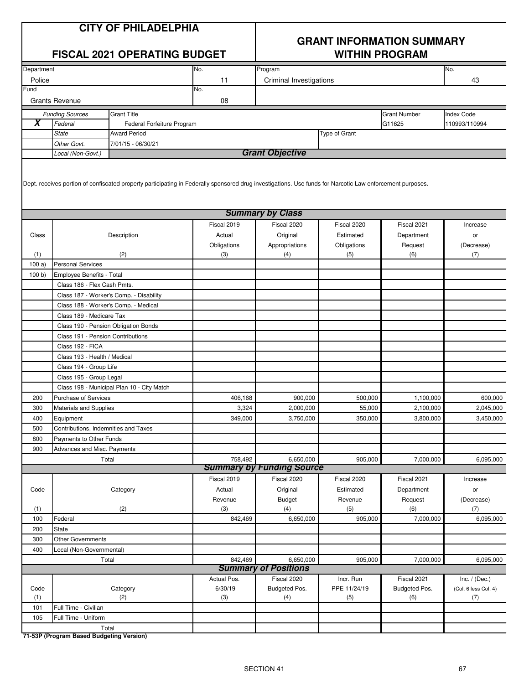|            |                               | <b>CITY OF PHILADELPHIA</b><br><b>FISCAL 2021 OPERATING BUDGET</b>                                                                                        |                    |                                  | <b>GRANT INFORMATION SUMMARY</b> | <b>WITHIN PROGRAM</b> |                      |
|------------|-------------------------------|-----------------------------------------------------------------------------------------------------------------------------------------------------------|--------------------|----------------------------------|----------------------------------|-----------------------|----------------------|
| Department |                               |                                                                                                                                                           | No.                | Program                          |                                  |                       | No.                  |
| Police     |                               |                                                                                                                                                           | 11                 | <b>Criminal Investigations</b>   |                                  |                       | 43                   |
| Fund       |                               |                                                                                                                                                           | No.                |                                  |                                  |                       |                      |
|            | <b>Grants Revenue</b>         |                                                                                                                                                           | 08                 |                                  |                                  |                       |                      |
|            | <b>Funding Sources</b>        | <b>Grant Title</b>                                                                                                                                        |                    |                                  |                                  | <b>Grant Number</b>   | <b>Index Code</b>    |
| X          | Federal                       | Federal Forfeiture Program                                                                                                                                |                    |                                  |                                  | G11625                | 110993/110994        |
|            | <b>State</b>                  | Award Period                                                                                                                                              |                    |                                  | Type of Grant                    |                       |                      |
|            | Other Govt.                   | 7/01/15 - 06/30/21                                                                                                                                        |                    |                                  |                                  |                       |                      |
|            | Local (Non-Govt.)             |                                                                                                                                                           |                    | <b>Grant Objective</b>           |                                  |                       |                      |
|            |                               | Dept. receives portion of confiscated property participating in Federally sponsored drug investigations. Use funds for Narcotic Law enforcement purposes. |                    | <b>Summary by Class</b>          |                                  |                       |                      |
|            |                               |                                                                                                                                                           | Fiscal 2019        |                                  | Fiscal 2020                      |                       | Increase             |
| Class      |                               |                                                                                                                                                           | Actual             | Fiscal 2020<br>Original          | Estimated                        | Fiscal 2021           |                      |
|            |                               | Description                                                                                                                                               |                    |                                  |                                  | Department            | or                   |
| (1)        |                               | (2)                                                                                                                                                       | Obligations<br>(3) | Appropriations<br>(4)            | Obligations<br>(5)               | Request<br>(6)        | (Decrease)<br>(7)    |
| 100a)      | <b>Personal Services</b>      |                                                                                                                                                           |                    |                                  |                                  |                       |                      |
| 100 b      | Employee Benefits - Total     |                                                                                                                                                           |                    |                                  |                                  |                       |                      |
|            | Class 186 - Flex Cash Pmts.   |                                                                                                                                                           |                    |                                  |                                  |                       |                      |
|            |                               |                                                                                                                                                           |                    |                                  |                                  |                       |                      |
|            |                               | Class 187 - Worker's Comp. - Disability                                                                                                                   |                    |                                  |                                  |                       |                      |
|            |                               | Class 188 - Worker's Comp. - Medical                                                                                                                      |                    |                                  |                                  |                       |                      |
|            | Class 189 - Medicare Tax      |                                                                                                                                                           |                    |                                  |                                  |                       |                      |
|            |                               | Class 190 - Pension Obligation Bonds                                                                                                                      |                    |                                  |                                  |                       |                      |
|            |                               | Class 191 - Pension Contributions                                                                                                                         |                    |                                  |                                  |                       |                      |
|            | Class 192 - FICA              |                                                                                                                                                           |                    |                                  |                                  |                       |                      |
|            | Class 193 - Health / Medical  |                                                                                                                                                           |                    |                                  |                                  |                       |                      |
|            | Class 194 - Group Life        |                                                                                                                                                           |                    |                                  |                                  |                       |                      |
|            | Class 195 - Group Legal       |                                                                                                                                                           |                    |                                  |                                  |                       |                      |
|            |                               | Class 198 - Municipal Plan 10 - City Match                                                                                                                |                    |                                  |                                  |                       |                      |
| 200        | <b>Purchase of Services</b>   |                                                                                                                                                           | 406,168            | 900,000                          | 500,000                          | 1,100,000             | 600,000              |
| 300        | <b>Materials and Supplies</b> |                                                                                                                                                           | 3,324              | 2.000.000                        | 55,000                           | 2,100,000             | 2,045,000            |
| 400        | Equipment                     |                                                                                                                                                           | 349,000            | 3,750,000                        | 350,000                          | 3,800,000             | 3,450,000            |
| 500        |                               | Contributions, Indemnities and Taxes                                                                                                                      |                    |                                  |                                  |                       |                      |
| 800        | Payments to Other Funds       |                                                                                                                                                           |                    |                                  |                                  |                       |                      |
| 900        | Advances and Misc. Payments   |                                                                                                                                                           |                    |                                  |                                  |                       |                      |
|            |                               | Total                                                                                                                                                     | 758,492            | 6,650,000                        | 905,000                          | 7,000,000             | 6,095,000            |
|            |                               |                                                                                                                                                           |                    | <b>Summary by Funding Source</b> |                                  |                       |                      |
|            |                               |                                                                                                                                                           | Fiscal 2019        | Fiscal 2020                      | Fiscal 2020                      | Fiscal 2021           | Increase             |
| Code       |                               | Category                                                                                                                                                  | Actual             | Original                         | Estimated                        | Department            | or                   |
|            |                               |                                                                                                                                                           | Revenue            | <b>Budget</b>                    | Revenue                          | Request               | (Decrease)           |
| (1)        |                               | (2)                                                                                                                                                       | (3)                | (4)                              | (5)                              | (6)                   | (7)                  |
| 100        | Federal                       |                                                                                                                                                           | 842,469            | 6,650,000                        | 905,000                          | 7,000,000             | 6,095,000            |
| 200        | <b>State</b>                  |                                                                                                                                                           |                    |                                  |                                  |                       |                      |
| 300        | <b>Other Governments</b>      |                                                                                                                                                           |                    |                                  |                                  |                       |                      |
| 400        | Local (Non-Governmental)      |                                                                                                                                                           |                    |                                  |                                  |                       |                      |
|            |                               | Total                                                                                                                                                     | 842,469            | 6,650,000                        | 905,000                          | 7,000,000             | 6,095,000            |
|            |                               |                                                                                                                                                           |                    | <b>Summary of Positions</b>      |                                  |                       |                      |
|            |                               |                                                                                                                                                           | Actual Pos.        | Fiscal 2020                      | Incr. Run                        | Fiscal 2021           | Inc. $/$ (Dec.)      |
| Code       |                               | Category                                                                                                                                                  | 6/30/19            | Budgeted Pos.                    | PPE 11/24/19                     | Budgeted Pos.         | (Col. 6 less Col. 4) |
| (1)        |                               | (2)                                                                                                                                                       | (3)                | (4)                              | (5)                              | (6)                   | (7)                  |
| 101        | Full Time - Civilian          |                                                                                                                                                           |                    |                                  |                                  |                       |                      |
| 105        | Full Time - Uniform           |                                                                                                                                                           |                    |                                  |                                  |                       |                      |
|            |                               | Total                                                                                                                                                     |                    |                                  |                                  |                       |                      |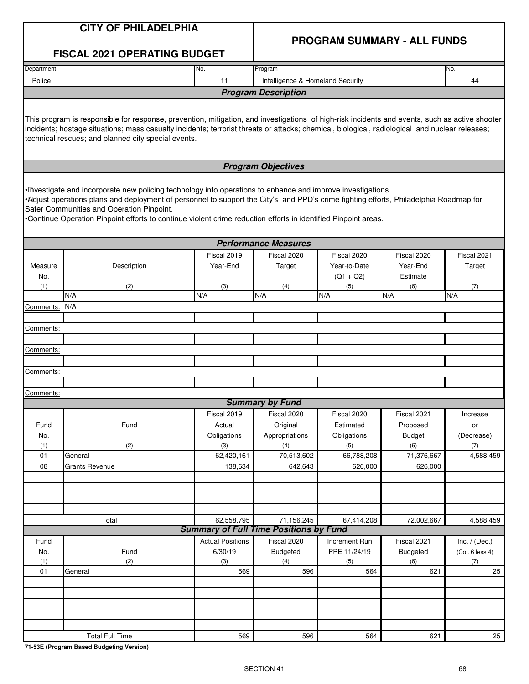|                  | <b>CITY OF PHILADELPHIA</b>                                                                                                                                                                                                                                                                                                                                                                                        |                         |                                               |                                    |                 |                 |
|------------------|--------------------------------------------------------------------------------------------------------------------------------------------------------------------------------------------------------------------------------------------------------------------------------------------------------------------------------------------------------------------------------------------------------------------|-------------------------|-----------------------------------------------|------------------------------------|-----------------|-----------------|
|                  | <b>FISCAL 2021 OPERATING BUDGET</b>                                                                                                                                                                                                                                                                                                                                                                                |                         |                                               | <b>PROGRAM SUMMARY - ALL FUNDS</b> |                 |                 |
| Department       |                                                                                                                                                                                                                                                                                                                                                                                                                    | No.                     | Program                                       |                                    |                 | No.             |
| Police           |                                                                                                                                                                                                                                                                                                                                                                                                                    | 11                      | Intelligence & Homeland Security              |                                    |                 | 44              |
|                  |                                                                                                                                                                                                                                                                                                                                                                                                                    |                         | <b>Program Description</b>                    |                                    |                 |                 |
|                  | This program is responsible for response, prevention, mitigation, and investigations of high-risk incidents and events, such as active shooter<br>incidents; hostage situations; mass casualty incidents; terrorist threats or attacks; chemical, biological, radiological and nuclear releases;<br>technical rescues; and planned city special events.                                                            |                         |                                               |                                    |                 |                 |
|                  |                                                                                                                                                                                                                                                                                                                                                                                                                    |                         | <b>Program Objectives</b>                     |                                    |                 |                 |
|                  | Investigate and incorporate new policing technology into operations to enhance and improve investigations.<br>•Adjust operations plans and deployment of personnel to support the City's and PPD's crime fighting efforts, Philadelphia Roadmap for<br>Safer Communities and Operation Pinpoint.<br>•Continue Operation Pinpoint efforts to continue violent crime reduction efforts in identified Pinpoint areas. |                         |                                               |                                    |                 |                 |
|                  |                                                                                                                                                                                                                                                                                                                                                                                                                    |                         | <b>Performance Measures</b>                   |                                    |                 |                 |
|                  |                                                                                                                                                                                                                                                                                                                                                                                                                    | Fiscal 2019             | Fiscal 2020                                   | Fiscal 2020                        | Fiscal 2020     | Fiscal 2021     |
| Measure          | Description                                                                                                                                                                                                                                                                                                                                                                                                        | Year-End                | Target                                        | Year-to-Date                       | Year-End        | Target          |
| No.<br>(1)       | (2)                                                                                                                                                                                                                                                                                                                                                                                                                |                         |                                               | $(Q1 + Q2)$                        | Estimate        |                 |
|                  | N/A                                                                                                                                                                                                                                                                                                                                                                                                                | (3)<br>N/A              | (4)<br>N/A                                    | (5)<br>N/A                         | (6)<br>N/A      | (7)<br>N/A      |
| Comments:        | N/A                                                                                                                                                                                                                                                                                                                                                                                                                |                         |                                               |                                    |                 |                 |
|                  |                                                                                                                                                                                                                                                                                                                                                                                                                    |                         |                                               |                                    |                 |                 |
| Comments:        |                                                                                                                                                                                                                                                                                                                                                                                                                    |                         |                                               |                                    |                 |                 |
|                  |                                                                                                                                                                                                                                                                                                                                                                                                                    |                         |                                               |                                    |                 |                 |
| <u>Comments:</u> |                                                                                                                                                                                                                                                                                                                                                                                                                    |                         |                                               |                                    |                 |                 |
|                  |                                                                                                                                                                                                                                                                                                                                                                                                                    |                         |                                               |                                    |                 |                 |
| <u>Comments:</u> |                                                                                                                                                                                                                                                                                                                                                                                                                    |                         |                                               |                                    |                 |                 |
| Comments:        |                                                                                                                                                                                                                                                                                                                                                                                                                    |                         |                                               |                                    |                 |                 |
|                  |                                                                                                                                                                                                                                                                                                                                                                                                                    |                         | <b>Summary by Fund</b>                        |                                    |                 |                 |
|                  |                                                                                                                                                                                                                                                                                                                                                                                                                    | Fiscal 2019             | Fiscal 2020                                   | Fiscal 2020                        | Fiscal 2021     | Increase        |
| Fund             | Fund                                                                                                                                                                                                                                                                                                                                                                                                               | Actual                  | Original                                      | Estimated                          | Proposed        | or              |
| No.              |                                                                                                                                                                                                                                                                                                                                                                                                                    | Obligations             | Appropriations                                | Obligations                        | <b>Budget</b>   | (Decrease)      |
| (1)              | (2)                                                                                                                                                                                                                                                                                                                                                                                                                | (3)                     | (4)                                           | (5)                                | (6)             | (7)             |
| 01               | General                                                                                                                                                                                                                                                                                                                                                                                                            | 62,420,161              | 70,513,602                                    | 66,788,208                         | 71,376,667      | 4,588,459       |
| 08               | <b>Grants Revenue</b>                                                                                                                                                                                                                                                                                                                                                                                              | 138,634                 | 642,643                                       | 626,000                            | 626,000         |                 |
|                  |                                                                                                                                                                                                                                                                                                                                                                                                                    |                         |                                               |                                    |                 |                 |
|                  |                                                                                                                                                                                                                                                                                                                                                                                                                    |                         |                                               |                                    |                 |                 |
|                  |                                                                                                                                                                                                                                                                                                                                                                                                                    |                         |                                               |                                    |                 |                 |
|                  | Total                                                                                                                                                                                                                                                                                                                                                                                                              | 62,558,795              | 71,156,245                                    | 67,414,208                         | 72,002,667      | 4,588,459       |
|                  |                                                                                                                                                                                                                                                                                                                                                                                                                    |                         | <b>Summary of Full Time Positions by Fund</b> |                                    |                 |                 |
| Fund             |                                                                                                                                                                                                                                                                                                                                                                                                                    | <b>Actual Positions</b> | Fiscal 2020                                   | Increment Run                      | Fiscal 2021     | Inc. $/$ (Dec.) |
| No.              | Fund                                                                                                                                                                                                                                                                                                                                                                                                               | 6/30/19                 | <b>Budgeted</b>                               | PPE 11/24/19                       | <b>Budgeted</b> | (Col. 6 less 4) |
| (1)<br>01        | (2)<br>General                                                                                                                                                                                                                                                                                                                                                                                                     | (3)<br>569              | (4)<br>596                                    | (5)<br>564                         | (6)<br>621      | (7)<br>25       |
|                  |                                                                                                                                                                                                                                                                                                                                                                                                                    |                         |                                               |                                    |                 |                 |
|                  |                                                                                                                                                                                                                                                                                                                                                                                                                    |                         |                                               |                                    |                 |                 |
|                  |                                                                                                                                                                                                                                                                                                                                                                                                                    |                         |                                               |                                    |                 |                 |
|                  |                                                                                                                                                                                                                                                                                                                                                                                                                    |                         |                                               |                                    |                 |                 |
|                  |                                                                                                                                                                                                                                                                                                                                                                                                                    |                         |                                               |                                    |                 |                 |
|                  | <b>Total Full Time</b>                                                                                                                                                                                                                                                                                                                                                                                             | 569                     | 596                                           | 564                                | 621             | 25              |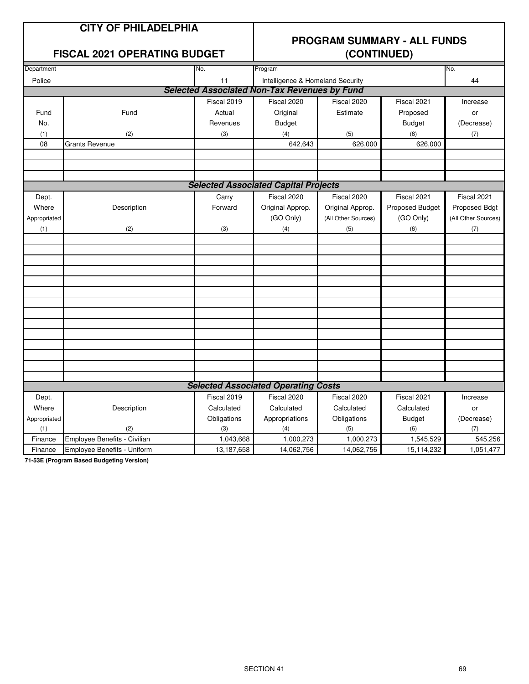#### **FISCAL 2021 OPERATING BUDGET (CONTINUED)**

## **PROGRAM SUMMARY - ALL FUNDS**

| Department                                  |                              | No.         | Program                                             | No.                        |                 |                     |
|---------------------------------------------|------------------------------|-------------|-----------------------------------------------------|----------------------------|-----------------|---------------------|
| Police                                      |                              | 11          | Intelligence & Homeland Security                    |                            |                 | 44                  |
|                                             |                              |             | <b>Selected Associated Non-Tax Revenues by Fund</b> |                            |                 |                     |
|                                             |                              | Fiscal 2019 | Fiscal 2020                                         | Fiscal 2020                | Fiscal 2021     | Increase            |
| Fund                                        | Fund                         | Actual      | Original                                            | Estimate                   | Proposed        | or                  |
| No.                                         |                              | Revenues    | <b>Budget</b>                                       |                            | <b>Budget</b>   | (Decrease)          |
| (1)                                         | (2)                          | (3)         | (4)                                                 | (5)                        | (6)             | (7)                 |
| 08                                          | <b>Grants Revenue</b>        |             | 642,643                                             | 626,000                    | 626,000         |                     |
|                                             |                              |             |                                                     |                            |                 |                     |
|                                             |                              |             |                                                     |                            |                 |                     |
|                                             |                              |             |                                                     |                            |                 |                     |
| <b>Selected Associated Capital Projects</b> |                              |             |                                                     |                            |                 |                     |
| Dept.                                       |                              | Carry       | Fiscal 2020                                         | Fiscal 2020<br>Fiscal 2021 |                 |                     |
| Where                                       | Description                  | Forward     | Original Approp.                                    | Original Approp.           | Proposed Budget | Proposed Bdgt       |
| Appropriated                                |                              |             | (GO Only)                                           | (All Other Sources)        | (GO Only)       | (All Other Sources) |
| (1)                                         | (2)                          | (3)         | (4)                                                 | (5)                        | (6)             | (7)                 |
|                                             |                              |             |                                                     |                            |                 |                     |
|                                             |                              |             |                                                     |                            |                 |                     |
|                                             |                              |             |                                                     |                            |                 |                     |
|                                             |                              |             |                                                     |                            |                 |                     |
|                                             |                              |             |                                                     |                            |                 |                     |
|                                             |                              |             |                                                     |                            |                 |                     |
|                                             |                              |             |                                                     |                            |                 |                     |
|                                             |                              |             |                                                     |                            |                 |                     |
|                                             |                              |             |                                                     |                            |                 |                     |
|                                             |                              |             |                                                     |                            |                 |                     |
|                                             |                              |             |                                                     |                            |                 |                     |
|                                             |                              |             |                                                     |                            |                 |                     |
|                                             |                              |             |                                                     |                            |                 |                     |
|                                             |                              |             |                                                     |                            |                 |                     |
|                                             |                              |             | <b>Selected Associated Operating Costs</b>          |                            |                 |                     |
| Dept.                                       |                              | Fiscal 2019 | Fiscal 2020                                         | Fiscal 2020                | Fiscal 2021     | Increase            |
| Where                                       | Description                  | Calculated  | Calculated                                          | Calculated                 | Calculated      | or                  |
| Appropriated                                |                              | Obligations | Appropriations                                      | Obligations                | <b>Budget</b>   | (Decrease)          |
| (1)                                         | (2)                          | (3)         | (4)                                                 | (5)                        | (6)             | (7)                 |
| Finance                                     | Employee Benefits - Civilian | 1,043,668   | 1,000,273                                           | 1,000,273                  | 1,545,529       | 545,256             |
| Finance                                     | Employee Benefits - Uniform  | 13,187,658  | 14,062,756                                          | 14,062,756                 | 15,114,232      | 1,051,477           |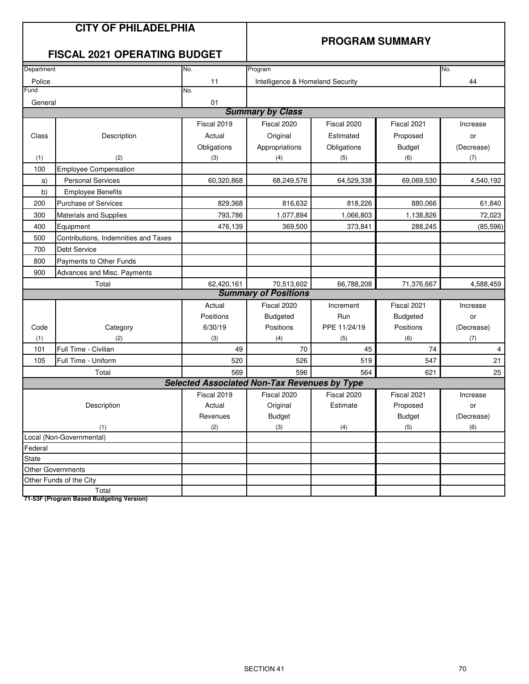#### **PROGRAM SUMMARY**

#### **FISCAL 2021 OPERATING BUDGET**

| Department                                  |                               | No.                                                 | Program                          |              |                 | No.            |
|---------------------------------------------|-------------------------------|-----------------------------------------------------|----------------------------------|--------------|-----------------|----------------|
| Police                                      |                               | 11                                                  | Intelligence & Homeland Security |              |                 | 44             |
| Fund                                        |                               | No.                                                 |                                  |              |                 |                |
| General                                     |                               | 01                                                  |                                  |              |                 |                |
|                                             |                               |                                                     | <b>Summary by Class</b>          |              |                 |                |
|                                             |                               | Fiscal 2019                                         | Fiscal 2020                      | Fiscal 2020  | Fiscal 2021     | Increase       |
| Class                                       | Description                   | Actual                                              | Original                         | Estimated    | Proposed        | or             |
|                                             |                               | Obligations                                         | Appropriations                   | Obligations  | <b>Budget</b>   | (Decrease)     |
| (1)                                         | (2)                           | (3)                                                 | (4)                              | (5)          | (6)             | (7)            |
| 100                                         | <b>Employee Compensation</b>  |                                                     |                                  |              |                 |                |
| a)                                          | <b>Personal Services</b>      | 60,320,868                                          | 68,249,576                       | 64,529,338   | 69,069,530      | 4,540,192      |
| b)                                          | <b>Employee Benefits</b>      |                                                     |                                  |              |                 |                |
| 200                                         | <b>Purchase of Services</b>   | 829,368                                             | 816,632                          | 818,226      | 880,066         | 61,840         |
| 300                                         | <b>Materials and Supplies</b> | 793,786                                             | 1,077,894                        | 1,066,803    | 1,138,826       | 72,023         |
| Equipment<br>400                            |                               | 476,139                                             | 369,500                          | 373,841      | 288,245         | (85, 596)      |
| Contributions, Indemnities and Taxes<br>500 |                               |                                                     |                                  |              |                 |                |
| 700<br>Debt Service                         |                               |                                                     |                                  |              |                 |                |
| 800                                         | Payments to Other Funds       |                                                     |                                  |              |                 |                |
| 900<br>Advances and Misc. Payments          |                               |                                                     |                                  |              |                 |                |
|                                             | Total                         | 62,420,161                                          | 70,513,602                       | 66,788,208   | 71,376,667      | 4,588,459      |
|                                             |                               |                                                     | <b>Summary of Positions</b>      |              |                 |                |
|                                             |                               | Actual                                              | Fiscal 2020                      | Increment    | Fiscal 2021     | Increase       |
|                                             |                               | Positions                                           | <b>Budgeted</b>                  | Run          | <b>Budgeted</b> | or             |
| Code                                        | Category                      | 6/30/19                                             | Positions                        | PPE 11/24/19 | Positions       | (Decrease)     |
| (1)                                         | (2)                           | (3)                                                 | (4)                              | (5)          | (6)             | (7)            |
| 101                                         | Full Time - Civilian          | 49                                                  | 70                               | 45           | 74              | $\overline{4}$ |
| 105                                         | Full Time - Uniform           | 520                                                 | 526                              | 519          | 547             | 21             |
|                                             | Total                         | 569                                                 | 596                              | 564          | 621             | 25             |
|                                             |                               | <b>Selected Associated Non-Tax Revenues by Type</b> |                                  |              |                 |                |
|                                             |                               | Fiscal 2019                                         | Fiscal 2020                      | Fiscal 2020  | Fiscal 2021     | Increase       |
|                                             | Description                   | Actual                                              | Original                         | Estimate     | Proposed        | or             |
|                                             |                               | Revenues                                            | <b>Budget</b>                    |              | <b>Budget</b>   | (Decrease)     |
|                                             | (1)                           | (2)                                                 | (3)                              | (4)          | (5)             | (6)            |
|                                             | Local (Non-Governmental)      |                                                     |                                  |              |                 |                |
| Federal                                     |                               |                                                     |                                  |              |                 |                |
| State                                       |                               |                                                     |                                  |              |                 |                |
|                                             | <b>Other Governments</b>      |                                                     |                                  |              |                 |                |
|                                             | Other Funds of the City       |                                                     |                                  |              |                 |                |
|                                             | Total                         |                                                     |                                  |              |                 |                |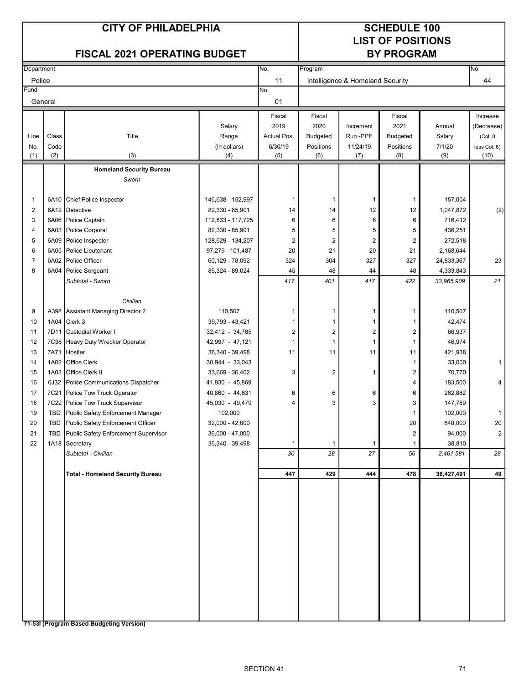#### CITY OF PHILADELPHIA SCHEDULE 100

# LIST OF POSITIONS<br>BY PROGRAM

| <b>FISCAL 2021 OPERATING BUDGET</b> |             |                                          |                     |                | <b>BY PROGRAM</b>       |                                  |                         |               |                      |
|-------------------------------------|-------------|------------------------------------------|---------------------|----------------|-------------------------|----------------------------------|-------------------------|---------------|----------------------|
| Department                          |             |                                          |                     | No.            | Program                 |                                  |                         |               | No.                  |
| Police                              |             |                                          |                     | 11             |                         | Intelligence & Homeland Security |                         |               | 44                   |
| Fund                                |             |                                          |                     | No.            |                         |                                  |                         |               |                      |
| General                             |             |                                          |                     | 01             |                         |                                  |                         |               |                      |
|                                     |             |                                          |                     |                |                         |                                  |                         |               |                      |
|                                     |             |                                          |                     | Fiscal         | Fiscal                  |                                  | Fiscal                  |               | Increase             |
|                                     |             |                                          | Salary              | 2019           | 2020                    | Increment                        | 2021                    | Annual        | (Decrease)           |
| Line                                | Class       | Title                                    | Range               | Actual Pos.    | <b>Budgeted</b>         | Run-PPE                          | <b>Budgeted</b>         | Salary        | (Col. 8)             |
| No.<br>(1)                          | Code<br>(2) | (3)                                      | (in dollars)<br>(4) | 6/30/19<br>(5) | Positions<br>(6)        | 11/24/19<br>(7)                  | Positions<br>(8)        | 7/1/20<br>(9) | less Col. 6)<br>(10) |
|                                     |             |                                          |                     |                |                         |                                  |                         |               |                      |
|                                     |             | <b>Homeland Security Bureau</b><br>Sworn |                     |                |                         |                                  |                         |               |                      |
|                                     |             |                                          |                     |                |                         |                                  |                         |               |                      |
| $\mathbf{1}$                        |             | 6A10 Chief Police Inspector              | 146,638 - 152,997   | 1              | 1                       | 1                                | $\mathbf{1}$            | 157,004       |                      |
| $\overline{2}$                      |             | 6A12 Detective                           | 82,330 - 85,901     | 14             | 14                      | 12                               | 12                      | 1,047,872     | (2)                  |
| 3                                   |             | 6A06 Police Captain                      | 112,833 - 117,725   | 6              | 6                       | 6                                | 6                       | 716,412       |                      |
| 4                                   |             | 6A03 Police Corporal                     | 82,330 - 85,901     | 5              | 5                       | 5                                | 5                       | 436,251       |                      |
| 5                                   |             | 6A09 Police Inspector                    | 128,629 - 134,207   | $\overline{c}$ | $\overline{\mathbf{c}}$ | 2                                | 2                       | 272,518       |                      |
| 6                                   |             | 6A05   Police Lieutenant                 | 97,279 - 101,487    | 20             | 21                      | 20                               | 21                      | 2,168,644     |                      |
| 7                                   |             | 6A02 Police Officer                      | 60,129 - 78,092     | 324            | 304                     | 327                              | 327                     | 24,833,367    | 23                   |
| 8                                   |             | 6A04 Police Sergeant                     | 85,324 - 89,024     | 45             | 48                      | 44                               | 48                      | 4,333,843     |                      |
|                                     |             | Subtotal - Sworn                         |                     | 417            | 401                     | 417                              | 422                     | 33,965,909    | 21                   |
|                                     |             |                                          |                     |                |                         |                                  |                         |               |                      |
|                                     |             | Civilian                                 |                     |                |                         |                                  |                         |               |                      |
| 9                                   |             | A398 Assistant Managing Director 2       | 110,507             | 1              | 1                       | 1                                | 1                       | 110,507       |                      |
| 10                                  |             | 1A04 Clerk 3                             | 39,793 - 43,421     | $\mathbf{1}$   | 1                       | 1                                | 1                       | 42,474        |                      |
| 11                                  |             | 7D11 Custodial Worker I                  | 32,412 - 34,785     | $\overline{2}$ | $\sqrt{2}$              | $\overline{\mathbf{c}}$          | $\overline{\mathbf{c}}$ | 66,937        |                      |
| 12                                  |             | 7C38 Heavy Duty Wrecker Operator         | 42,997 - 47,121     | 1              | $\mathbf{1}$            | 1                                | 1                       | 46,974        |                      |
| 13                                  |             | 7A71 Hostler                             | 36,340 - 39,498     | 11             | 11                      | 11                               | 11                      | 421,938       |                      |
| 14                                  |             | 1A02 Office Clerk                        | 30,944 - 33,043     |                |                         |                                  | 1                       | 33,000        | 1                    |
| 15                                  |             | 1A03 Office Clerk II                     | 33,669 - 36,402     | 3              | $\overline{2}$          | 1                                | 2                       | 70,770        |                      |
| 16                                  | 6J32        | Police Communications Dispatcher         | 41,930 - 45,869     |                |                         |                                  | 4                       | 183,500       | 4                    |
| 17                                  |             | 7C21 Police Tow Truck Operator           | 40,860 - 44,631     | 6              | 6                       | 6                                | 6                       | 262,882       |                      |
| 18                                  |             | 7C22 Police Tow Truck Supervisor         | 45,030 - 49,479     | 4              | 3                       | 3                                | 3                       | 147,789       |                      |
| 19                                  | TBD         | Public Safety Enforcement Manager        | 102,000             |                |                         |                                  | 1                       | 102,000       | $\mathbf{1}$         |
| 20                                  |             | TBD Public Safety Enforcement Officer    | 32,000 - 42,000     |                |                         |                                  | 20                      | 840,000       | $20\,$               |
| 21                                  |             | TBD Public Safety Enforcement Supervisor | $36,000 - 47,000$   |                |                         |                                  | $\overline{\mathbf{c}}$ | 94,000        | $\overline{2}$       |
| 22                                  |             | 1A18 Secretary                           | 36,340 - 39,498     | $\mathbf{1}$   | $\mathbf{1}$            | $\mathbf{1}$                     | $\mathbf{1}$            | 38,810        |                      |
|                                     |             | Subtotal - Civilian                      |                     | 30             | 28                      | 27                               | 56                      | 2,461.581     | 28                   |
|                                     |             | <b>Total - Homeland Security Bureau</b>  |                     | 447            | 429                     | 444                              | 478                     | 36,427,491    | 49                   |
|                                     |             |                                          |                     |                |                         |                                  |                         |               |                      |
|                                     |             |                                          |                     |                |                         |                                  |                         |               |                      |
|                                     |             |                                          |                     |                |                         |                                  |                         |               |                      |
|                                     |             |                                          |                     |                |                         |                                  |                         |               |                      |
|                                     |             |                                          |                     |                |                         |                                  |                         |               |                      |
|                                     |             |                                          |                     |                |                         |                                  |                         |               |                      |
|                                     |             |                                          |                     |                |                         |                                  |                         |               |                      |
|                                     |             |                                          |                     |                |                         |                                  |                         |               |                      |
|                                     |             |                                          |                     |                |                         |                                  |                         |               |                      |
|                                     |             |                                          |                     |                |                         |                                  |                         |               |                      |
|                                     |             |                                          |                     |                |                         |                                  |                         |               |                      |
|                                     |             |                                          |                     |                |                         |                                  |                         |               |                      |
|                                     |             |                                          |                     |                |                         |                                  |                         |               |                      |
|                                     |             | 71-531 (Program Based Budgeting Version) |                     |                |                         |                                  |                         |               |                      |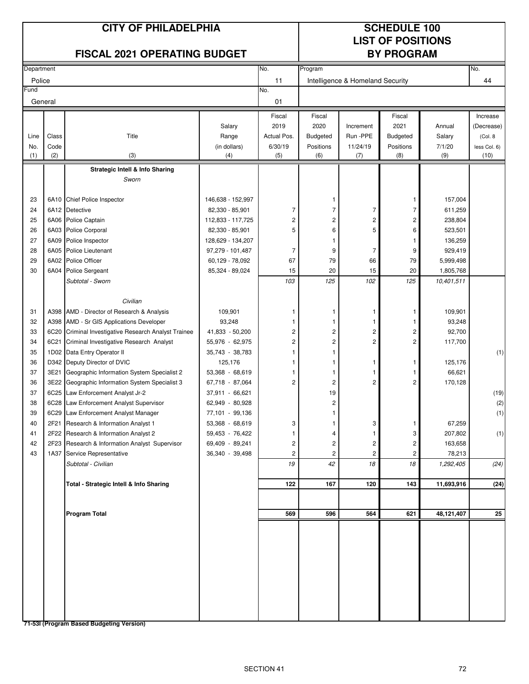#### **CITY OF PHILADELPHIA SCHEDULE 100**

# **LIST OF POSITIONS**

| <b>FISCAL 2021 OPERATING BUDGET</b> |       |                                                      |                   |                | <b>BY PROGRAM</b>       |                                  |                 |            |              |
|-------------------------------------|-------|------------------------------------------------------|-------------------|----------------|-------------------------|----------------------------------|-----------------|------------|--------------|
| Department                          |       |                                                      |                   | No.            | Program                 |                                  |                 |            | No.          |
| Police                              |       |                                                      |                   | 11             |                         | Intelligence & Homeland Security |                 |            | 44           |
| Fund                                |       |                                                      |                   | No.            |                         |                                  |                 |            |              |
| General                             |       |                                                      |                   | 01             |                         |                                  |                 |            |              |
|                                     |       |                                                      |                   | Fiscal         | Fiscal                  |                                  | Fiscal          |            | Increase     |
|                                     |       |                                                      | Salary            | 2019           | 2020                    | Increment                        | 2021            | Annual     | (Decrease)   |
| Line                                | Class | Title                                                | Range             | Actual Pos.    | <b>Budgeted</b>         | Run-PPE                          | <b>Budgeted</b> | Salary     | (Col. 8      |
| No.                                 | Code  |                                                      | (in dollars)      | 6/30/19        | Positions               | 11/24/19                         | Positions       | 7/1/20     | less Col. 6) |
| (1)                                 | (2)   | (3)                                                  | (4)               | (5)            | (6)                     | (7)                              | (8)             | (9)        | (10)         |
|                                     |       | <b>Strategic Intell &amp; Info Sharing</b>           |                   |                |                         |                                  |                 |            |              |
|                                     |       | Sworn                                                |                   |                |                         |                                  |                 |            |              |
| 23                                  |       | 6A10 Chief Police Inspector                          | 146,638 - 152,997 |                | 1                       |                                  | 1               | 157,004    |              |
| 24                                  |       | 6A12 Detective                                       | 82,330 - 85,901   | 7              | $\overline{7}$          | 7                                | $\overline{7}$  | 611,259    |              |
| 25                                  |       | 6A06 Police Captain                                  | 112,833 - 117,725 | 2              | $\overline{\mathbf{c}}$ | 2                                | 2               | 238,804    |              |
| 26                                  |       | 6A03 Police Corporal                                 | 82,330 - 85,901   | 5              | 6                       | 5                                | 6               | 523,501    |              |
| 27                                  | 6A09  | Police Inspector                                     | 128,629 - 134,207 |                | 1                       |                                  | 1               | 136,259    |              |
| 28                                  |       | 6A05 Police Lieutenant                               | 97,279 - 101,487  | 7              | 9                       | $\overline{7}$                   | 9               | 929,419    |              |
| 29                                  |       | 6A02 Police Officer                                  | 60,129 - 78,092   | 67             | 79                      | 66                               | 79              | 5,999,498  |              |
| 30                                  |       | 6A04 Police Sergeant                                 | 85,324 - 89,024   | 15             | 20                      | 15                               | 20              | 1,805,768  |              |
|                                     |       | Subtotal - Sworn                                     |                   | 103            | 125                     | 102                              | 125             | 10,401,511 |              |
|                                     |       | Civilian                                             |                   |                |                         |                                  |                 |            |              |
| 31                                  |       | A398 AMD - Director of Research & Analysis           | 109,901           | 1              | 1                       | 1                                | 1               | 109,901    |              |
| 32                                  |       | A398 AMD - Sr GIS Applications Developer             | 93,248            |                | 1                       | 1                                | 1               | 93,248     |              |
| 33                                  |       | 6C20 Criminal Investigative Research Analyst Trainee | 41,833 - 50,200   | 2              | $\overline{c}$          | 2                                | 2               | 92,700     |              |
| 34                                  | 6C21  | Criminal Investigative Research Analyst              | 55,976 - 62,975   | 2              | $\overline{c}$          | 2                                | 2               | 117,700    |              |
| 35                                  |       | 1D02 Data Entry Operator II                          | 35,743 - 38,783   | 1              | 1                       |                                  |                 |            | (1)          |
| 36                                  |       | D342 Deputy Director of DVIC                         | 125,176           | 1              | 1                       | 1                                | 1               | 125,176    |              |
| 37                                  | 3E21  | Geographic Information System Specialist 2           | 53,368 - 68,619   | 1              | 1                       | 1                                | 1               | 66,621     |              |
| 36                                  |       | 3E22 Geographic Information System Specialist 3      | 67,718 - 87,064   | 2              | $\overline{c}$          | 2                                | 2               | 170,128    |              |
| 37                                  |       | 6C25 Law Enforcement Analyst Jr-2                    | 37,911 - 66,621   |                | 19                      |                                  |                 |            | (19)         |
| 38                                  |       | 6C28 Law Enforcement Analyst Supervisor              | 62,949 - 80,928   |                | 2                       |                                  |                 |            | (2)          |
| 39                                  |       | 6C29 Law Enforcement Analyst Manager                 | 77,101 - 99,136   |                | 1                       |                                  |                 |            | (1)          |
| 40                                  |       | 2F21 Research & Information Analyst 1                | 53,368 - 68,619   | 3              | 1                       | 3                                | 1               | 67,259     |              |
| 41                                  |       | 2F22 Research & Information Analyst 2                | 59,453 - 76,422   |                |                         |                                  | 3               | 207,802    | (1)          |
| 42                                  |       | 2F23 Research & Information Analyst Supervisor       | 69,409 - 89,241   | $\overline{c}$ | 2                       | $\overline{c}$                   | $\mathbf{2}$    | 163,658    |              |
| 43                                  |       | 1A37 Service Representative                          | 36,340 - 39,498   | 2              | 2                       | $\overline{c}$                   | 2               | 78,213     |              |
|                                     |       | Subtotal - Civilian                                  |                   | 19             | 42                      | 18                               | 18              | 1,292,405  | (24)         |
|                                     |       | Total - Strategic Intell & Info Sharing              |                   | 122            | 167                     | 120                              | 143             | 11,693,916 | (24)         |
|                                     |       |                                                      |                   |                |                         |                                  |                 |            |              |
|                                     |       | <b>Program Total</b>                                 |                   | 569            | 596                     | 564                              | 621             | 48,121,407 | 25           |
|                                     |       |                                                      |                   |                |                         |                                  |                 |            |              |
|                                     |       |                                                      |                   |                |                         |                                  |                 |            |              |
|                                     |       |                                                      |                   |                |                         |                                  |                 |            |              |
|                                     |       |                                                      |                   |                |                         |                                  |                 |            |              |
|                                     |       |                                                      |                   |                |                         |                                  |                 |            |              |
|                                     |       |                                                      |                   |                |                         |                                  |                 |            |              |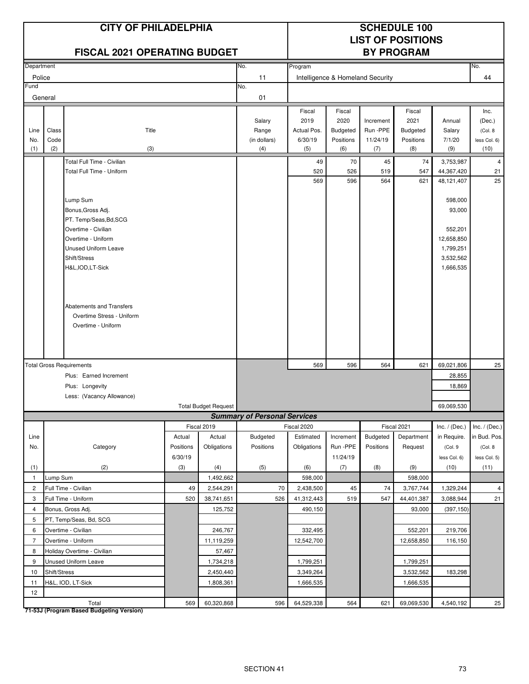|                |                                               | <b>CITY OF PHILADELPHIA</b><br><b>FISCAL 2021 OPERATING BUDGET</b> |           |                             |                                     | <b>SCHEDULE 100</b><br><b>LIST OF POSITIONS</b><br><b>BY PROGRAM</b> |                                  |                 |                  |                 |                      |
|----------------|-----------------------------------------------|--------------------------------------------------------------------|-----------|-----------------------------|-------------------------------------|----------------------------------------------------------------------|----------------------------------|-----------------|------------------|-----------------|----------------------|
| Department     |                                               |                                                                    |           |                             | No.                                 | Program                                                              |                                  |                 |                  |                 | No.                  |
| Police         |                                               |                                                                    |           |                             | 11                                  |                                                                      | Intelligence & Homeland Security |                 |                  |                 | 44                   |
| Fund           |                                               |                                                                    |           |                             | No.                                 |                                                                      |                                  |                 |                  |                 |                      |
|                | General                                       |                                                                    |           |                             | 01                                  |                                                                      |                                  |                 |                  |                 |                      |
|                |                                               |                                                                    |           |                             |                                     | Fiscal                                                               | Fiscal                           |                 | Fiscal           |                 | Inc.                 |
|                |                                               |                                                                    |           |                             | Salary                              | 2019                                                                 | 2020                             | Increment       | 2021             | Annual          | (Dec.)               |
| Line           | Class                                         | Title                                                              |           |                             | Range                               | Actual Pos.                                                          | <b>Budgeted</b>                  | Run -PPE        | <b>Budgeted</b>  | Salary          | (Col. 8              |
| No.<br>(1)     | Code<br>(2)                                   | (3)                                                                |           |                             | (in dollars)<br>(4)                 | 6/30/19<br>(5)                                                       | Positions<br>(6)                 | 11/24/19<br>(7) | Positions<br>(8) | 7/1/20<br>(9)   | less Col. 6)<br>(10) |
|                |                                               | Total Full Time - Civilian                                         |           |                             |                                     | 49                                                                   | 70                               | 45              | 74               | 3,753,987       | $\overline{4}$       |
|                |                                               | Total Full Time - Uniform                                          |           |                             |                                     | 520                                                                  | 526                              | 519             | 547              | 44,367,420      | 21                   |
|                |                                               |                                                                    |           |                             |                                     | 569                                                                  | 596                              | 564             | 621              | 48,121,407      | 25                   |
|                |                                               |                                                                    |           |                             |                                     |                                                                      |                                  |                 |                  |                 |                      |
|                |                                               | Lump Sum                                                           |           |                             |                                     |                                                                      |                                  |                 |                  | 598,000         |                      |
|                |                                               | Bonus, Gross Adj.                                                  |           |                             |                                     |                                                                      |                                  |                 |                  | 93,000          |                      |
|                | PT. Temp/Seas, Bd, SCG<br>Overtime - Civilian |                                                                    |           |                             |                                     |                                                                      |                                  |                 | 552,201          |                 |                      |
|                |                                               | Overtime - Uniform                                                 |           |                             |                                     |                                                                      |                                  |                 |                  | 12,658,850      |                      |
|                |                                               | <b>Unused Uniform Leave</b>                                        |           |                             |                                     |                                                                      |                                  |                 |                  | 1,799,251       |                      |
|                |                                               | Shift/Stress                                                       |           |                             |                                     |                                                                      |                                  |                 |                  | 3,532,562       |                      |
|                |                                               | H&L, IOD, LT-Sick                                                  |           |                             |                                     |                                                                      |                                  |                 |                  | 1,666,535       |                      |
|                |                                               |                                                                    |           |                             |                                     |                                                                      |                                  |                 |                  |                 |                      |
|                |                                               |                                                                    |           |                             |                                     |                                                                      |                                  |                 |                  |                 |                      |
|                |                                               |                                                                    |           |                             |                                     |                                                                      |                                  |                 |                  |                 |                      |
|                |                                               | Abatements and Transfers                                           |           |                             |                                     |                                                                      |                                  |                 |                  |                 |                      |
|                |                                               | Overtime Stress - Uniform<br>Overtime - Uniform                    |           |                             |                                     |                                                                      |                                  |                 |                  |                 |                      |
|                |                                               |                                                                    |           |                             |                                     |                                                                      |                                  |                 |                  |                 |                      |
|                |                                               |                                                                    |           |                             |                                     |                                                                      |                                  |                 |                  |                 |                      |
|                |                                               |                                                                    |           |                             |                                     |                                                                      |                                  |                 |                  |                 |                      |
|                |                                               | <b>Total Gross Requirements</b>                                    |           |                             |                                     | 569                                                                  | 596                              | 564             | 621              | 69,021,806      | 25                   |
|                |                                               | Plus: Earned Increment                                             |           |                             |                                     |                                                                      |                                  |                 |                  | 28,855          |                      |
|                |                                               | Plus: Longevity                                                    |           |                             |                                     |                                                                      |                                  |                 |                  | 18,869          |                      |
|                |                                               | Less: (Vacancy Allowance)                                          |           |                             |                                     |                                                                      |                                  |                 |                  |                 |                      |
|                |                                               |                                                                    |           | <b>Total Budget Request</b> | <b>Summary of Personal Services</b> |                                                                      |                                  |                 |                  | 69,069,530      |                      |
|                |                                               |                                                                    |           | Fiscal 2019                 |                                     | Fiscal 2020                                                          |                                  |                 | Fiscal 2021      | Inc. $/$ (Dec.) | Inc. $/$ (Dec.)      |
| Line           |                                               |                                                                    | Actual    | Actual                      | Budgeted                            | Estimated                                                            | Increment                        | Budgeted        | Department       | in Require.     | in Bud. Pos.         |
| No.            |                                               | Category                                                           | Positions | Obligations                 | Positions                           | Obligations                                                          | Run -PPE                         | Positions       | Request          | (Col. 9         | (Col. 8              |
|                |                                               |                                                                    | 6/30/19   |                             |                                     |                                                                      | 11/24/19                         |                 |                  | less Col. 6)    | less Col. 5)         |
| (1)            |                                               | (2)                                                                | (3)       | (4)                         | (5)                                 | (6)                                                                  | (7)                              | (8)             | (9)              | (10)            | (11)                 |
| $\mathbf{1}$   | Lump Sum                                      |                                                                    |           | 1,492,662                   |                                     | 598,000                                                              |                                  |                 | 598,000          |                 |                      |
| $\overline{c}$ |                                               | Full Time - Civilian                                               | 49        | 2,544,291                   | 70                                  | 2,438,500                                                            | 45                               | 74              | 3,767,744        | 1,329,244       | $\overline{4}$       |
| 3              |                                               | Full Time - Uniform                                                | 520       | 38,741,651                  | 526                                 | 41,312,443                                                           | 519                              | 547             | 44,401,387       | 3,088,944       | 21                   |
| $\overline{4}$ |                                               | Bonus, Gross Adj.                                                  |           | 125,752                     |                                     | 490,150                                                              |                                  |                 | 93,000           | (397, 150)      |                      |
| 5              |                                               | PT, Temp/Seas, Bd, SCG                                             |           |                             |                                     |                                                                      |                                  |                 |                  |                 |                      |
| 6              |                                               | Overtime - Civilian                                                |           | 246,767                     |                                     | 332,495                                                              |                                  |                 | 552,201          | 219,706         |                      |
| $\overline{7}$ |                                               | Overtime - Uniform                                                 |           | 11,119,259                  |                                     | 12,542,700                                                           |                                  |                 | 12,658,850       | 116,150         |                      |
|                | 8<br>Holiday Overtime - Civilian<br>57,467    |                                                                    |           |                             |                                     |                                                                      |                                  |                 |                  |                 |                      |
| 9              |                                               | Unused Uniform Leave                                               |           | 1,734,218                   |                                     | 1,799,251                                                            |                                  |                 | 1,799,251        |                 |                      |
| 10             | Shift/Stress                                  |                                                                    |           | 2,450,440                   |                                     | 3,349,264                                                            |                                  |                 | 3,532,562        | 183,298         |                      |
| 11             |                                               | H&L, IOD, LT-Sick                                                  |           | 1,808,361                   |                                     | 1,666,535                                                            |                                  |                 | 1,666,535        |                 |                      |
| 12             |                                               |                                                                    |           |                             |                                     |                                                                      |                                  |                 |                  |                 |                      |
|                |                                               | Total                                                              | 569       | 60,320,868                  | 596                                 | 64,529,338                                                           | 564                              | 621             | 69,069,530       | 4,540,192       | $25\overline{)}$     |

**71-53J (Program Based Budgeting Version)**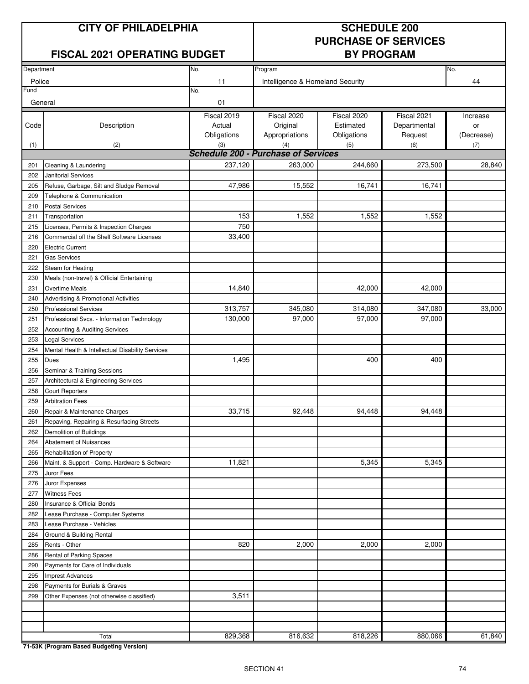# **CITY OF PHILADELPHIA SCHEDULE 200**

# **FISCAL 2021 OPERATING BUDGET BY PROGRAM**

# **PURCHASE OF SERVICES**

|            |                                                  | No.                                        | Program                          |             |              | No.        |
|------------|--------------------------------------------------|--------------------------------------------|----------------------------------|-------------|--------------|------------|
| Department |                                                  |                                            |                                  |             |              |            |
| Police     |                                                  | 11                                         | Intelligence & Homeland Security |             |              | 44         |
| Fund       |                                                  | No.                                        |                                  |             |              |            |
| General    |                                                  | 01                                         |                                  |             |              |            |
|            |                                                  | Fiscal 2019                                | Fiscal 2020                      | Fiscal 2020 | Fiscal 2021  | Increase   |
| Code       | Description                                      | Actual                                     | Original                         | Estimated   | Departmental | or         |
|            |                                                  | Obligations                                | Appropriations                   | Obligations | Request      | (Decrease) |
| (1)        | (2)                                              | (3)                                        | (4)                              | (5)         | (6)          | (7)        |
|            |                                                  | <b>Schedule 200 - Purchase of Services</b> |                                  |             |              |            |
| 201        | Cleaning & Laundering                            | 237,120                                    | 263,000                          | 244,660     | 273,500      | 28,840     |
| 202        | <b>Janitorial Services</b>                       |                                            |                                  |             |              |            |
| 205        | Refuse, Garbage, Silt and Sludge Removal         | 47,986                                     | 15,552                           | 16,741      | 16,741       |            |
| 209        | Telephone & Communication                        |                                            |                                  |             |              |            |
| 210        | <b>Postal Services</b>                           |                                            |                                  |             |              |            |
| 211        | Transportation                                   | 153                                        | 1,552                            | 1,552       | 1,552        |            |
| 215        | Licenses, Permits & Inspection Charges           | 750                                        |                                  |             |              |            |
| 216        | Commercial off the Shelf Software Licenses       | 33,400                                     |                                  |             |              |            |
| 220        | <b>Electric Current</b>                          |                                            |                                  |             |              |            |
| 221        | <b>Gas Services</b>                              |                                            |                                  |             |              |            |
| 222        | Steam for Heating                                |                                            |                                  |             |              |            |
| 230        | Meals (non-travel) & Official Entertaining       |                                            |                                  |             |              |            |
| 231        | <b>Overtime Meals</b>                            | 14,840                                     |                                  | 42,000      | 42,000       |            |
| 240        | Advertising & Promotional Activities             |                                            |                                  |             |              |            |
| 250        | <b>Professional Services</b>                     | 313,757                                    | 345,080                          | 314,080     | 347,080      | 33,000     |
| 251        | Professional Svcs. - Information Technology      | 130,000                                    | 97,000                           | 97,000      | 97,000       |            |
| 252        | Accounting & Auditing Services                   |                                            |                                  |             |              |            |
| 253        | <b>Legal Services</b>                            |                                            |                                  |             |              |            |
| 254        | Mental Health & Intellectual Disability Services |                                            |                                  |             |              |            |
| 255        | <b>Dues</b>                                      | 1,495                                      |                                  | 400         | 400          |            |
| 256        | Seminar & Training Sessions                      |                                            |                                  |             |              |            |
| 257        | Architectural & Engineering Services             |                                            |                                  |             |              |            |
| 258        | <b>Court Reporters</b>                           |                                            |                                  |             |              |            |
| 259        | <b>Arbitration Fees</b>                          |                                            |                                  |             |              |            |
| 260        | Repair & Maintenance Charges                     | 33,715                                     | 92,448                           | 94,448      | 94,448       |            |
| 261        | Repaving, Repairing & Resurfacing Streets        |                                            |                                  |             |              |            |
| 262        | Demolition of Buildings                          |                                            |                                  |             |              |            |
| 264        | <b>Abatement of Nuisances</b>                    |                                            |                                  |             |              |            |
| 265        | Rehabilitation of Property                       |                                            |                                  |             |              |            |
| 266        | Maint. & Support - Comp. Hardware & Software     | 11,821                                     |                                  | 5,345       | 5,345        |            |
| 275        | Juror Fees                                       |                                            |                                  |             |              |            |
| 276        | Juror Expenses                                   |                                            |                                  |             |              |            |
| 277        | <b>Witness Fees</b>                              |                                            |                                  |             |              |            |
| 280        | Insurance & Official Bonds                       |                                            |                                  |             |              |            |
| 282        | Lease Purchase - Computer Systems                |                                            |                                  |             |              |            |
| 283        | Lease Purchase - Vehicles                        |                                            |                                  |             |              |            |
| 284        | Ground & Building Rental                         |                                            |                                  |             |              |            |
| 285        | Rents - Other                                    | 820                                        | 2,000                            | 2,000       | 2,000        |            |
| 286        | Rental of Parking Spaces                         |                                            |                                  |             |              |            |
| 290        | Payments for Care of Individuals                 |                                            |                                  |             |              |            |
| 295        | <b>Imprest Advances</b>                          |                                            |                                  |             |              |            |
| 298        | Payments for Burials & Graves                    |                                            |                                  |             |              |            |
| 299        | Other Expenses (not otherwise classified)        | 3,511                                      |                                  |             |              |            |
|            |                                                  |                                            |                                  |             |              |            |
|            |                                                  |                                            |                                  |             |              |            |
|            |                                                  |                                            |                                  |             |              |            |
|            | Total                                            | 829,368                                    | 816,632                          | 818,226     | 880,066      | 61,840     |

**71-53K (Program Based Budgeting Version)**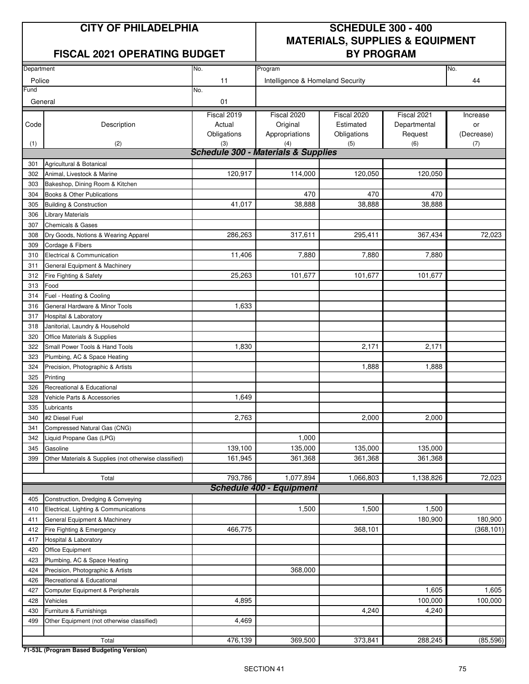### **FISCAL 2021 OPERATING BUDGET BY PROGRAM**

# **CITY OF PHILADELPHIA SCHEDULE 300 - 400 MATERIALS, SUPPLIES & EQUIPMENT**

| No.<br>No.<br>Department |                                                       |                                     |                                  |             |              |            |  |
|--------------------------|-------------------------------------------------------|-------------------------------------|----------------------------------|-------------|--------------|------------|--|
|                          |                                                       |                                     | Program                          |             |              |            |  |
| Police                   |                                                       | 11                                  | Intelligence & Homeland Security |             |              | 44         |  |
| Fund                     |                                                       | No.                                 |                                  |             |              |            |  |
| General                  |                                                       | 01                                  |                                  |             |              |            |  |
|                          |                                                       | Fiscal 2019                         | Fiscal 2020                      | Fiscal 2020 | Fiscal 2021  | Increase   |  |
| Code                     | Description                                           | Actual                              | Original                         | Estimated   | Departmental | or         |  |
|                          |                                                       | Obligations                         | Appropriations                   | Obligations | Request      | (Decrease) |  |
| (1)                      | (2)                                                   | (3)                                 | (4)                              | (5)         | (6)          | (7)        |  |
|                          |                                                       | Schedule 300 - Materials & Supplies |                                  |             |              |            |  |
| 301                      | Agricultural & Botanical                              |                                     |                                  |             |              |            |  |
| 302                      | Animal, Livestock & Marine                            | 120,917                             | 114,000                          | 120,050     | 120,050      |            |  |
| 303                      | Bakeshop, Dining Room & Kitchen                       |                                     |                                  |             |              |            |  |
| 304                      | Books & Other Publications                            |                                     | 470                              | 470         | 470          |            |  |
| 305                      | <b>Building &amp; Construction</b>                    | 41,017                              | 38,888                           | 38,888      | 38,888       |            |  |
| 306                      | <b>Library Materials</b>                              |                                     |                                  |             |              |            |  |
| 307                      | <b>Chemicals &amp; Gases</b>                          |                                     |                                  |             |              |            |  |
| 308                      | Dry Goods, Notions & Wearing Apparel                  | 286,263                             | 317,611                          | 295,411     | 367,434      | 72,023     |  |
| 309                      | Cordage & Fibers                                      |                                     |                                  |             |              |            |  |
| 310                      | Electrical & Communication                            | 11,406                              | 7,880                            | 7,880       | 7,880        |            |  |
| 311                      | General Equipment & Machinery                         |                                     |                                  |             |              |            |  |
| 312                      | Fire Fighting & Safety                                | 25,263                              | 101,677                          | 101,677     | 101,677      |            |  |
| 313                      | Food                                                  |                                     |                                  |             |              |            |  |
| 314                      | Fuel - Heating & Cooling                              |                                     |                                  |             |              |            |  |
| 316                      | General Hardware & Minor Tools                        | 1,633                               |                                  |             |              |            |  |
| 317                      | Hospital & Laboratory                                 |                                     |                                  |             |              |            |  |
| 318                      | Janitorial, Laundry & Household                       |                                     |                                  |             |              |            |  |
| 320                      | Office Materials & Supplies                           |                                     |                                  |             |              |            |  |
|                          | Small Power Tools & Hand Tools                        | 1,830                               |                                  | 2,171       | 2,171        |            |  |
| 322                      |                                                       |                                     |                                  |             |              |            |  |
| 323                      | Plumbing, AC & Space Heating                          |                                     |                                  |             |              |            |  |
| 324                      | Precision, Photographic & Artists                     |                                     |                                  | 1,888       | 1,888        |            |  |
| 325                      | Printing                                              |                                     |                                  |             |              |            |  |
| 326                      | Recreational & Educational                            |                                     |                                  |             |              |            |  |
| 328                      | Vehicle Parts & Accessories                           | 1,649                               |                                  |             |              |            |  |
| 335                      | Lubricants                                            |                                     |                                  |             |              |            |  |
| 340                      | #2 Diesel Fuel                                        | 2,763                               |                                  | 2,000       | 2,000        |            |  |
| 341                      | Compressed Natural Gas (CNG)                          |                                     |                                  |             |              |            |  |
| 342                      | Liquid Propane Gas (LPG)                              |                                     | 1,000                            |             |              |            |  |
| 345                      | Gasoline                                              | 139,100                             | 135,000                          | 135,000     | 135,000      |            |  |
| 399                      | Other Materials & Supplies (not otherwise classified) | 161,945                             | 361,368                          | 361,368     | 361,368      |            |  |
|                          |                                                       |                                     |                                  |             |              |            |  |
|                          | Total                                                 | 793,786                             | 1,077,894                        | 1,066,803   | 1,138,826    | 72,023     |  |
|                          |                                                       |                                     | <b>Schedule 400 - Equipment</b>  |             |              |            |  |
| 405                      | Construction, Dredging & Conveying                    |                                     |                                  |             |              |            |  |
| 410                      | Electrical, Lighting & Communications                 |                                     | 1,500                            | 1,500       | 1,500        |            |  |
| 411                      | General Equipment & Machinery                         |                                     |                                  |             | 180,900      | 180,900    |  |
| 412                      | Fire Fighting & Emergency                             | 466,775                             |                                  | 368,101     |              | (368, 101) |  |
| 417                      | Hospital & Laboratory                                 |                                     |                                  |             |              |            |  |
| 420                      | Office Equipment                                      |                                     |                                  |             |              |            |  |
| 423                      | Plumbing, AC & Space Heating                          |                                     |                                  |             |              |            |  |
| 424                      | Precision, Photographic & Artists                     |                                     | 368,000                          |             |              |            |  |
| 426                      | Recreational & Educational                            |                                     |                                  |             |              |            |  |
| 427                      | Computer Equipment & Peripherals                      |                                     |                                  |             | 1,605        | 1,605      |  |
| 428                      | Vehicles                                              | 4,895                               |                                  |             | 100,000      | 100,000    |  |
| 430                      | Furniture & Furnishings                               |                                     |                                  | 4,240       | 4,240        |            |  |
| 499                      | Other Equipment (not otherwise classified)            | 4,469                               |                                  |             |              |            |  |
|                          |                                                       |                                     |                                  |             |              |            |  |
|                          | Total                                                 | 476,139                             | 369,500                          | 373,841     | 288,245      | (85, 596)  |  |

**71-53L (Program Based Budgeting Version)**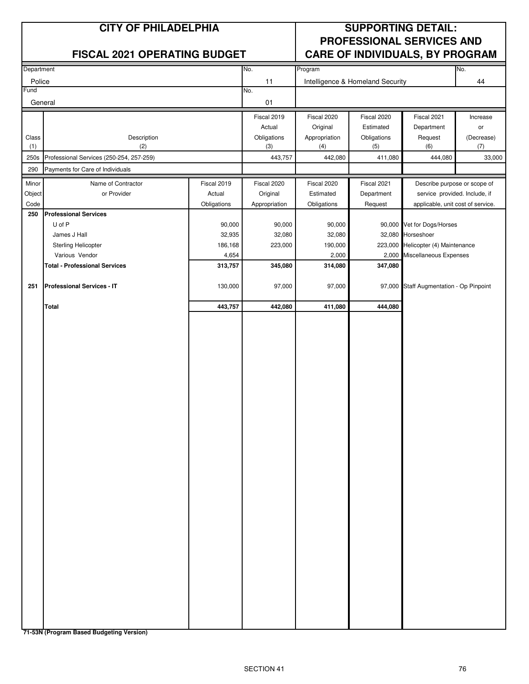|                 | <b>CITY OF PHILADELPHIA</b>                     |             | <b>SUPPORTING DETAIL:</b> |                         |                                  |                                                              |                |
|-----------------|-------------------------------------------------|-------------|---------------------------|-------------------------|----------------------------------|--------------------------------------------------------------|----------------|
|                 | <b>FISCAL 2021 OPERATING BUDGET</b>             |             |                           |                         |                                  | PROFESSIONAL SERVICES AND<br>CARE OF INDIVIDUALS, BY PROGRAM |                |
| Department      |                                                 |             | No.                       | Program                 |                                  |                                                              | No.            |
| Police          |                                                 |             | 11                        |                         | Intelligence & Homeland Security |                                                              | 44             |
| Fund<br>General |                                                 |             | No.<br>01                 |                         |                                  |                                                              |                |
|                 |                                                 |             |                           |                         |                                  |                                                              |                |
|                 |                                                 |             | Fiscal 2019<br>Actual     | Fiscal 2020<br>Original | Fiscal 2020<br>Estimated         | Fiscal 2021<br>Department                                    | Increase<br>or |
| Class           | Description                                     |             | Obligations               | Appropriation           | Obligations                      | Request                                                      | (Decrease)     |
| (1)<br>250s     | (2)<br>Professional Services (250-254, 257-259) |             | (3)<br>443,757            | (4)<br>442,080          | (5)<br>411,080                   | (6)<br>444,080                                               | (7)<br>33,000  |
| 290             | Payments for Care of Individuals                |             |                           |                         |                                  |                                                              |                |
| Minor           | Name of Contractor                              | Fiscal 2019 | Fiscal 2020               | Fiscal 2020             | Fiscal 2021                      | Describe purpose or scope of                                 |                |
| Object          | or Provider                                     | Actual      | Original                  | Estimated               | Department                       | service provided. Include, if                                |                |
| Code            |                                                 | Obligations | Appropriation             | Obligations             | Request                          | applicable, unit cost of service.                            |                |
| 250             | <b>Professional Services</b>                    |             |                           |                         |                                  |                                                              |                |
|                 | U of P                                          | 90,000      | 90,000                    | 90,000                  |                                  | 90,000 Vet for Dogs/Horses                                   |                |
|                 | James J Hall                                    | 32,935      | 32,080                    | 32,080                  | 32,080                           | Horseshoer                                                   |                |
|                 | Sterling Helicopter                             | 186,168     | 223,000                   | 190,000                 | 223,000                          | Helicopter (4) Maintenance                                   |                |
|                 | Various Vendor                                  | 4,654       |                           | 2,000                   | 2,000                            | Miscellaneous Expenses                                       |                |
|                 | <b>Total - Professional Services</b>            | 313,757     | 345,080                   | 314,080                 | 347,080                          |                                                              |                |
| 251             | <b>Professional Services - IT</b>               | 130,000     | 97,000                    | 97,000                  | 97,000                           | Staff Augmentation - Op Pinpoint                             |                |
|                 | <b>Total</b>                                    | 443,757     | 442,080                   | 411,080                 | 444,080                          |                                                              |                |
|                 |                                                 |             |                           |                         |                                  |                                                              |                |
|                 |                                                 |             |                           |                         |                                  |                                                              |                |

**71-53N (Program Based Budgeting Version)**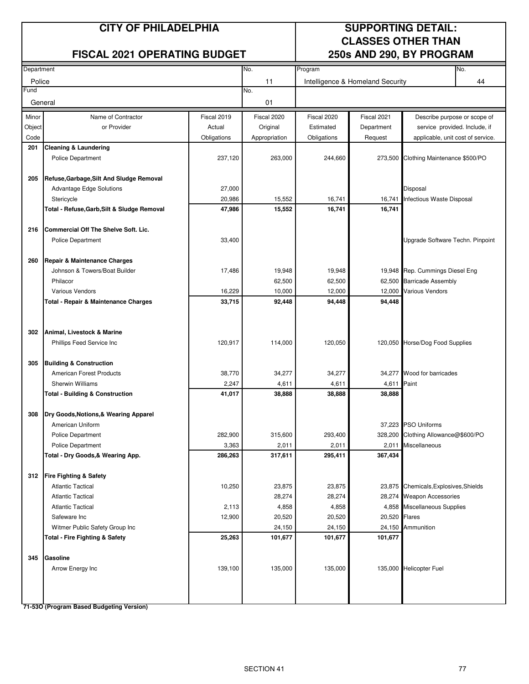# **FISCAL 2021 OPERATING BUDGET 250s AND 290, BY PROGRAM**

# **CITY OF PHILADELPHIA SUPPORTING DETAIL: CLASSES OTHER THAN**

| Department |                                                        |             | No.              | Program          |                                  |                                                                    | No.                          |
|------------|--------------------------------------------------------|-------------|------------------|------------------|----------------------------------|--------------------------------------------------------------------|------------------------------|
| Police     |                                                        |             | 11               |                  | Intelligence & Homeland Security |                                                                    | 44                           |
| Fund       |                                                        |             | No.              |                  |                                  |                                                                    |                              |
| General    |                                                        |             | 01               |                  |                                  |                                                                    |                              |
| Minor      | Name of Contractor                                     | Fiscal 2019 | Fiscal 2020      | Fiscal 2020      | Fiscal 2021                      |                                                                    | Describe purpose or scope of |
| Object     | or Provider                                            | Actual      | Original         | Estimated        | Department                       | service provided. Include, if                                      |                              |
| Code       |                                                        | Obligations | Appropriation    | Obligations      | Request                          | applicable, unit cost of service.                                  |                              |
| 201        | <b>Cleaning &amp; Laundering</b>                       |             |                  |                  |                                  |                                                                    |                              |
|            | <b>Police Department</b>                               | 237,120     | 263,000          | 244,660          | 273,500                          | Clothing Maintenance \$500/PO                                      |                              |
|            |                                                        |             |                  |                  |                                  |                                                                    |                              |
| 205        | Refuse, Garbage, Silt And Sludge Removal               |             |                  |                  |                                  |                                                                    |                              |
|            | <b>Advantage Edge Solutions</b>                        | 27,000      |                  |                  |                                  | Disposal                                                           |                              |
|            | Stericycle                                             | 20,986      | 15,552           | 16,741           | 16,741                           | Infectious Waste Disposal                                          |                              |
|            | Total - Refuse, Garb, Silt & Sludge Removal            | 47,986      | 15,552           | 16,741           | 16,741                           |                                                                    |                              |
| 216        | Commercial Off The Shelve Soft. Lic.                   |             |                  |                  |                                  |                                                                    |                              |
|            | <b>Police Department</b>                               | 33,400      |                  |                  |                                  | Upgrade Software Techn. Pinpoint                                   |                              |
|            |                                                        |             |                  |                  |                                  |                                                                    |                              |
| 260        | Repair & Maintenance Charges                           |             |                  |                  |                                  |                                                                    |                              |
|            | Johnson & Towers/Boat Builder                          | 17,486      | 19,948           | 19,948           |                                  | 19,948 Rep. Cummings Diesel Eng                                    |                              |
|            | Philacor                                               |             | 62,500           | 62,500           | 62,500                           | <b>Barricade Assembly</b>                                          |                              |
|            | Various Vendors                                        | 16,229      | 10,000           | 12,000           | 12,000                           | <b>Various Vendors</b>                                             |                              |
|            | Total - Repair & Maintenance Charges                   | 33,715      | 92,448           | 94,448           | 94,448                           |                                                                    |                              |
|            |                                                        |             |                  |                  |                                  |                                                                    |                              |
|            |                                                        |             |                  |                  |                                  |                                                                    |                              |
| 302        | Animal, Livestock & Marine                             |             |                  |                  |                                  |                                                                    |                              |
|            | Phillips Feed Service Inc                              | 120,917     | 114,000          | 120,050          |                                  | 120,050 Horse/Dog Food Supplies                                    |                              |
| 305        | <b>Building &amp; Construction</b>                     |             |                  |                  |                                  |                                                                    |                              |
|            | <b>American Forest Products</b>                        | 38,770      | 34,277           | 34,277           | 34,277                           | Wood for barricades                                                |                              |
|            | Sherwin Williams                                       | 2,247       | 4,611            | 4,611            | 4,611                            | Paint                                                              |                              |
|            | <b>Total - Building &amp; Construction</b>             | 41,017      | 38,888           | 38,888           | 38,888                           |                                                                    |                              |
|            |                                                        |             |                  |                  |                                  |                                                                    |                              |
| 308        | Dry Goods, Notions, & Wearing Apparel                  |             |                  |                  |                                  |                                                                    |                              |
|            | American Uniform                                       |             |                  |                  |                                  | 37,223 PSO Uniforms                                                |                              |
|            | <b>Police Department</b>                               | 282,900     | 315,600          | 293,400          |                                  | 328,200 Clothing Allowance@\$600/PO                                |                              |
|            | Police Department                                      | 3,363       | 2,011            | 2,011            |                                  | 2,011 Miscellaneous                                                |                              |
|            | Total - Dry Goods, & Wearing App.                      | 286,263     | 317,611          | 295,411          | 367,434                          |                                                                    |                              |
|            |                                                        |             |                  |                  |                                  |                                                                    |                              |
|            | 312 Fire Fighting & Safety<br><b>Atlantic Tactical</b> |             |                  |                  |                                  |                                                                    |                              |
|            | <b>Atlantic Tactical</b>                               | 10,250      | 23,875<br>28,274 | 23,875<br>28,274 |                                  | 23,875 Chemicals, Explosives, Shields<br>28,274 Weapon Accessories |                              |
|            | <b>Atlantic Tactical</b>                               | 2,113       | 4,858            | 4,858            | 4,858                            | <b>Miscellaneous Supplies</b>                                      |                              |
|            | Safeware Inc                                           | 12,900      | 20,520           | 20,520           | 20,520                           | <b>Flares</b>                                                      |                              |
|            | Witmer Public Safety Group Inc                         |             | 24,150           | 24,150           | 24,150                           | Ammunition                                                         |                              |
|            | Total - Fire Fighting & Safety                         | 25,263      | 101,677          | 101,677          | 101,677                          |                                                                    |                              |
|            |                                                        |             |                  |                  |                                  |                                                                    |                              |
| 345        | Gasoline                                               |             |                  |                  |                                  |                                                                    |                              |
|            | Arrow Energy Inc                                       | 139,100     | 135,000          | 135,000          |                                  | 135,000 Helicopter Fuel                                            |                              |
|            |                                                        |             |                  |                  |                                  |                                                                    |                              |
|            |                                                        |             |                  |                  |                                  |                                                                    |                              |
|            |                                                        |             |                  |                  |                                  |                                                                    |                              |

**71-53O (Program Based Budgeting Version)**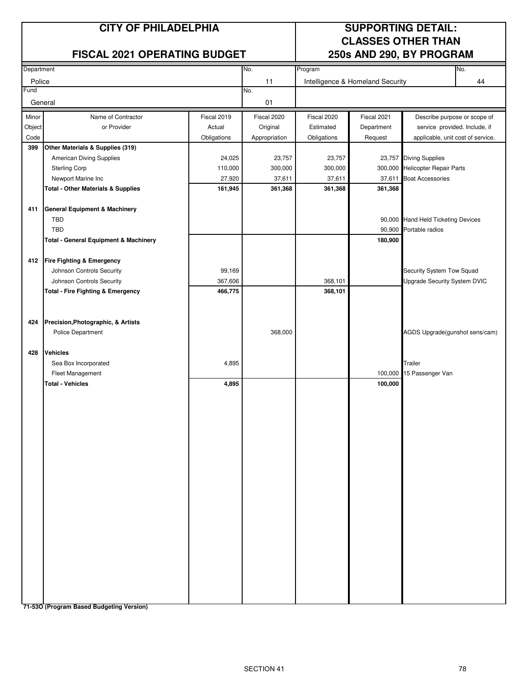# **FISCAL 2021 OPERATING BUDGET 250s AND 290, BY PROGRAM**

# **CITY OF PHILADELPHIA SUPPORTING DETAIL: CLASSES OTHER THAN**

| Department |                                                  |             | No.           | Program<br>No. |                                  |                                     |    |
|------------|--------------------------------------------------|-------------|---------------|----------------|----------------------------------|-------------------------------------|----|
| Police     |                                                  |             | 11            |                | Intelligence & Homeland Security |                                     | 44 |
| Fund       |                                                  |             | No.           |                |                                  |                                     |    |
| General    |                                                  |             | 01            |                |                                  |                                     |    |
| Minor      | Name of Contractor                               | Fiscal 2019 | Fiscal 2020   | Fiscal 2020    | Fiscal 2021                      | Describe purpose or scope of        |    |
| Object     | or Provider                                      | Actual      | Original      | Estimated      | Department                       | service provided. Include, if       |    |
| Code       |                                                  | Obligations | Appropriation | Obligations    | Request                          | applicable, unit cost of service.   |    |
| 399        | Other Materials & Supplies (319)                 |             |               |                |                                  |                                     |    |
|            | American Diving Supplies                         | 24,025      | 23,757        | 23,757         |                                  | 23,757 Diving Supplies              |    |
|            | <b>Sterling Corp</b>                             | 110,000     | 300,000       | 300,000        |                                  | 300,000 Helicopter Repair Parts     |    |
|            | Newport Marine Inc                               | 27,920      | 37,611        | 37,611         | 37,611                           | <b>Boat Accessories</b>             |    |
|            | <b>Total - Other Materials &amp; Supplies</b>    | 161,945     | 361,368       | 361,368        | 361,368                          |                                     |    |
| 411        | <b>General Equipment &amp; Machinery</b>         |             |               |                |                                  |                                     |    |
|            | <b>TBD</b>                                       |             |               |                |                                  | 90,000 Hand Held Ticketing Devices  |    |
|            | <b>TBD</b>                                       |             |               |                |                                  | 90,900 Portable radios              |    |
|            | <b>Total - General Equipment &amp; Machinery</b> |             |               |                | 180,900                          |                                     |    |
| 412        | <b>Fire Fighting &amp; Emergency</b>             |             |               |                |                                  |                                     |    |
|            | Johnson Controls Security                        | 99,169      |               |                |                                  | Security System Tow Squad           |    |
|            | Johnson Controls Security                        | 367,606     |               | 368,101        |                                  | <b>Upgrade Security System DVIC</b> |    |
|            | <b>Total - Fire Fighting &amp; Emergency</b>     | 466,775     |               | 368,101        |                                  |                                     |    |
|            |                                                  |             |               |                |                                  |                                     |    |
|            |                                                  |             |               |                |                                  |                                     |    |
| 424        | Precision, Photographic, & Artists               |             |               |                |                                  |                                     |    |
|            | Police Department                                |             | 368,000       |                |                                  | AGDS Upgrade(gunshot sens/cam)      |    |
|            |                                                  |             |               |                |                                  |                                     |    |
| 428        | <b>Vehicles</b>                                  |             |               |                |                                  |                                     |    |
|            | Sea Box Incorporated                             | 4,895       |               |                |                                  | Trailer                             |    |
|            | Fleet Management                                 |             |               |                |                                  | 100,000 15 Passenger Van            |    |
|            | <b>Total - Vehicles</b>                          | 4,895       |               |                | 100,000                          |                                     |    |
|            |                                                  |             |               |                |                                  |                                     |    |
|            |                                                  |             |               |                |                                  |                                     |    |
|            |                                                  |             |               |                |                                  |                                     |    |
|            |                                                  |             |               |                |                                  |                                     |    |
|            |                                                  |             |               |                |                                  |                                     |    |
|            |                                                  |             |               |                |                                  |                                     |    |
|            |                                                  |             |               |                |                                  |                                     |    |
|            |                                                  |             |               |                |                                  |                                     |    |
|            |                                                  |             |               |                |                                  |                                     |    |
|            |                                                  |             |               |                |                                  |                                     |    |
|            |                                                  |             |               |                |                                  |                                     |    |
|            |                                                  |             |               |                |                                  |                                     |    |
|            |                                                  |             |               |                |                                  |                                     |    |
|            |                                                  |             |               |                |                                  |                                     |    |
|            |                                                  |             |               |                |                                  |                                     |    |
|            |                                                  |             |               |                |                                  |                                     |    |
|            |                                                  |             |               |                |                                  |                                     |    |
|            |                                                  |             |               |                |                                  |                                     |    |
|            |                                                  |             |               |                |                                  |                                     |    |
|            |                                                  |             |               |                |                                  |                                     |    |
|            |                                                  |             |               |                |                                  |                                     |    |

**71-53O (Program Based Budgeting Version)**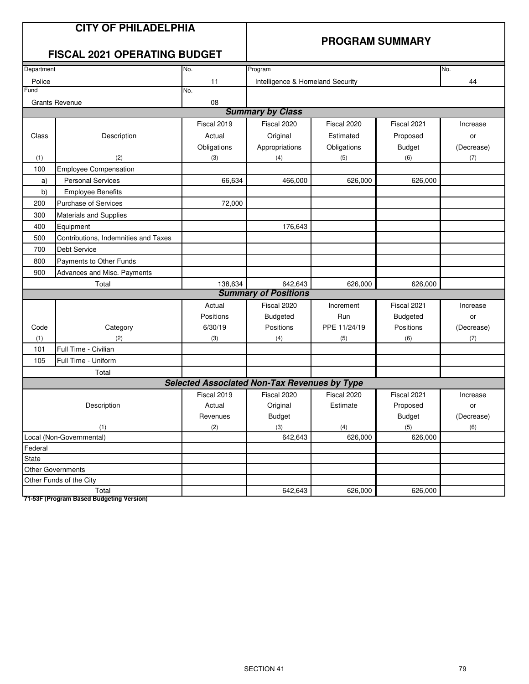### **PROGRAM SUMMARY**

# **FISCAL 2021 OPERATING BUDGET**

| Department       |                                      | No.                                                 | Program                          |              |                 | No.        |
|------------------|--------------------------------------|-----------------------------------------------------|----------------------------------|--------------|-----------------|------------|
| Police           |                                      | 11                                                  | Intelligence & Homeland Security |              |                 | 44         |
| Fund             |                                      | No.                                                 |                                  |              |                 |            |
|                  | <b>Grants Revenue</b>                | 08                                                  |                                  |              |                 |            |
|                  |                                      |                                                     | <b>Summary by Class</b>          |              |                 |            |
|                  |                                      | Fiscal 2019                                         | Fiscal 2020                      | Fiscal 2020  | Fiscal 2021     | Increase   |
| Class            | Description                          | Actual                                              | Original                         | Estimated    | Proposed        | or         |
|                  |                                      | Obligations                                         | Appropriations                   | Obligations  | <b>Budget</b>   | (Decrease) |
| (1)              | (2)                                  | (3)                                                 | (4)                              | (5)          | (6)             | (7)        |
| 100              | <b>Employee Compensation</b>         |                                                     |                                  |              |                 |            |
| a)               | <b>Personal Services</b>             | 66,634                                              | 466,000                          | 626,000      | 626,000         |            |
| b)               | <b>Employee Benefits</b>             |                                                     |                                  |              |                 |            |
| 200              | Purchase of Services                 | 72,000                                              |                                  |              |                 |            |
| 300              | <b>Materials and Supplies</b>        |                                                     |                                  |              |                 |            |
| 400              | Equipment                            |                                                     | 176,643                          |              |                 |            |
| 500              | Contributions, Indemnities and Taxes |                                                     |                                  |              |                 |            |
| 700              | <b>Debt Service</b>                  |                                                     |                                  |              |                 |            |
| 800              | Payments to Other Funds              |                                                     |                                  |              |                 |            |
| 900              | <b>Advances and Misc. Payments</b>   |                                                     |                                  |              |                 |            |
| 138,634<br>Total |                                      |                                                     | 642,643                          | 626,000      | 626,000         |            |
|                  |                                      |                                                     | <b>Summary of Positions</b>      |              |                 |            |
|                  |                                      | Actual                                              | Fiscal 2020                      | Increment    | Fiscal 2021     | Increase   |
|                  |                                      | Positions                                           | <b>Budgeted</b>                  | Run          | <b>Budgeted</b> | or         |
| Code             | Category                             | 6/30/19                                             | Positions                        | PPE 11/24/19 | Positions       | (Decrease) |
| (1)              | (2)                                  | (3)                                                 | (4)                              | (5)          | (6)             | (7)        |
| 101              | Full Time - Civilian                 |                                                     |                                  |              |                 |            |
| 105              | Full Time - Uniform                  |                                                     |                                  |              |                 |            |
|                  | Total                                |                                                     |                                  |              |                 |            |
|                  |                                      | <b>Selected Associated Non-Tax Revenues by Type</b> |                                  |              |                 |            |
|                  |                                      | Fiscal 2019                                         | Fiscal 2020                      | Fiscal 2020  | Fiscal 2021     | Increase   |
|                  | Description                          | Actual                                              | Original                         | Estimate     | Proposed        | or         |
|                  |                                      | Revenues                                            | <b>Budget</b>                    |              | <b>Budget</b>   | (Decrease) |
| (1)              |                                      | (2)                                                 | (3)                              | (4)          | (5)             | (6)        |
|                  | Local (Non-Governmental)             |                                                     | 642,643                          | 626,000      | 626,000         |            |
| Federal          |                                      |                                                     |                                  |              |                 |            |
| State            |                                      |                                                     |                                  |              |                 |            |
|                  | <b>Other Governments</b>             |                                                     |                                  |              |                 |            |
|                  | Other Funds of the City              |                                                     |                                  |              |                 |            |
|                  | Total                                |                                                     | 642,643                          | 626,000      | 626,000         |            |

**71-53F (Program Based Budgeting Version)**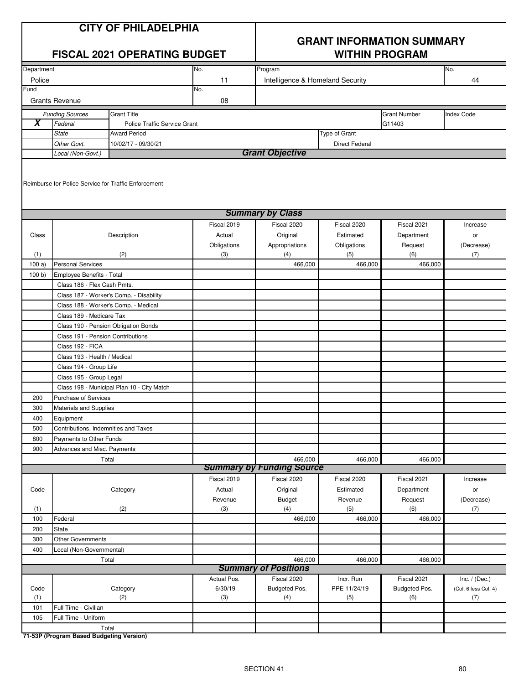# **GRANT INFORMATION SUMMARY**

|                         |                                                                  | <b>FISCAL 2021 OPERATING BUDGET</b>        |             | <b>WITHIN PROGRAM</b>            |                       |                     |                      |  |
|-------------------------|------------------------------------------------------------------|--------------------------------------------|-------------|----------------------------------|-----------------------|---------------------|----------------------|--|
| Department              |                                                                  |                                            | No.         | Program                          |                       |                     | No.                  |  |
| Police                  |                                                                  |                                            | 11          | Intelligence & Homeland Security |                       |                     | 44                   |  |
| Fund                    |                                                                  |                                            | No.         |                                  |                       |                     |                      |  |
|                         | <b>Grants Revenue</b>                                            |                                            | 08          |                                  |                       |                     |                      |  |
|                         | <b>Funding Sources</b>                                           | <b>Grant Title</b>                         |             |                                  |                       | <b>Grant Number</b> | <b>Index Code</b>    |  |
| $\overline{\mathbf{X}}$ | Federal                                                          | Police Traffic Service Grant               |             |                                  |                       | G11403              |                      |  |
|                         | <b>State</b>                                                     | <b>Award Period</b>                        |             |                                  | Type of Grant         |                     |                      |  |
|                         | Other Govt.                                                      | 10/02/17 - 09/30/21                        |             |                                  | <b>Direct Federal</b> |                     |                      |  |
|                         | Local (Non-Govt.)                                                |                                            |             | <b>Grant Objective</b>           |                       |                     |                      |  |
|                         | Reimburse for Police Service for Traffic Enforcement             |                                            |             |                                  |                       |                     |                      |  |
|                         |                                                                  |                                            |             | <b>Summary by Class</b>          |                       |                     |                      |  |
|                         |                                                                  |                                            | Fiscal 2019 | Fiscal 2020                      | Fiscal 2020           | Fiscal 2021         | Increase             |  |
| Class                   |                                                                  | Description                                | Actual      | Original                         | Estimated             | Department          | or                   |  |
|                         |                                                                  |                                            | Obligations | Appropriations                   | Obligations           | Request             | (Decrease)           |  |
| (1)                     |                                                                  | (2)                                        | (3)         | (4)                              | (5)                   | (6)                 | (7)                  |  |
| 100a)                   | <b>Personal Services</b>                                         |                                            |             | 466,000                          | 466,000               | 466,000             |                      |  |
| 100 b                   | Employee Benefits - Total                                        |                                            |             |                                  |                       |                     |                      |  |
|                         | Class 186 - Flex Cash Pmts.                                      |                                            |             |                                  |                       |                     |                      |  |
|                         |                                                                  | Class 187 - Worker's Comp. - Disability    |             |                                  |                       |                     |                      |  |
|                         | Class 188 - Worker's Comp. - Medical                             |                                            |             |                                  |                       |                     |                      |  |
|                         | Class 189 - Medicare Tax<br>Class 190 - Pension Obligation Bonds |                                            |             |                                  |                       |                     |                      |  |
|                         | Class 191 - Pension Contributions                                |                                            |             |                                  |                       |                     |                      |  |
|                         | Class 192 - FICA                                                 |                                            |             |                                  |                       |                     |                      |  |
|                         | Class 193 - Health / Medical                                     |                                            |             |                                  |                       |                     |                      |  |
|                         | Class 194 - Group Life                                           |                                            |             |                                  |                       |                     |                      |  |
|                         | Class 195 - Group Legal                                          |                                            |             |                                  |                       |                     |                      |  |
|                         |                                                                  | Class 198 - Municipal Plan 10 - City Match |             |                                  |                       |                     |                      |  |
| 200                     | Purchase of Services                                             |                                            |             |                                  |                       |                     |                      |  |
| 300                     | Materials and Supplies                                           |                                            |             |                                  |                       |                     |                      |  |
| 400                     | Equipment                                                        |                                            |             |                                  |                       |                     |                      |  |
| 500                     | Contributions, Indemnities and Taxes                             |                                            |             |                                  |                       |                     |                      |  |
| 800                     | Payments to Other Funds                                          |                                            |             |                                  |                       |                     |                      |  |
| 900                     | Advances and Misc. Payments                                      |                                            |             |                                  |                       |                     |                      |  |
|                         | Total                                                            |                                            |             | 466,000                          | 466,000               | 466,000             |                      |  |
|                         |                                                                  |                                            |             | <b>Summary by Funding Source</b> |                       |                     |                      |  |
|                         |                                                                  |                                            | Fiscal 2019 | Fiscal 2020                      | Fiscal 2020           | Fiscal 2021         | Increase             |  |
| Code                    |                                                                  | Category                                   | Actual      | Original                         | Estimated             | Department          | or                   |  |
|                         |                                                                  |                                            | Revenue     | <b>Budget</b>                    | Revenue               | Request             | (Decrease)           |  |
| (1)                     |                                                                  | (2)                                        | (3)         | (4)                              | (5)                   | (6)                 | (7)                  |  |
| 100                     | Federal                                                          |                                            |             | 466,000                          | 466,000               | 466,000             |                      |  |
| 200<br>300              | State                                                            |                                            |             |                                  |                       |                     |                      |  |
| 400                     | <b>Other Governments</b>                                         |                                            |             |                                  |                       |                     |                      |  |
|                         | Local (Non-Governmental)                                         | Total                                      |             | 466,000                          | 466,000               | 466,000             |                      |  |
|                         |                                                                  |                                            |             | <b>Summary of Positions</b>      |                       |                     |                      |  |
|                         |                                                                  |                                            | Actual Pos. | Fiscal 2020                      | Incr. Run             | Fiscal 2021         | Inc. $/$ (Dec.)      |  |
| Code                    |                                                                  | Category                                   | 6/30/19     | Budgeted Pos.                    | PPE 11/24/19          | Budgeted Pos.       | (Col. 6 less Col. 4) |  |
| (1)                     |                                                                  | (2)                                        | (3)         | (4)                              | (5)                   | (6)                 | (7)                  |  |
| 101                     | Full Time - Civilian                                             |                                            |             |                                  |                       |                     |                      |  |
| 105                     | Full Time - Uniform                                              |                                            |             |                                  |                       |                     |                      |  |
|                         |                                                                  | Total                                      |             |                                  |                       |                     |                      |  |

**71-53P (Program Based Budgeting Version)**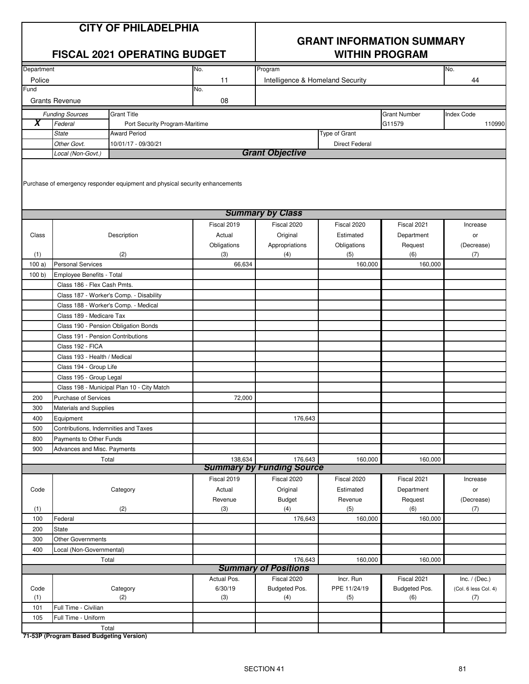# **GRANT INFORMATION SUMMARY**

|                         |                                                          | <b>FISCAL 2021 OPERATING BUDGET</b>                                          |                        | <b>WITHIN PROGRAM</b>                       |                           |                      |                             |  |
|-------------------------|----------------------------------------------------------|------------------------------------------------------------------------------|------------------------|---------------------------------------------|---------------------------|----------------------|-----------------------------|--|
| Department              |                                                          |                                                                              | No.                    | Program                                     |                           |                      | No.                         |  |
| Police                  |                                                          |                                                                              | 11                     | Intelligence & Homeland Security            |                           |                      | 44                          |  |
| Fund                    |                                                          |                                                                              | No.                    |                                             |                           |                      |                             |  |
|                         | <b>Grants Revenue</b>                                    |                                                                              | 08                     |                                             |                           |                      |                             |  |
|                         | <b>Funding Sources</b>                                   | <b>Grant Title</b>                                                           |                        |                                             |                           | <b>Grant Number</b>  | <b>Index Code</b>           |  |
| $\overline{\mathbf{x}}$ | Federal                                                  | Port Security Program-Maritime                                               |                        |                                             |                           | G11579               | 110990                      |  |
|                         | <b>State</b>                                             | <b>Award Period</b>                                                          |                        |                                             | Type of Grant             |                      |                             |  |
|                         | Other Govt.                                              | 10/01/17 - 09/30/21                                                          |                        |                                             | <b>Direct Federal</b>     |                      |                             |  |
|                         | Local (Non-Govt.)                                        |                                                                              |                        | <b>Grant Objective</b>                      |                           |                      |                             |  |
|                         |                                                          | Purchase of emergency responder equipment and physical security enhancements |                        |                                             |                           |                      |                             |  |
|                         |                                                          |                                                                              |                        | <b>Summary by Class</b>                     |                           |                      |                             |  |
|                         |                                                          |                                                                              | Fiscal 2019            | Fiscal 2020                                 | Fiscal 2020               | Fiscal 2021          | Increase                    |  |
| Class                   |                                                          | Description                                                                  | Actual                 | Original                                    | Estimated                 | Department           | or                          |  |
|                         |                                                          |                                                                              | Obligations            | Appropriations                              | Obligations               | Request              | (Decrease)                  |  |
| (1)                     | <b>Personal Services</b>                                 | (2)                                                                          | (3)                    | (4)                                         | (5)                       | (6)                  | (7)                         |  |
| 100a)                   |                                                          |                                                                              | 66,634                 |                                             | 160,000                   | 160,000              |                             |  |
| 100 b)                  | Employee Benefits - Total<br>Class 186 - Flex Cash Pmts. |                                                                              |                        |                                             |                           |                      |                             |  |
|                         |                                                          | Class 187 - Worker's Comp. - Disability                                      |                        |                                             |                           |                      |                             |  |
|                         |                                                          | Class 188 - Worker's Comp. - Medical                                         |                        |                                             |                           |                      |                             |  |
|                         | Class 189 - Medicare Tax                                 |                                                                              |                        |                                             |                           |                      |                             |  |
|                         |                                                          | Class 190 - Pension Obligation Bonds                                         |                        |                                             |                           |                      |                             |  |
|                         | Class 191 - Pension Contributions                        |                                                                              |                        |                                             |                           |                      |                             |  |
|                         | Class 192 - FICA                                         |                                                                              |                        |                                             |                           |                      |                             |  |
|                         | Class 193 - Health / Medical                             |                                                                              |                        |                                             |                           |                      |                             |  |
|                         | Class 194 - Group Life                                   |                                                                              |                        |                                             |                           |                      |                             |  |
|                         | Class 195 - Group Legal                                  |                                                                              |                        |                                             |                           |                      |                             |  |
|                         |                                                          | Class 198 - Municipal Plan 10 - City Match                                   |                        |                                             |                           |                      |                             |  |
| 200                     | Purchase of Services                                     |                                                                              | 72,000                 |                                             |                           |                      |                             |  |
| 300                     | Materials and Supplies                                   |                                                                              |                        |                                             |                           |                      |                             |  |
| 400                     | Equipment                                                |                                                                              |                        | 176,643                                     |                           |                      |                             |  |
| 500                     | Contributions, Indemnities and Taxes                     |                                                                              |                        |                                             |                           |                      |                             |  |
| 800                     | Payments to Other Funds                                  |                                                                              |                        |                                             |                           |                      |                             |  |
| 900                     | Advances and Misc. Payments                              |                                                                              |                        |                                             |                           |                      |                             |  |
|                         |                                                          | Total                                                                        | 138,634                | 176,643<br><b>Summary by Funding Source</b> | 160,000                   | 160,000              |                             |  |
|                         |                                                          |                                                                              | Fiscal 2019            | Fiscal 2020                                 | Fiscal 2020               | Fiscal 2021          | Increase                    |  |
| Code                    |                                                          | Category                                                                     | Actual                 | Original                                    | Estimated                 | Department           | or                          |  |
|                         |                                                          |                                                                              | Revenue                | <b>Budget</b>                               | Revenue                   | Request              | (Decrease)                  |  |
| (1)                     |                                                          | (2)                                                                          | (3)                    | (4)                                         | (5)                       | (6)                  | (7)                         |  |
| 100                     | Federal                                                  |                                                                              |                        | 176,643                                     | 160,000                   | 160,000              |                             |  |
| 200                     | <b>State</b>                                             |                                                                              |                        |                                             |                           |                      |                             |  |
| 300                     | <b>Other Governments</b>                                 |                                                                              |                        |                                             |                           |                      |                             |  |
| 400                     | Local (Non-Governmental)                                 |                                                                              |                        |                                             |                           |                      |                             |  |
|                         |                                                          | Total                                                                        |                        | 176,643                                     | 160,000                   | 160,000              |                             |  |
|                         |                                                          |                                                                              |                        | <b>Summary of Positions</b>                 |                           |                      |                             |  |
| Code                    |                                                          |                                                                              | Actual Pos.<br>6/30/19 | Fiscal 2020                                 | Incr. Run<br>PPE 11/24/19 | Fiscal 2021          | Inc. $/$ (Dec.)             |  |
| (1)                     |                                                          | Category<br>(2)                                                              | (3)                    | Budgeted Pos.<br>(4)                        | (5)                       | Budgeted Pos.<br>(6) | (Col. 6 less Col. 4)<br>(7) |  |
| 101                     | Full Time - Civilian                                     |                                                                              |                        |                                             |                           |                      |                             |  |
| 105                     | Full Time - Uniform                                      |                                                                              |                        |                                             |                           |                      |                             |  |
|                         |                                                          | Total                                                                        |                        |                                             |                           |                      |                             |  |
|                         |                                                          |                                                                              |                        |                                             |                           |                      |                             |  |

**71-53P (Program Based Budgeting Version)**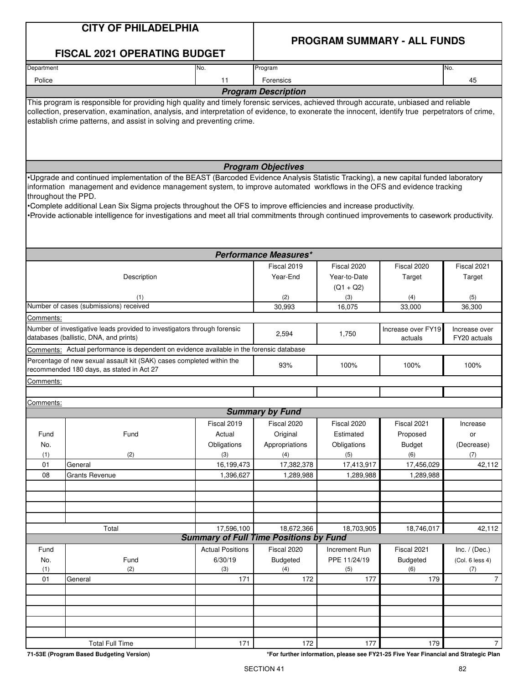# **PROGRAM SUMMARY - ALL FUNDS**

|                                                                                                                    | <b>FISCAL 2021 OPERATING BUDGET</b>                                                                                                                                                                                                                                                                                                                                                                                                                                                                                               |                         |                                               |                             |                               |                               |  |  |
|--------------------------------------------------------------------------------------------------------------------|-----------------------------------------------------------------------------------------------------------------------------------------------------------------------------------------------------------------------------------------------------------------------------------------------------------------------------------------------------------------------------------------------------------------------------------------------------------------------------------------------------------------------------------|-------------------------|-----------------------------------------------|-----------------------------|-------------------------------|-------------------------------|--|--|
| Department                                                                                                         |                                                                                                                                                                                                                                                                                                                                                                                                                                                                                                                                   | No.                     | Program                                       |                             |                               | No.                           |  |  |
| Police                                                                                                             |                                                                                                                                                                                                                                                                                                                                                                                                                                                                                                                                   | 11                      | Forensics                                     |                             |                               | 45                            |  |  |
|                                                                                                                    |                                                                                                                                                                                                                                                                                                                                                                                                                                                                                                                                   |                         | <b>Program Description</b>                    |                             |                               |                               |  |  |
|                                                                                                                    | This program is responsible for providing high quality and timely forensic services, achieved through accurate, unbiased and reliable<br>collection, preservation, examination, analysis, and interpretation of evidence, to exonerate the innocent, identify true perpetrators of crime,<br>establish crime patterns, and assist in solving and preventing crime.                                                                                                                                                                |                         |                                               |                             |                               |                               |  |  |
|                                                                                                                    |                                                                                                                                                                                                                                                                                                                                                                                                                                                                                                                                   |                         | <b>Program Objectives</b>                     |                             |                               |                               |  |  |
| throughout the PPD.                                                                                                | •Upgrade and continued implementation of the BEAST (Barcoded Evidence Analysis Statistic Tracking), a new capital funded laboratory<br>information management and evidence management system, to improve automated workflows in the OFS and evidence tracking<br>Complete additional Lean Six Sigma projects throughout the OFS to improve efficiencies and increase productivity.<br>•Provide actionable intelligence for investigations and meet all trial commitments through continued improvements to casework productivity. |                         |                                               |                             |                               |                               |  |  |
|                                                                                                                    |                                                                                                                                                                                                                                                                                                                                                                                                                                                                                                                                   |                         | <b>Performance Measures*</b>                  |                             |                               |                               |  |  |
|                                                                                                                    |                                                                                                                                                                                                                                                                                                                                                                                                                                                                                                                                   |                         | Fiscal 2019                                   | Fiscal 2020                 | Fiscal 2020                   | Fiscal 2021                   |  |  |
|                                                                                                                    | Description                                                                                                                                                                                                                                                                                                                                                                                                                                                                                                                       |                         | Year-End                                      | Year-to-Date<br>$(Q1 + Q2)$ | Target                        | Target                        |  |  |
|                                                                                                                    | (1)                                                                                                                                                                                                                                                                                                                                                                                                                                                                                                                               |                         | (2)                                           | (3)                         | (4)                           | (5)                           |  |  |
| Comments:                                                                                                          | Number of cases (submissions) received                                                                                                                                                                                                                                                                                                                                                                                                                                                                                            |                         | 30,993                                        | 16,075                      | 33,000                        | 36,300                        |  |  |
|                                                                                                                    | Number of investigative leads provided to investigators through forensic<br>databases (ballistic, DNA, and prints)                                                                                                                                                                                                                                                                                                                                                                                                                |                         | 2,594                                         | 1,750                       | Increase over FY19<br>actuals | Increase over<br>FY20 actuals |  |  |
|                                                                                                                    | Comments: Actual performance is dependent on evidence available in the forensic database                                                                                                                                                                                                                                                                                                                                                                                                                                          |                         |                                               |                             |                               |                               |  |  |
| Percentage of new sexual assault kit (SAK) cases completed within the<br>recommended 180 days, as stated in Act 27 |                                                                                                                                                                                                                                                                                                                                                                                                                                                                                                                                   |                         | 93%                                           | 100%                        | 100%                          | 100%                          |  |  |
| Comments:                                                                                                          |                                                                                                                                                                                                                                                                                                                                                                                                                                                                                                                                   |                         |                                               |                             |                               |                               |  |  |
| Comments:                                                                                                          |                                                                                                                                                                                                                                                                                                                                                                                                                                                                                                                                   |                         |                                               |                             |                               |                               |  |  |
|                                                                                                                    |                                                                                                                                                                                                                                                                                                                                                                                                                                                                                                                                   |                         | <b>Summary by Fund</b>                        |                             |                               |                               |  |  |
|                                                                                                                    |                                                                                                                                                                                                                                                                                                                                                                                                                                                                                                                                   | Fiscal 2019             | Fiscal 2020                                   | Fiscal 2020                 | Fiscal 2021                   | Increase                      |  |  |
| Fund                                                                                                               | Fund                                                                                                                                                                                                                                                                                                                                                                                                                                                                                                                              | Actual                  | Original                                      | Estimated                   | Proposed                      | or                            |  |  |
| No.                                                                                                                |                                                                                                                                                                                                                                                                                                                                                                                                                                                                                                                                   | Obligations             | Appropriations                                | Obligations                 | <b>Budget</b>                 | (Decrease)                    |  |  |
| (1)<br>01                                                                                                          | (2)<br>General                                                                                                                                                                                                                                                                                                                                                                                                                                                                                                                    | (3)<br>16,199,473       | (4)<br>17,382,378                             | (5)<br>17,413,917           | (6)<br>17,456,029             | (7)<br>42,112                 |  |  |
| 08                                                                                                                 | <b>Grants Revenue</b>                                                                                                                                                                                                                                                                                                                                                                                                                                                                                                             | 1,396,627               | 1,289,988                                     | 1,289,988                   | 1,289,988                     |                               |  |  |
|                                                                                                                    |                                                                                                                                                                                                                                                                                                                                                                                                                                                                                                                                   |                         |                                               |                             |                               |                               |  |  |
|                                                                                                                    |                                                                                                                                                                                                                                                                                                                                                                                                                                                                                                                                   |                         |                                               |                             |                               |                               |  |  |
|                                                                                                                    |                                                                                                                                                                                                                                                                                                                                                                                                                                                                                                                                   |                         |                                               |                             |                               |                               |  |  |
|                                                                                                                    |                                                                                                                                                                                                                                                                                                                                                                                                                                                                                                                                   |                         |                                               |                             |                               |                               |  |  |
|                                                                                                                    | Total                                                                                                                                                                                                                                                                                                                                                                                                                                                                                                                             | 17,596,100              | 18,672,366                                    | 18,703,905                  | 18,746,017                    | 42,112                        |  |  |
|                                                                                                                    |                                                                                                                                                                                                                                                                                                                                                                                                                                                                                                                                   |                         | <b>Summary of Full Time Positions by Fund</b> |                             |                               |                               |  |  |
| Fund                                                                                                               |                                                                                                                                                                                                                                                                                                                                                                                                                                                                                                                                   | <b>Actual Positions</b> | Fiscal 2020                                   | Increment Run               | Fiscal 2021                   | Inc. $/$ (Dec.)               |  |  |
| No.                                                                                                                | Fund                                                                                                                                                                                                                                                                                                                                                                                                                                                                                                                              | 6/30/19                 | Budgeted                                      | PPE 11/24/19                | Budgeted                      | (Col. 6 less 4)               |  |  |
| (1)<br>01                                                                                                          | (2)<br>General                                                                                                                                                                                                                                                                                                                                                                                                                                                                                                                    | (3)<br>171              | (4)<br>172                                    | (5)<br>177                  | (6)<br>179                    | (7)<br>$\overline{7}$         |  |  |
|                                                                                                                    |                                                                                                                                                                                                                                                                                                                                                                                                                                                                                                                                   |                         |                                               |                             |                               |                               |  |  |
|                                                                                                                    |                                                                                                                                                                                                                                                                                                                                                                                                                                                                                                                                   |                         |                                               |                             |                               |                               |  |  |
|                                                                                                                    |                                                                                                                                                                                                                                                                                                                                                                                                                                                                                                                                   |                         |                                               |                             |                               |                               |  |  |
|                                                                                                                    |                                                                                                                                                                                                                                                                                                                                                                                                                                                                                                                                   |                         |                                               |                             |                               |                               |  |  |
|                                                                                                                    |                                                                                                                                                                                                                                                                                                                                                                                                                                                                                                                                   |                         |                                               |                             |                               |                               |  |  |
|                                                                                                                    | <b>Total Full Time</b>                                                                                                                                                                                                                                                                                                                                                                                                                                                                                                            | 171                     | 172                                           | 177                         | 179                           | 7 <sup>1</sup>                |  |  |

**71-53E (Program Based Budgeting Version) \*For further information, please see FY21-25 Five Year Financial and Strategic Plan**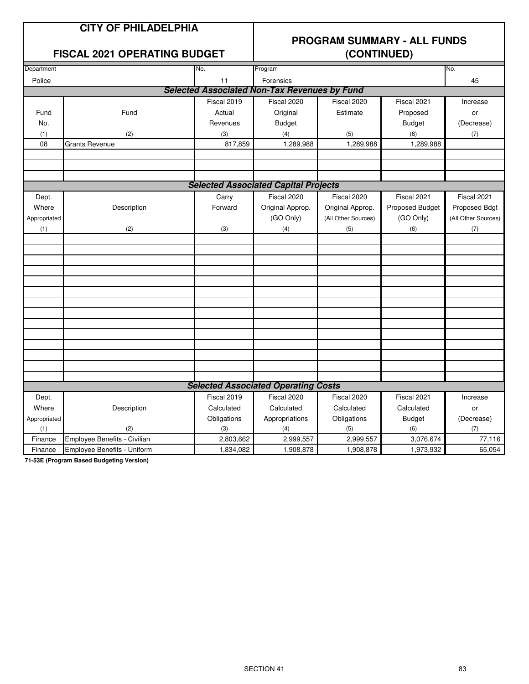# **PROGRAM SUMMARY - ALL FUNDS**

### **FISCAL 2021 OPERATING BUDGET (CONTINUED)**

| Department   |                              | No.         | Program                                             |                     |                 | No.                 |
|--------------|------------------------------|-------------|-----------------------------------------------------|---------------------|-----------------|---------------------|
| Police       |                              | 11          | Forensics                                           |                     |                 | 45                  |
|              |                              |             | <b>Selected Associated Non-Tax Revenues by Fund</b> |                     |                 |                     |
|              |                              | Fiscal 2019 | Fiscal 2020                                         | Fiscal 2020         | Fiscal 2021     | Increase            |
| Fund         | Fund                         | Actual      | Original                                            | Estimate            | Proposed        | or                  |
| No.          |                              | Revenues    | <b>Budget</b>                                       |                     | <b>Budget</b>   | (Decrease)          |
| (1)          | (2)                          | (3)         | (4)                                                 | (5)                 | (6)             | (7)                 |
| 08           | <b>Grants Revenue</b>        | 817,859     | 1,289,988                                           | 1,289,988           | 1,289,988       |                     |
|              |                              |             |                                                     |                     |                 |                     |
|              |                              |             |                                                     |                     |                 |                     |
|              |                              |             |                                                     |                     |                 |                     |
|              |                              |             | <b>Selected Associated Capital Projects</b>         |                     |                 |                     |
| Dept.        |                              | Carry       | Fiscal 2020                                         | Fiscal 2020         | Fiscal 2021     | Fiscal 2021         |
| Where        | Description                  | Forward     | Original Approp.                                    | Original Approp.    | Proposed Budget | Proposed Bdgt       |
| Appropriated |                              |             | (GO Only)                                           | (All Other Sources) | (GO Only)       | (All Other Sources) |
| (1)          | (2)                          | (3)         | (4)                                                 | (5)                 | (6)             | (7)                 |
|              |                              |             |                                                     |                     |                 |                     |
|              |                              |             |                                                     |                     |                 |                     |
|              |                              |             |                                                     |                     |                 |                     |
|              |                              |             |                                                     |                     |                 |                     |
|              |                              |             |                                                     |                     |                 |                     |
|              |                              |             |                                                     |                     |                 |                     |
|              |                              |             |                                                     |                     |                 |                     |
|              |                              |             |                                                     |                     |                 |                     |
|              |                              |             |                                                     |                     |                 |                     |
|              |                              |             |                                                     |                     |                 |                     |
|              |                              |             |                                                     |                     |                 |                     |
|              |                              |             |                                                     |                     |                 |                     |
|              |                              |             |                                                     |                     |                 |                     |
|              |                              |             |                                                     |                     |                 |                     |
|              |                              |             | <b>Selected Associated Operating Costs</b>          |                     |                 |                     |
| Dept.        |                              | Fiscal 2019 | Fiscal 2020                                         | Fiscal 2020         | Fiscal 2021     | Increase            |
| Where        | Description                  | Calculated  | Calculated                                          | Calculated          | Calculated      | or                  |
| Appropriated |                              | Obligations | Appropriations                                      | Obligations         | <b>Budget</b>   | (Decrease)          |
| (1)          | (2)                          | (3)         | (4)                                                 | (5)                 | (6)             | (7)                 |
| Finance      | Employee Benefits - Civilian | 2,803,662   | 2,999,557                                           | 2,999,557           | 3,076,674       | 77,116              |
| Finance      | Employee Benefits - Uniform  | 1,834,082   | 1,908,878                                           | 1,908,878           | 1,973,932       | 65,054              |

**71-53E (Program Based Budgeting Version)**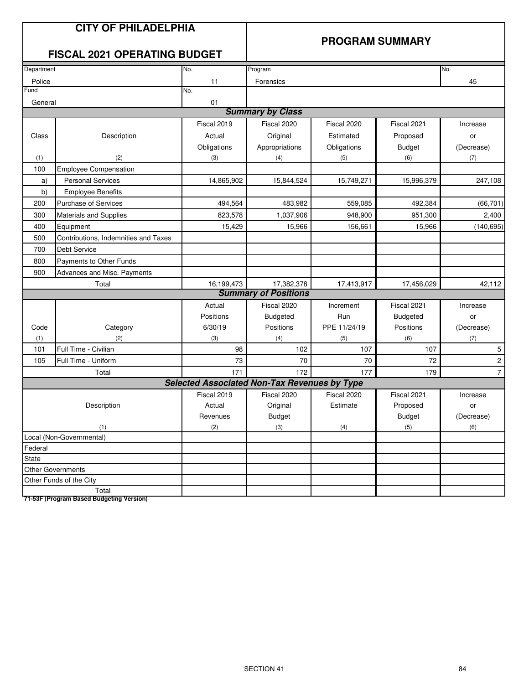### **PROGRAM SUMMARY**

# **FISCAL 2021 OPERATING BUDGET**

| Department |                                      | No.                                                 | Program                     |              |                 | No.                     |
|------------|--------------------------------------|-----------------------------------------------------|-----------------------------|--------------|-----------------|-------------------------|
| Police     |                                      | 11                                                  | Forensics                   |              |                 | 45                      |
| Fund       |                                      | No.                                                 |                             |              |                 |                         |
| General    |                                      | 01                                                  |                             |              |                 |                         |
|            |                                      |                                                     | <b>Summary by Class</b>     |              |                 |                         |
|            |                                      | Fiscal 2019                                         | Fiscal 2020                 | Fiscal 2020  | Fiscal 2021     | Increase                |
| Class      | Description                          | Actual                                              | Original                    | Estimated    | Proposed        | or                      |
|            |                                      | Obligations                                         | Appropriations              | Obligations  | <b>Budget</b>   | (Decrease)              |
| (1)        | (2)                                  | (3)                                                 | (4)                         | (5)          | (6)             | (7)                     |
| 100        | <b>Employee Compensation</b>         |                                                     |                             |              |                 |                         |
| a)         | <b>Personal Services</b>             | 14,865,902                                          | 15,844,524                  | 15,749,271   | 15,996,379      | 247,108                 |
| b)         | <b>Employee Benefits</b>             |                                                     |                             |              |                 |                         |
| 200        | <b>Purchase of Services</b>          | 494,564                                             | 483,982                     | 559,085      | 492,384         | (66, 701)               |
| 300        | <b>Materials and Supplies</b>        | 823,578                                             | 1,037,906                   | 948,900      | 951,300         | 2,400                   |
| 400        | Equipment                            | 15,429                                              | 15,966                      | 156,661      | 15,966          | (140, 695)              |
| 500        | Contributions, Indemnities and Taxes |                                                     |                             |              |                 |                         |
| 700        | <b>Debt Service</b>                  |                                                     |                             |              |                 |                         |
| 800        | Payments to Other Funds              |                                                     |                             |              |                 |                         |
| 900        | Advances and Misc. Payments          |                                                     |                             |              |                 |                         |
|            | Total                                | 16,199,473                                          | 17,382,378                  | 17,413,917   | 17,456,029      | 42,112                  |
|            |                                      |                                                     | <b>Summary of Positions</b> |              |                 |                         |
|            |                                      | Actual                                              | Fiscal 2020                 | Increment    | Fiscal 2021     | Increase                |
|            |                                      | Positions                                           | <b>Budgeted</b>             | Run          | <b>Budgeted</b> | or                      |
| Code       | Category                             | 6/30/19                                             | Positions                   | PPE 11/24/19 | Positions       | (Decrease)              |
| (1)        | (2)                                  | (3)                                                 | (4)                         | (5)          | (6)             | (7)                     |
| 101        | Full Time - Civilian                 | 98                                                  | 102                         | 107          | 107             | 5                       |
| 105        | Full Time - Uniform                  | 73                                                  | 70                          | 70           | 72              | $\overline{\mathbf{c}}$ |
|            | Total                                | 171                                                 | 172                         | 177          | 179             | $\overline{7}$          |
|            |                                      | <b>Selected Associated Non-Tax Revenues by Type</b> |                             |              |                 |                         |
|            |                                      | Fiscal 2019                                         | Fiscal 2020                 | Fiscal 2020  | Fiscal 2021     | Increase                |
|            | Description                          | Actual                                              | Original                    | Estimate     | Proposed        | or                      |
|            |                                      | Revenues                                            | <b>Budget</b>               |              | <b>Budget</b>   | (Decrease)              |
|            | (1)                                  | (2)                                                 | (3)                         | (4)          | (5)             | (6)                     |
|            | Local (Non-Governmental)             |                                                     |                             |              |                 |                         |
| Federal    |                                      |                                                     |                             |              |                 |                         |
| State      |                                      |                                                     |                             |              |                 |                         |
|            | Other Governments                    |                                                     |                             |              |                 |                         |
|            | Other Funds of the City              |                                                     |                             |              |                 |                         |
|            | Total                                |                                                     |                             |              |                 |                         |

**71-53F (Program Based Budgeting Version)**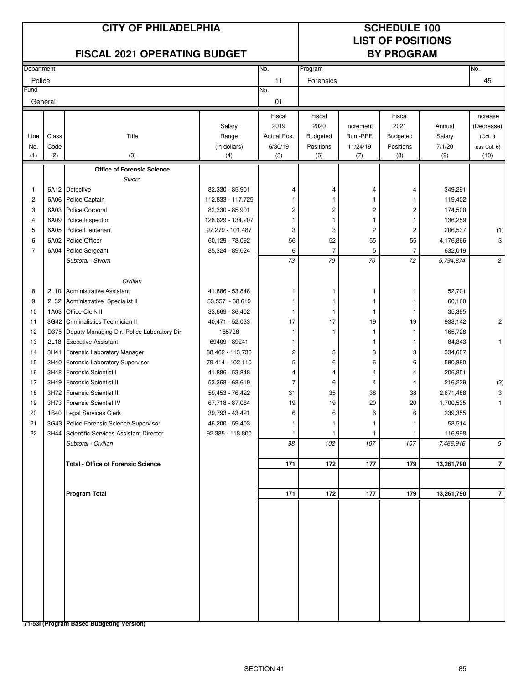### **CITY OF PHILADELPHIA SCHEDULE 100**

# **LIST OF POSITIONS**

| <b>FISCAL 2021 OPERATING BUDGET</b> |       |                                             |                   |                         | <b>BY PROGRAM</b> |                         |                         |            |                |
|-------------------------------------|-------|---------------------------------------------|-------------------|-------------------------|-------------------|-------------------------|-------------------------|------------|----------------|
| Department                          |       |                                             |                   | No.                     | Program           |                         |                         |            | No.            |
| Police                              |       |                                             |                   | 11                      | Forensics         |                         |                         |            | 45             |
| Fund                                |       |                                             |                   | No.                     |                   |                         |                         |            |                |
| General                             |       |                                             |                   | 01                      |                   |                         |                         |            |                |
|                                     |       |                                             |                   | Fiscal                  | Fiscal            |                         | Fiscal                  |            | Increase       |
|                                     |       |                                             | Salary            | 2019                    | 2020              | Increment               | 2021                    | Annual     | (Decrease)     |
| Line                                | Class | Title                                       | Range             | Actual Pos.             | Budgeted          | Run -PPE                | <b>Budgeted</b>         | Salary     | (Col. 8)       |
| No.                                 | Code  |                                             | (in dollars)      | 6/30/19                 | Positions         | 11/24/19                | Positions               | 7/1/20     | less Col. 6)   |
| (1)                                 | (2)   | (3)                                         | (4)               | (5)                     | (6)               | (7)                     | (8)                     | (9)        | (10)           |
|                                     |       | <b>Office of Forensic Science</b>           |                   |                         |                   |                         |                         |            |                |
|                                     |       | Sworn                                       |                   |                         |                   |                         |                         |            |                |
| $\mathbf{1}$                        |       | 6A12 Detective                              | 82,330 - 85,901   | 4                       | 4                 | 4                       | 4                       | 349,291    |                |
| $\overline{c}$                      |       | 6A06 Police Captain                         | 112,833 - 117,725 | 1                       | 1                 | 1                       | -1                      | 119,402    |                |
| 3                                   | 6A03  | Police Corporal                             | 82,330 - 85,901   | $\overline{c}$          | 2                 | $\overline{\mathbf{c}}$ | $\overline{c}$          | 174,500    |                |
| $\overline{4}$                      | 6A09  | Police Inspector                            | 128,629 - 134,207 | 1                       | $\mathbf{1}$      | $\mathbf{1}$            | 1                       | 136,259    |                |
| 5                                   | 6A05  | <b>Police Lieutenant</b>                    | 97,279 - 101,487  | 3                       | 3                 | $\sqrt{2}$              | $\overline{\mathbf{c}}$ | 206,537    | (1)            |
| 6                                   | 6A02  | Police Officer                              | 60,129 - 78,092   | 56                      | 52                | 55                      | 55                      | 4,176,866  | 3              |
| $\overline{7}$                      | 6A04  | <b>Police Sergeant</b>                      | 85,324 - 89,024   | 6                       | $\overline{7}$    | 5                       | 7                       | 632,019    |                |
|                                     |       | Subtotal - Sworn                            |                   | 73                      | 70                | 70                      | 72                      | 5,794,874  | $\mathfrak{2}$ |
|                                     |       | Civilian                                    |                   |                         |                   |                         |                         |            |                |
| 8                                   | 2L10  | <b>Administrative Assistant</b>             | 41,886 - 53,848   | 1                       | 1                 | 1                       | 1                       | 52,701     |                |
| 9                                   | 2L32  | Administrative Specialist II                | 53,557 - 68,619   | 1                       | 1                 | 1                       | 1                       | 60,160     |                |
| 10                                  | 1A03  | Office Clerk II                             | 33,669 - 36,402   | 1                       | -1                | $\mathbf{1}$            | 1                       | 35,385     |                |
| 11                                  |       | 3G42 Criminalistics Technician II           | 40,471 - 52,033   | 17                      | 17                | 19                      | 19                      | 933,142    | $\overline{c}$ |
| 12                                  | D375  | Deputy Managing Dir.-Police Laboratory Dir. | 165728            | 1                       | $\mathbf{1}$      | 1                       | 1                       | 165,728    |                |
| 13                                  | 2L18  | <b>Executive Assistant</b>                  | 69409 - 89241     | 1                       |                   | 1                       | 1                       | 84,343     | $\mathbf{1}$   |
| 14                                  | 3H41  | Forensic Laboratory Manager                 | 88,462 - 113,735  | $\overline{\mathbf{c}}$ | 3                 | 3                       | 3                       | 334,607    |                |
| 15                                  | 3H40  | Forensic Laboratory Supervisor              | 79,414 - 102,110  | 5                       | 6                 | 6                       | 6                       | 590,880    |                |
| 16                                  |       | 3H48 Forensic Scientist I                   | 41,886 - 53,848   | 4                       | 4                 | 4                       | 4                       | 206,851    |                |
| 17                                  |       | 3H49 Forensic Scientist II                  | 53,368 - 68,619   | $\overline{7}$          | 6                 | 4                       | 4                       | 216,229    | (2)            |
| 18                                  |       | 3H72 Forensic Scientist III                 | 59,453 - 76,422   | 31                      | 35                | 38                      | 38                      | 2,671,488  | 3              |
| 19                                  |       | 3H73 Forensic Scientist IV                  | 67,718 - 87,064   | 19                      | 19                | 20                      | 20                      | 1,700,535  | $\mathbf{1}$   |
| 20                                  |       | 1B40 Legal Services Clerk                   | 39,793 - 43,421   | 6                       | 6                 | 6                       | 6                       | 239,355    |                |
| 21                                  |       | 3G43 Police Forensic Science Supervisor     | 46,200 - 59,403   | 1                       |                   |                         |                         | 58,514     |                |
| 22                                  |       | 3H44 Scientific Services Assistant Director | 92,385 - 118,800  | 1                       |                   |                         |                         | 116,998    |                |
|                                     |       | Subtotal - Civilian                         |                   | 98                      | 102               | 107                     | 107                     | 7,466,916  | 5              |
|                                     |       | <b>Total - Office of Forensic Science</b>   |                   | 171                     | 172               | 177                     | 179                     | 13,261,790 | $\overline{7}$ |
|                                     |       |                                             |                   |                         |                   |                         |                         |            |                |
|                                     |       | <b>Program Total</b>                        |                   | 171                     | 172               | 177                     | 179                     | 13,261,790 | $\overline{7}$ |
|                                     |       |                                             |                   |                         |                   |                         |                         |            |                |
|                                     |       |                                             |                   |                         |                   |                         |                         |            |                |
|                                     |       |                                             |                   |                         |                   |                         |                         |            |                |
|                                     |       |                                             |                   |                         |                   |                         |                         |            |                |
|                                     |       |                                             |                   |                         |                   |                         |                         |            |                |
|                                     |       |                                             |                   |                         |                   |                         |                         |            |                |
|                                     |       |                                             |                   |                         |                   |                         |                         |            |                |
|                                     |       |                                             |                   |                         |                   |                         |                         |            |                |
|                                     |       | 74 FOL (Dreamann Bened Budgeting Vers       |                   |                         |                   |                         |                         |            |                |

**71-53I (Program Based Budgeting Version)**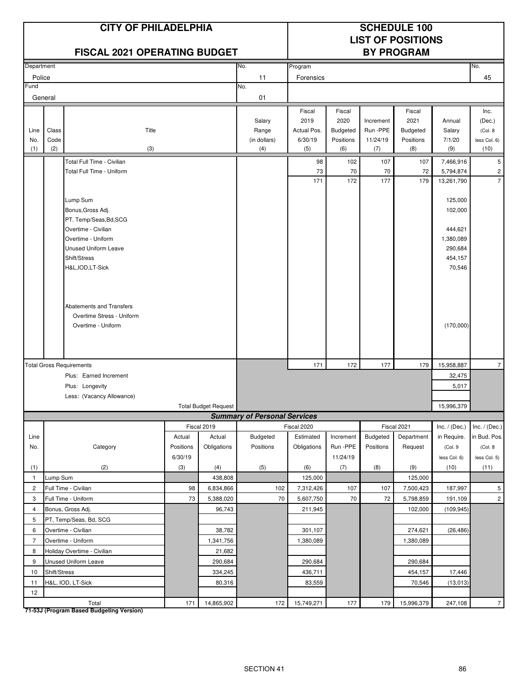|                    |                      | <b>CITY OF PHILADELPHIA</b><br><b>FISCAL 2021 OPERATING BUDGET</b>                                                                                                                                                                                      |                |                             |                                        |                                                 |                                                       |                                          | <b>SCHEDULE 100</b><br><b>LIST OF POSITIONS</b><br><b>BY PROGRAM</b> |                                                                                         |                                                   |
|--------------------|----------------------|---------------------------------------------------------------------------------------------------------------------------------------------------------------------------------------------------------------------------------------------------------|----------------|-----------------------------|----------------------------------------|-------------------------------------------------|-------------------------------------------------------|------------------------------------------|----------------------------------------------------------------------|-----------------------------------------------------------------------------------------|---------------------------------------------------|
| Department         |                      |                                                                                                                                                                                                                                                         |                |                             | No.                                    | Program                                         |                                                       |                                          |                                                                      |                                                                                         | No.                                               |
| Police             |                      |                                                                                                                                                                                                                                                         |                |                             | 11                                     | Forensics                                       |                                                       |                                          |                                                                      |                                                                                         | 45                                                |
| Fund               |                      |                                                                                                                                                                                                                                                         |                |                             | No.                                    |                                                 |                                                       |                                          |                                                                      |                                                                                         |                                                   |
|                    | General              |                                                                                                                                                                                                                                                         |                |                             | 01                                     |                                                 |                                                       |                                          |                                                                      |                                                                                         |                                                   |
| Line<br>No.<br>(1) | Class<br>Code<br>(2) | Title<br>(3)                                                                                                                                                                                                                                            |                |                             | Salary<br>Range<br>(in dollars)<br>(4) | Fiscal<br>2019<br>Actual Pos.<br>6/30/19<br>(5) | Fiscal<br>2020<br><b>Budgeted</b><br>Positions<br>(6) | Increment<br>Run -PPE<br>11/24/19<br>(7) | Fiscal<br>2021<br>Budgeted<br>Positions<br>(8)                       | Annual<br>Salary<br>7/1/20<br>(9)                                                       | Inc.<br>(Dec.)<br>(Col. 8<br>less Col. 6)<br>(10) |
|                    |                      | Total Full Time - Civilian                                                                                                                                                                                                                              |                |                             |                                        |                                                 |                                                       |                                          |                                                                      |                                                                                         | 5                                                 |
|                    |                      | Total Full Time - Uniform                                                                                                                                                                                                                               |                |                             |                                        | 98<br>73                                        | 102<br>70                                             | 107<br>70                                | 107<br>72                                                            | 7,466,916<br>5,794,874                                                                  | $\overline{c}$                                    |
|                    |                      |                                                                                                                                                                                                                                                         |                |                             |                                        | 171                                             | 172                                                   | 177                                      | 179                                                                  | 13,261,790                                                                              | $\overline{7}$                                    |
|                    |                      | Lump Sum<br>Bonus, Gross Adj.<br>PT. Temp/Seas, Bd, SCG<br>Overtime - Civilian<br>Overtime - Uniform<br><b>Unused Uniform Leave</b><br>Shift/Stress<br>H&L, IOD, LT-Sick<br>Abatements and Transfers<br>Overtime Stress - Uniform<br>Overtime - Uniform |                |                             |                                        |                                                 |                                                       |                                          |                                                                      | 125,000<br>102,000<br>444,621<br>1,380,089<br>290,684<br>454,157<br>70,546<br>(170,000) |                                                   |
|                    |                      |                                                                                                                                                                                                                                                         |                |                             |                                        |                                                 |                                                       |                                          |                                                                      |                                                                                         |                                                   |
|                    |                      | <b>Total Gross Requirements</b>                                                                                                                                                                                                                         |                |                             |                                        | 171                                             | 172                                                   | 177                                      | 179                                                                  | 15,958,887                                                                              | $\overline{7}$                                    |
|                    |                      | Plus: Earned Increment<br>Plus: Longevity                                                                                                                                                                                                               |                |                             |                                        |                                                 |                                                       |                                          |                                                                      | 32,475<br>5,017                                                                         |                                                   |
|                    |                      | Less: (Vacancy Allowance)                                                                                                                                                                                                                               |                |                             |                                        |                                                 |                                                       |                                          |                                                                      |                                                                                         |                                                   |
|                    |                      |                                                                                                                                                                                                                                                         |                | <b>Total Budget Request</b> |                                        |                                                 |                                                       |                                          |                                                                      | 15,996,379                                                                              |                                                   |
|                    |                      |                                                                                                                                                                                                                                                         |                |                             | <b>Summary of Personal Services</b>    |                                                 |                                                       |                                          |                                                                      |                                                                                         |                                                   |
|                    |                      |                                                                                                                                                                                                                                                         |                | Fiscal 2019                 |                                        | Fiscal 2020                                     |                                                       |                                          | Fiscal 2021                                                          | Inc. $/$ (Dec.)                                                                         | Inc. $/$ (Dec.)                                   |
| Line               |                      |                                                                                                                                                                                                                                                         | Actual         | Actual                      | Budgeted                               | Estimated                                       | Increment                                             | Budgeted                                 | Department                                                           | in Require.                                                                             | in Bud. Pos.                                      |
| No.                |                      | Category                                                                                                                                                                                                                                                | Positions      | Obligations                 | Positions                              | Obligations                                     | Run -PPE                                              | Positions                                | Request                                                              | (Col. 9                                                                                 | (Col. 8                                           |
| (1)                |                      | (2)                                                                                                                                                                                                                                                     | 6/30/19<br>(3) | (4)                         | (5)                                    | (6)                                             | 11/24/19<br>(7)                                       | (8)                                      | (9)                                                                  | less Col. 6)<br>(10)                                                                    | less Col. 5)<br>(11)                              |
| $\mathbf{1}$       | Lump Sum             |                                                                                                                                                                                                                                                         |                | 438,808                     |                                        | 125,000                                         |                                                       |                                          | 125,000                                                              |                                                                                         |                                                   |
| $\overline{2}$     |                      | Full Time - Civilian                                                                                                                                                                                                                                    | 98             | 6,834,866                   | 102                                    | 7,312,426                                       | 107                                                   | 107                                      | 7,500,423                                                            | 187,997                                                                                 | 5                                                 |
| 3                  |                      | Full Time - Uniform                                                                                                                                                                                                                                     | 73             | 5,388,020                   | 70                                     | 5,607,750                                       | 70                                                    | 72                                       | 5,798,859                                                            | 191,109                                                                                 | $\sqrt{2}$                                        |
| $\overline{4}$     |                      | Bonus, Gross Adj.                                                                                                                                                                                                                                       |                | 96,743                      |                                        | 211,945                                         |                                                       |                                          | 102,000                                                              | (109, 945)                                                                              |                                                   |
| 5                  |                      | PT, Temp/Seas, Bd, SCG                                                                                                                                                                                                                                  |                |                             |                                        |                                                 |                                                       |                                          |                                                                      |                                                                                         |                                                   |
| 6                  |                      | Overtime - Civilian                                                                                                                                                                                                                                     |                | 38,782                      |                                        | 301,107                                         |                                                       |                                          | 274,621                                                              | (26, 486)                                                                               |                                                   |
| $\overline{7}$     |                      | Overtime - Uniform                                                                                                                                                                                                                                      |                | 1,341,756                   |                                        | 1,380,089                                       |                                                       |                                          | 1,380,089                                                            |                                                                                         |                                                   |
| 8                  |                      | Holiday Overtime - Civilian                                                                                                                                                                                                                             |                | 21,682                      |                                        |                                                 |                                                       |                                          |                                                                      |                                                                                         |                                                   |
| 9                  |                      | Unused Uniform Leave                                                                                                                                                                                                                                    |                | 290,684                     |                                        | 290,684                                         |                                                       |                                          | 290,684                                                              |                                                                                         |                                                   |
| 10                 | Shift/Stress         |                                                                                                                                                                                                                                                         |                | 334,245                     |                                        | 436,711                                         |                                                       |                                          | 454,157                                                              | 17,446                                                                                  |                                                   |
| 11<br>12           |                      | H&L, IOD, LT-Sick                                                                                                                                                                                                                                       |                | 80,316                      |                                        | 83,559                                          |                                                       |                                          | 70,546                                                               | (13, 013)                                                                               |                                                   |
|                    |                      | Total                                                                                                                                                                                                                                                   | 171            | 14,865,902                  | 172                                    | 15,749,271                                      | 177                                                   | 179                                      | 15,996,379                                                           | 247,108                                                                                 | 7 <sup>1</sup>                                    |

**71-53J (Program Based Budgeting Version)**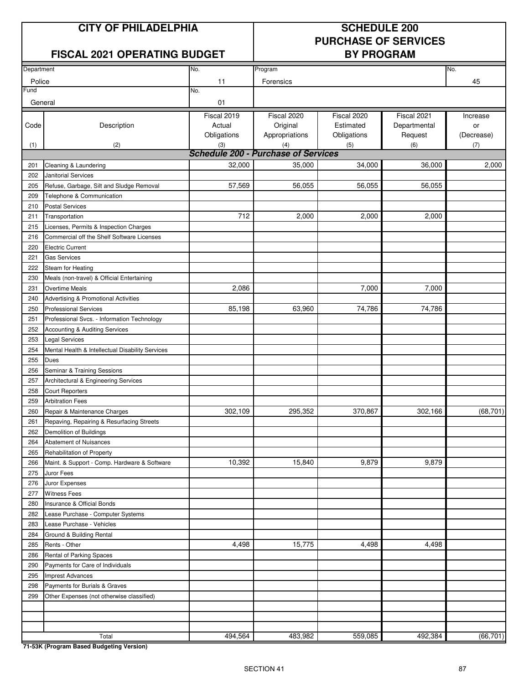# **CITY OF PHILADELPHIA SCHEDULE 200**

# **FISCAL 2021 OPERATING BUDGET BY PROGRAM**

# **PURCHASE OF SERVICES**

| Department |                                                  | No.                                        | Program        |             |              | No.        |
|------------|--------------------------------------------------|--------------------------------------------|----------------|-------------|--------------|------------|
|            |                                                  |                                            |                |             |              |            |
| Police     |                                                  | 11                                         | Forensics      |             |              | 45         |
| Fund       |                                                  | No.                                        |                |             |              |            |
| General    |                                                  | 01                                         |                |             |              |            |
|            |                                                  | Fiscal 2019                                | Fiscal 2020    | Fiscal 2020 | Fiscal 2021  | Increase   |
| Code       | Description                                      | Actual                                     | Original       | Estimated   | Departmental | or         |
|            |                                                  | Obligations                                | Appropriations | Obligations | Request      | (Decrease) |
| (1)        | (2)                                              | (3)                                        | (4)            | (5)         | (6)          | (7)        |
|            |                                                  | <b>Schedule 200 - Purchase of Services</b> |                |             |              |            |
| 201        | Cleaning & Laundering                            | 32,000                                     | 35,000         | 34,000      | 36,000       | 2,000      |
| 202        | <b>Janitorial Services</b>                       |                                            |                |             |              |            |
| 205        | Refuse, Garbage, Silt and Sludge Removal         | 57,569                                     | 56,055         | 56,055      | 56,055       |            |
| 209        | Telephone & Communication                        |                                            |                |             |              |            |
| 210        | <b>Postal Services</b>                           |                                            |                |             |              |            |
| 211        | Transportation                                   | 712                                        | 2,000          | 2,000       | 2,000        |            |
| 215        | Licenses, Permits & Inspection Charges           |                                            |                |             |              |            |
| 216        | Commercial off the Shelf Software Licenses       |                                            |                |             |              |            |
| 220        | <b>Electric Current</b>                          |                                            |                |             |              |            |
| 221        | <b>Gas Services</b>                              |                                            |                |             |              |            |
| 222        | Steam for Heating                                |                                            |                |             |              |            |
| 230        | Meals (non-travel) & Official Entertaining       |                                            |                |             |              |            |
| 231        | Overtime Meals                                   | 2,086                                      |                | 7,000       | 7,000        |            |
| 240        | Advertising & Promotional Activities             |                                            |                |             |              |            |
| 250        | <b>Professional Services</b>                     | 85,198                                     | 63,960         | 74,786      | 74,786       |            |
| 251        | Professional Svcs. - Information Technology      |                                            |                |             |              |            |
| 252        | Accounting & Auditing Services                   |                                            |                |             |              |            |
| 253        | <b>Legal Services</b>                            |                                            |                |             |              |            |
| 254        | Mental Health & Intellectual Disability Services |                                            |                |             |              |            |
| 255        | Dues                                             |                                            |                |             |              |            |
| 256        | Seminar & Training Sessions                      |                                            |                |             |              |            |
| 257        | Architectural & Engineering Services             |                                            |                |             |              |            |
| 258        | <b>Court Reporters</b>                           |                                            |                |             |              |            |
| 259        | <b>Arbitration Fees</b>                          |                                            |                |             |              |            |
| 260        | Repair & Maintenance Charges                     | 302,109                                    | 295,352        | 370,867     | 302,166      | (68, 701)  |
| 261        | Repaving, Repairing & Resurfacing Streets        |                                            |                |             |              |            |
| 262        | Demolition of Buildings                          |                                            |                |             |              |            |
| 264        | Abatement of Nuisances                           |                                            |                |             |              |            |
| 265        | Rehabilitation of Property                       |                                            |                |             |              |            |
| 266        | Maint. & Support - Comp. Hardware & Software     | 10,392                                     | 15,840         | 9,879       | 9,879        |            |
| 275        | Juror Fees                                       |                                            |                |             |              |            |
| 276        | Juror Expenses                                   |                                            |                |             |              |            |
| 277        | <b>Witness Fees</b>                              |                                            |                |             |              |            |
| 280        | Insurance & Official Bonds                       |                                            |                |             |              |            |
| 282        | Lease Purchase - Computer Systems                |                                            |                |             |              |            |
| 283        | Lease Purchase - Vehicles                        |                                            |                |             |              |            |
| 284        | Ground & Building Rental                         |                                            |                |             |              |            |
| 285        | Rents - Other                                    | 4,498                                      | 15,775         | 4,498       | 4,498        |            |
| 286        | Rental of Parking Spaces                         |                                            |                |             |              |            |
| 290        | Payments for Care of Individuals                 |                                            |                |             |              |            |
| 295        | <b>Imprest Advances</b>                          |                                            |                |             |              |            |
| 298        | Payments for Burials & Graves                    |                                            |                |             |              |            |
| 299        | Other Expenses (not otherwise classified)        |                                            |                |             |              |            |
|            |                                                  |                                            |                |             |              |            |
|            |                                                  |                                            |                |             |              |            |
|            |                                                  |                                            |                |             |              |            |
|            | Total                                            | 494,564                                    | 483,982        | 559,085     | 492,384      | (66, 701)  |

**71-53K (Program Based Budgeting Version)**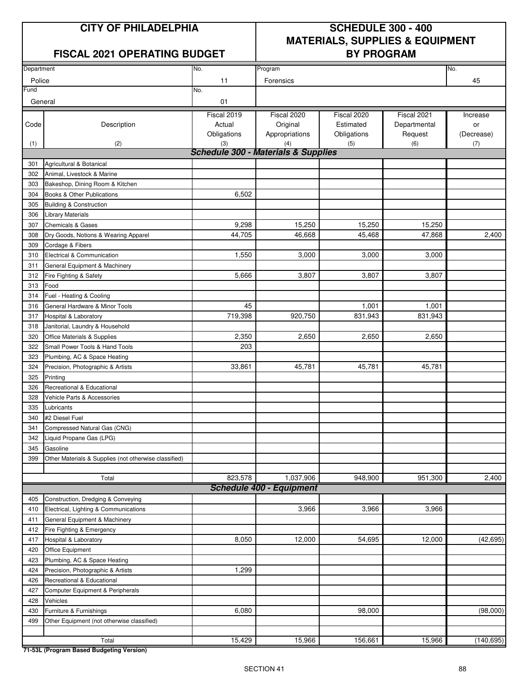# **FISCAL 2021 OPERATING BUDGET BY PROGRAM**

# **CITY OF PHILADELPHIA SCHEDULE 300 - 400 MATERIALS, SUPPLIES & EQUIPMENT**

| Department |                                                       | No.                                            | Program                         |             |              | No.                |
|------------|-------------------------------------------------------|------------------------------------------------|---------------------------------|-------------|--------------|--------------------|
| Police     |                                                       | 11                                             | Forensics                       |             |              | 45                 |
| Fund       |                                                       | No.                                            |                                 |             |              |                    |
| General    |                                                       | 01                                             |                                 |             |              |                    |
|            |                                                       | Fiscal 2019                                    | Fiscal 2020                     | Fiscal 2020 | Fiscal 2021  | Increase           |
| Code       | Description                                           | Actual                                         | Original                        | Estimated   | Departmental | or                 |
|            |                                                       | Obligations                                    | Appropriations                  | Obligations | Request      | (Decrease)         |
| (1)        | (2)                                                   | (3)                                            | (4)                             | (5)         | (6)          | (7)                |
|            |                                                       | <b>Schedule 300 - Materials &amp; Supplies</b> |                                 |             |              |                    |
| 301        | Agricultural & Botanical                              |                                                |                                 |             |              |                    |
| 302        | Animal. Livestock & Marine                            |                                                |                                 |             |              |                    |
| 303        | Bakeshop, Dining Room & Kitchen                       |                                                |                                 |             |              |                    |
| 304        | Books & Other Publications                            | 6,502                                          |                                 |             |              |                    |
| 305        | <b>Building &amp; Construction</b>                    |                                                |                                 |             |              |                    |
| 306        | Library Materials                                     |                                                |                                 |             |              |                    |
| 307        | <b>Chemicals &amp; Gases</b>                          | 9,298                                          | 15,250                          | 15,250      | 15,250       |                    |
| 308        | Dry Goods, Notions & Wearing Apparel                  | 44,705                                         | 46.668                          | 45,468      | 47,868       | 2,400              |
| 309        | Cordage & Fibers                                      |                                                |                                 |             |              |                    |
| 310        | Electrical & Communication                            | 1,550                                          | 3,000                           | 3,000       | 3,000        |                    |
| 311        | General Equipment & Machinery                         |                                                |                                 |             |              |                    |
| 312        | Fire Fighting & Safety                                | 5,666                                          | 3,807                           | 3,807       | 3,807        |                    |
| 313        | Food                                                  |                                                |                                 |             |              |                    |
| 314        | Fuel - Heating & Cooling                              |                                                |                                 |             |              |                    |
| 316        | General Hardware & Minor Tools                        | 45                                             |                                 | 1,001       | 1,001        |                    |
| 317        | Hospital & Laboratory                                 | 719,398                                        | 920,750                         | 831,943     | 831,943      |                    |
| 318        | Janitorial, Laundry & Household                       |                                                |                                 |             |              |                    |
| 320        | Office Materials & Supplies                           | 2,350                                          | 2,650                           | 2,650       | 2,650        |                    |
| 322        | Small Power Tools & Hand Tools                        | 203                                            |                                 |             |              |                    |
| 323        | Plumbing, AC & Space Heating                          |                                                |                                 |             |              |                    |
| 324        | Precision, Photographic & Artists                     | 33,861                                         | 45,781                          | 45,781      | 45,781       |                    |
| 325        | Printing                                              |                                                |                                 |             |              |                    |
| 326        | Recreational & Educational                            |                                                |                                 |             |              |                    |
| 328        | Vehicle Parts & Accessories                           |                                                |                                 |             |              |                    |
| 335        | Lubricants                                            |                                                |                                 |             |              |                    |
| 340        | #2 Diesel Fuel                                        |                                                |                                 |             |              |                    |
| 341        | Compressed Natural Gas (CNG)                          |                                                |                                 |             |              |                    |
| 342        | Liquid Propane Gas (LPG)                              |                                                |                                 |             |              |                    |
| 345        | Gasoline                                              |                                                |                                 |             |              |                    |
| 399        | Other Materials & Supplies (not otherwise classified) |                                                |                                 |             |              |                    |
|            |                                                       |                                                |                                 |             |              |                    |
|            | Total                                                 | 823,578                                        | 1,037,906                       | 948,900     | 951,300      | $\overline{2,}400$ |
|            |                                                       |                                                | <b>Schedule 400 - Equipment</b> |             |              |                    |
| 405        | Construction, Dredging & Conveying                    |                                                |                                 |             |              |                    |
| 410        | Electrical, Lighting & Communications                 |                                                | 3,966                           | 3,966       | 3,966        |                    |
| 411        | General Equipment & Machinery                         |                                                |                                 |             |              |                    |
| 412        | Fire Fighting & Emergency                             |                                                |                                 |             |              |                    |
| 417        | Hospital & Laboratory                                 | 8,050                                          | 12,000                          | 54,695      | 12,000       | (42, 695)          |
| 420        | Office Equipment                                      |                                                |                                 |             |              |                    |
| 423        | Plumbing, AC & Space Heating                          |                                                |                                 |             |              |                    |
| 424        | Precision, Photographic & Artists                     | 1,299                                          |                                 |             |              |                    |
| 426        | Recreational & Educational                            |                                                |                                 |             |              |                    |
| 427        | Computer Equipment & Peripherals                      |                                                |                                 |             |              |                    |
| 428        | Vehicles                                              |                                                |                                 |             |              |                    |
| 430        | Furniture & Furnishings                               | 6,080                                          |                                 | 98,000      |              | (98,000)           |
| 499        | Other Equipment (not otherwise classified)            |                                                |                                 |             |              |                    |
|            |                                                       |                                                |                                 |             |              |                    |
|            | Total                                                 | 15,429                                         | 15,966                          | 156,661     | 15,966       | (140, 695)         |

**71-53L (Program Based Budgeting Version)**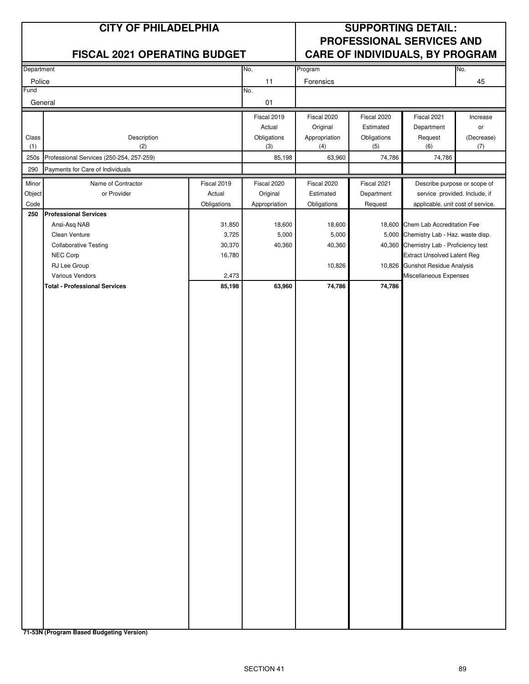|                | <b>CITY OF PHILADELPHIA</b>                             |                 | <b>SUPPORTING DETAIL:</b><br>PROFESSIONAL SERVICES AND |                      |                    |                                        |                   |
|----------------|---------------------------------------------------------|-----------------|--------------------------------------------------------|----------------------|--------------------|----------------------------------------|-------------------|
|                | <b>FISCAL 2021 OPERATING BUDGET</b>                     |                 |                                                        |                      |                    | <b>CARE OF INDIVIDUALS, BY PROGRAM</b> |                   |
| Department     |                                                         |                 | No.                                                    | Program              |                    |                                        | No.               |
| Police<br>Fund |                                                         |                 | 11<br>No.                                              | Forensics            |                    |                                        | 45                |
| General        |                                                         |                 | 01                                                     |                      |                    |                                        |                   |
|                |                                                         |                 | Fiscal 2019                                            | Fiscal 2020          | Fiscal 2020        | Fiscal 2021                            | Increase          |
|                |                                                         |                 | Actual                                                 | Original             | Estimated          | Department                             | or                |
| Class<br>(1)   | Description<br>(2)                                      |                 | Obligations<br>(3)                                     | Appropriation<br>(4) | Obligations<br>(5) | Request<br>(6)                         | (Decrease)<br>(7) |
| 250s           | Professional Services (250-254, 257-259)                |                 | 85,198                                                 | 63,960               | 74,786             | 74,786                                 |                   |
| 290            | Payments for Care of Individuals                        |                 |                                                        |                      |                    |                                        |                   |
| Minor          | Name of Contractor                                      | Fiscal 2019     | Fiscal 2020                                            | Fiscal 2020          | Fiscal 2021        | Describe purpose or scope of           |                   |
| Object         | or Provider                                             | Actual          | Original                                               | Estimated            | Department         | service provided. Include, if          |                   |
| Code<br>250    | <b>Professional Services</b>                            | Obligations     | Appropriation                                          | Obligations          | Request            | applicable, unit cost of service.      |                   |
|                | Ansi-Asq NAB                                            | 31,850          | 18,600                                                 | 18,600               |                    | 18,600 Chem Lab Accreditation Fee      |                   |
|                | Clean Venture                                           | 3,725           | 5,000                                                  | 5,000                | 5,000              | Chemistry Lab - Haz. waste disp.       |                   |
|                | <b>Collaborative Testing</b>                            | 30,370          | 40,360                                                 | 40,360               | 40,360             | Chemistry Lab - Proficiency test       |                   |
|                | NEC Corp                                                | 16,780          |                                                        |                      |                    | <b>Extract Unsolved Latent Reg</b>     |                   |
|                | RJ Lee Group                                            |                 |                                                        | 10,826               |                    | 10,826 Gunshot Residue Analysis        |                   |
|                | Various Vendors<br><b>Total - Professional Services</b> | 2,473<br>85,198 | 63,960                                                 | 74,786               | 74,786             | Miscellaneous Expenses                 |                   |
|                |                                                         |                 |                                                        |                      |                    |                                        |                   |
|                |                                                         |                 |                                                        |                      |                    |                                        |                   |
|                |                                                         |                 |                                                        |                      |                    |                                        |                   |
|                |                                                         |                 |                                                        |                      |                    |                                        |                   |
|                |                                                         |                 |                                                        |                      |                    |                                        |                   |
|                |                                                         |                 |                                                        |                      |                    |                                        |                   |
|                |                                                         |                 |                                                        |                      |                    |                                        |                   |
|                |                                                         |                 |                                                        |                      |                    |                                        |                   |
|                |                                                         |                 |                                                        |                      |                    |                                        |                   |
|                |                                                         |                 |                                                        |                      |                    |                                        |                   |
|                |                                                         |                 |                                                        |                      |                    |                                        |                   |
|                |                                                         |                 |                                                        |                      |                    |                                        |                   |
|                |                                                         |                 |                                                        |                      |                    |                                        |                   |
|                |                                                         |                 |                                                        |                      |                    |                                        |                   |
|                |                                                         |                 |                                                        |                      |                    |                                        |                   |
|                |                                                         |                 |                                                        |                      |                    |                                        |                   |
|                |                                                         |                 |                                                        |                      |                    |                                        |                   |
|                |                                                         |                 |                                                        |                      |                    |                                        |                   |
|                |                                                         |                 |                                                        |                      |                    |                                        |                   |
|                |                                                         |                 |                                                        |                      |                    |                                        |                   |
|                |                                                         |                 |                                                        |                      |                    |                                        |                   |
|                |                                                         |                 |                                                        |                      |                    |                                        |                   |
|                |                                                         |                 |                                                        |                      |                    |                                        |                   |
|                |                                                         |                 |                                                        |                      |                    |                                        |                   |
|                |                                                         |                 |                                                        |                      |                    |                                        |                   |
|                |                                                         |                 |                                                        |                      |                    |                                        |                   |
|                |                                                         |                 |                                                        |                      |                    |                                        |                   |
|                |                                                         |                 |                                                        |                      |                    |                                        |                   |

**71-53N (Program Based Budgeting Version)**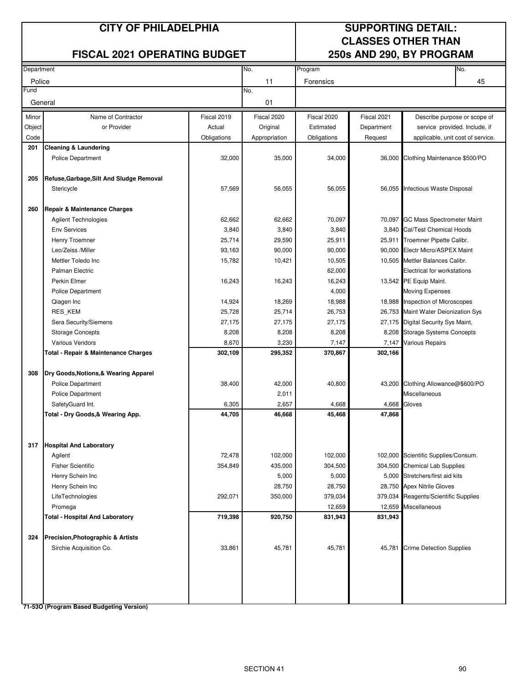## **FISCAL 2021 OPERATING BUDGET 250s AND 290, BY PROGRAM**

# **CITY OF PHILADELPHIA SUPPORTING DETAIL: CLASSES OTHER THAN**

| Department |                                                 |             | No.<br>Program  |                   |             | No.                                  |    |
|------------|-------------------------------------------------|-------------|-----------------|-------------------|-------------|--------------------------------------|----|
| Police     |                                                 |             | 11              | Forensics         |             |                                      | 45 |
| Fund       |                                                 |             | No.             |                   |             |                                      |    |
| General    |                                                 |             | 01              |                   |             |                                      |    |
| Minor      | Name of Contractor                              | Fiscal 2019 | Fiscal 2020     | Fiscal 2020       | Fiscal 2021 | Describe purpose or scope of         |    |
| Object     | or Provider                                     | Actual      | Original        | Estimated         | Department  | service provided. Include, if        |    |
| Code       |                                                 | Obligations | Appropriation   | Obligations       | Request     | applicable, unit cost of service.    |    |
| 201        | <b>Cleaning &amp; Laundering</b>                |             |                 |                   |             |                                      |    |
|            | <b>Police Department</b>                        | 32,000      | 35,000          | 34,000            |             | 36,000 Clothing Maintenance \$500/PO |    |
| 205        | Refuse, Garbage, Silt And Sludge Removal        |             |                 |                   |             |                                      |    |
|            | Stericycle                                      | 57,569      | 56,055          | 56,055            |             | 56,055 Infectious Waste Disposal     |    |
|            |                                                 |             |                 |                   |             |                                      |    |
| 260        | Repair & Maintenance Charges                    |             |                 |                   |             |                                      |    |
|            | Agilent Technologies                            | 62,662      | 62,662          | 70,097            | 70,097      | <b>GC Mass Spectrometer Maint</b>    |    |
|            | <b>Env Services</b>                             | 3,840       | 3,840           | 3,840             |             | 3,840 Cal/Test Chemical Hoods        |    |
|            | Henry Troemner                                  | 25,714      | 29,590          | 25,911            | 25,911      | Troemner Pipette Calibr.             |    |
|            | Leo/Zeiss /Miller                               | 93,163      | 90,000          | 90,000            |             | 90,000 Electr Micro/ASPEX Maint      |    |
|            | Mettler Toledo Inc                              | 15,782      | 10,421          | 10,505            |             | 10,505 Mettler Balances Calibr.      |    |
|            | Palman Electric                                 |             |                 | 62,000            |             | Electrical for workstations          |    |
|            | Perkin Elmer                                    | 16,243      | 16,243          | 16,243            |             | 13,542 PE Equip Maint.               |    |
|            | Police Department                               |             |                 | 4,000             |             | Moving Expenses                      |    |
|            | Qiagen Inc                                      | 14,924      | 18,269          | 18,988            |             | 18,988 Inspection of Microscopes     |    |
|            | RES_KEM                                         | 25,728      | 25,714          | 26,753            |             | 26,753 Maint Water Deionization Sys  |    |
|            | Sera Security/Siemens                           | 27,175      | 27,175          | 27,175            |             | 27,175 Digital Security Sys Maint,   |    |
|            | <b>Storage Concepts</b>                         | 8,208       | 8,208           | 8,208             |             | 8,208 Storage Systems Concepts       |    |
|            | Various Vendors                                 | 8,670       | 3,230           | 7,147             | 7,147       | <b>Various Repairs</b>               |    |
|            | <b>Total - Repair &amp; Maintenance Charges</b> | 302,109     | 295,352         | 370,867           | 302,166     |                                      |    |
| 308        | Dry Goods, Notions, & Wearing Apparel           |             |                 |                   |             |                                      |    |
|            | <b>Police Department</b>                        | 38,400      | 42,000          | 40,800            |             | 43,200 Clothing Allowance@\$600/PO   |    |
|            | <b>Police Department</b>                        |             | 2,011           |                   |             | Miscellaneous                        |    |
|            | SafetyGuard Int.                                | 6,305       | 2,657           | 4,668             | 4,668       | Gloves                               |    |
|            | Total - Dry Goods, & Wearing App.               | 44,705      | 46,668          | 45,468            | 47,868      |                                      |    |
|            |                                                 |             |                 |                   |             |                                      |    |
| 317        | <b>Hospital And Laboratory</b>                  |             |                 |                   |             |                                      |    |
|            | Agilent                                         | 72,478      | 102,000         | 102,000           |             | 102,000 Scientific Supplies/Consum.  |    |
|            | <b>Fisher Scientific</b>                        | 354,849     | 435,000         | 304,500           |             | 304,500 Chemical Lab Supplies        |    |
|            | Henry Schein Inc                                |             | 5,000<br>28,750 | 5,000             |             | 5,000 Stretchers/first aid kits      |    |
|            | Henry Schein Inc                                |             |                 | 28,750<br>379,034 |             | 28,750 Apex Nitrile Gloves           |    |
|            | LifeTechnologies                                | 292,071     | 350,000         |                   | 379,034     | Reagents/Scientific Supplies         |    |
|            | Promega                                         |             |                 | 12,659            | 12,659      | Miscellaneous                        |    |
|            | <b>Total - Hospital And Laboratory</b>          | 719,398     | 920,750         | 831,943           | 831,943     |                                      |    |
| 324        | <b>Precision, Photographic &amp; Artists</b>    |             |                 |                   |             |                                      |    |
|            | Sirchie Acquisition Co.                         | 33,861      | 45,781          | 45,781            | 45,781      | <b>Crime Detection Supplies</b>      |    |
|            |                                                 |             |                 |                   |             |                                      |    |
|            |                                                 |             |                 |                   |             |                                      |    |
|            |                                                 |             |                 |                   |             |                                      |    |

**71-53O (Program Based Budgeting Version)**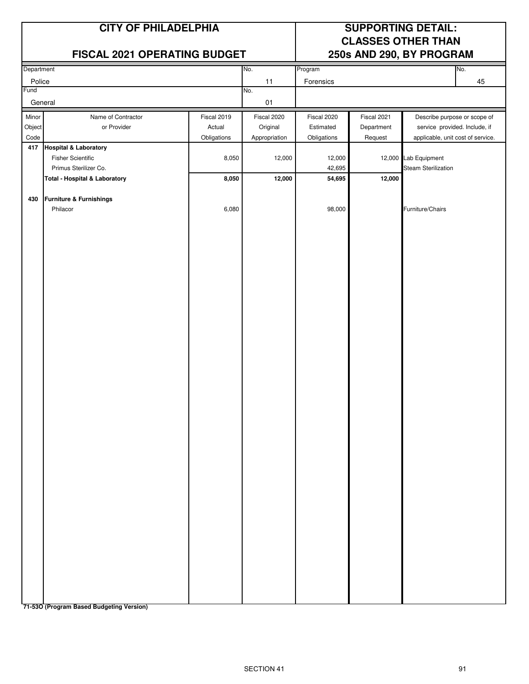|                                                                                                                            |                       | <b>SUPPORTING DETAIL:</b><br><b>CLASSES OTHER THAN</b><br>250s AND 290, BY PROGRAM |                                                            |                           |                                                                                                    |  |
|----------------------------------------------------------------------------------------------------------------------------|-----------------------|------------------------------------------------------------------------------------|------------------------------------------------------------|---------------------------|----------------------------------------------------------------------------------------------------|--|
| Department                                                                                                                 |                       | No.                                                                                |                                                            |                           | No.                                                                                                |  |
| Police                                                                                                                     |                       |                                                                                    | Forensics                                                  |                           | 45                                                                                                 |  |
| General                                                                                                                    |                       | 01                                                                                 |                                                            |                           |                                                                                                    |  |
| Name of Contractor<br>or Provider                                                                                          | Fiscal 2019<br>Actual | Fiscal 2020<br>Original                                                            | Fiscal 2020<br>Estimated                                   | Fiscal 2021<br>Department | Describe purpose or scope of<br>service provided. Include, if<br>applicable, unit cost of service. |  |
| 417 Hospital & Laboratory<br><b>Fisher Scientific</b><br>Primus Sterilizer Co.<br><b>Total - Hospital &amp; Laboratory</b> | 8,050<br>8,050        | 12,000<br>12,000                                                                   | 12,000<br>42,695<br>54,695                                 | 12,000                    | 12,000 Lab Equipment<br><b>Steam Sterilization</b>                                                 |  |
| <b>Furniture &amp; Furnishings</b><br>Philacor                                                                             | 6,080                 |                                                                                    | 98,000                                                     |                           | Furniture/Chairs                                                                                   |  |
|                                                                                                                            |                       | <b>CITY OF PHILADELPHIA</b><br>Obligations                                         | FISCAL 2021 OPERATING BUDGET<br>11<br>No.<br>Appropriation | Program<br>Obligations    | Request                                                                                            |  |

**71-53O (Program Based Budgeting Version)**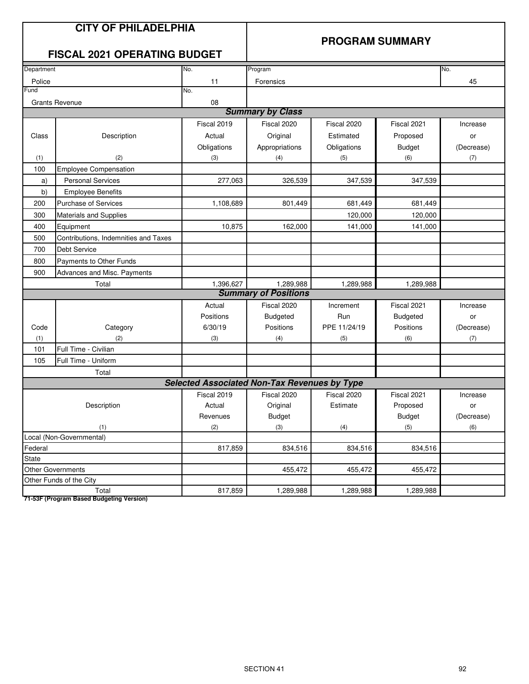# **PROGRAM SUMMARY**

# **FISCAL 2021 OPERATING BUDGET**

| Department |                                      | No.                                                 | Program                     |              |                 | No.        |
|------------|--------------------------------------|-----------------------------------------------------|-----------------------------|--------------|-----------------|------------|
| Police     |                                      | 11                                                  | Forensics                   |              |                 | 45         |
| Fund       |                                      | No.                                                 |                             |              |                 |            |
|            | <b>Grants Revenue</b>                | 08                                                  |                             |              |                 |            |
|            |                                      |                                                     | <b>Summary by Class</b>     |              |                 |            |
|            |                                      | Fiscal 2019                                         | Fiscal 2020                 | Fiscal 2020  | Fiscal 2021     | Increase   |
| Class      | Description                          | Actual                                              | Original                    | Estimated    | Proposed        | or         |
|            |                                      | Obligations                                         | Appropriations              | Obligations  | <b>Budget</b>   | (Decrease) |
| (1)        | (2)                                  | (3)                                                 | (4)                         | (5)          | (6)             | (7)        |
| 100        | <b>Employee Compensation</b>         |                                                     |                             |              |                 |            |
| a)         | <b>Personal Services</b>             | 277,063                                             | 326,539                     | 347,539      | 347,539         |            |
| b)         | <b>Employee Benefits</b>             |                                                     |                             |              |                 |            |
| 200        | <b>Purchase of Services</b>          | 1,108,689                                           | 801,449                     | 681,449      | 681,449         |            |
| 300        | Materials and Supplies               |                                                     |                             | 120,000      | 120,000         |            |
| 400        | Equipment                            | 10,875                                              | 162,000                     | 141,000      | 141,000         |            |
| 500        | Contributions, Indemnities and Taxes |                                                     |                             |              |                 |            |
| 700        | Debt Service                         |                                                     |                             |              |                 |            |
| 800        | Payments to Other Funds              |                                                     |                             |              |                 |            |
| 900        | Advances and Misc. Payments          |                                                     |                             |              |                 |            |
|            | Total                                | 1,396,627                                           | 1,289,988                   | 1,289,988    | 1,289,988       |            |
|            |                                      |                                                     | <b>Summary of Positions</b> |              |                 |            |
|            |                                      | Actual                                              | Fiscal 2020                 | Increment    | Fiscal 2021     | Increase   |
|            |                                      | Positions                                           | <b>Budgeted</b>             | Run          | <b>Budgeted</b> | or         |
| Code       | Category                             | 6/30/19                                             | Positions                   | PPE 11/24/19 | Positions       | (Decrease) |
| (1)        | (2)                                  | (3)                                                 | (4)                         | (5)          | (6)             | (7)        |
| 101        | Full Time - Civilian                 |                                                     |                             |              |                 |            |
| 105        | Full Time - Uniform                  |                                                     |                             |              |                 |            |
|            | Total                                |                                                     |                             |              |                 |            |
|            |                                      | <b>Selected Associated Non-Tax Revenues by Type</b> |                             |              |                 |            |
|            |                                      | Fiscal 2019                                         | Fiscal 2020                 | Fiscal 2020  | Fiscal 2021     | Increase   |
|            | Description                          | Actual                                              | Original                    | Estimate     | Proposed        | or         |
|            |                                      | Revenues                                            | <b>Budget</b>               |              | <b>Budget</b>   | (Decrease) |
| (1)        |                                      | (2)                                                 | (3)                         | (4)          | (5)             | (6)        |
|            | Local (Non-Governmental)             |                                                     |                             |              |                 |            |
| Federal    |                                      | 817,859                                             | 834,516                     | 834,516      | 834,516         |            |
| State      |                                      |                                                     |                             |              |                 |            |
|            | <b>Other Governments</b>             |                                                     | 455,472                     | 455,472      | 455,472         |            |
|            | Other Funds of the City              |                                                     |                             |              |                 |            |
|            | Total                                | 817,859                                             | 1,289,988                   | 1,289,988    | 1,289,988       |            |

**71-53F (Program Based Budgeting Version)**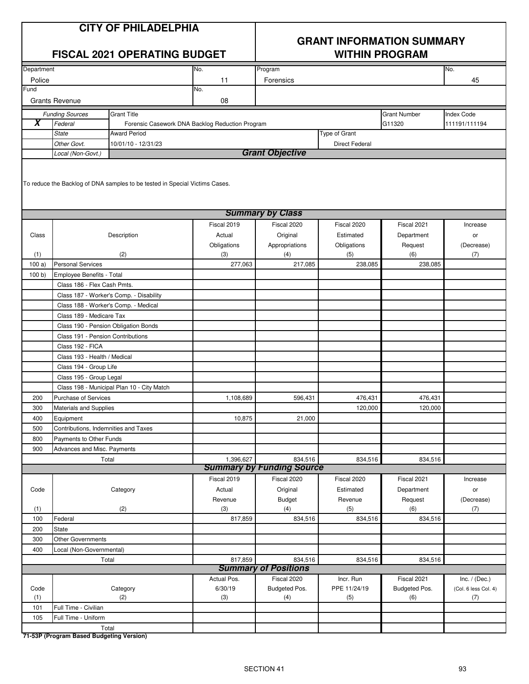# **GRANT INFORMATION SUMMARY FISCAL 2021 OPERATING BUDGET WITHIN PROGRAM**

| Department          |                                                                                                        |                                                 | No.            | Program                          |                       |                      | No.                         |  |  |  |  |
|---------------------|--------------------------------------------------------------------------------------------------------|-------------------------------------------------|----------------|----------------------------------|-----------------------|----------------------|-----------------------------|--|--|--|--|
| Police<br>Fund      |                                                                                                        |                                                 | 11             | Forensics                        |                       |                      | 45                          |  |  |  |  |
|                     |                                                                                                        |                                                 | No.            |                                  |                       |                      |                             |  |  |  |  |
|                     | <b>Grants Revenue</b>                                                                                  |                                                 | 08             |                                  |                       |                      |                             |  |  |  |  |
|                     | <b>Funding Sources</b>                                                                                 | Grant Title                                     |                |                                  |                       | <b>Grant Number</b>  | <b>Index Code</b>           |  |  |  |  |
| $\overline{\bm{x}}$ | Federal                                                                                                | Forensic Casework DNA Backlog Reduction Program |                |                                  |                       | G11320               | 111191/111194               |  |  |  |  |
|                     | <b>State</b>                                                                                           | <b>Award Period</b>                             |                |                                  | Type of Grant         |                      |                             |  |  |  |  |
|                     | Other Govt.                                                                                            | 10/01/10 - 12/31/23                             |                | <b>Grant Objective</b>           | <b>Direct Federal</b> |                      |                             |  |  |  |  |
|                     | Local (Non-Govt.)                                                                                      |                                                 |                |                                  |                       |                      |                             |  |  |  |  |
|                     | To reduce the Backlog of DNA samples to be tested in Special Victims Cases.<br><b>Summary by Class</b> |                                                 |                |                                  |                       |                      |                             |  |  |  |  |
|                     |                                                                                                        |                                                 |                |                                  |                       |                      |                             |  |  |  |  |
|                     |                                                                                                        |                                                 | Fiscal 2019    | Fiscal 2020                      | Fiscal 2020           | Fiscal 2021          | Increase                    |  |  |  |  |
| Class               |                                                                                                        | Description                                     | Actual         | Original                         | Estimated             | Department           | or                          |  |  |  |  |
|                     |                                                                                                        |                                                 | Obligations    | Appropriations                   | Obligations           | Request              | (Decrease)                  |  |  |  |  |
| (1)                 |                                                                                                        | (2)                                             | (3)            | (4)                              | (5)                   | (6)                  | (7)                         |  |  |  |  |
| 100a)               | <b>Personal Services</b>                                                                               |                                                 | 277,063        | 217,085                          | 238,085               | 238,085              |                             |  |  |  |  |
| 100 b               | Employee Benefits - Total                                                                              |                                                 |                |                                  |                       |                      |                             |  |  |  |  |
|                     | Class 186 - Flex Cash Pmts.                                                                            |                                                 |                |                                  |                       |                      |                             |  |  |  |  |
|                     |                                                                                                        | Class 187 - Worker's Comp. - Disability         |                |                                  |                       |                      |                             |  |  |  |  |
|                     | Class 188 - Worker's Comp. - Medical                                                                   |                                                 |                |                                  |                       |                      |                             |  |  |  |  |
|                     | Class 189 - Medicare Tax                                                                               |                                                 |                |                                  |                       |                      |                             |  |  |  |  |
|                     | Class 190 - Pension Obligation Bonds                                                                   |                                                 |                |                                  |                       |                      |                             |  |  |  |  |
|                     | Class 191 - Pension Contributions<br>Class 192 - FICA                                                  |                                                 |                |                                  |                       |                      |                             |  |  |  |  |
|                     | Class 193 - Health / Medical                                                                           |                                                 |                |                                  |                       |                      |                             |  |  |  |  |
|                     | Class 194 - Group Life                                                                                 |                                                 |                |                                  |                       |                      |                             |  |  |  |  |
|                     | Class 195 - Group Legal                                                                                |                                                 |                |                                  |                       |                      |                             |  |  |  |  |
|                     |                                                                                                        | Class 198 - Municipal Plan 10 - City Match      |                |                                  |                       |                      |                             |  |  |  |  |
| 200                 | <b>Purchase of Services</b>                                                                            |                                                 | 1,108,689      | 596,431                          | 476,431               | 476,431              |                             |  |  |  |  |
| 300                 | Materials and Supplies                                                                                 |                                                 |                |                                  | 120,000               | 120,000              |                             |  |  |  |  |
| 400                 | Equipment                                                                                              |                                                 | 10,875         | 21,000                           |                       |                      |                             |  |  |  |  |
| 500                 | Contributions, Indemnities and Taxes                                                                   |                                                 |                |                                  |                       |                      |                             |  |  |  |  |
| 800                 | Payments to Other Funds                                                                                |                                                 |                |                                  |                       |                      |                             |  |  |  |  |
| 900                 | Advances and Misc. Payments                                                                            |                                                 |                |                                  |                       |                      |                             |  |  |  |  |
|                     |                                                                                                        | Total                                           | 1,396,627      | 834,516                          | 834,516               | 834,516              |                             |  |  |  |  |
|                     |                                                                                                        |                                                 |                | <b>Summary by Funding Source</b> |                       |                      |                             |  |  |  |  |
|                     |                                                                                                        |                                                 | Fiscal 2019    | Fiscal 2020                      | Fiscal 2020           | Fiscal 2021          | Increase                    |  |  |  |  |
| Code                |                                                                                                        | Category                                        | Actual         | Original                         | Estimated             | Department           | or                          |  |  |  |  |
|                     |                                                                                                        |                                                 | Revenue        | <b>Budget</b>                    | Revenue               | Request              | (Decrease)                  |  |  |  |  |
| (1)                 |                                                                                                        | (2)                                             | (3)            | (4)                              | (5)                   | (6)                  | (7)                         |  |  |  |  |
| 100                 | Federal                                                                                                |                                                 | 817,859        | 834,516                          | 834,516               | 834,516              |                             |  |  |  |  |
| 200                 | State                                                                                                  |                                                 |                |                                  |                       |                      |                             |  |  |  |  |
| 300                 | Other Governments                                                                                      |                                                 |                |                                  |                       |                      |                             |  |  |  |  |
| 400                 | Local (Non-Governmental)                                                                               |                                                 |                |                                  |                       |                      |                             |  |  |  |  |
|                     | Total                                                                                                  |                                                 | 817,859        | 834,516                          | 834,516               | 834,516              |                             |  |  |  |  |
|                     |                                                                                                        |                                                 |                | <b>Summary of Positions</b>      |                       |                      |                             |  |  |  |  |
|                     |                                                                                                        |                                                 | Actual Pos.    | Fiscal 2020                      | Incr. Run             | Fiscal 2021          | Inc. $/$ (Dec.)             |  |  |  |  |
| Code<br>(1)         |                                                                                                        | Category<br>(2)                                 | 6/30/19<br>(3) | Budgeted Pos.<br>(4)             | PPE 11/24/19<br>(5)   | Budgeted Pos.<br>(6) | (Col. 6 less Col. 4)<br>(7) |  |  |  |  |
| 101                 | Full Time - Civilian                                                                                   |                                                 |                |                                  |                       |                      |                             |  |  |  |  |
| 105                 | Full Time - Uniform                                                                                    |                                                 |                |                                  |                       |                      |                             |  |  |  |  |
|                     | Total                                                                                                  |                                                 |                |                                  |                       |                      |                             |  |  |  |  |
|                     |                                                                                                        |                                                 |                |                                  |                       |                      |                             |  |  |  |  |

**71-53P (Program Based Budgeting Version)**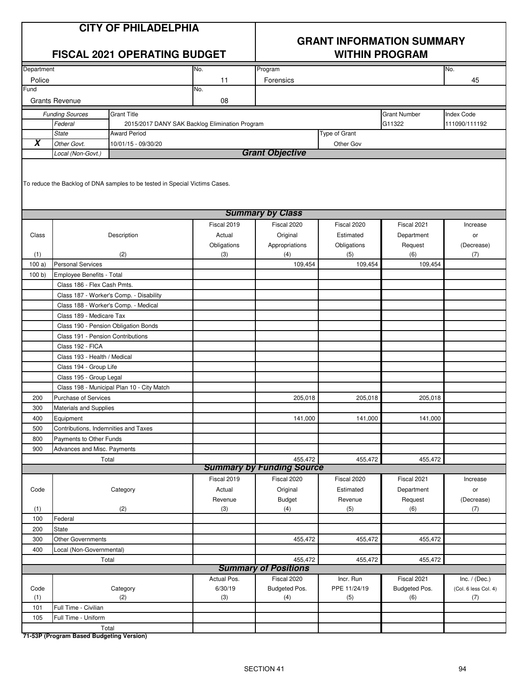# **GRANT INFORMATION SUMMARY FISCAL 2021 OPERATING BUDGET WITHIN PROGRAM**

| Department          |                                                                                                        |                                                | No.         | Program                          |               |                     | No.                  |  |  |  |  |  |
|---------------------|--------------------------------------------------------------------------------------------------------|------------------------------------------------|-------------|----------------------------------|---------------|---------------------|----------------------|--|--|--|--|--|
| Police              |                                                                                                        |                                                | 11          | Forensics                        |               |                     | 45                   |  |  |  |  |  |
| Fund                |                                                                                                        |                                                | No.         |                                  |               |                     |                      |  |  |  |  |  |
|                     | <b>Grants Revenue</b>                                                                                  |                                                | 08          |                                  |               |                     |                      |  |  |  |  |  |
|                     | <b>Funding Sources</b>                                                                                 | <b>Grant Title</b>                             |             |                                  |               | <b>Grant Number</b> | Index Code           |  |  |  |  |  |
|                     | Federal                                                                                                | 2015/2017 DANY SAK Backlog Elimination Program |             |                                  |               | G11322              | 111090/111192        |  |  |  |  |  |
|                     | <b>State</b>                                                                                           | <b>Award Period</b>                            |             |                                  | Type of Grant |                     |                      |  |  |  |  |  |
| $\overline{\bm{x}}$ | Other Govt.                                                                                            | 10/01/15 - 09/30/20                            |             |                                  | Other Gov     |                     |                      |  |  |  |  |  |
|                     | Local (Non-Govt.)                                                                                      |                                                |             | <b>Grant Objective</b>           |               |                     |                      |  |  |  |  |  |
|                     | To reduce the Backlog of DNA samples to be tested in Special Victims Cases.<br><b>Summary by Class</b> |                                                |             |                                  |               |                     |                      |  |  |  |  |  |
|                     |                                                                                                        |                                                |             |                                  |               |                     |                      |  |  |  |  |  |
|                     |                                                                                                        |                                                | Fiscal 2019 | Fiscal 2020                      | Fiscal 2020   | Fiscal 2021         | Increase             |  |  |  |  |  |
| Class               |                                                                                                        | Description                                    | Actual      | Original                         | Estimated     | Department          | or                   |  |  |  |  |  |
|                     |                                                                                                        |                                                | Obligations | Appropriations                   | Obligations   | Request             | (Decrease)           |  |  |  |  |  |
| (1)                 |                                                                                                        | (2)                                            | (3)         | (4)                              | (5)           | (6)                 | (7)                  |  |  |  |  |  |
| 100a)               | <b>Personal Services</b>                                                                               |                                                |             | 109,454                          | 109,454       | 109,454             |                      |  |  |  |  |  |
| 100 b               | Employee Benefits - Total                                                                              |                                                |             |                                  |               |                     |                      |  |  |  |  |  |
|                     | Class 186 - Flex Cash Pmts.                                                                            |                                                |             |                                  |               |                     |                      |  |  |  |  |  |
|                     |                                                                                                        | Class 187 - Worker's Comp. - Disability        |             |                                  |               |                     |                      |  |  |  |  |  |
|                     | Class 189 - Medicare Tax                                                                               | Class 188 - Worker's Comp. - Medical           |             |                                  |               |                     |                      |  |  |  |  |  |
|                     | Class 190 - Pension Obligation Bonds                                                                   |                                                |             |                                  |               |                     |                      |  |  |  |  |  |
|                     | Class 191 - Pension Contributions                                                                      |                                                |             |                                  |               |                     |                      |  |  |  |  |  |
|                     | Class 192 - FICA                                                                                       |                                                |             |                                  |               |                     |                      |  |  |  |  |  |
|                     | Class 193 - Health / Medical                                                                           |                                                |             |                                  |               |                     |                      |  |  |  |  |  |
|                     | Class 194 - Group Life                                                                                 |                                                |             |                                  |               |                     |                      |  |  |  |  |  |
|                     | Class 195 - Group Legal                                                                                |                                                |             |                                  |               |                     |                      |  |  |  |  |  |
|                     |                                                                                                        | Class 198 - Municipal Plan 10 - City Match     |             |                                  |               |                     |                      |  |  |  |  |  |
| 200                 | Purchase of Services                                                                                   |                                                |             | 205,018                          | 205,018       | 205,018             |                      |  |  |  |  |  |
|                     |                                                                                                        |                                                |             |                                  |               |                     |                      |  |  |  |  |  |
| 300<br>400          | Materials and Supplies                                                                                 |                                                |             | 141,000                          | 141,000       | 141,000             |                      |  |  |  |  |  |
| 500                 | Equipment<br>Contributions, Indemnities and Taxes                                                      |                                                |             |                                  |               |                     |                      |  |  |  |  |  |
| 800                 | Payments to Other Funds                                                                                |                                                |             |                                  |               |                     |                      |  |  |  |  |  |
| 900                 | Advances and Misc. Payments                                                                            |                                                |             |                                  |               |                     |                      |  |  |  |  |  |
|                     |                                                                                                        | Total                                          |             | 455,472                          | 455,472       | 455,472             |                      |  |  |  |  |  |
|                     |                                                                                                        |                                                |             | <b>Summary by Funding Source</b> |               |                     |                      |  |  |  |  |  |
|                     |                                                                                                        |                                                | Fiscal 2019 | Fiscal 2020                      | Fiscal 2020   | Fiscal 2021         | Increase             |  |  |  |  |  |
| Code                |                                                                                                        | Category                                       | Actual      | Original                         | Estimated     | Department          | or                   |  |  |  |  |  |
|                     |                                                                                                        |                                                | Revenue     | <b>Budget</b>                    | Revenue       | Request             | (Decrease)           |  |  |  |  |  |
| (1)                 |                                                                                                        | (2)                                            | (3)         | (4)                              | (5)           | (6)                 | (7)                  |  |  |  |  |  |
| 100                 | Federal                                                                                                |                                                |             |                                  |               |                     |                      |  |  |  |  |  |
| 200                 | <b>State</b>                                                                                           |                                                |             |                                  |               |                     |                      |  |  |  |  |  |
| 300                 | Other Governments                                                                                      |                                                |             | 455,472                          | 455,472       | 455,472             |                      |  |  |  |  |  |
| 400                 | Local (Non-Governmental)                                                                               |                                                |             |                                  |               |                     |                      |  |  |  |  |  |
|                     | Total                                                                                                  |                                                |             | 455,472                          | 455,472       | 455,472             |                      |  |  |  |  |  |
|                     |                                                                                                        |                                                |             | <b>Summary of Positions</b>      |               |                     |                      |  |  |  |  |  |
|                     |                                                                                                        |                                                | Actual Pos. | Fiscal 2020                      | Incr. Run     | Fiscal 2021         | Inc. $/$ (Dec.)      |  |  |  |  |  |
| Code                |                                                                                                        | Category                                       | 6/30/19     | Budgeted Pos.                    | PPE 11/24/19  | Budgeted Pos.       | (Col. 6 less Col. 4) |  |  |  |  |  |
| (1)                 |                                                                                                        | (2)                                            | (3)         | (4)                              | (5)           | (6)                 | (7)                  |  |  |  |  |  |
| 101                 | Full Time - Civilian                                                                                   |                                                |             |                                  |               |                     |                      |  |  |  |  |  |
| 105                 | Full Time - Uniform                                                                                    |                                                |             |                                  |               |                     |                      |  |  |  |  |  |
|                     | Total<br><b>71 E2D (Brogram Bosed Budgeting Version)</b>                                               |                                                |             |                                  |               |                     |                      |  |  |  |  |  |

**71-53P (Program Based Budgeting Version)**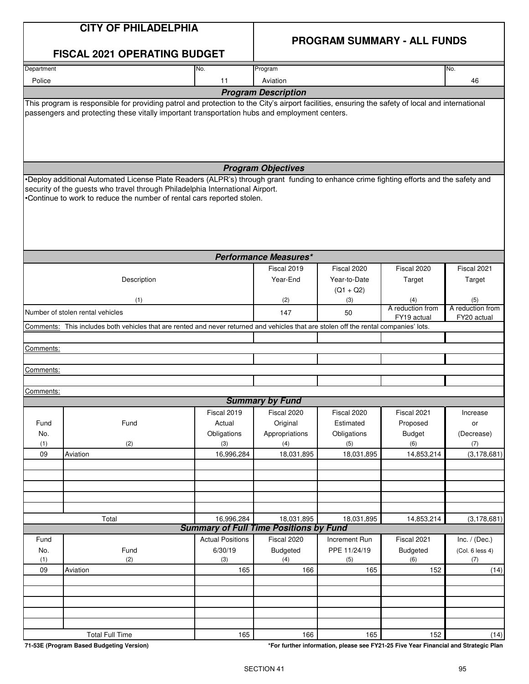# **PROGRAM SUMMARY - ALL FUNDS**

|            | <b>FISCAL 2021 OPERATING BUDGET</b>                                                                                                                                                                                                                                                              |                         |                                                             |               |                                 |                                 |
|------------|--------------------------------------------------------------------------------------------------------------------------------------------------------------------------------------------------------------------------------------------------------------------------------------------------|-------------------------|-------------------------------------------------------------|---------------|---------------------------------|---------------------------------|
| Department |                                                                                                                                                                                                                                                                                                  | No.                     | Program                                                     |               |                                 | No.                             |
| Police     |                                                                                                                                                                                                                                                                                                  | 11                      | Aviation                                                    |               |                                 | 46                              |
|            |                                                                                                                                                                                                                                                                                                  |                         | <b>Program Description</b>                                  |               |                                 |                                 |
|            | This program is responsible for providing patrol and protection to the City's airport facilities, ensuring the safety of local and international<br>passengers and protecting these vitally important transportation hubs and employment centers.                                                |                         |                                                             |               |                                 |                                 |
|            |                                                                                                                                                                                                                                                                                                  |                         | <b>Program Objectives</b>                                   |               |                                 |                                 |
|            | •Deploy additional Automated License Plate Readers (ALPR's) through grant funding to enhance crime fighting efforts and the safety and<br>security of the guests who travel through Philadelphia International Airport.<br>Oontinue to work to reduce the number of rental cars reported stolen. |                         |                                                             |               |                                 |                                 |
|            |                                                                                                                                                                                                                                                                                                  |                         | <b>Performance Measures*</b>                                |               |                                 |                                 |
|            |                                                                                                                                                                                                                                                                                                  |                         | Fiscal 2019                                                 | Fiscal 2020   | Fiscal 2020                     | Fiscal 2021                     |
|            | Description                                                                                                                                                                                                                                                                                      |                         | Year-End                                                    | Year-to-Date  | Target                          | Target                          |
|            |                                                                                                                                                                                                                                                                                                  |                         |                                                             | $(Q1 + Q2)$   |                                 |                                 |
|            | (1)                                                                                                                                                                                                                                                                                              |                         | (2)                                                         | (3)           | (4)                             | (5)                             |
|            | Number of stolen rental vehicles                                                                                                                                                                                                                                                                 |                         | 147                                                         | 50            | A reduction from<br>FY19 actual | A reduction from<br>FY20 actual |
|            | Comments: This includes both vehicles that are rented and never returned and vehicles that are stolen off the rental companies' lots.                                                                                                                                                            |                         |                                                             |               |                                 |                                 |
|            |                                                                                                                                                                                                                                                                                                  |                         |                                                             |               |                                 |                                 |
| Comments:  |                                                                                                                                                                                                                                                                                                  |                         |                                                             |               |                                 |                                 |
|            |                                                                                                                                                                                                                                                                                                  |                         |                                                             |               |                                 |                                 |
| Comments:  |                                                                                                                                                                                                                                                                                                  |                         |                                                             |               |                                 |                                 |
|            |                                                                                                                                                                                                                                                                                                  |                         |                                                             |               |                                 |                                 |
| Comments:  |                                                                                                                                                                                                                                                                                                  |                         | <b>Summary by Fund</b>                                      |               |                                 |                                 |
|            |                                                                                                                                                                                                                                                                                                  | Fiscal 2019             | Fiscal 2020                                                 | Fiscal 2020   | Fiscal 2021                     | Increase                        |
| Fund       | Fund                                                                                                                                                                                                                                                                                             | Actual                  | Original                                                    | Estimated     | Proposed                        | or                              |
| No.        |                                                                                                                                                                                                                                                                                                  | Obligations             | Appropriations                                              | Obligations   | <b>Budget</b>                   | (Decrease)                      |
| (1)        | (2)                                                                                                                                                                                                                                                                                              | (3)                     | (4)                                                         | (5)           | (6)                             | (7)                             |
| 09         | Aviation                                                                                                                                                                                                                                                                                         | 16,996,284              | 18,031,895                                                  | 18,031,895    | 14,853,214                      | (3, 178, 681)                   |
|            |                                                                                                                                                                                                                                                                                                  |                         |                                                             |               |                                 |                                 |
|            |                                                                                                                                                                                                                                                                                                  |                         |                                                             |               |                                 |                                 |
|            |                                                                                                                                                                                                                                                                                                  |                         |                                                             |               |                                 |                                 |
|            |                                                                                                                                                                                                                                                                                                  |                         |                                                             |               |                                 |                                 |
|            |                                                                                                                                                                                                                                                                                                  |                         |                                                             |               |                                 |                                 |
|            | Total                                                                                                                                                                                                                                                                                            | 16,996,284              | 18,031,895<br><b>Summary of Full Time Positions by Fund</b> | 18,031,895    | 14,853,214                      | (3, 178, 681)                   |
| Fund       |                                                                                                                                                                                                                                                                                                  | <b>Actual Positions</b> | Fiscal 2020                                                 | Increment Run | Fiscal 2021                     | Inc. $/$ (Dec.)                 |
| No.        | Fund                                                                                                                                                                                                                                                                                             | 6/30/19                 | <b>Budgeted</b>                                             | PPE 11/24/19  | <b>Budgeted</b>                 | (Col. 6 less 4)                 |
| (1)        | (2)                                                                                                                                                                                                                                                                                              | (3)                     | (4)                                                         | (5)           | (6)                             | (7)                             |
| 09         | Aviation                                                                                                                                                                                                                                                                                         | 165                     | 166                                                         | 165           | 152                             | (14)                            |
|            |                                                                                                                                                                                                                                                                                                  |                         |                                                             |               |                                 |                                 |
|            |                                                                                                                                                                                                                                                                                                  |                         |                                                             |               |                                 |                                 |
|            |                                                                                                                                                                                                                                                                                                  |                         |                                                             |               |                                 |                                 |
|            |                                                                                                                                                                                                                                                                                                  |                         |                                                             |               |                                 |                                 |
|            |                                                                                                                                                                                                                                                                                                  |                         |                                                             |               |                                 |                                 |
|            | <b>Total Full Time</b>                                                                                                                                                                                                                                                                           | 165                     | 166                                                         | 165           | 152                             | (14)                            |

**71-53E (Program Based Budgeting Version) \*For further information, please see FY21-25 Five Year Financial and Strategic Plan**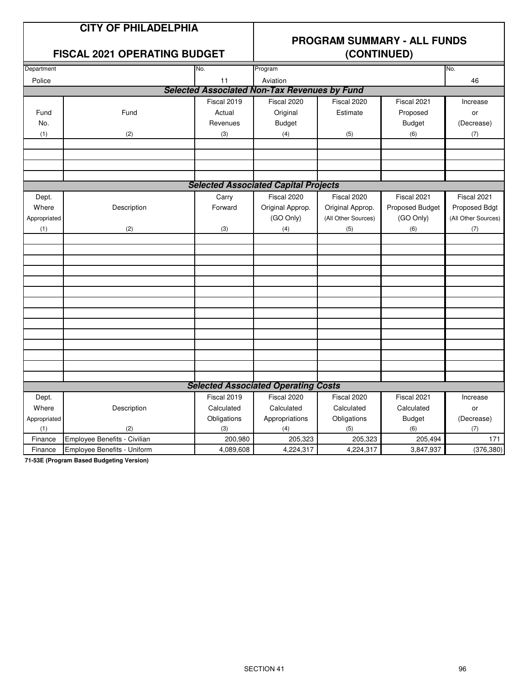# **PROGRAM SUMMARY - ALL FUNDS**

### **FISCAL 2021 OPERATING BUDGET (CONTINUED)**

| Program<br>Aviation<br>Police<br>11<br><b>Selected Associated Non-Tax Revenues by Fund</b><br>Fiscal 2019<br>Fiscal 2020<br>Fiscal 2020<br>Fiscal 2021<br>Fund<br>Estimate<br>Fund<br>Actual<br>Original<br>Proposed | 46<br>Increase<br>or |
|----------------------------------------------------------------------------------------------------------------------------------------------------------------------------------------------------------------------|----------------------|
|                                                                                                                                                                                                                      |                      |
|                                                                                                                                                                                                                      |                      |
|                                                                                                                                                                                                                      |                      |
|                                                                                                                                                                                                                      |                      |
| No.<br><b>Budget</b><br><b>Budget</b><br>Revenues                                                                                                                                                                    | (Decrease)           |
| (1)<br>(2)<br>(3)<br>(4)<br>(6)<br>(5)                                                                                                                                                                               | (7)                  |
|                                                                                                                                                                                                                      |                      |
|                                                                                                                                                                                                                      |                      |
|                                                                                                                                                                                                                      |                      |
|                                                                                                                                                                                                                      |                      |
| <b>Selected Associated Capital Projects</b>                                                                                                                                                                          |                      |
| Fiscal 2020<br>Fiscal 2021<br>Fiscal 2020<br>Dept.<br>Carry                                                                                                                                                          | Fiscal 2021          |
| Where<br>Description<br>Forward<br>Original Approp.<br>Original Approp.<br>Proposed Budget                                                                                                                           | Proposed Bdgt        |
| (GO Only)<br>(GO Only)<br>(All Other Sources)<br>Appropriated                                                                                                                                                        | (All Other Sources)  |
| (3)<br>(6)<br>(2)<br>(4)<br>(5)<br>(1)                                                                                                                                                                               | (7)                  |
|                                                                                                                                                                                                                      |                      |
|                                                                                                                                                                                                                      |                      |
|                                                                                                                                                                                                                      |                      |
|                                                                                                                                                                                                                      |                      |
|                                                                                                                                                                                                                      |                      |
|                                                                                                                                                                                                                      |                      |
|                                                                                                                                                                                                                      |                      |
|                                                                                                                                                                                                                      |                      |
|                                                                                                                                                                                                                      |                      |
|                                                                                                                                                                                                                      |                      |
|                                                                                                                                                                                                                      |                      |
|                                                                                                                                                                                                                      |                      |
|                                                                                                                                                                                                                      |                      |
| <b>Selected Associated Operating Costs</b>                                                                                                                                                                           |                      |
| Fiscal 2019<br>Fiscal 2020<br>Fiscal 2020<br>Fiscal 2021                                                                                                                                                             |                      |
| Dept.                                                                                                                                                                                                                | Increase             |
| Where<br>Description<br>Calculated<br>Calculated<br>Calculated<br>Calculated                                                                                                                                         | or<br>(Decrease)     |
| Obligations<br>Appropriations<br>Obligations<br><b>Budget</b><br>Appropriated<br>(3)<br>(4)<br>(1)<br>(2)<br>(5)<br>(6)                                                                                              | (7)                  |
| Employee Benefits - Civilian<br>200,980<br>205,323<br>205,323<br>205,494<br>Finance                                                                                                                                  | 171                  |
| 3,847,937<br>Employee Benefits - Uniform<br>4,089,608<br>4,224,317<br>4,224,317<br>Finance                                                                                                                           | (376, 380)           |

**71-53E (Program Based Budgeting Version)**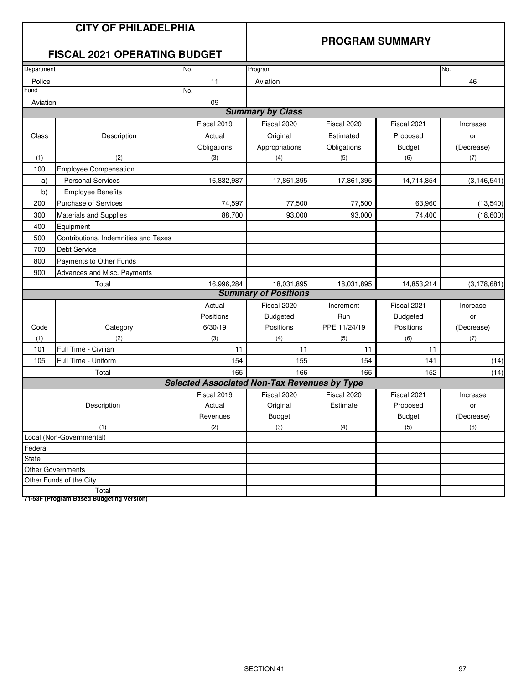# **PROGRAM SUMMARY**

# **FISCAL 2021 OPERATING BUDGET**

| Department               |                                      | No.                                                 | Program                     |              |                 | No.           |
|--------------------------|--------------------------------------|-----------------------------------------------------|-----------------------------|--------------|-----------------|---------------|
| Police                   |                                      | 11                                                  | Aviation                    |              |                 | 46            |
| Fund                     |                                      | No.                                                 |                             |              |                 |               |
| Aviation                 |                                      | 09                                                  |                             |              |                 |               |
|                          |                                      |                                                     | <b>Summary by Class</b>     |              |                 |               |
|                          |                                      | Fiscal 2019                                         | Fiscal 2020                 | Fiscal 2020  | Fiscal 2021     | Increase      |
| Class                    | Description                          | Actual                                              | Original                    | Estimated    | Proposed        | or            |
|                          |                                      | Obligations                                         | Appropriations              | Obligations  | <b>Budget</b>   | (Decrease)    |
| (1)                      | (2)                                  | (3)                                                 | (4)                         | (5)          | (6)             | (7)           |
| 100                      | <b>Employee Compensation</b>         |                                                     |                             |              |                 |               |
| a)                       | <b>Personal Services</b>             | 16,832,987                                          | 17,861,395                  | 17,861,395   | 14,714,854      | (3, 146, 541) |
| b)                       | <b>Employee Benefits</b>             |                                                     |                             |              |                 |               |
| 200                      | <b>Purchase of Services</b>          | 74,597                                              | 77,500                      | 77,500       | 63,960          | (13, 540)     |
| 300                      | <b>Materials and Supplies</b>        | 88,700                                              | 93,000                      | 93,000       | 74,400          | (18,600)      |
| 400                      | Equipment                            |                                                     |                             |              |                 |               |
| 500                      | Contributions, Indemnities and Taxes |                                                     |                             |              |                 |               |
| 700                      | <b>Debt Service</b>                  |                                                     |                             |              |                 |               |
| 800                      | Payments to Other Funds              |                                                     |                             |              |                 |               |
| 900                      | Advances and Misc. Payments          |                                                     |                             |              |                 |               |
| Total                    |                                      | 16,996,284                                          | 18,031,895                  | 18,031,895   | 14,853,214      | (3, 178, 681) |
|                          |                                      |                                                     | <b>Summary of Positions</b> |              |                 |               |
|                          |                                      | Actual                                              | Fiscal 2020                 | Increment    | Fiscal 2021     | Increase      |
|                          |                                      | Positions                                           | <b>Budgeted</b>             | Run          | <b>Budgeted</b> | or            |
| Code                     | Category                             | 6/30/19                                             | Positions                   | PPE 11/24/19 | Positions       | (Decrease)    |
| (1)                      | (2)                                  | (3)                                                 | (4)                         | (5)          | (6)             | (7)           |
| 101                      | Full Time - Civilian                 | 11                                                  | 11                          | 11           | 11              |               |
| 105                      | Full Time - Uniform                  | 154                                                 | 155                         | 154          | 141             | (14)          |
|                          | Total                                | 165                                                 | 166                         | 165          | 152             | (14)          |
|                          |                                      | <b>Selected Associated Non-Tax Revenues by Type</b> |                             |              |                 |               |
|                          |                                      | Fiscal 2019                                         | Fiscal 2020                 | Fiscal 2020  | Fiscal 2021     | Increase      |
|                          | Description                          | Actual                                              | Original                    | Estimate     | Proposed        | or            |
|                          |                                      | Revenues                                            | <b>Budget</b>               |              | <b>Budget</b>   | (Decrease)    |
|                          | (1)                                  | (2)                                                 | (3)                         | (4)          | (5)             | (6)           |
| Local (Non-Governmental) |                                      |                                                     |                             |              |                 |               |
| Federal                  |                                      |                                                     |                             |              |                 |               |
| <b>State</b>             |                                      |                                                     |                             |              |                 |               |
|                          | <b>Other Governments</b>             |                                                     |                             |              |                 |               |
|                          | Other Funds of the City              |                                                     |                             |              |                 |               |
| Total                    |                                      |                                                     |                             |              |                 |               |

**71-53F (Program Based Budgeting Version)**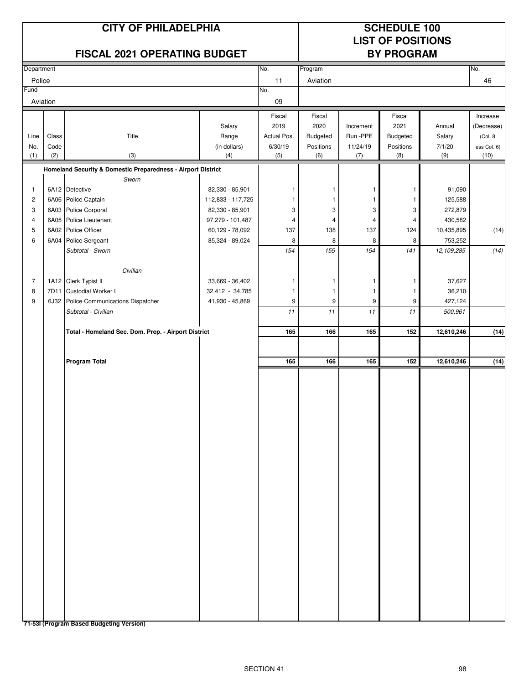# **CITY OF PHILADELPHIA SCHEDULE 100**

# **LIST OF POSITIONS**

| FISCAL 2021 OPERATING BUDGET |       |                                                              |                   |             | <b>BY PROGRAM</b> |           |           |            |              |
|------------------------------|-------|--------------------------------------------------------------|-------------------|-------------|-------------------|-----------|-----------|------------|--------------|
| Department                   |       |                                                              |                   | No.         | Program           |           |           |            | No.          |
| Police                       |       |                                                              |                   | 11          | Aviation          |           |           |            | 46           |
| Fund                         |       |                                                              |                   | No.         |                   |           |           |            |              |
| Aviation                     |       |                                                              |                   | 09          |                   |           |           |            |              |
|                              |       |                                                              |                   | Fiscal      | Fiscal            |           | Fiscal    |            | Increase     |
|                              |       |                                                              | Salary            | 2019        | 2020              | Increment | 2021      | Annual     | (Decrease)   |
| Line                         | Class | Title                                                        | Range             | Actual Pos. | <b>Budgeted</b>   | Run - PPE | Budgeted  | Salary     | (Col. 8      |
| No.                          | Code  |                                                              | (in dollars)      | 6/30/19     | Positions         | 11/24/19  | Positions | 7/1/20     | less Col. 6) |
| (1)                          | (2)   | (3)                                                          | (4)               | (5)         | (6)               | (7)       | (8)       | (9)        | (10)         |
|                              |       | Homeland Security & Domestic Preparedness - Airport District |                   |             |                   |           |           |            |              |
| 1                            |       | Sworn<br>6A12 Detective                                      | 82,330 - 85,901   | 1           | 1                 | 1         | 1         | 91,090     |              |
| $\overline{c}$               |       | 6A06 Police Captain                                          | 112,833 - 117,725 | 1           | 1                 | 1         | 1         | 125,588    |              |
| 3                            |       | 6A03 Police Corporal                                         | 82,330 - 85,901   | 3           | 3                 | 3         | 3         | 272,879    |              |
| 4                            |       | 6A05 Police Lieutenant                                       | 97,279 - 101,487  | 4           | 4                 | 4         | 4         | 430,582    |              |
| 5                            |       | 6A02 Police Officer                                          | 60,129 - 78,092   | 137         | 138               | 137       | 124       | 10,435,895 | (14)         |
| 6                            | 6A04  | Police Sergeant                                              | 85,324 - 89,024   | 8           | 8                 | 8         | 8         | 753,252    |              |
|                              |       | Subtotal - Sworn                                             |                   | 154         | 155               | 154       | 141       | 12,109,285 | (14)         |
|                              |       |                                                              |                   |             |                   |           |           |            |              |
|                              |       | Civilian                                                     |                   |             |                   |           |           |            |              |
| $\overline{7}$               |       | 1A12 Clerk Typist II                                         | 33,669 - 36,402   | 1           | 1                 | 1         | 1         | 37,627     |              |
| 8                            | 7D11  | Custodial Worker I                                           | 32,412 - 34,785   | 1           | $\mathbf{1}$      | 1         | 1         | 36,210     |              |
| 9                            | 6J32  | Police Communications Dispatcher                             | 41,930 - 45,869   | 9           | 9                 | 9         | 9         | 427,124    |              |
|                              |       | Subtotal - Civilian                                          |                   | 11          | 11                | 11        | 11        | 500,961    |              |
|                              |       | Total - Homeland Sec. Dom. Prep. - Airport District          |                   | 165         | 166               | 165       | 152       | 12,610,246 | (14)         |
|                              |       |                                                              |                   |             |                   |           |           |            |              |
|                              |       | <b>Program Total</b>                                         |                   | 165         | 166               | 165       | 152       | 12,610,246 | (14)         |
|                              |       |                                                              |                   |             |                   |           |           |            |              |
|                              |       |                                                              |                   |             |                   |           |           |            |              |
|                              |       |                                                              |                   |             |                   |           |           |            |              |
|                              |       |                                                              |                   |             |                   |           |           |            |              |
|                              |       |                                                              |                   |             |                   |           |           |            |              |
|                              |       |                                                              |                   |             |                   |           |           |            |              |
|                              |       |                                                              |                   |             |                   |           |           |            |              |
|                              |       |                                                              |                   |             |                   |           |           |            |              |
|                              |       |                                                              |                   |             |                   |           |           |            |              |
|                              |       |                                                              |                   |             |                   |           |           |            |              |
|                              |       |                                                              |                   |             |                   |           |           |            |              |
|                              |       |                                                              |                   |             |                   |           |           |            |              |
|                              |       |                                                              |                   |             |                   |           |           |            |              |
|                              |       |                                                              |                   |             |                   |           |           |            |              |
|                              |       |                                                              |                   |             |                   |           |           |            |              |
|                              |       |                                                              |                   |             |                   |           |           |            |              |
|                              |       |                                                              |                   |             |                   |           |           |            |              |
|                              |       |                                                              |                   |             |                   |           |           |            |              |
|                              |       |                                                              |                   |             |                   |           |           |            |              |
|                              |       |                                                              |                   |             |                   |           |           |            |              |
|                              |       |                                                              |                   |             |                   |           |           |            |              |
|                              |       |                                                              |                   |             |                   |           |           |            |              |
|                              |       |                                                              |                   |             |                   |           |           |            |              |
|                              |       |                                                              |                   |             |                   |           |           |            |              |

**71-53I (Program Based Budgeting Version)**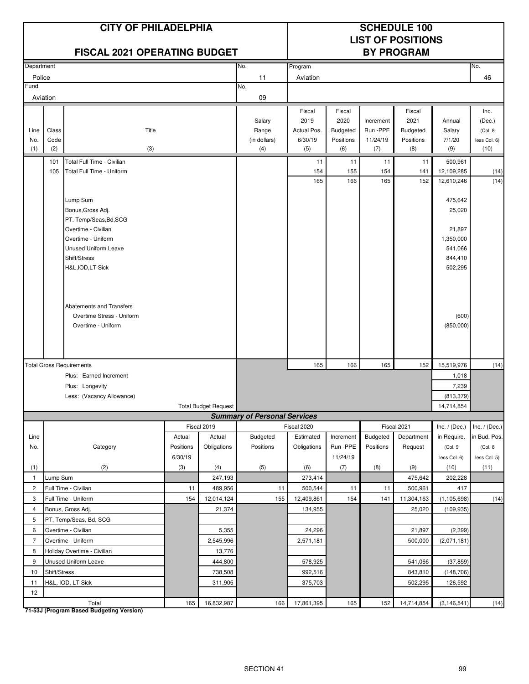| <b>CITY OF PHILADELPHIA</b><br><b>FISCAL 2021 OPERATING BUDGET</b>               |              |                                                         |           |                             |                                     | <b>SCHEDULE 100</b><br><b>LIST OF POSITIONS</b><br><b>BY PROGRAM</b> |                  |                 |                    |                       |                      |
|----------------------------------------------------------------------------------|--------------|---------------------------------------------------------|-----------|-----------------------------|-------------------------------------|----------------------------------------------------------------------|------------------|-----------------|--------------------|-----------------------|----------------------|
| Department                                                                       |              |                                                         |           |                             | No.                                 | Program                                                              |                  |                 |                    |                       | No.                  |
| Police                                                                           |              |                                                         |           |                             | 11                                  | Aviation                                                             |                  |                 |                    |                       | 46                   |
| Fund                                                                             |              |                                                         |           |                             | No.                                 |                                                                      |                  |                 |                    |                       |                      |
|                                                                                  | Aviation     |                                                         |           |                             | 09                                  |                                                                      |                  |                 |                    |                       |                      |
|                                                                                  |              |                                                         |           |                             |                                     | Fiscal                                                               | Fiscal           |                 | Fiscal             |                       | Inc.                 |
|                                                                                  |              |                                                         |           |                             | Salary                              | 2019                                                                 | 2020             | Increment       | 2021               | Annual                | (Dec.)               |
| Line                                                                             | Class        | Title                                                   |           |                             | Range                               | Actual Pos.                                                          | <b>Budgeted</b>  | Run -PPE        | <b>Budgeted</b>    | Salary                | (Col. 8              |
| No.<br>(1)                                                                       | Code<br>(2)  | (3)                                                     |           |                             | (in dollars)<br>(4)                 | 6/30/19<br>(5)                                                       | Positions<br>(6) | 11/24/19<br>(7) | Positions<br>(8)   | 7/1/20<br>(9)         | less Col. 6)<br>(10) |
|                                                                                  |              |                                                         |           |                             |                                     |                                                                      |                  |                 |                    |                       |                      |
|                                                                                  | 101<br>105   | Total Full Time - Civilian<br>Total Full Time - Uniform |           |                             |                                     | 11<br>154                                                            | 11<br>155        | 11<br>154       | 11<br>141          | 500,961<br>12,109,285 | (14)                 |
|                                                                                  |              |                                                         |           |                             |                                     | 165                                                                  | 166              | 165             | 152                | 12,610,246            | (14)                 |
|                                                                                  |              |                                                         |           |                             |                                     |                                                                      |                  |                 |                    |                       |                      |
|                                                                                  |              | Lump Sum                                                |           |                             |                                     |                                                                      |                  |                 |                    | 475,642               |                      |
|                                                                                  |              | Bonus, Gross Adj.                                       |           |                             |                                     |                                                                      |                  |                 |                    | 25,020                |                      |
|                                                                                  |              | PT. Temp/Seas, Bd, SCG                                  |           |                             |                                     |                                                                      |                  |                 |                    |                       |                      |
|                                                                                  |              | Overtime - Civilian<br>Overtime - Uniform               |           |                             |                                     |                                                                      |                  |                 |                    | 21,897<br>1,350,000   |                      |
|                                                                                  |              | <b>Unused Uniform Leave</b>                             |           |                             |                                     |                                                                      |                  |                 |                    | 541,066               |                      |
|                                                                                  |              | Shift/Stress                                            |           |                             |                                     |                                                                      |                  |                 |                    | 844,410               |                      |
|                                                                                  |              | H&L, IOD, LT-Sick                                       |           |                             |                                     |                                                                      |                  |                 |                    | 502,295               |                      |
|                                                                                  |              |                                                         |           |                             |                                     |                                                                      |                  |                 |                    |                       |                      |
|                                                                                  |              |                                                         |           |                             |                                     |                                                                      |                  |                 |                    |                       |                      |
|                                                                                  |              |                                                         |           |                             |                                     |                                                                      |                  |                 |                    |                       |                      |
|                                                                                  |              | Abatements and Transfers<br>Overtime Stress - Uniform   |           |                             |                                     |                                                                      |                  |                 |                    |                       |                      |
|                                                                                  |              | Overtime - Uniform                                      |           |                             |                                     |                                                                      |                  |                 |                    | (600)<br>(850,000)    |                      |
|                                                                                  |              |                                                         |           |                             |                                     |                                                                      |                  |                 |                    |                       |                      |
|                                                                                  |              |                                                         |           |                             |                                     |                                                                      |                  |                 |                    |                       |                      |
|                                                                                  |              |                                                         |           |                             |                                     |                                                                      |                  |                 |                    |                       |                      |
|                                                                                  |              | <b>Total Gross Requirements</b>                         |           |                             |                                     | 165                                                                  | 166              | 165             | 152                | 15,519,976            | (14)                 |
|                                                                                  |              | Plus: Earned Increment                                  |           |                             |                                     |                                                                      |                  |                 |                    | 1,018                 |                      |
|                                                                                  |              | Plus: Longevity                                         |           |                             |                                     |                                                                      |                  |                 |                    | 7,239                 |                      |
|                                                                                  |              | Less: (Vacancy Allowance)                               |           |                             |                                     |                                                                      |                  |                 |                    | (813, 379)            |                      |
|                                                                                  |              |                                                         |           | <b>Total Budget Request</b> | <b>Summary of Personal Services</b> |                                                                      |                  |                 |                    | 14,714,854            |                      |
|                                                                                  |              |                                                         |           | Fiscal 2019                 |                                     | Fiscal 2020                                                          |                  |                 | Fiscal 2021        | Inc. $/$ (Dec.)       | Inc. $/$ (Dec.)      |
| Line                                                                             |              |                                                         | Actual    | Actual                      | <b>Budgeted</b>                     | Estimated                                                            | Increment        | Budgeted        | Department         | in Require.           | in Bud. Pos.         |
| No.                                                                              |              | Category                                                | Positions | Obligations                 | Positions                           | Obligations                                                          | Run -PPE         | Positions       | Request            | (Col. 9               | (Col. 8              |
|                                                                                  |              |                                                         | 6/30/19   |                             |                                     |                                                                      | 11/24/19         |                 |                    | less Col. 6)          | less Col. 5)         |
| (1)                                                                              |              | (2)                                                     | (3)       | (4)                         | (5)                                 | (6)                                                                  | (7)              | (8)             | (9)                | (10)                  | (11)                 |
| $\mathbf{1}$                                                                     | Lump Sum     |                                                         |           | 247,193                     |                                     | 273,414                                                              |                  |                 | 475,642            | 202,228               |                      |
| $\overline{2}$                                                                   |              | Full Time - Civilian                                    | 11        | 489,956                     | 11                                  | 500,544                                                              | 11               | 11              | 500,961            | 417                   |                      |
| 3                                                                                |              | Full Time - Uniform                                     | 154       | 12,014,124                  | 155                                 | 12,409,861                                                           | 154              | 141             | 11,304,163         | (1, 105, 698)         | (14)                 |
| $\overline{4}$                                                                   |              | Bonus, Gross Adj.                                       |           | 21,374                      |                                     | 134,955                                                              |                  |                 | 25,020             | (109, 935)            |                      |
| 5<br>PT, Temp/Seas, Bd, SCG                                                      |              |                                                         |           |                             |                                     |                                                                      |                  |                 |                    |                       |                      |
| 6<br>Overtime - Civilian<br>5,355                                                |              |                                                         | 24,296    |                             |                                     | 21,897                                                               | (2, 399)         |                 |                    |                       |                      |
| $\overline{7}$<br>Overtime - Uniform<br>2,545,996<br>Holiday Overtime - Civilian |              |                                                         | 2,571,181 |                             |                                     | 500,000                                                              | (2,071,181)      |                 |                    |                       |                      |
| 8<br>9                                                                           |              |                                                         |           | 13,776                      |                                     |                                                                      |                  |                 |                    |                       |                      |
|                                                                                  |              | Unused Uniform Leave                                    |           | 444,800                     |                                     | 578,925                                                              |                  |                 | 541,066            | (37, 859)             |                      |
| 10<br>11                                                                         | Shift/Stress | H&L, IOD, LT-Sick                                       |           | 738,508<br>311,905          |                                     | 992,516<br>375,703                                                   |                  |                 | 843,810<br>502,295 | (148, 706)<br>126,592 |                      |
| 12                                                                               |              |                                                         |           |                             |                                     |                                                                      |                  |                 |                    |                       |                      |
|                                                                                  |              | Total                                                   | 165       | 16,832,987                  | 166                                 | 17,861,395                                                           | 165              | 152             | 14,714,854         | (3, 146, 541)         | (14)                 |

**71-53J (Program Based Budgeting Version)**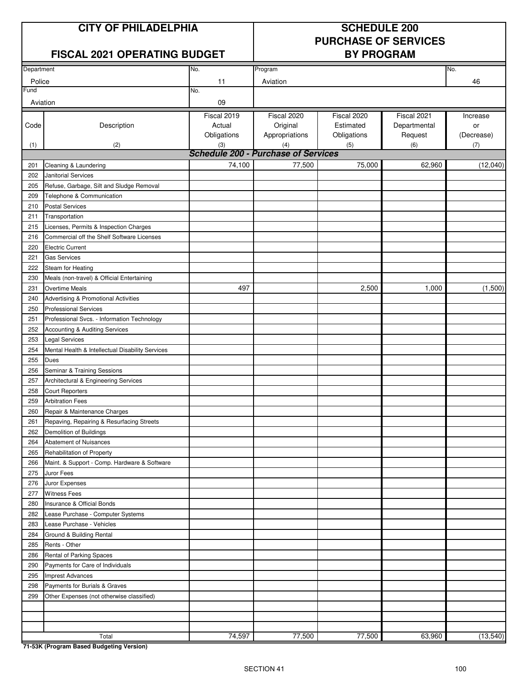# **CITY OF PHILADELPHIA SCHEDULE 200**

# **PURCHASE OF SERVICES**

# **FISCAL 2021 OPERATING BUDGET BY PROGRAM**

| Department |                                                                      | No.         | Program                                    | No.         |              |            |
|------------|----------------------------------------------------------------------|-------------|--------------------------------------------|-------------|--------------|------------|
| Police     |                                                                      | 11          | Aviation                                   | 46          |              |            |
| Fund       |                                                                      | No.         |                                            |             |              |            |
| Aviation   |                                                                      | 09          |                                            |             |              |            |
|            |                                                                      | Fiscal 2019 | Fiscal 2020                                | Fiscal 2020 | Fiscal 2021  | Increase   |
| Code       | Description                                                          | Actual      | Original                                   | Estimated   | Departmental | or         |
|            |                                                                      | Obligations | Appropriations                             | Obligations | Request      | (Decrease) |
| (1)        | (2)                                                                  | (3)         | (4)                                        | (5)         | (6)          | (7)        |
|            |                                                                      |             | <b>Schedule 200 - Purchase of Services</b> |             |              |            |
| 201        | Cleaning & Laundering                                                | 74,100      | 77,500                                     | 75,000      | 62,960       | (12,040)   |
| 202        | Janitorial Services                                                  |             |                                            |             |              |            |
| 205        | Refuse, Garbage, Silt and Sludge Removal                             |             |                                            |             |              |            |
| 209        | Telephone & Communication                                            |             |                                            |             |              |            |
| 210        | <b>Postal Services</b>                                               |             |                                            |             |              |            |
| 211        | Transportation                                                       |             |                                            |             |              |            |
| 215        | Licenses, Permits & Inspection Charges                               |             |                                            |             |              |            |
| 216        | Commercial off the Shelf Software Licenses                           |             |                                            |             |              |            |
| 220        | <b>Electric Current</b>                                              |             |                                            |             |              |            |
| 221        | <b>Gas Services</b>                                                  |             |                                            |             |              |            |
| 222        | Steam for Heating                                                    |             |                                            |             |              |            |
| 230        | Meals (non-travel) & Official Entertaining                           |             |                                            |             |              |            |
| 231        | <b>Overtime Meals</b>                                                | 497         |                                            | 2,500       | 1,000        | (1,500)    |
| 240        |                                                                      |             |                                            |             |              |            |
|            | Advertising & Promotional Activities<br><b>Professional Services</b> |             |                                            |             |              |            |
| 250        |                                                                      |             |                                            |             |              |            |
| 251        | Professional Svcs. - Information Technology                          |             |                                            |             |              |            |
| 252        | Accounting & Auditing Services                                       |             |                                            |             |              |            |
| 253        | <b>Legal Services</b>                                                |             |                                            |             |              |            |
| 254        | Mental Health & Intellectual Disability Services                     |             |                                            |             |              |            |
| 255        | Dues                                                                 |             |                                            |             |              |            |
| 256        | Seminar & Training Sessions                                          |             |                                            |             |              |            |
| 257        | Architectural & Engineering Services<br><b>Court Reporters</b>       |             |                                            |             |              |            |
| 258        | <b>Arbitration Fees</b>                                              |             |                                            |             |              |            |
| 259<br>260 | Repair & Maintenance Charges                                         |             |                                            |             |              |            |
| 261        | Repaving, Repairing & Resurfacing Streets                            |             |                                            |             |              |            |
| 262        | Demolition of Buildings                                              |             |                                            |             |              |            |
| 264        | Abatement of Nuisances                                               |             |                                            |             |              |            |
| 265        | Rehabilitation of Property                                           |             |                                            |             |              |            |
| 266        | Maint. & Support - Comp. Hardware & Software                         |             |                                            |             |              |            |
| 275        | Juror Fees                                                           |             |                                            |             |              |            |
| 276        | Juror Expenses                                                       |             |                                            |             |              |            |
| 277        | <b>Witness Fees</b>                                                  |             |                                            |             |              |            |
| 280        | Insurance & Official Bonds                                           |             |                                            |             |              |            |
| 282        | Lease Purchase - Computer Systems                                    |             |                                            |             |              |            |
| 283        | Lease Purchase - Vehicles                                            |             |                                            |             |              |            |
| 284        | Ground & Building Rental                                             |             |                                            |             |              |            |
| 285        | Rents - Other                                                        |             |                                            |             |              |            |
| 286        | Rental of Parking Spaces                                             |             |                                            |             |              |            |
| 290        | Payments for Care of Individuals                                     |             |                                            |             |              |            |
| 295        | <b>Imprest Advances</b>                                              |             |                                            |             |              |            |
| 298        | Payments for Burials & Graves                                        |             |                                            |             |              |            |
| 299        | Other Expenses (not otherwise classified)                            |             |                                            |             |              |            |
|            |                                                                      |             |                                            |             |              |            |
|            |                                                                      |             |                                            |             |              |            |
|            |                                                                      |             |                                            |             |              |            |
|            | Total                                                                | 74,597      | 77,500                                     | 77,500      | 63,960       | (13, 540)  |
|            | 71-53K (Program Raced Rudgeting Version)                             |             |                                            |             |              |            |

**71-53K (Program Based Budgeting Version)**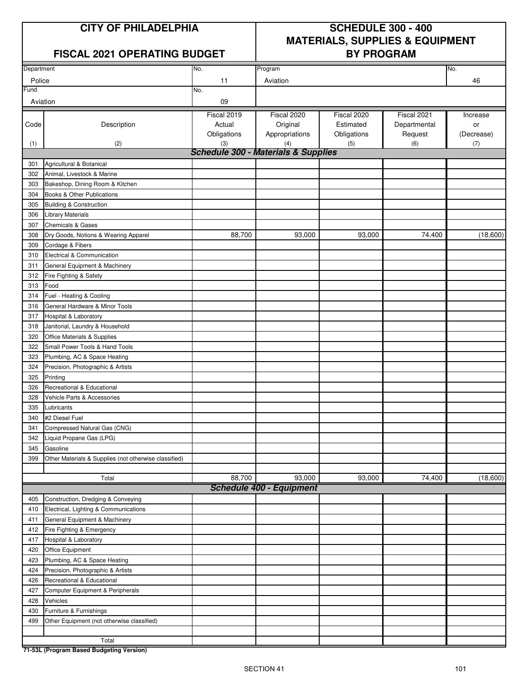## **FISCAL 2021 OPERATING BUDGET BY PROGRAM**

# **CITY OF PHILADELPHIA SCHEDULE 300 - 400 MATERIALS, SUPPLIES & EQUIPMENT**

| Department |                                                       | No.                                            | Program                         |             | No.          |            |  |  |  |  |  |
|------------|-------------------------------------------------------|------------------------------------------------|---------------------------------|-------------|--------------|------------|--|--|--|--|--|
| Police     |                                                       | 11                                             | Aviation                        |             | 46           |            |  |  |  |  |  |
| Fund       |                                                       | No.                                            |                                 |             |              |            |  |  |  |  |  |
| Aviation   |                                                       | 09                                             |                                 |             |              |            |  |  |  |  |  |
|            |                                                       | Fiscal 2019                                    | Fiscal 2020                     | Fiscal 2020 | Fiscal 2021  | Increase   |  |  |  |  |  |
| Code       | Description                                           | Actual                                         | Original                        | Estimated   | Departmental | or         |  |  |  |  |  |
|            |                                                       | Obligations                                    | Appropriations                  | Obligations | Request      | (Decrease) |  |  |  |  |  |
| (1)        | (2)                                                   | (3)                                            | (4)                             | (5)         | (6)          | (7)        |  |  |  |  |  |
|            |                                                       | <b>Schedule 300 - Materials &amp; Supplies</b> |                                 |             |              |            |  |  |  |  |  |
| 301        | Agricultural & Botanical                              |                                                |                                 |             |              |            |  |  |  |  |  |
| 302        | Animal. Livestock & Marine                            |                                                |                                 |             |              |            |  |  |  |  |  |
| 303        | Bakeshop, Dining Room & Kitchen                       |                                                |                                 |             |              |            |  |  |  |  |  |
| 304        | Books & Other Publications                            |                                                |                                 |             |              |            |  |  |  |  |  |
| 305        | <b>Building &amp; Construction</b>                    |                                                |                                 |             |              |            |  |  |  |  |  |
| 306        | <b>Library Materials</b>                              |                                                |                                 |             |              |            |  |  |  |  |  |
| 307        | <b>Chemicals &amp; Gases</b>                          |                                                |                                 |             |              |            |  |  |  |  |  |
| 308        | Dry Goods, Notions & Wearing Apparel                  | 88,700                                         | 93,000                          | 93,000      | 74,400       | (18,600)   |  |  |  |  |  |
| 309        | Cordage & Fibers                                      |                                                |                                 |             |              |            |  |  |  |  |  |
| 310        | Electrical & Communication                            |                                                |                                 |             |              |            |  |  |  |  |  |
| 311        | General Equipment & Machinery                         |                                                |                                 |             |              |            |  |  |  |  |  |
| 312        | Fire Fighting & Safety                                |                                                |                                 |             |              |            |  |  |  |  |  |
| 313        | Food                                                  |                                                |                                 |             |              |            |  |  |  |  |  |
| 314        | Fuel - Heating & Cooling                              |                                                |                                 |             |              |            |  |  |  |  |  |
| 316        | General Hardware & Minor Tools                        |                                                |                                 |             |              |            |  |  |  |  |  |
| 317        | Hospital & Laboratory                                 |                                                |                                 |             |              |            |  |  |  |  |  |
| 318        | Janitorial, Laundry & Household                       |                                                |                                 |             |              |            |  |  |  |  |  |
| 320        | Office Materials & Supplies                           |                                                |                                 |             |              |            |  |  |  |  |  |
| 322        | Small Power Tools & Hand Tools                        |                                                |                                 |             |              |            |  |  |  |  |  |
| 323        | Plumbing, AC & Space Heating                          |                                                |                                 |             |              |            |  |  |  |  |  |
| 324        | Precision, Photographic & Artists                     |                                                |                                 |             |              |            |  |  |  |  |  |
| 325        | Printing                                              |                                                |                                 |             |              |            |  |  |  |  |  |
| 326        | Recreational & Educational                            |                                                |                                 |             |              |            |  |  |  |  |  |
| 328        | Vehicle Parts & Accessories                           |                                                |                                 |             |              |            |  |  |  |  |  |
| 335        | Lubricants                                            |                                                |                                 |             |              |            |  |  |  |  |  |
| 340        | #2 Diesel Fuel                                        |                                                |                                 |             |              |            |  |  |  |  |  |
| 341        | Compressed Natural Gas (CNG)                          |                                                |                                 |             |              |            |  |  |  |  |  |
| 342        | Liquid Propane Gas (LPG)                              |                                                |                                 |             |              |            |  |  |  |  |  |
| 345        | Gasoline                                              |                                                |                                 |             |              |            |  |  |  |  |  |
| 399        | Other Materials & Supplies (not otherwise classified) |                                                |                                 |             |              |            |  |  |  |  |  |
|            |                                                       |                                                |                                 |             |              |            |  |  |  |  |  |
|            | Total                                                 | 88,700                                         | 93,000                          | 93,000      | 74,400       | (18,600)   |  |  |  |  |  |
|            |                                                       |                                                | <b>Schedule 400 - Equipment</b> |             |              |            |  |  |  |  |  |
| 405        | Construction, Dredging & Conveying                    |                                                |                                 |             |              |            |  |  |  |  |  |
| 410        | Electrical, Lighting & Communications                 |                                                |                                 |             |              |            |  |  |  |  |  |
| 411        | General Equipment & Machinery                         |                                                |                                 |             |              |            |  |  |  |  |  |
| 412        | Fire Fighting & Emergency                             |                                                |                                 |             |              |            |  |  |  |  |  |
| 417        | Hospital & Laboratory                                 |                                                |                                 |             |              |            |  |  |  |  |  |
| 420        | Office Equipment                                      |                                                |                                 |             |              |            |  |  |  |  |  |
| 423        | Plumbing, AC & Space Heating                          |                                                |                                 |             |              |            |  |  |  |  |  |
| 424        | Precision, Photographic & Artists                     |                                                |                                 |             |              |            |  |  |  |  |  |
| 426        | Recreational & Educational                            |                                                |                                 |             |              |            |  |  |  |  |  |
| 427        | Computer Equipment & Peripherals                      |                                                |                                 |             |              |            |  |  |  |  |  |
| 428        | Vehicles                                              |                                                |                                 |             |              |            |  |  |  |  |  |
| 430        | Furniture & Furnishings                               |                                                |                                 |             |              |            |  |  |  |  |  |
| 499        | Other Equipment (not otherwise classified)            |                                                |                                 |             |              |            |  |  |  |  |  |
|            |                                                       |                                                |                                 |             |              |            |  |  |  |  |  |
|            | Total                                                 |                                                |                                 |             |              |            |  |  |  |  |  |
|            |                                                       |                                                |                                 |             |              |            |  |  |  |  |  |

**71-53L (Program Based Budgeting Version)**